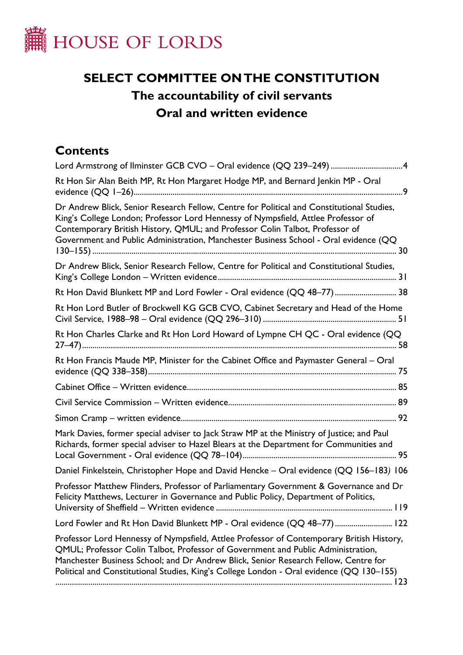

# **SELECT COMMITTEE ON THE CONSTITUTION The accountability of civil servants Oral and written evidence**

# **Contents**

| Lord Armstrong of Ilminster GCB CVO - Oral evidence (QQ 239-249) 4                                                                                                                                                                                                                                                                                              |
|-----------------------------------------------------------------------------------------------------------------------------------------------------------------------------------------------------------------------------------------------------------------------------------------------------------------------------------------------------------------|
| Rt Hon Sir Alan Beith MP, Rt Hon Margaret Hodge MP, and Bernard Jenkin MP - Oral                                                                                                                                                                                                                                                                                |
| Dr Andrew Blick, Senior Research Fellow, Centre for Political and Constitutional Studies,<br>King's College London; Professor Lord Hennessy of Nympsfield, Attlee Professor of<br>Contemporary British History, QMUL; and Professor Colin Talbot, Professor of<br>Government and Public Administration, Manchester Business School - Oral evidence (QQ          |
| Dr Andrew Blick, Senior Research Fellow, Centre for Political and Constitutional Studies,                                                                                                                                                                                                                                                                       |
| Rt Hon David Blunkett MP and Lord Fowler - Oral evidence (QQ 48-77) 38                                                                                                                                                                                                                                                                                          |
| Rt Hon Lord Butler of Brockwell KG GCB CVO, Cabinet Secretary and Head of the Home                                                                                                                                                                                                                                                                              |
| Rt Hon Charles Clarke and Rt Hon Lord Howard of Lympne CH QC - Oral evidence (QQ                                                                                                                                                                                                                                                                                |
| Rt Hon Francis Maude MP, Minister for the Cabinet Office and Paymaster General - Oral                                                                                                                                                                                                                                                                           |
|                                                                                                                                                                                                                                                                                                                                                                 |
|                                                                                                                                                                                                                                                                                                                                                                 |
|                                                                                                                                                                                                                                                                                                                                                                 |
| Mark Davies, former special adviser to Jack Straw MP at the Ministry of Justice; and Paul<br>Richards, former special adviser to Hazel Blears at the Department for Communities and                                                                                                                                                                             |
| Daniel Finkelstein, Christopher Hope and David Hencke - Oral evidence (QQ 156-183) 106                                                                                                                                                                                                                                                                          |
| Professor Matthew Flinders, Professor of Parliamentary Government & Governance and Dr<br>Felicity Matthews, Lecturer in Governance and Public Policy, Department of Politics,<br>119                                                                                                                                                                            |
| Lord Fowler and Rt Hon David Blunkett MP - Oral evidence (QQ 48-77) 122                                                                                                                                                                                                                                                                                         |
| Professor Lord Hennessy of Nympsfield, Attlee Professor of Contemporary British History,<br>QMUL; Professor Colin Talbot, Professor of Government and Public Administration,<br>Manchester Business School; and Dr Andrew Blick, Senior Research Fellow, Centre for<br>Political and Constitutional Studies, King's College London - Oral evidence (QQ 130–155) |
|                                                                                                                                                                                                                                                                                                                                                                 |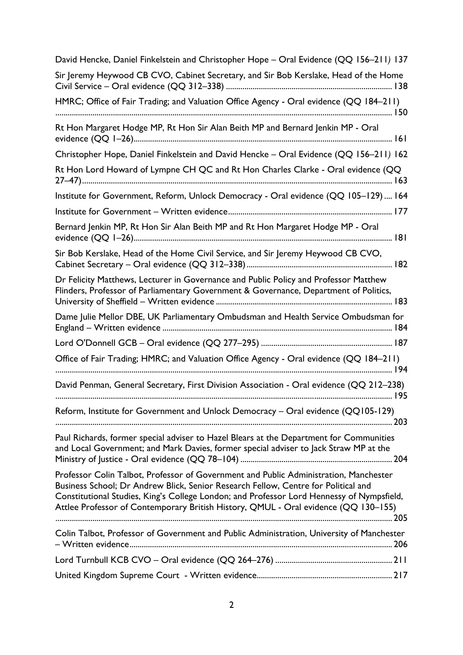| David Hencke, Daniel Finkelstein and Christopher Hope - Oral Evidence (QQ 156-211) 137                                                                                                                                                                                                                                                                          |
|-----------------------------------------------------------------------------------------------------------------------------------------------------------------------------------------------------------------------------------------------------------------------------------------------------------------------------------------------------------------|
| Sir Jeremy Heywood CB CVO, Cabinet Secretary, and Sir Bob Kerslake, Head of the Home                                                                                                                                                                                                                                                                            |
| HMRC; Office of Fair Trading; and Valuation Office Agency - Oral evidence (QQ 184-211)                                                                                                                                                                                                                                                                          |
| Rt Hon Margaret Hodge MP, Rt Hon Sir Alan Beith MP and Bernard Jenkin MP - Oral                                                                                                                                                                                                                                                                                 |
| Christopher Hope, Daniel Finkelstein and David Hencke - Oral Evidence (QQ 156-211) 162                                                                                                                                                                                                                                                                          |
| Rt Hon Lord Howard of Lympne CH QC and Rt Hon Charles Clarke - Oral evidence (QQ                                                                                                                                                                                                                                                                                |
| Institute for Government, Reform, Unlock Democracy - Oral evidence (QQ 105-129) 164                                                                                                                                                                                                                                                                             |
|                                                                                                                                                                                                                                                                                                                                                                 |
| Bernard Jenkin MP, Rt Hon Sir Alan Beith MP and Rt Hon Margaret Hodge MP - Oral                                                                                                                                                                                                                                                                                 |
| Sir Bob Kerslake, Head of the Home Civil Service, and Sir Jeremy Heywood CB CVO,                                                                                                                                                                                                                                                                                |
| Dr Felicity Matthews, Lecturer in Governance and Public Policy and Professor Matthew<br>Flinders, Professor of Parliamentary Government & Governance, Department of Politics,                                                                                                                                                                                   |
| Dame Julie Mellor DBE, UK Parliamentary Ombudsman and Health Service Ombudsman for                                                                                                                                                                                                                                                                              |
|                                                                                                                                                                                                                                                                                                                                                                 |
| Office of Fair Trading; HMRC; and Valuation Office Agency - Oral evidence (QQ 184-211)                                                                                                                                                                                                                                                                          |
| David Penman, General Secretary, First Division Association - Oral evidence (QQ 212-238)                                                                                                                                                                                                                                                                        |
| Reform, Institute for Government and Unlock Democracy - Oral evidence (QQ105-129)                                                                                                                                                                                                                                                                               |
| Paul Richards, former special adviser to Hazel Blears at the Department for Communities<br>and Local Government; and Mark Davies, former special adviser to Jack Straw MP at the                                                                                                                                                                                |
| Professor Colin Talbot, Professor of Government and Public Administration, Manchester<br>Business School; Dr Andrew Blick, Senior Research Fellow, Centre for Political and<br>Constitutional Studies, King's College London; and Professor Lord Hennessy of Nympsfield,<br>Attlee Professor of Contemporary British History, QMUL - Oral evidence (QQ 130-155) |
| Colin Talbot, Professor of Government and Public Administration, University of Manchester                                                                                                                                                                                                                                                                       |
|                                                                                                                                                                                                                                                                                                                                                                 |
|                                                                                                                                                                                                                                                                                                                                                                 |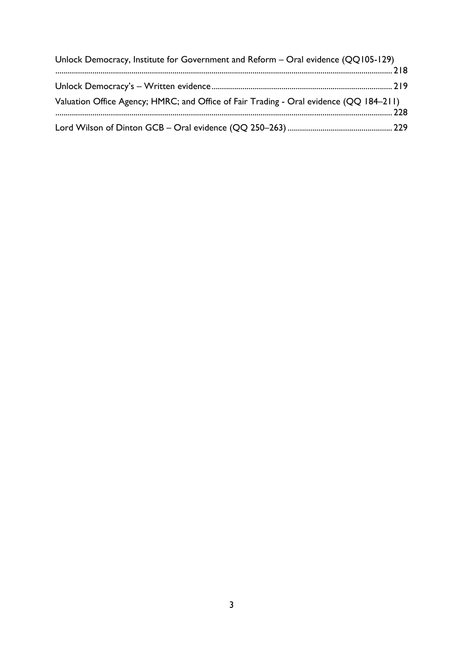| Unlock Democracy, Institute for Government and Reform - Oral evidence (QQ105-129)      |  |
|----------------------------------------------------------------------------------------|--|
|                                                                                        |  |
|                                                                                        |  |
| Valuation Office Agency; HMRC; and Office of Fair Trading - Oral evidence (QQ 184-211) |  |
|                                                                                        |  |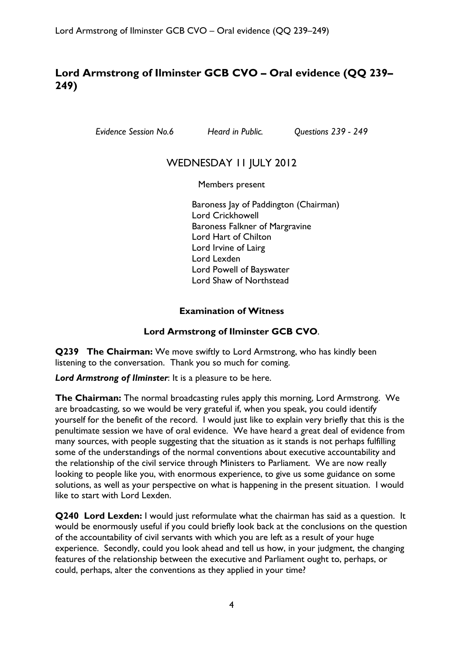# <span id="page-3-0"></span>**Lord Armstrong of Ilminster GCB CVO – Oral evidence (QQ 239– 249)**

*Evidence Session No.6 Heard in Public. Questions 239 - 249* 

# WEDNESDAY 11 JULY 2012

Members present

Baroness Jay of Paddington (Chairman) Lord Crickhowell Baroness Falkner of Margravine Lord Hart of Chilton Lord Irvine of Lairg Lord Lexden Lord Powell of Bayswater Lord Shaw of Northstead

#### **Examination of Witness**

### **Lord Armstrong of Ilminster GCB CVO**.

**Q239 The Chairman:** We move swiftly to Lord Armstrong, who has kindly been listening to the conversation. Thank you so much for coming.

*Lord Armstrong of Ilminster*: It is a pleasure to be here.

**The Chairman:** The normal broadcasting rules apply this morning, Lord Armstrong. We are broadcasting, so we would be very grateful if, when you speak, you could identify yourself for the benefit of the record. I would just like to explain very briefly that this is the penultimate session we have of oral evidence. We have heard a great deal of evidence from many sources, with people suggesting that the situation as it stands is not perhaps fulfilling some of the understandings of the normal conventions about executive accountability and the relationship of the civil service through Ministers to Parliament. We are now really looking to people like you, with enormous experience, to give us some guidance on some solutions, as well as your perspective on what is happening in the present situation. I would like to start with Lord Lexden.

**Q240 Lord Lexden:** I would just reformulate what the chairman has said as a question. It would be enormously useful if you could briefly look back at the conclusions on the question of the accountability of civil servants with which you are left as a result of your huge experience. Secondly, could you look ahead and tell us how, in your judgment, the changing features of the relationship between the executive and Parliament ought to, perhaps, or could, perhaps, alter the conventions as they applied in your time?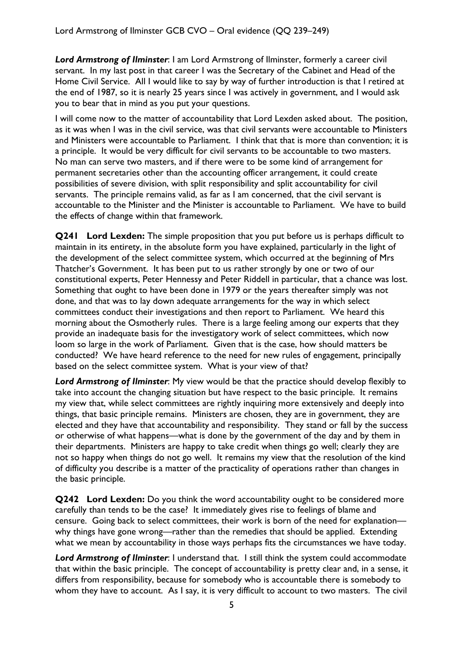*Lord Armstrong of Ilminster*: I am Lord Armstrong of Ilminster, formerly a career civil servant. In my last post in that career I was the Secretary of the Cabinet and Head of the Home Civil Service. All I would like to say by way of further introduction is that I retired at the end of 1987, so it is nearly 25 years since I was actively in government, and I would ask you to bear that in mind as you put your questions.

I will come now to the matter of accountability that Lord Lexden asked about. The position, as it was when I was in the civil service, was that civil servants were accountable to Ministers and Ministers were accountable to Parliament. I think that that is more than convention; it is a principle. It would be very difficult for civil servants to be accountable to two masters. No man can serve two masters, and if there were to be some kind of arrangement for permanent secretaries other than the accounting officer arrangement, it could create possibilities of severe division, with split responsibility and split accountability for civil servants. The principle remains valid, as far as I am concerned, that the civil servant is accountable to the Minister and the Minister is accountable to Parliament. We have to build the effects of change within that framework.

**Q241 Lord Lexden:** The simple proposition that you put before us is perhaps difficult to maintain in its entirety, in the absolute form you have explained, particularly in the light of the development of the select committee system, which occurred at the beginning of Mrs Thatcher's Government. It has been put to us rather strongly by one or two of our constitutional experts, Peter Hennessy and Peter Riddell in particular, that a chance was lost. Something that ought to have been done in 1979 or the years thereafter simply was not done, and that was to lay down adequate arrangements for the way in which select committees conduct their investigations and then report to Parliament. We heard this morning about the Osmotherly rules. There is a large feeling among our experts that they provide an inadequate basis for the investigatory work of select committees, which now loom so large in the work of Parliament. Given that is the case, how should matters be conducted? We have heard reference to the need for new rules of engagement, principally based on the select committee system. What is your view of that?

*Lord Armstrong of Ilminster*: My view would be that the practice should develop flexibly to take into account the changing situation but have respect to the basic principle. It remains my view that, while select committees are rightly inquiring more extensively and deeply into things, that basic principle remains. Ministers are chosen, they are in government, they are elected and they have that accountability and responsibility. They stand or fall by the success or otherwise of what happens—what is done by the government of the day and by them in their departments. Ministers are happy to take credit when things go well; clearly they are not so happy when things do not go well. It remains my view that the resolution of the kind of difficulty you describe is a matter of the practicality of operations rather than changes in the basic principle.

**Q242 Lord Lexden:** Do you think the word accountability ought to be considered more carefully than tends to be the case? It immediately gives rise to feelings of blame and censure. Going back to select committees, their work is born of the need for explanation why things have gone wrong—rather than the remedies that should be applied. Extending what we mean by accountability in those ways perhaps fits the circumstances we have today.

*Lord Armstrong of Ilminster*: I understand that. I still think the system could accommodate that within the basic principle. The concept of accountability is pretty clear and, in a sense, it differs from responsibility, because for somebody who is accountable there is somebody to whom they have to account. As I say, it is very difficult to account to two masters. The civil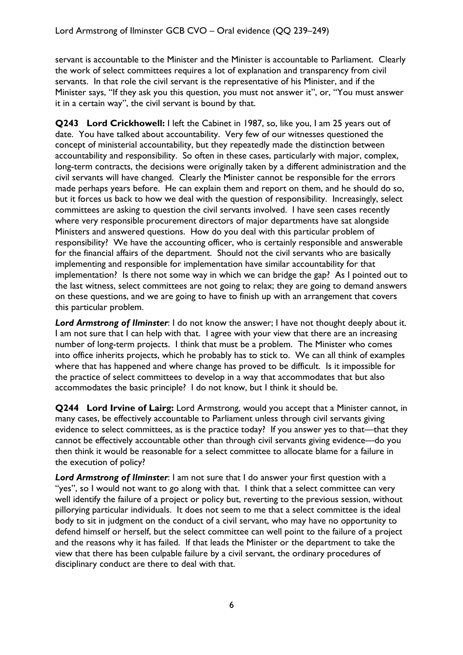servant is accountable to the Minister and the Minister is accountable to Parliament. Clearly the work of select committees requires a lot of explanation and transparency from civil servants. In that role the civil servant is the representative of his Minister, and if the Minister says, "If they ask you this question, you must not answer it", or, "You must answer it in a certain way", the civil servant is bound by that.

**Q243 Lord Crickhowell:** I left the Cabinet in 1987, so, like you, I am 25 years out of date. You have talked about accountability. Very few of our witnesses questioned the concept of ministerial accountability, but they repeatedly made the distinction between accountability and responsibility. So often in these cases, particularly with major, complex, long-term contracts, the decisions were originally taken by a different administration and the civil servants will have changed. Clearly the Minister cannot be responsible for the errors made perhaps years before. He can explain them and report on them, and he should do so, but it forces us back to how we deal with the question of responsibility. Increasingly, select committees are asking to question the civil servants involved. I have seen cases recently where very responsible procurement directors of major departments have sat alongside Ministers and answered questions. How do you deal with this particular problem of responsibility? We have the accounting officer, who is certainly responsible and answerable for the financial affairs of the department. Should not the civil servants who are basically implementing and responsible for implementation have similar accountability for that implementation? Is there not some way in which we can bridge the gap? As I pointed out to the last witness, select committees are not going to relax; they are going to demand answers on these questions, and we are going to have to finish up with an arrangement that covers this particular problem.

*Lord Armstrong of Ilminster*: I do not know the answer; I have not thought deeply about it. I am not sure that I can help with that. I agree with your view that there are an increasing number of long-term projects. I think that must be a problem. The Minister who comes into office inherits projects, which he probably has to stick to. We can all think of examples where that has happened and where change has proved to be difficult. Is it impossible for the practice of select committees to develop in a way that accommodates that but also accommodates the basic principle? I do not know, but I think it should be.

**Q244 Lord Irvine of Lairg:** Lord Armstrong, would you accept that a Minister cannot, in many cases, be effectively accountable to Parliament unless through civil servants giving evidence to select committees, as is the practice today? If you answer yes to that—that they cannot be effectively accountable other than through civil servants giving evidence—do you then think it would be reasonable for a select committee to allocate blame for a failure in the execution of policy?

*Lord Armstrong of Ilminster*: I am not sure that I do answer your first question with a "yes", so I would not want to go along with that. I think that a select committee can very well identify the failure of a project or policy but, reverting to the previous session, without pillorying particular individuals. It does not seem to me that a select committee is the ideal body to sit in judgment on the conduct of a civil servant, who may have no opportunity to defend himself or herself, but the select committee can well point to the failure of a project and the reasons why it has failed. If that leads the Minister or the department to take the view that there has been culpable failure by a civil servant, the ordinary procedures of disciplinary conduct are there to deal with that.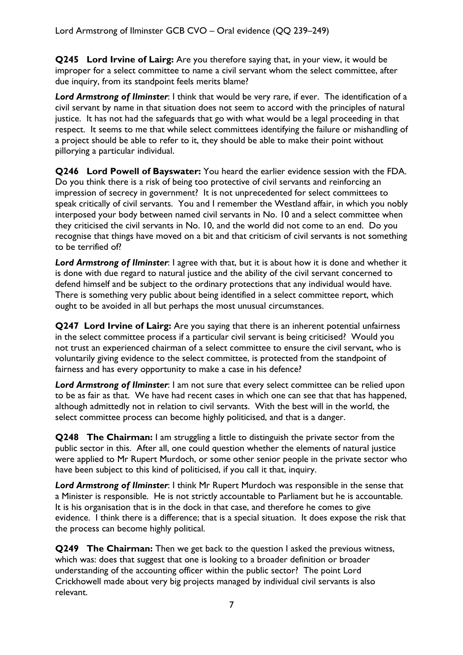**Q245 Lord Irvine of Lairg:** Are you therefore saying that, in your view, it would be improper for a select committee to name a civil servant whom the select committee, after due inquiry, from its standpoint feels merits blame?

*Lord Armstrong of Ilminster*: I think that would be very rare, if ever. The identification of a civil servant by name in that situation does not seem to accord with the principles of natural justice. It has not had the safeguards that go with what would be a legal proceeding in that respect. It seems to me that while select committees identifying the failure or mishandling of a project should be able to refer to it, they should be able to make their point without pillorying a particular individual.

**Q246 Lord Powell of Bayswater:** You heard the earlier evidence session with the FDA. Do you think there is a risk of being too protective of civil servants and reinforcing an impression of secrecy in government? It is not unprecedented for select committees to speak critically of civil servants. You and I remember the Westland affair, in which you nobly interposed your body between named civil servants in No. 10 and a select committee when they criticised the civil servants in No. 10, and the world did not come to an end. Do you recognise that things have moved on a bit and that criticism of civil servants is not something to be terrified of?

*Lord Armstrong of Ilminster*: I agree with that, but it is about how it is done and whether it is done with due regard to natural justice and the ability of the civil servant concerned to defend himself and be subject to the ordinary protections that any individual would have. There is something very public about being identified in a select committee report, which ought to be avoided in all but perhaps the most unusual circumstances.

**Q247 Lord Irvine of Lairg:** Are you saying that there is an inherent potential unfairness in the select committee process if a particular civil servant is being criticised? Would you not trust an experienced chairman of a select committee to ensure the civil servant, who is voluntarily giving evidence to the select committee, is protected from the standpoint of fairness and has every opportunity to make a case in his defence?

*Lord Armstrong of Ilminster*: I am not sure that every select committee can be relied upon to be as fair as that. We have had recent cases in which one can see that that has happened, although admittedly not in relation to civil servants. With the best will in the world, the select committee process can become highly politicised, and that is a danger.

**Q248** The Chairman: I am struggling a little to distinguish the private sector from the public sector in this. After all, one could question whether the elements of natural justice were applied to Mr Rupert Murdoch, or some other senior people in the private sector who have been subject to this kind of politicised, if you call it that, inquiry.

*Lord Armstrong of Ilminster*: I think Mr Rupert Murdoch was responsible in the sense that a Minister is responsible. He is not strictly accountable to Parliament but he is accountable. It is his organisation that is in the dock in that case, and therefore he comes to give evidence. I think there is a difference; that is a special situation. It does expose the risk that the process can become highly political.

**Q249 The Chairman:** Then we get back to the question I asked the previous witness, which was: does that suggest that one is looking to a broader definition or broader understanding of the accounting officer within the public sector? The point Lord Crickhowell made about very big projects managed by individual civil servants is also relevant.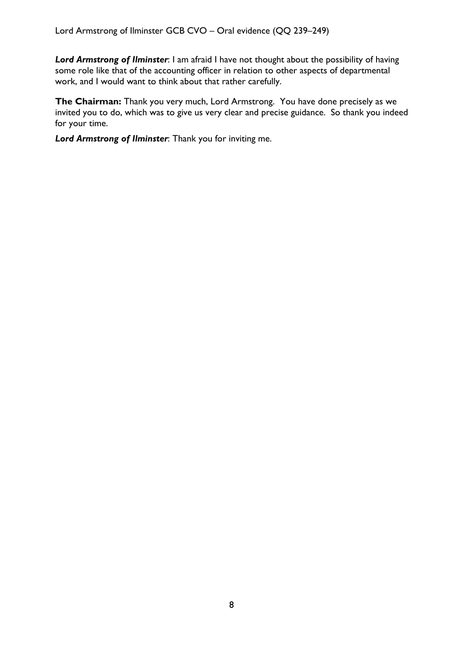*Lord Armstrong of Ilminster*: I am afraid I have not thought about the possibility of having some role like that of the accounting officer in relation to other aspects of departmental work, and I would want to think about that rather carefully.

**The Chairman:** Thank you very much, Lord Armstrong. You have done precisely as we invited you to do, which was to give us very clear and precise guidance. So thank you indeed for your time.

*Lord Armstrong of Ilminster*: Thank you for inviting me.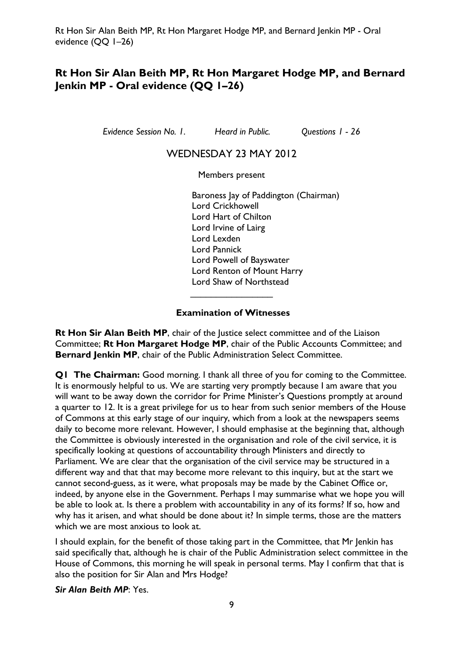# <span id="page-8-0"></span>**Rt Hon Sir Alan Beith MP, Rt Hon Margaret Hodge MP, and Bernard Jenkin MP - Oral evidence (QQ 1–26)**

*Evidence Session No. 1. Heard in Public. Questions 1 - 26* 

### WEDNESDAY 23 MAY 2012

Members present

Baroness Jay of Paddington (Chairman) Lord Crickhowell Lord Hart of Chilton Lord Irvine of Lairg Lord Lexden Lord Pannick Lord Powell of Bayswater Lord Renton of Mount Harry Lord Shaw of Northstead

#### **Examination of Witnesses**

 $\overline{\phantom{a}}$  , which is a set of the set of the set of the set of the set of the set of the set of the set of the set of the set of the set of the set of the set of the set of the set of the set of the set of the set of th

**Rt Hon Sir Alan Beith MP**, chair of the Justice select committee and of the Liaison Committee; **Rt Hon Margaret Hodge MP**, chair of the Public Accounts Committee; and **Bernard Jenkin MP**, chair of the Public Administration Select Committee.

**Q1 The Chairman:** Good morning. I thank all three of you for coming to the Committee. It is enormously helpful to us. We are starting very promptly because I am aware that you will want to be away down the corridor for Prime Minister's Questions promptly at around a quarter to 12. It is a great privilege for us to hear from such senior members of the House of Commons at this early stage of our inquiry, which from a look at the newspapers seems daily to become more relevant. However, I should emphasise at the beginning that, although the Committee is obviously interested in the organisation and role of the civil service, it is specifically looking at questions of accountability through Ministers and directly to Parliament. We are clear that the organisation of the civil service may be structured in a different way and that that may become more relevant to this inquiry, but at the start we cannot second-guess, as it were, what proposals may be made by the Cabinet Office or, indeed, by anyone else in the Government. Perhaps I may summarise what we hope you will be able to look at. Is there a problem with accountability in any of its forms? If so, how and why has it arisen, and what should be done about it? In simple terms, those are the matters which we are most anxious to look at.

I should explain, for the benefit of those taking part in the Committee, that Mr Jenkin has said specifically that, although he is chair of the Public Administration select committee in the House of Commons, this morning he will speak in personal terms. May I confirm that that is also the position for Sir Alan and Mrs Hodge?

#### *Sir Alan Beith MP*: Yes.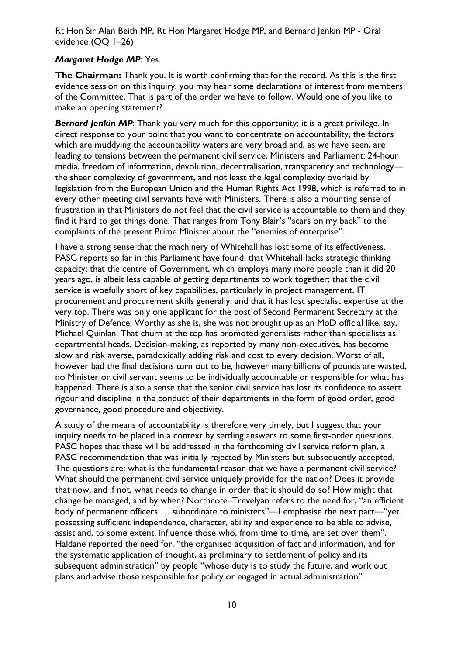#### *Margaret Hodge MP*: Yes.

**The Chairman:** Thank you. It is worth confirming that for the record. As this is the first evidence session on this inquiry, you may hear some declarations of interest from members of the Committee. That is part of the order we have to follow. Would one of you like to make an opening statement?

**Bernard Jenkin MP:** Thank you very much for this opportunity; it is a great privilege. In direct response to your point that you want to concentrate on accountability, the factors which are muddying the accountability waters are very broad and, as we have seen, are leading to tensions between the permanent civil service, Ministers and Parliament: 24-hour media, freedom of information, devolution, decentralisation, transparency and technology the sheer complexity of government, and not least the legal complexity overlaid by legislation from the European Union and the Human Rights Act 1998, which is referred to in every other meeting civil servants have with Ministers. There is also a mounting sense of frustration in that Ministers do not feel that the civil service is accountable to them and they find it hard to get things done. That ranges from Tony Blair's "scars on my back" to the complaints of the present Prime Minister about the "enemies of enterprise".

I have a strong sense that the machinery of Whitehall has lost some of its effectiveness. PASC reports so far in this Parliament have found: that Whitehall lacks strategic thinking capacity; that the centre of Government, which employs many more people than it did 20 years ago, is albeit less capable of getting departments to work together; that the civil service is woefully short of key capabilities, particularly in project management, IT procurement and procurement skills generally; and that it has lost specialist expertise at the very top. There was only one applicant for the post of Second Permanent Secretary at the Ministry of Defence. Worthy as she is, she was not brought up as an MoD official like, say, Michael Quinlan. That churn at the top has promoted generalists rather than specialists as departmental heads. Decision-making, as reported by many non-executives, has become slow and risk averse, paradoxically adding risk and cost to every decision. Worst of all, however bad the final decisions turn out to be, however many billions of pounds are wasted, no Minister or civil servant seems to be individually accountable or responsible for what has happened. There is also a sense that the senior civil service has lost its confidence to assert rigour and discipline in the conduct of their departments in the form of good order, good governance, good procedure and objectivity.

A study of the means of accountability is therefore very timely, but I suggest that your inquiry needs to be placed in a context by settling answers to some first-order questions. PASC hopes that these will be addressed in the forthcoming civil service reform plan, a PASC recommendation that was initially rejected by Ministers but subsequently accepted. The questions are: what is the fundamental reason that we have a permanent civil service? What should the permanent civil service uniquely provide for the nation? Does it provide that now, and if not, what needs to change in order that it should do so? How might that change be managed, and by when? Northcote–Trevelyan refers to the need for, "an efficient body of permanent officers … subordinate to ministers"—I emphasise the next part—"yet possessing sufficient independence, character, ability and experience to be able to advise, assist and, to some extent, influence those who, from time to time, are set over them". Haldane reported the need for, "the organised acquisition of fact and information, and for the systematic application of thought, as preliminary to settlement of policy and its subsequent administration" by people "whose duty is to study the future, and work out plans and advise those responsible for policy or engaged in actual administration".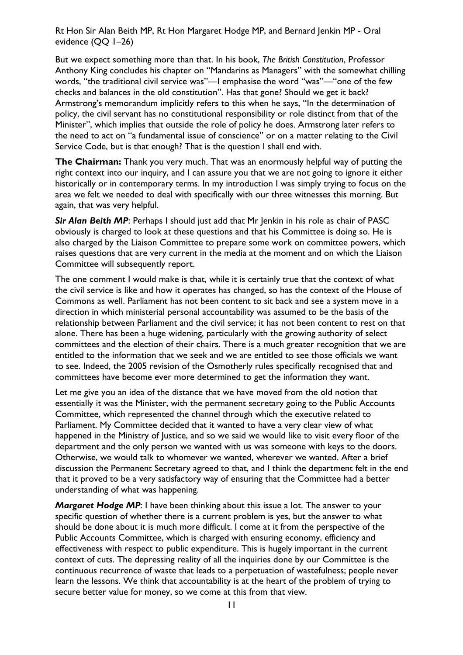But we expect something more than that. In his book, *The British Constitution*, Professor Anthony King concludes his chapter on "Mandarins as Managers" with the somewhat chilling words, "the traditional civil service was"—I emphasise the word "was"—"one of the few checks and balances in the old constitution". Has that gone? Should we get it back? Armstrong's memorandum implicitly refers to this when he says, "In the determination of policy, the civil servant has no constitutional responsibility or role distinct from that of the Minister", which implies that outside the role of policy he does. Armstrong later refers to the need to act on "a fundamental issue of conscience" or on a matter relating to the Civil Service Code, but is that enough? That is the question I shall end with.

**The Chairman:** Thank you very much. That was an enormously helpful way of putting the right context into our inquiry, and I can assure you that we are not going to ignore it either historically or in contemporary terms. In my introduction I was simply trying to focus on the area we felt we needed to deal with specifically with our three witnesses this morning. But again, that was very helpful.

**Sir Alan Beith MP**: Perhaps I should just add that Mr Jenkin in his role as chair of PASC obviously is charged to look at these questions and that his Committee is doing so. He is also charged by the Liaison Committee to prepare some work on committee powers, which raises questions that are very current in the media at the moment and on which the Liaison Committee will subsequently report.

The one comment I would make is that, while it is certainly true that the context of what the civil service is like and how it operates has changed, so has the context of the House of Commons as well. Parliament has not been content to sit back and see a system move in a direction in which ministerial personal accountability was assumed to be the basis of the relationship between Parliament and the civil service; it has not been content to rest on that alone. There has been a huge widening, particularly with the growing authority of select committees and the election of their chairs. There is a much greater recognition that we are entitled to the information that we seek and we are entitled to see those officials we want to see. Indeed, the 2005 revision of the Osmotherly rules specifically recognised that and committees have become ever more determined to get the information they want.

Let me give you an idea of the distance that we have moved from the old notion that essentially it was the Minister, with the permanent secretary going to the Public Accounts Committee, which represented the channel through which the executive related to Parliament. My Committee decided that it wanted to have a very clear view of what happened in the Ministry of Justice, and so we said we would like to visit every floor of the department and the only person we wanted with us was someone with keys to the doors. Otherwise, we would talk to whomever we wanted, wherever we wanted. After a brief discussion the Permanent Secretary agreed to that, and I think the department felt in the end that it proved to be a very satisfactory way of ensuring that the Committee had a better understanding of what was happening.

**Margaret Hodge MP:** I have been thinking about this issue a lot. The answer to your specific question of whether there is a current problem is yes, but the answer to what should be done about it is much more difficult. I come at it from the perspective of the Public Accounts Committee, which is charged with ensuring economy, efficiency and effectiveness with respect to public expenditure. This is hugely important in the current context of cuts. The depressing reality of all the inquiries done by our Committee is the continuous recurrence of waste that leads to a perpetuation of wastefulness; people never learn the lessons. We think that accountability is at the heart of the problem of trying to secure better value for money, so we come at this from that view.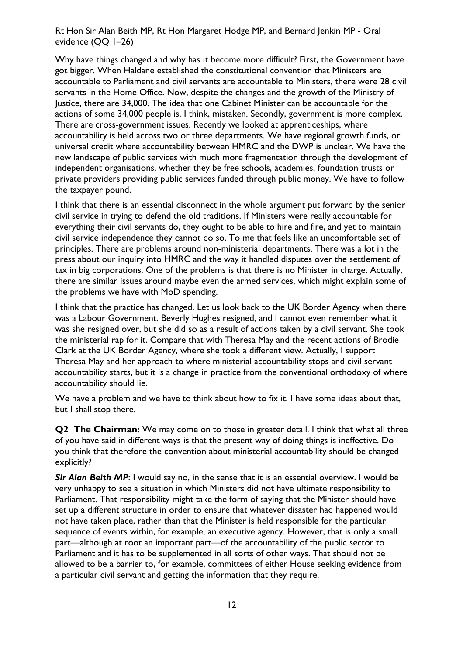Why have things changed and why has it become more difficult? First, the Government have got bigger. When Haldane established the constitutional convention that Ministers are accountable to Parliament and civil servants are accountable to Ministers, there were 28 civil servants in the Home Office. Now, despite the changes and the growth of the Ministry of Justice, there are 34,000. The idea that one Cabinet Minister can be accountable for the actions of some 34,000 people is, I think, mistaken. Secondly, government is more complex. There are cross-government issues. Recently we looked at apprenticeships, where accountability is held across two or three departments. We have regional growth funds, or universal credit where accountability between HMRC and the DWP is unclear. We have the new landscape of public services with much more fragmentation through the development of independent organisations, whether they be free schools, academies, foundation trusts or private providers providing public services funded through public money. We have to follow the taxpayer pound.

I think that there is an essential disconnect in the whole argument put forward by the senior civil service in trying to defend the old traditions. If Ministers were really accountable for everything their civil servants do, they ought to be able to hire and fire, and yet to maintain civil service independence they cannot do so. To me that feels like an uncomfortable set of principles. There are problems around non-ministerial departments. There was a lot in the press about our inquiry into HMRC and the way it handled disputes over the settlement of tax in big corporations. One of the problems is that there is no Minister in charge. Actually, there are similar issues around maybe even the armed services, which might explain some of the problems we have with MoD spending.

I think that the practice has changed. Let us look back to the UK Border Agency when there was a Labour Government. Beverly Hughes resigned, and I cannot even remember what it was she resigned over, but she did so as a result of actions taken by a civil servant. She took the ministerial rap for it. Compare that with Theresa May and the recent actions of Brodie Clark at the UK Border Agency, where she took a different view. Actually, I support Theresa May and her approach to where ministerial accountability stops and civil servant accountability starts, but it is a change in practice from the conventional orthodoxy of where accountability should lie.

We have a problem and we have to think about how to fix it. I have some ideas about that, but I shall stop there.

**Q2 The Chairman:** We may come on to those in greater detail. I think that what all three of you have said in different ways is that the present way of doing things is ineffective. Do you think that therefore the convention about ministerial accountability should be changed explicitly?

**Sir Alan Beith MP**: I would say no, in the sense that it is an essential overview. I would be very unhappy to see a situation in which Ministers did not have ultimate responsibility to Parliament. That responsibility might take the form of saying that the Minister should have set up a different structure in order to ensure that whatever disaster had happened would not have taken place, rather than that the Minister is held responsible for the particular sequence of events within, for example, an executive agency. However, that is only a small part—although at root an important part—of the accountability of the public sector to Parliament and it has to be supplemented in all sorts of other ways. That should not be allowed to be a barrier to, for example, committees of either House seeking evidence from a particular civil servant and getting the information that they require.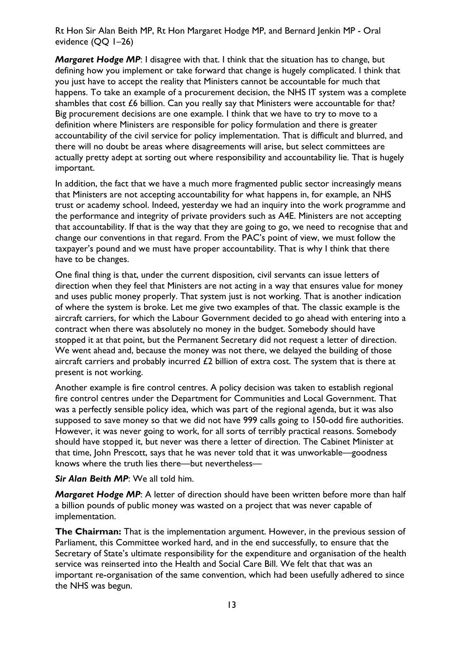*Margaret Hodge MP*: I disagree with that. I think that the situation has to change, but defining how you implement or take forward that change is hugely complicated. I think that you just have to accept the reality that Ministers cannot be accountable for much that happens. To take an example of a procurement decision, the NHS IT system was a complete shambles that cost £6 billion. Can you really say that Ministers were accountable for that? Big procurement decisions are one example. I think that we have to try to move to a definition where Ministers are responsible for policy formulation and there is greater accountability of the civil service for policy implementation. That is difficult and blurred, and there will no doubt be areas where disagreements will arise, but select committees are actually pretty adept at sorting out where responsibility and accountability lie. That is hugely important.

In addition, the fact that we have a much more fragmented public sector increasingly means that Ministers are not accepting accountability for what happens in, for example, an NHS trust or academy school. Indeed, yesterday we had an inquiry into the work programme and the performance and integrity of private providers such as A4E. Ministers are not accepting that accountability. If that is the way that they are going to go, we need to recognise that and change our conventions in that regard. From the PAC's point of view, we must follow the taxpayer's pound and we must have proper accountability. That is why I think that there have to be changes.

One final thing is that, under the current disposition, civil servants can issue letters of direction when they feel that Ministers are not acting in a way that ensures value for money and uses public money properly. That system just is not working. That is another indication of where the system is broke. Let me give two examples of that. The classic example is the aircraft carriers, for which the Labour Government decided to go ahead with entering into a contract when there was absolutely no money in the budget. Somebody should have stopped it at that point, but the Permanent Secretary did not request a letter of direction. We went ahead and, because the money was not there, we delayed the building of those aircraft carriers and probably incurred  $£2$  billion of extra cost. The system that is there at present is not working.

Another example is fire control centres. A policy decision was taken to establish regional fire control centres under the Department for Communities and Local Government. That was a perfectly sensible policy idea, which was part of the regional agenda, but it was also supposed to save money so that we did not have 999 calls going to 150-odd fire authorities. However, it was never going to work, for all sorts of terribly practical reasons. Somebody should have stopped it, but never was there a letter of direction. The Cabinet Minister at that time, John Prescott, says that he was never told that it was unworkable—goodness knows where the truth lies there—but nevertheless—

#### *Sir Alan Beith MP*: We all told him.

*Margaret Hodge MP*: A letter of direction should have been written before more than half a billion pounds of public money was wasted on a project that was never capable of implementation.

**The Chairman:** That is the implementation argument. However, in the previous session of Parliament, this Committee worked hard, and in the end successfully, to ensure that the Secretary of State's ultimate responsibility for the expenditure and organisation of the health service was reinserted into the Health and Social Care Bill. We felt that that was an important re-organisation of the same convention, which had been usefully adhered to since the NHS was begun.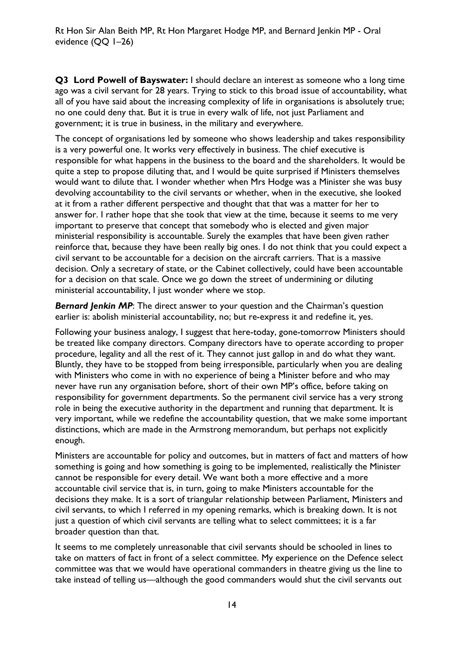**Q3 Lord Powell of Bayswater:** I should declare an interest as someone who a long time ago was a civil servant for 28 years. Trying to stick to this broad issue of accountability, what all of you have said about the increasing complexity of life in organisations is absolutely true; no one could deny that. But it is true in every walk of life, not just Parliament and government; it is true in business, in the military and everywhere.

The concept of organisations led by someone who shows leadership and takes responsibility is a very powerful one. It works very effectively in business. The chief executive is responsible for what happens in the business to the board and the shareholders. It would be quite a step to propose diluting that, and I would be quite surprised if Ministers themselves would want to dilute that. I wonder whether when Mrs Hodge was a Minister she was busy devolving accountability to the civil servants or whether, when in the executive, she looked at it from a rather different perspective and thought that that was a matter for her to answer for. I rather hope that she took that view at the time, because it seems to me very important to preserve that concept that somebody who is elected and given major ministerial responsibility is accountable. Surely the examples that have been given rather reinforce that, because they have been really big ones. I do not think that you could expect a civil servant to be accountable for a decision on the aircraft carriers. That is a massive decision. Only a secretary of state, or the Cabinet collectively, could have been accountable for a decision on that scale. Once we go down the street of undermining or diluting ministerial accountability, I just wonder where we stop.

*Bernard Jenkin MP*: The direct answer to your question and the Chairman's question earlier is: abolish ministerial accountability, no; but re-express it and redefine it, yes.

Following your business analogy, I suggest that here-today, gone-tomorrow Ministers should be treated like company directors. Company directors have to operate according to proper procedure, legality and all the rest of it. They cannot just gallop in and do what they want. Bluntly, they have to be stopped from being irresponsible, particularly when you are dealing with Ministers who come in with no experience of being a Minister before and who may never have run any organisation before, short of their own MP's office, before taking on responsibility for government departments. So the permanent civil service has a very strong role in being the executive authority in the department and running that department. It is very important, while we redefine the accountability question, that we make some important distinctions, which are made in the Armstrong memorandum, but perhaps not explicitly enough.

Ministers are accountable for policy and outcomes, but in matters of fact and matters of how something is going and how something is going to be implemented, realistically the Minister cannot be responsible for every detail. We want both a more effective and a more accountable civil service that is, in turn, going to make Ministers accountable for the decisions they make. It is a sort of triangular relationship between Parliament, Ministers and civil servants, to which I referred in my opening remarks, which is breaking down. It is not just a question of which civil servants are telling what to select committees; it is a far broader question than that.

It seems to me completely unreasonable that civil servants should be schooled in lines to take on matters of fact in front of a select committee. My experience on the Defence select committee was that we would have operational commanders in theatre giving us the line to take instead of telling us—although the good commanders would shut the civil servants out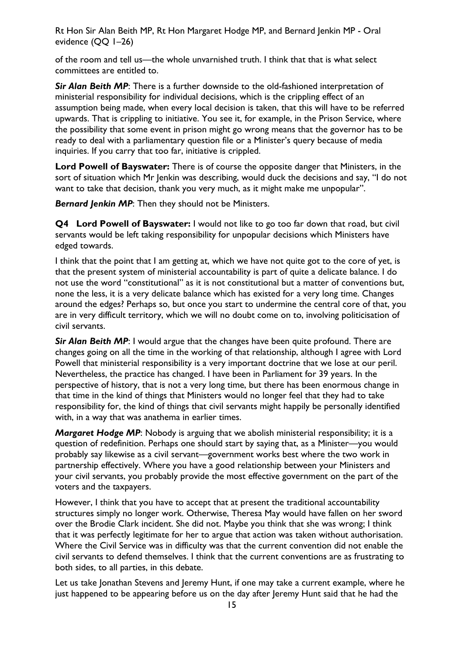of the room and tell us—the whole unvarnished truth. I think that that is what select committees are entitled to.

**Sir Alan Beith MP**: There is a further downside to the old-fashioned interpretation of ministerial responsibility for individual decisions, which is the crippling effect of an assumption being made, when every local decision is taken, that this will have to be referred upwards. That is crippling to initiative. You see it, for example, in the Prison Service, where the possibility that some event in prison might go wrong means that the governor has to be ready to deal with a parliamentary question file or a Minister's query because of media inquiries. If you carry that too far, initiative is crippled.

**Lord Powell of Bayswater:** There is of course the opposite danger that Ministers, in the sort of situation which Mr Jenkin was describing, would duck the decisions and say, "I do not want to take that decision, thank you very much, as it might make me unpopular".

*Bernard Jenkin MP*: Then they should not be Ministers.

**Q4 Lord Powell of Bayswater:** I would not like to go too far down that road, but civil servants would be left taking responsibility for unpopular decisions which Ministers have edged towards.

I think that the point that I am getting at, which we have not quite got to the core of yet, is that the present system of ministerial accountability is part of quite a delicate balance. I do not use the word "constitutional" as it is not constitutional but a matter of conventions but, none the less, it is a very delicate balance which has existed for a very long time. Changes around the edges? Perhaps so, but once you start to undermine the central core of that, you are in very difficult territory, which we will no doubt come on to, involving politicisation of civil servants.

**Sir Alan Beith MP:** I would argue that the changes have been quite profound. There are changes going on all the time in the working of that relationship, although I agree with Lord Powell that ministerial responsibility is a very important doctrine that we lose at our peril. Nevertheless, the practice has changed. I have been in Parliament for 39 years. In the perspective of history, that is not a very long time, but there has been enormous change in that time in the kind of things that Ministers would no longer feel that they had to take responsibility for, the kind of things that civil servants might happily be personally identified with, in a way that was anathema in earlier times.

*Margaret Hodge MP*: Nobody is arguing that we abolish ministerial responsibility; it is a question of redefinition. Perhaps one should start by saying that, as a Minister—you would probably say likewise as a civil servant—government works best where the two work in partnership effectively. Where you have a good relationship between your Ministers and your civil servants, you probably provide the most effective government on the part of the voters and the taxpayers.

However, I think that you have to accept that at present the traditional accountability structures simply no longer work. Otherwise, Theresa May would have fallen on her sword over the Brodie Clark incident. She did not. Maybe you think that she was wrong; I think that it was perfectly legitimate for her to argue that action was taken without authorisation. Where the Civil Service was in difficulty was that the current convention did not enable the civil servants to defend themselves. I think that the current conventions are as frustrating to both sides, to all parties, in this debate.

Let us take Jonathan Stevens and Jeremy Hunt, if one may take a current example, where he just happened to be appearing before us on the day after Jeremy Hunt said that he had the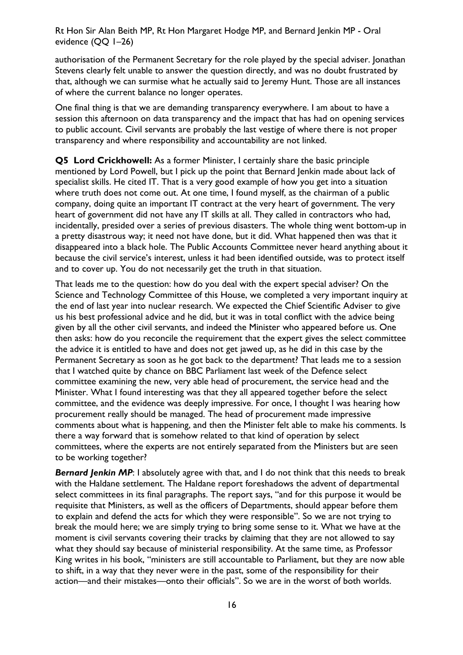authorisation of the Permanent Secretary for the role played by the special adviser. Jonathan Stevens clearly felt unable to answer the question directly, and was no doubt frustrated by that, although we can surmise what he actually said to Jeremy Hunt. Those are all instances of where the current balance no longer operates.

One final thing is that we are demanding transparency everywhere. I am about to have a session this afternoon on data transparency and the impact that has had on opening services to public account. Civil servants are probably the last vestige of where there is not proper transparency and where responsibility and accountability are not linked.

**Q5 Lord Crickhowell:** As a former Minister, I certainly share the basic principle mentioned by Lord Powell, but I pick up the point that Bernard Jenkin made about lack of specialist skills. He cited IT. That is a very good example of how you get into a situation where truth does not come out. At one time, I found myself, as the chairman of a public company, doing quite an important IT contract at the very heart of government. The very heart of government did not have any IT skills at all. They called in contractors who had, incidentally, presided over a series of previous disasters. The whole thing went bottom-up in a pretty disastrous way; it need not have done, but it did. What happened then was that it disappeared into a black hole. The Public Accounts Committee never heard anything about it because the civil service's interest, unless it had been identified outside, was to protect itself and to cover up. You do not necessarily get the truth in that situation.

That leads me to the question: how do you deal with the expert special adviser? On the Science and Technology Committee of this House, we completed a very important inquiry at the end of last year into nuclear research. We expected the Chief Scientific Adviser to give us his best professional advice and he did, but it was in total conflict with the advice being given by all the other civil servants, and indeed the Minister who appeared before us. One then asks: how do you reconcile the requirement that the expert gives the select committee the advice it is entitled to have and does not get jawed up, as he did in this case by the Permanent Secretary as soon as he got back to the department? That leads me to a session that I watched quite by chance on BBC Parliament last week of the Defence select committee examining the new, very able head of procurement, the service head and the Minister. What I found interesting was that they all appeared together before the select committee, and the evidence was deeply impressive. For once, I thought I was hearing how procurement really should be managed. The head of procurement made impressive comments about what is happening, and then the Minister felt able to make his comments. Is there a way forward that is somehow related to that kind of operation by select committees, where the experts are not entirely separated from the Ministers but are seen to be working together?

**Bernard Jenkin MP**: I absolutely agree with that, and I do not think that this needs to break with the Haldane settlement. The Haldane report foreshadows the advent of departmental select committees in its final paragraphs. The report says, "and for this purpose it would be requisite that Ministers, as well as the officers of Departments, should appear before them to explain and defend the acts for which they were responsible". So we are not trying to break the mould here; we are simply trying to bring some sense to it. What we have at the moment is civil servants covering their tracks by claiming that they are not allowed to say what they should say because of ministerial responsibility. At the same time, as Professor King writes in his book, "ministers are still accountable to Parliament, but they are now able to shift, in a way that they never were in the past, some of the responsibility for their action—and their mistakes—onto their officials". So we are in the worst of both worlds.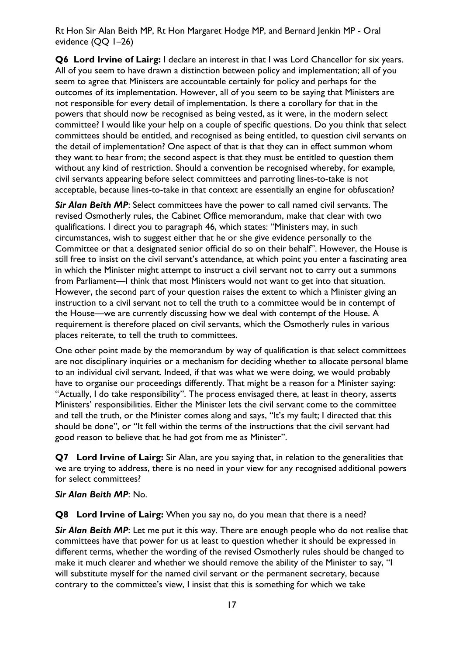**Q6 Lord Irvine of Lairg:** I declare an interest in that I was Lord Chancellor for six years. All of you seem to have drawn a distinction between policy and implementation; all of you seem to agree that Ministers are accountable certainly for policy and perhaps for the outcomes of its implementation. However, all of you seem to be saying that Ministers are not responsible for every detail of implementation. Is there a corollary for that in the powers that should now be recognised as being vested, as it were, in the modern select committee? I would like your help on a couple of specific questions. Do you think that select committees should be entitled, and recognised as being entitled, to question civil servants on the detail of implementation? One aspect of that is that they can in effect summon whom they want to hear from; the second aspect is that they must be entitled to question them without any kind of restriction. Should a convention be recognised whereby, for example, civil servants appearing before select committees and parroting lines-to-take is not acceptable, because lines-to-take in that context are essentially an engine for obfuscation?

*Sir Alan Beith MP*: Select committees have the power to call named civil servants. The revised Osmotherly rules, the Cabinet Office memorandum, make that clear with two qualifications. I direct you to paragraph 46, which states: "Ministers may, in such circumstances, wish to suggest either that he or she give evidence personally to the Committee or that a designated senior official do so on their behalf". However, the House is still free to insist on the civil servant's attendance, at which point you enter a fascinating area in which the Minister might attempt to instruct a civil servant not to carry out a summons from Parliament—I think that most Ministers would not want to get into that situation. However, the second part of your question raises the extent to which a Minister giving an instruction to a civil servant not to tell the truth to a committee would be in contempt of the House—we are currently discussing how we deal with contempt of the House. A requirement is therefore placed on civil servants, which the Osmotherly rules in various places reiterate, to tell the truth to committees.

One other point made by the memorandum by way of qualification is that select committees are not disciplinary inquiries or a mechanism for deciding whether to allocate personal blame to an individual civil servant. Indeed, if that was what we were doing, we would probably have to organise our proceedings differently. That might be a reason for a Minister saying: "Actually, I do take responsibility". The process envisaged there, at least in theory, asserts Ministers' responsibilities. Either the Minister lets the civil servant come to the committee and tell the truth, or the Minister comes along and says, "It's my fault; I directed that this should be done", or "It fell within the terms of the instructions that the civil servant had good reason to believe that he had got from me as Minister".

**Q7 Lord Irvine of Lairg:** Sir Alan, are you saying that, in relation to the generalities that we are trying to address, there is no need in your view for any recognised additional powers for select committees?

#### *Sir Alan Beith MP*: No.

**Q8 Lord Irvine of Lairg:** When you say no, do you mean that there is a need?

**Sir Alan Beith MP**: Let me put it this way. There are enough people who do not realise that committees have that power for us at least to question whether it should be expressed in different terms, whether the wording of the revised Osmotherly rules should be changed to make it much clearer and whether we should remove the ability of the Minister to say, "I will substitute myself for the named civil servant or the permanent secretary, because contrary to the committee's view, I insist that this is something for which we take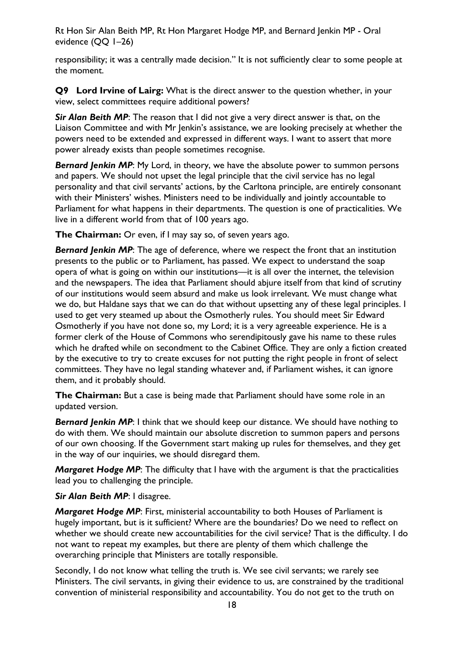responsibility; it was a centrally made decision." It is not sufficiently clear to some people at the moment.

**Q9 Lord Irvine of Lairg:** What is the direct answer to the question whether, in your view, select committees require additional powers?

*Sir Alan Beith MP*: The reason that I did not give a very direct answer is that, on the Liaison Committee and with Mr Jenkin's assistance, we are looking precisely at whether the powers need to be extended and expressed in different ways. I want to assert that more power already exists than people sometimes recognise.

*Bernard Jenkin MP*: My Lord, in theory, we have the absolute power to summon persons and papers. We should not upset the legal principle that the civil service has no legal personality and that civil servants' actions, by the Carltona principle, are entirely consonant with their Ministers' wishes. Ministers need to be individually and jointly accountable to Parliament for what happens in their departments. The question is one of practicalities. We live in a different world from that of 100 years ago.

**The Chairman:** Or even, if I may say so, of seven years ago.

**Bernard Jenkin MP**: The age of deference, where we respect the front that an institution presents to the public or to Parliament, has passed. We expect to understand the soap opera of what is going on within our institutions—it is all over the internet, the television and the newspapers. The idea that Parliament should abjure itself from that kind of scrutiny of our institutions would seem absurd and make us look irrelevant. We must change what we do, but Haldane says that we can do that without upsetting any of these legal principles. I used to get very steamed up about the Osmotherly rules. You should meet Sir Edward Osmotherly if you have not done so, my Lord; it is a very agreeable experience. He is a former clerk of the House of Commons who serendipitously gave his name to these rules which he drafted while on secondment to the Cabinet Office. They are only a fiction created by the executive to try to create excuses for not putting the right people in front of select committees. They have no legal standing whatever and, if Parliament wishes, it can ignore them, and it probably should.

**The Chairman:** But a case is being made that Parliament should have some role in an updated version.

**Bernard Jenkin MP:** I think that we should keep our distance. We should have nothing to do with them. We should maintain our absolute discretion to summon papers and persons of our own choosing. If the Government start making up rules for themselves, and they get in the way of our inquiries, we should disregard them.

*Margaret Hodge MP*: The difficulty that I have with the argument is that the practicalities lead you to challenging the principle.

*Sir Alan Beith MP*: I disagree.

*Margaret Hodge MP*: First, ministerial accountability to both Houses of Parliament is hugely important, but is it sufficient? Where are the boundaries? Do we need to reflect on whether we should create new accountabilities for the civil service? That is the difficulty. I do not want to repeat my examples, but there are plenty of them which challenge the overarching principle that Ministers are totally responsible.

Secondly, I do not know what telling the truth is. We see civil servants; we rarely see Ministers. The civil servants, in giving their evidence to us, are constrained by the traditional convention of ministerial responsibility and accountability. You do not get to the truth on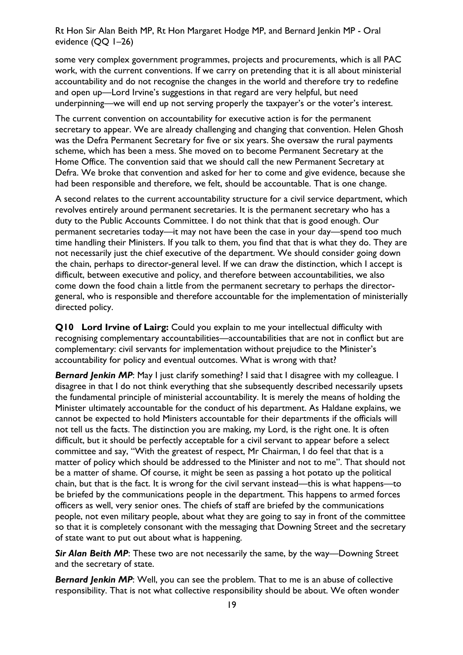some very complex government programmes, projects and procurements, which is all PAC work, with the current conventions. If we carry on pretending that it is all about ministerial accountability and do not recognise the changes in the world and therefore try to redefine and open up—Lord Irvine's suggestions in that regard are very helpful, but need underpinning—we will end up not serving properly the taxpayer's or the voter's interest.

The current convention on accountability for executive action is for the permanent secretary to appear. We are already challenging and changing that convention. Helen Ghosh was the Defra Permanent Secretary for five or six years. She oversaw the rural payments scheme, which has been a mess. She moved on to become Permanent Secretary at the Home Office. The convention said that we should call the new Permanent Secretary at Defra. We broke that convention and asked for her to come and give evidence, because she had been responsible and therefore, we felt, should be accountable. That is one change.

A second relates to the current accountability structure for a civil service department, which revolves entirely around permanent secretaries. It is the permanent secretary who has a duty to the Public Accounts Committee. I do not think that that is good enough. Our permanent secretaries today—it may not have been the case in your day—spend too much time handling their Ministers. If you talk to them, you find that that is what they do. They are not necessarily just the chief executive of the department. We should consider going down the chain, perhaps to director-general level. If we can draw the distinction, which I accept is difficult, between executive and policy, and therefore between accountabilities, we also come down the food chain a little from the permanent secretary to perhaps the directorgeneral, who is responsible and therefore accountable for the implementation of ministerially directed policy.

**Q10 Lord Irvine of Lairg:** Could you explain to me your intellectual difficulty with recognising complementary accountabilities—accountabilities that are not in conflict but are complementary: civil servants for implementation without prejudice to the Minister's accountability for policy and eventual outcomes. What is wrong with that?

**Bernard Jenkin MP:** May I just clarify something? I said that I disagree with my colleague. I disagree in that I do not think everything that she subsequently described necessarily upsets the fundamental principle of ministerial accountability. It is merely the means of holding the Minister ultimately accountable for the conduct of his department. As Haldane explains, we cannot be expected to hold Ministers accountable for their departments if the officials will not tell us the facts. The distinction you are making, my Lord, is the right one. It is often difficult, but it should be perfectly acceptable for a civil servant to appear before a select committee and say, "With the greatest of respect, Mr Chairman, I do feel that that is a matter of policy which should be addressed to the Minister and not to me". That should not be a matter of shame. Of course, it might be seen as passing a hot potato up the political chain, but that is the fact. It is wrong for the civil servant instead—this is what happens—to be briefed by the communications people in the department. This happens to armed forces officers as well, very senior ones. The chiefs of staff are briefed by the communications people, not even military people, about what they are going to say in front of the committee so that it is completely consonant with the messaging that Downing Street and the secretary of state want to put out about what is happening.

**Sir Alan Beith MP:** These two are not necessarily the same, by the way—Downing Street and the secretary of state.

**Bernard Jenkin MP:** Well, you can see the problem. That to me is an abuse of collective responsibility. That is not what collective responsibility should be about. We often wonder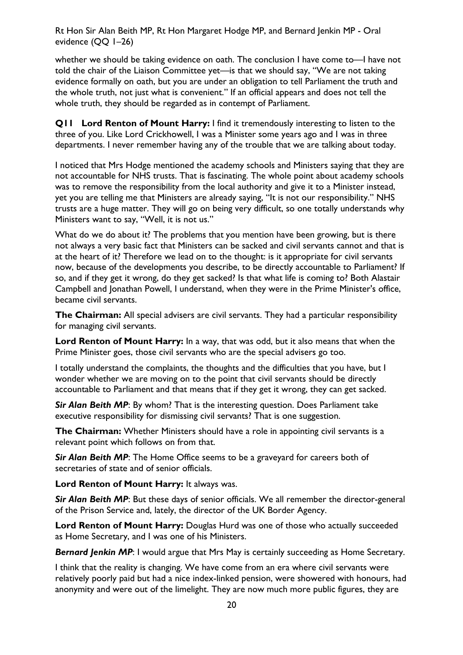whether we should be taking evidence on oath. The conclusion I have come to-I have not told the chair of the Liaison Committee yet—is that we should say, "We are not taking evidence formally on oath, but you are under an obligation to tell Parliament the truth and the whole truth, not just what is convenient." If an official appears and does not tell the whole truth, they should be regarded as in contempt of Parliament.

**Q11 Lord Renton of Mount Harry:** I find it tremendously interesting to listen to the three of you. Like Lord Crickhowell, I was a Minister some years ago and I was in three departments. I never remember having any of the trouble that we are talking about today.

I noticed that Mrs Hodge mentioned the academy schools and Ministers saying that they are not accountable for NHS trusts. That is fascinating. The whole point about academy schools was to remove the responsibility from the local authority and give it to a Minister instead, yet you are telling me that Ministers are already saying, "It is not our responsibility." NHS trusts are a huge matter. They will go on being very difficult, so one totally understands why Ministers want to say, "Well, it is not us."

What do we do about it? The problems that you mention have been growing, but is there not always a very basic fact that Ministers can be sacked and civil servants cannot and that is at the heart of it? Therefore we lead on to the thought: is it appropriate for civil servants now, because of the developments you describe, to be directly accountable to Parliament? If so, and if they get it wrong, do they get sacked? Is that what life is coming to? Both Alastair Campbell and Jonathan Powell, I understand, when they were in the Prime Minister's office, became civil servants.

**The Chairman:** All special advisers are civil servants. They had a particular responsibility for managing civil servants.

**Lord Renton of Mount Harry:** In a way, that was odd, but it also means that when the Prime Minister goes, those civil servants who are the special advisers go too.

I totally understand the complaints, the thoughts and the difficulties that you have, but I wonder whether we are moving on to the point that civil servants should be directly accountable to Parliament and that means that if they get it wrong, they can get sacked.

**Sir Alan Beith MP:** By whom? That is the interesting question. Does Parliament take executive responsibility for dismissing civil servants? That is one suggestion.

**The Chairman:** Whether Ministers should have a role in appointing civil servants is a relevant point which follows on from that.

*Sir Alan Beith MP*: The Home Office seems to be a graveyard for careers both of secretaries of state and of senior officials.

**Lord Renton of Mount Harry:** It always was.

**Sir Alan Beith MP:** But these days of senior officials. We all remember the director-general of the Prison Service and, lately, the director of the UK Border Agency.

**Lord Renton of Mount Harry:** Douglas Hurd was one of those who actually succeeded as Home Secretary, and I was one of his Ministers.

**Bernard Jenkin MP:** I would argue that Mrs May is certainly succeeding as Home Secretary.

I think that the reality is changing. We have come from an era where civil servants were relatively poorly paid but had a nice index-linked pension, were showered with honours, had anonymity and were out of the limelight. They are now much more public figures, they are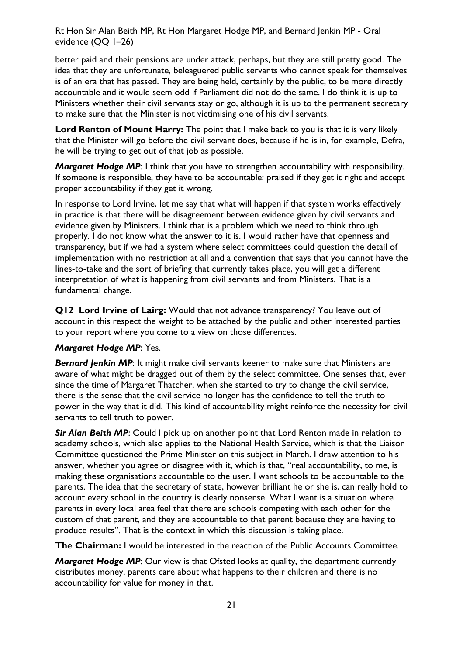better paid and their pensions are under attack, perhaps, but they are still pretty good. The idea that they are unfortunate, beleaguered public servants who cannot speak for themselves is of an era that has passed. They are being held, certainly by the public, to be more directly accountable and it would seem odd if Parliament did not do the same. I do think it is up to Ministers whether their civil servants stay or go, although it is up to the permanent secretary to make sure that the Minister is not victimising one of his civil servants.

**Lord Renton of Mount Harry:** The point that I make back to you is that it is very likely that the Minister will go before the civil servant does, because if he is in, for example, Defra, he will be trying to get out of that job as possible.

*Margaret Hodge MP*: I think that you have to strengthen accountability with responsibility. If someone is responsible, they have to be accountable: praised if they get it right and accept proper accountability if they get it wrong.

In response to Lord Irvine, let me say that what will happen if that system works effectively in practice is that there will be disagreement between evidence given by civil servants and evidence given by Ministers. I think that is a problem which we need to think through properly. I do not know what the answer to it is. I would rather have that openness and transparency, but if we had a system where select committees could question the detail of implementation with no restriction at all and a convention that says that you cannot have the lines-to-take and the sort of briefing that currently takes place, you will get a different interpretation of what is happening from civil servants and from Ministers. That is a fundamental change.

**Q12 Lord Irvine of Lairg:** Would that not advance transparency? You leave out of account in this respect the weight to be attached by the public and other interested parties to your report where you come to a view on those differences.

#### *Margaret Hodge MP*: Yes.

**Bernard Jenkin MP:** It might make civil servants keener to make sure that Ministers are aware of what might be dragged out of them by the select committee. One senses that, ever since the time of Margaret Thatcher, when she started to try to change the civil service, there is the sense that the civil service no longer has the confidence to tell the truth to power in the way that it did. This kind of accountability might reinforce the necessity for civil servants to tell truth to power.

**Sir Alan Beith MP:** Could I pick up on another point that Lord Renton made in relation to academy schools, which also applies to the National Health Service, which is that the Liaison Committee questioned the Prime Minister on this subject in March. I draw attention to his answer, whether you agree or disagree with it, which is that, "real accountability, to me, is making these organisations accountable to the user. I want schools to be accountable to the parents. The idea that the secretary of state, however brilliant he or she is, can really hold to account every school in the country is clearly nonsense. What I want is a situation where parents in every local area feel that there are schools competing with each other for the custom of that parent, and they are accountable to that parent because they are having to produce results". That is the context in which this discussion is taking place.

**The Chairman:** I would be interested in the reaction of the Public Accounts Committee.

*Margaret Hodge MP*: Our view is that Ofsted looks at quality, the department currently distributes money, parents care about what happens to their children and there is no accountability for value for money in that.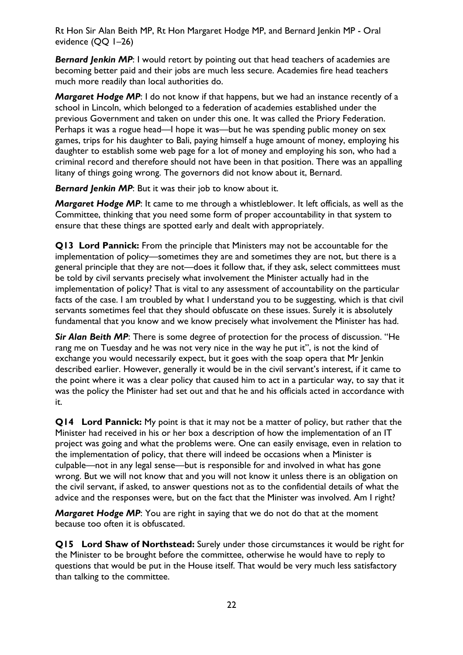**Bernard Jenkin MP:** I would retort by pointing out that head teachers of academies are becoming better paid and their jobs are much less secure. Academies fire head teachers much more readily than local authorities do.

*Margaret Hodge MP*: I do not know if that happens, but we had an instance recently of a school in Lincoln, which belonged to a federation of academies established under the previous Government and taken on under this one. It was called the Priory Federation. Perhaps it was a rogue head—I hope it was—but he was spending public money on sex games, trips for his daughter to Bali, paying himself a huge amount of money, employing his daughter to establish some web page for a lot of money and employing his son, who had a criminal record and therefore should not have been in that position. There was an appalling litany of things going wrong. The governors did not know about it, Bernard.

*Bernard Jenkin MP*: But it was their job to know about it.

*Margaret Hodge MP*: It came to me through a whistleblower. It left officials, as well as the Committee, thinking that you need some form of proper accountability in that system to ensure that these things are spotted early and dealt with appropriately.

**Q13 Lord Pannick:** From the principle that Ministers may not be accountable for the implementation of policy—sometimes they are and sometimes they are not, but there is a general principle that they are not—does it follow that, if they ask, select committees must be told by civil servants precisely what involvement the Minister actually had in the implementation of policy? That is vital to any assessment of accountability on the particular facts of the case. I am troubled by what I understand you to be suggesting, which is that civil servants sometimes feel that they should obfuscate on these issues. Surely it is absolutely fundamental that you know and we know precisely what involvement the Minister has had.

*Sir Alan Beith MP*: There is some degree of protection for the process of discussion. "He rang me on Tuesday and he was not very nice in the way he put it", is not the kind of exchange you would necessarily expect, but it goes with the soap opera that Mr Jenkin described earlier. However, generally it would be in the civil servant's interest, if it came to the point where it was a clear policy that caused him to act in a particular way, to say that it was the policy the Minister had set out and that he and his officials acted in accordance with it.

**Q14 Lord Pannick:** My point is that it may not be a matter of policy, but rather that the Minister had received in his or her box a description of how the implementation of an IT project was going and what the problems were. One can easily envisage, even in relation to the implementation of policy, that there will indeed be occasions when a Minister is culpable—not in any legal sense—but is responsible for and involved in what has gone wrong. But we will not know that and you will not know it unless there is an obligation on the civil servant, if asked, to answer questions not as to the confidential details of what the advice and the responses were, but on the fact that the Minister was involved. Am I right?

*Margaret Hodge MP*: You are right in saying that we do not do that at the moment because too often it is obfuscated.

**Q15 Lord Shaw of Northstead:** Surely under those circumstances it would be right for the Minister to be brought before the committee, otherwise he would have to reply to questions that would be put in the House itself. That would be very much less satisfactory than talking to the committee.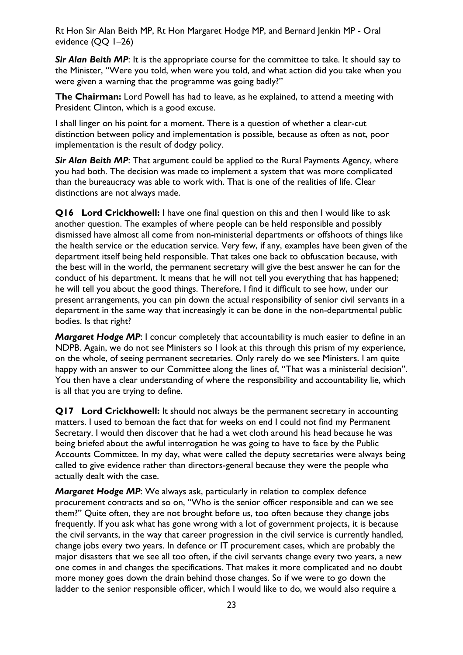**Sir Alan Beith MP:** It is the appropriate course for the committee to take. It should say to the Minister, "Were you told, when were you told, and what action did you take when you were given a warning that the programme was going badly?"

**The Chairman:** Lord Powell has had to leave, as he explained, to attend a meeting with President Clinton, which is a good excuse.

I shall linger on his point for a moment. There is a question of whether a clear-cut distinction between policy and implementation is possible, because as often as not, poor implementation is the result of dodgy policy.

**Sir Alan Beith MP:** That argument could be applied to the Rural Payments Agency, where you had both. The decision was made to implement a system that was more complicated than the bureaucracy was able to work with. That is one of the realities of life. Clear distinctions are not always made.

**Q16 Lord Crickhowell:** I have one final question on this and then I would like to ask another question. The examples of where people can be held responsible and possibly dismissed have almost all come from non-ministerial departments or offshoots of things like the health service or the education service. Very few, if any, examples have been given of the department itself being held responsible. That takes one back to obfuscation because, with the best will in the world, the permanent secretary will give the best answer he can for the conduct of his department. It means that he will not tell you everything that has happened; he will tell you about the good things. Therefore, I find it difficult to see how, under our present arrangements, you can pin down the actual responsibility of senior civil servants in a department in the same way that increasingly it can be done in the non-departmental public bodies. Is that right?

*Margaret Hodge MP*: I concur completely that accountability is much easier to define in an NDPB. Again, we do not see Ministers so I look at this through this prism of my experience, on the whole, of seeing permanent secretaries. Only rarely do we see Ministers. I am quite happy with an answer to our Committee along the lines of, "That was a ministerial decision". You then have a clear understanding of where the responsibility and accountability lie, which is all that you are trying to define.

**Q17 Lord Crickhowell:** It should not always be the permanent secretary in accounting matters. I used to bemoan the fact that for weeks on end I could not find my Permanent Secretary. I would then discover that he had a wet cloth around his head because he was being briefed about the awful interrogation he was going to have to face by the Public Accounts Committee. In my day, what were called the deputy secretaries were always being called to give evidence rather than directors-general because they were the people who actually dealt with the case.

*Margaret Hodge MP*: We always ask, particularly in relation to complex defence procurement contracts and so on, "Who is the senior officer responsible and can we see them?" Quite often, they are not brought before us, too often because they change jobs frequently. If you ask what has gone wrong with a lot of government projects, it is because the civil servants, in the way that career progression in the civil service is currently handled, change jobs every two years. In defence or IT procurement cases, which are probably the major disasters that we see all too often, if the civil servants change every two years, a new one comes in and changes the specifications. That makes it more complicated and no doubt more money goes down the drain behind those changes. So if we were to go down the ladder to the senior responsible officer, which I would like to do, we would also require a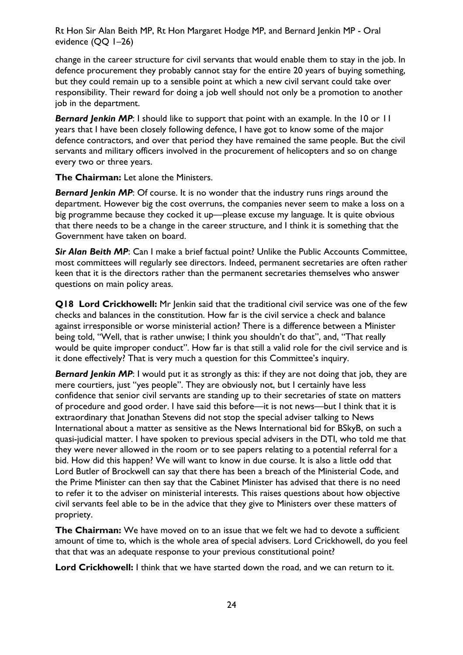change in the career structure for civil servants that would enable them to stay in the job. In defence procurement they probably cannot stay for the entire 20 years of buying something, but they could remain up to a sensible point at which a new civil servant could take over responsibility. Their reward for doing a job well should not only be a promotion to another job in the department.

**Bernard Jenkin MP:** I should like to support that point with an example. In the 10 or 11 years that I have been closely following defence, I have got to know some of the major defence contractors, and over that period they have remained the same people. But the civil servants and military officers involved in the procurement of helicopters and so on change every two or three years.

**The Chairman:** Let alone the Ministers.

**Bernard Jenkin MP:** Of course. It is no wonder that the industry runs rings around the department. However big the cost overruns, the companies never seem to make a loss on a big programme because they cocked it up—please excuse my language. It is quite obvious that there needs to be a change in the career structure, and I think it is something that the Government have taken on board.

**Sir Alan Beith MP:** Can I make a brief factual point? Unlike the Public Accounts Committee, most committees will regularly see directors. Indeed, permanent secretaries are often rather keen that it is the directors rather than the permanent secretaries themselves who answer questions on main policy areas.

**Q18 Lord Crickhowell:** Mr Jenkin said that the traditional civil service was one of the few checks and balances in the constitution. How far is the civil service a check and balance against irresponsible or worse ministerial action? There is a difference between a Minister being told, "Well, that is rather unwise; I think you shouldn't do that", and, "That really would be quite improper conduct". How far is that still a valid role for the civil service and is it done effectively? That is very much a question for this Committee's inquiry.

**Bernard Jenkin MP:** I would put it as strongly as this: if they are not doing that job, they are mere courtiers, just "yes people". They are obviously not, but I certainly have less confidence that senior civil servants are standing up to their secretaries of state on matters of procedure and good order. I have said this before—it is not news—but I think that it is extraordinary that Jonathan Stevens did not stop the special adviser talking to News International about a matter as sensitive as the News International bid for BSkyB, on such a quasi-judicial matter. I have spoken to previous special advisers in the DTI, who told me that they were never allowed in the room or to see papers relating to a potential referral for a bid. How did this happen? We will want to know in due course. It is also a little odd that Lord Butler of Brockwell can say that there has been a breach of the Ministerial Code, and the Prime Minister can then say that the Cabinet Minister has advised that there is no need to refer it to the adviser on ministerial interests. This raises questions about how objective civil servants feel able to be in the advice that they give to Ministers over these matters of propriety.

**The Chairman:** We have moved on to an issue that we felt we had to devote a sufficient amount of time to, which is the whole area of special advisers. Lord Crickhowell, do you feel that that was an adequate response to your previous constitutional point?

**Lord Crickhowell:** I think that we have started down the road, and we can return to it.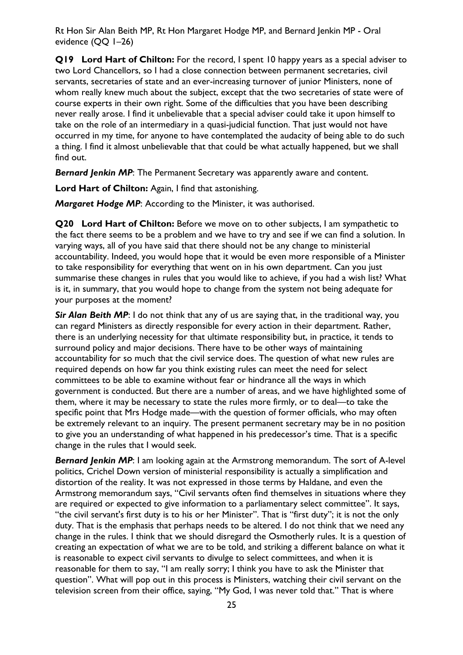**Q19 Lord Hart of Chilton:** For the record, I spent 10 happy years as a special adviser to two Lord Chancellors, so I had a close connection between permanent secretaries, civil servants, secretaries of state and an ever-increasing turnover of junior Ministers, none of whom really knew much about the subject, except that the two secretaries of state were of course experts in their own right. Some of the difficulties that you have been describing never really arose. I find it unbelievable that a special adviser could take it upon himself to take on the role of an intermediary in a quasi-judicial function. That just would not have occurred in my time, for anyone to have contemplated the audacity of being able to do such a thing. I find it almost unbelievable that that could be what actually happened, but we shall find out.

**Bernard Jenkin MP:** The Permanent Secretary was apparently aware and content.

**Lord Hart of Chilton:** Again, I find that astonishing.

*Margaret Hodge MP*: According to the Minister, it was authorised.

**Q20 Lord Hart of Chilton:** Before we move on to other subjects, I am sympathetic to the fact there seems to be a problem and we have to try and see if we can find a solution. In varying ways, all of you have said that there should not be any change to ministerial accountability. Indeed, you would hope that it would be even more responsible of a Minister to take responsibility for everything that went on in his own department. Can you just summarise these changes in rules that you would like to achieve, if you had a wish list? What is it, in summary, that you would hope to change from the system not being adequate for your purposes at the moment?

**Sir Alan Beith MP:** I do not think that any of us are saying that, in the traditional way, you can regard Ministers as directly responsible for every action in their department. Rather, there is an underlying necessity for that ultimate responsibility but, in practice, it tends to surround policy and major decisions. There have to be other ways of maintaining accountability for so much that the civil service does. The question of what new rules are required depends on how far you think existing rules can meet the need for select committees to be able to examine without fear or hindrance all the ways in which government is conducted. But there are a number of areas, and we have highlighted some of them, where it may be necessary to state the rules more firmly, or to deal—to take the specific point that Mrs Hodge made—with the question of former officials, who may often be extremely relevant to an inquiry. The present permanent secretary may be in no position to give you an understanding of what happened in his predecessor's time. That is a specific change in the rules that I would seek.

**Bernard Jenkin MP:** I am looking again at the Armstrong memorandum. The sort of A-level politics, Crichel Down version of ministerial responsibility is actually a simplification and distortion of the reality. It was not expressed in those terms by Haldane, and even the Armstrong memorandum says, "Civil servants often find themselves in situations where they are required or expected to give information to a parliamentary select committee". It says, "the civil servant's first duty is to his or her Minister". That is "first duty"; it is not the only duty. That is the emphasis that perhaps needs to be altered. I do not think that we need any change in the rules. I think that we should disregard the Osmotherly rules. It is a question of creating an expectation of what we are to be told, and striking a different balance on what it is reasonable to expect civil servants to divulge to select committees, and when it is reasonable for them to say, "I am really sorry; I think you have to ask the Minister that question". What will pop out in this process is Ministers, watching their civil servant on the television screen from their office, saying, "My God, I was never told that." That is where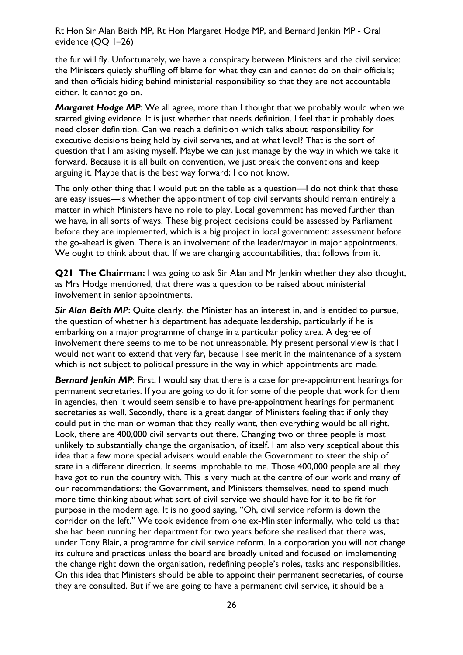the fur will fly. Unfortunately, we have a conspiracy between Ministers and the civil service: the Ministers quietly shuffling off blame for what they can and cannot do on their officials; and then officials hiding behind ministerial responsibility so that they are not accountable either. It cannot go on.

*Margaret Hodge MP*: We all agree, more than I thought that we probably would when we started giving evidence. It is just whether that needs definition. I feel that it probably does need closer definition. Can we reach a definition which talks about responsibility for executive decisions being held by civil servants, and at what level? That is the sort of question that I am asking myself. Maybe we can just manage by the way in which we take it forward. Because it is all built on convention, we just break the conventions and keep arguing it. Maybe that is the best way forward; I do not know.

The only other thing that I would put on the table as a question—I do not think that these are easy issues—is whether the appointment of top civil servants should remain entirely a matter in which Ministers have no role to play. Local government has moved further than we have, in all sorts of ways. These big project decisions could be assessed by Parliament before they are implemented, which is a big project in local government: assessment before the go-ahead is given. There is an involvement of the leader/mayor in major appointments. We ought to think about that. If we are changing accountabilities, that follows from it.

**Q21 The Chairman:** I was going to ask Sir Alan and Mr Jenkin whether they also thought, as Mrs Hodge mentioned, that there was a question to be raised about ministerial involvement in senior appointments.

**Sir Alan Beith MP:** Quite clearly, the Minister has an interest in, and is entitled to pursue, the question of whether his department has adequate leadership, particularly if he is embarking on a major programme of change in a particular policy area. A degree of involvement there seems to me to be not unreasonable. My present personal view is that I would not want to extend that very far, because I see merit in the maintenance of a system which is not subject to political pressure in the way in which appointments are made.

**Bernard Jenkin MP**: First, I would say that there is a case for pre-appointment hearings for permanent secretaries. If you are going to do it for some of the people that work for them in agencies, then it would seem sensible to have pre-appointment hearings for permanent secretaries as well. Secondly, there is a great danger of Ministers feeling that if only they could put in the man or woman that they really want, then everything would be all right. Look, there are 400,000 civil servants out there. Changing two or three people is most unlikely to substantially change the organisation, of itself. I am also very sceptical about this idea that a few more special advisers would enable the Government to steer the ship of state in a different direction. It seems improbable to me. Those 400,000 people are all they have got to run the country with. This is very much at the centre of our work and many of our recommendations: the Government, and Ministers themselves, need to spend much more time thinking about what sort of civil service we should have for it to be fit for purpose in the modern age. It is no good saying, "Oh, civil service reform is down the corridor on the left." We took evidence from one ex-Minister informally, who told us that she had been running her department for two years before she realised that there was, under Tony Blair, a programme for civil service reform. In a corporation you will not change its culture and practices unless the board are broadly united and focused on implementing the change right down the organisation, redefining people's roles, tasks and responsibilities. On this idea that Ministers should be able to appoint their permanent secretaries, of course they are consulted. But if we are going to have a permanent civil service, it should be a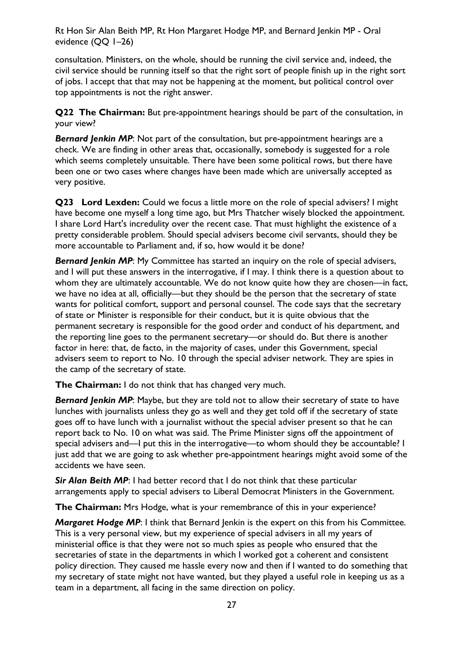consultation. Ministers, on the whole, should be running the civil service and, indeed, the civil service should be running itself so that the right sort of people finish up in the right sort of jobs. I accept that that may not be happening at the moment, but political control over top appointments is not the right answer.

**Q22 The Chairman:** But pre-appointment hearings should be part of the consultation, in your view?

**Bernard Jenkin MP:** Not part of the consultation, but pre-appointment hearings are a check. We are finding in other areas that, occasionally, somebody is suggested for a role which seems completely unsuitable. There have been some political rows, but there have been one or two cases where changes have been made which are universally accepted as very positive.

**Q23 Lord Lexden:** Could we focus a little more on the role of special advisers? I might have become one myself a long time ago, but Mrs Thatcher wisely blocked the appointment. I share Lord Hart's incredulity over the recent case. That must highlight the existence of a pretty considerable problem. Should special advisers become civil servants, should they be more accountable to Parliament and, if so, how would it be done?

**Bernard Jenkin MP:** My Committee has started an inquiry on the role of special advisers, and I will put these answers in the interrogative, if I may. I think there is a question about to whom they are ultimately accountable. We do not know quite how they are chosen—in fact, we have no idea at all, officially—but they should be the person that the secretary of state wants for political comfort, support and personal counsel. The code says that the secretary of state or Minister is responsible for their conduct, but it is quite obvious that the permanent secretary is responsible for the good order and conduct of his department, and the reporting line goes to the permanent secretary—or should do. But there is another factor in here: that, de facto, in the majority of cases, under this Government, special advisers seem to report to No. 10 through the special adviser network. They are spies in the camp of the secretary of state.

**The Chairman:** I do not think that has changed very much.

**Bernard Jenkin MP:** Maybe, but they are told not to allow their secretary of state to have lunches with journalists unless they go as well and they get told off if the secretary of state goes off to have lunch with a journalist without the special adviser present so that he can report back to No. 10 on what was said. The Prime Minister signs off the appointment of special advisers and—I put this in the interrogative—to whom should they be accountable? I just add that we are going to ask whether pre-appointment hearings might avoid some of the accidents we have seen.

**Sir Alan Beith MP:** I had better record that I do not think that these particular arrangements apply to special advisers to Liberal Democrat Ministers in the Government.

**The Chairman:** Mrs Hodge, what is your remembrance of this in your experience?

*Margaret Hodge MP*: I think that Bernard Jenkin is the expert on this from his Committee. This is a very personal view, but my experience of special advisers in all my years of ministerial office is that they were not so much spies as people who ensured that the secretaries of state in the departments in which I worked got a coherent and consistent policy direction. They caused me hassle every now and then if I wanted to do something that my secretary of state might not have wanted, but they played a useful role in keeping us as a team in a department, all facing in the same direction on policy.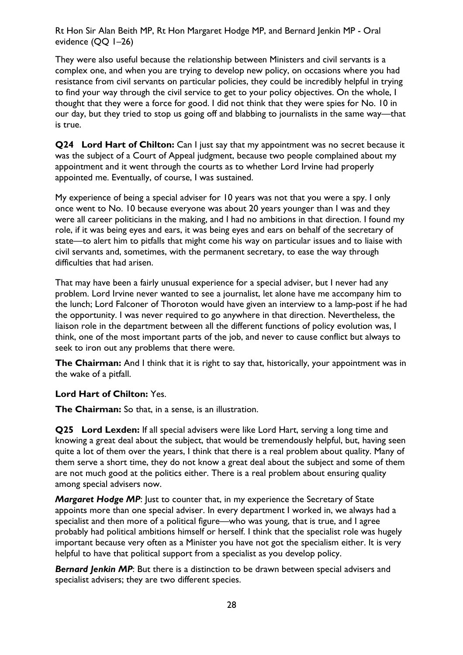They were also useful because the relationship between Ministers and civil servants is a complex one, and when you are trying to develop new policy, on occasions where you had resistance from civil servants on particular policies, they could be incredibly helpful in trying to find your way through the civil service to get to your policy objectives. On the whole, I thought that they were a force for good. I did not think that they were spies for No. 10 in our day, but they tried to stop us going off and blabbing to journalists in the same way—that is true.

**Q24 Lord Hart of Chilton:** Can I just say that my appointment was no secret because it was the subject of a Court of Appeal judgment, because two people complained about my appointment and it went through the courts as to whether Lord Irvine had properly appointed me. Eventually, of course, I was sustained.

My experience of being a special adviser for 10 years was not that you were a spy. I only once went to No. 10 because everyone was about 20 years younger than I was and they were all career politicians in the making, and I had no ambitions in that direction. I found my role, if it was being eyes and ears, it was being eyes and ears on behalf of the secretary of state—to alert him to pitfalls that might come his way on particular issues and to liaise with civil servants and, sometimes, with the permanent secretary, to ease the way through difficulties that had arisen.

That may have been a fairly unusual experience for a special adviser, but I never had any problem. Lord Irvine never wanted to see a journalist, let alone have me accompany him to the lunch; Lord Falconer of Thoroton would have given an interview to a lamp-post if he had the opportunity. I was never required to go anywhere in that direction. Nevertheless, the liaison role in the department between all the different functions of policy evolution was, I think, one of the most important parts of the job, and never to cause conflict but always to seek to iron out any problems that there were.

**The Chairman:** And I think that it is right to say that, historically, your appointment was in the wake of a pitfall.

#### **Lord Hart of Chilton:** Yes.

**The Chairman:** So that, in a sense, is an illustration.

**Q25 Lord Lexden:** If all special advisers were like Lord Hart, serving a long time and knowing a great deal about the subject, that would be tremendously helpful, but, having seen quite a lot of them over the years, I think that there is a real problem about quality. Many of them serve a short time, they do not know a great deal about the subject and some of them are not much good at the politics either. There is a real problem about ensuring quality among special advisers now.

*Margaret Hodge MP*: Just to counter that, in my experience the Secretary of State appoints more than one special adviser. In every department I worked in, we always had a specialist and then more of a political figure—who was young, that is true, and I agree probably had political ambitions himself or herself. I think that the specialist role was hugely important because very often as a Minister you have not got the specialism either. It is very helpful to have that political support from a specialist as you develop policy.

**Bernard Jenkin MP**: But there is a distinction to be drawn between special advisers and specialist advisers; they are two different species.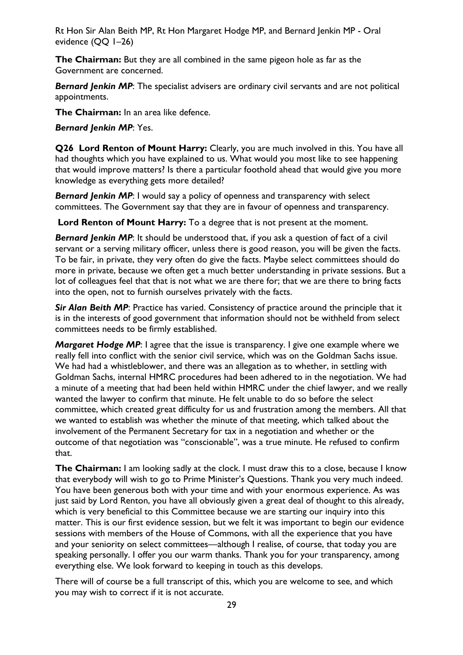**The Chairman:** But they are all combined in the same pigeon hole as far as the Government are concerned.

**Bernard Jenkin MP:** The specialist advisers are ordinary civil servants and are not political appointments.

**The Chairman:** In an area like defence.

*Bernard Jenkin MP*: Yes.

**Q26 Lord Renton of Mount Harry:** Clearly, you are much involved in this. You have all had thoughts which you have explained to us. What would you most like to see happening that would improve matters? Is there a particular foothold ahead that would give you more knowledge as everything gets more detailed?

*Bernard Jenkin MP*: I would say a policy of openness and transparency with select committees. The Government say that they are in favour of openness and transparency.

**Lord Renton of Mount Harry:** To a degree that is not present at the moment.

**Bernard Jenkin MP:** It should be understood that, if you ask a question of fact of a civil servant or a serving military officer, unless there is good reason, you will be given the facts. To be fair, in private, they very often do give the facts. Maybe select committees should do more in private, because we often get a much better understanding in private sessions. But a lot of colleagues feel that that is not what we are there for; that we are there to bring facts into the open, not to furnish ourselves privately with the facts.

**Sir Alan Beith MP:** Practice has varied. Consistency of practice around the principle that it is in the interests of good government that information should not be withheld from select committees needs to be firmly established.

*Margaret Hodge MP*: I agree that the issue is transparency. I give one example where we really fell into conflict with the senior civil service, which was on the Goldman Sachs issue. We had had a whistleblower, and there was an allegation as to whether, in settling with Goldman Sachs, internal HMRC procedures had been adhered to in the negotiation. We had a minute of a meeting that had been held within HMRC under the chief lawyer, and we really wanted the lawyer to confirm that minute. He felt unable to do so before the select committee, which created great difficulty for us and frustration among the members. All that we wanted to establish was whether the minute of that meeting, which talked about the involvement of the Permanent Secretary for tax in a negotiation and whether or the outcome of that negotiation was "conscionable", was a true minute. He refused to confirm that.

**The Chairman:** I am looking sadly at the clock. I must draw this to a close, because I know that everybody will wish to go to Prime Minister's Questions. Thank you very much indeed. You have been generous both with your time and with your enormous experience. As was just said by Lord Renton, you have all obviously given a great deal of thought to this already, which is very beneficial to this Committee because we are starting our inquiry into this matter. This is our first evidence session, but we felt it was important to begin our evidence sessions with members of the House of Commons, with all the experience that you have and your seniority on select committees—although I realise, of course, that today you are speaking personally. I offer you our warm thanks. Thank you for your transparency, among everything else. We look forward to keeping in touch as this develops.

There will of course be a full transcript of this, which you are welcome to see, and which you may wish to correct if it is not accurate.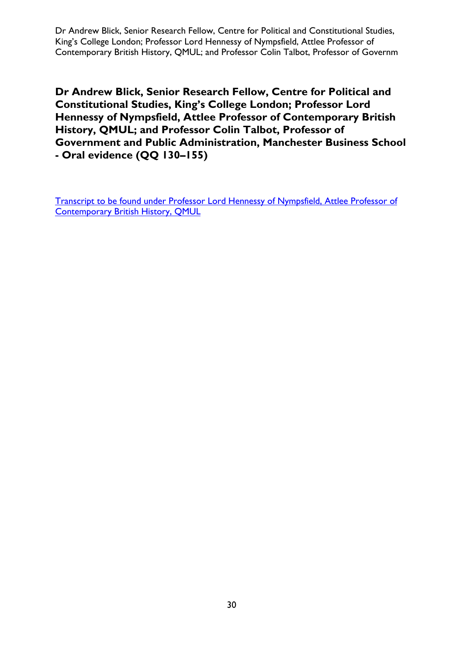<span id="page-29-0"></span>Dr Andrew Blick, Senior Research Fellow, Centre for Political and Constitutional Studies, King's College London; Professor Lord Hennessy of Nympsfield, Attlee Professor of Contemporary British History, QMUL; and Professor Colin Talbot, Professor of Governm

**Dr Andrew Blick, Senior Research Fellow, Centre for Political and Constitutional Studies, King's College London; Professor Lord Hennessy of Nympsfield, Attlee Professor of Contemporary British History, QMUL; and Professor Colin Talbot, Professor of Government and Public Administration, Manchester Business School - Oral evidence (QQ 130–155)** 

[Transcript to be found under Professor Lord Hennessy of Nympsfield, Attlee Professor of](#page-122-0)  [Contemporary British History, QMUL](#page-122-0)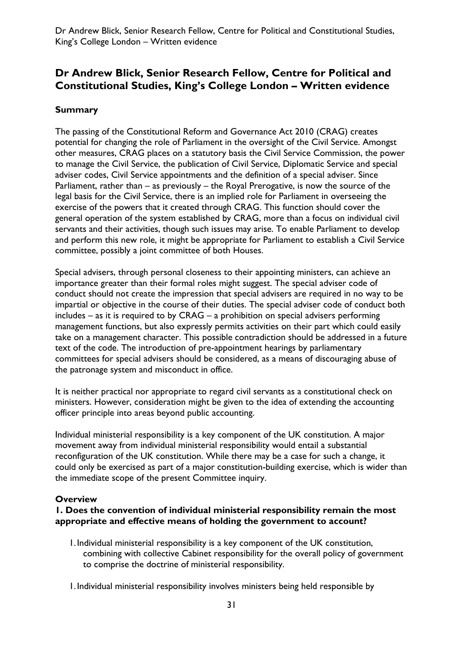# <span id="page-30-0"></span>**Dr Andrew Blick, Senior Research Fellow, Centre for Political and Constitutional Studies, King's College London – Written evidence**

#### **Summary**

The passing of the Constitutional Reform and Governance Act 2010 (CRAG) creates potential for changing the role of Parliament in the oversight of the Civil Service. Amongst other measures, CRAG places on a statutory basis the Civil Service Commission, the power to manage the Civil Service, the publication of Civil Service, Diplomatic Service and special adviser codes, Civil Service appointments and the definition of a special adviser. Since Parliament, rather than – as previously – the Royal Prerogative, is now the source of the legal basis for the Civil Service, there is an implied role for Parliament in overseeing the exercise of the powers that it created through CRAG. This function should cover the general operation of the system established by CRAG, more than a focus on individual civil servants and their activities, though such issues may arise. To enable Parliament to develop and perform this new role, it might be appropriate for Parliament to establish a Civil Service committee, possibly a joint committee of both Houses.

Special advisers, through personal closeness to their appointing ministers, can achieve an importance greater than their formal roles might suggest. The special adviser code of conduct should not create the impression that special advisers are required in no way to be impartial or objective in the course of their duties. The special adviser code of conduct both includes – as it is required to by CRAG – a prohibition on special advisers performing management functions, but also expressly permits activities on their part which could easily take on a management character. This possible contradiction should be addressed in a future text of the code. The introduction of pre-appointment hearings by parliamentary committees for special advisers should be considered, as a means of discouraging abuse of the patronage system and misconduct in office.

It is neither practical nor appropriate to regard civil servants as a constitutional check on ministers. However, consideration might be given to the idea of extending the accounting officer principle into areas beyond public accounting.

Individual ministerial responsibility is a key component of the UK constitution. A major movement away from individual ministerial responsibility would entail a substantial reconfiguration of the UK constitution. While there may be a case for such a change, it could only be exercised as part of a major constitution-building exercise, which is wider than the immediate scope of the present Committee inquiry.

#### **Overview**

#### **1. Does the convention of individual ministerial responsibility remain the most appropriate and effective means of holding the government to account?**

- 1.Individual ministerial responsibility is a key component of the UK constitution, combining with collective Cabinet responsibility for the overall policy of government to comprise the doctrine of ministerial responsibility.
- 1.Individual ministerial responsibility involves ministers being held responsible by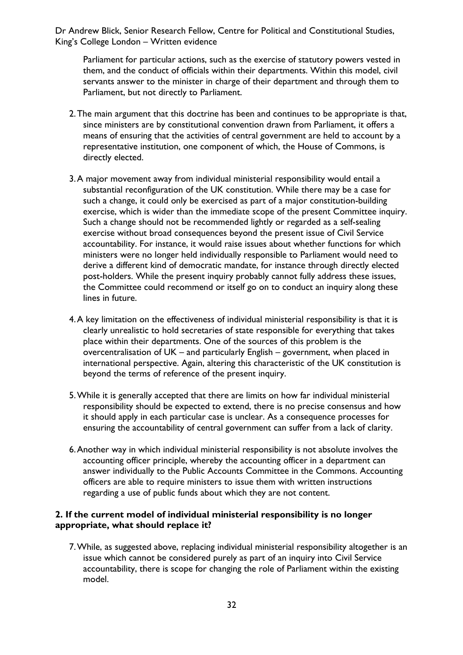Parliament for particular actions, such as the exercise of statutory powers vested in them, and the conduct of officials within their departments. Within this model, civil servants answer to the minister in charge of their department and through them to Parliament, but not directly to Parliament.

- 2.The main argument that this doctrine has been and continues to be appropriate is that, since ministers are by constitutional convention drawn from Parliament, it offers a means of ensuring that the activities of central government are held to account by a representative institution, one component of which, the House of Commons, is directly elected.
- 3.A major movement away from individual ministerial responsibility would entail a substantial reconfiguration of the UK constitution. While there may be a case for such a change, it could only be exercised as part of a major constitution-building exercise, which is wider than the immediate scope of the present Committee inquiry. Such a change should not be recommended lightly or regarded as a self-sealing exercise without broad consequences beyond the present issue of Civil Service accountability. For instance, it would raise issues about whether functions for which ministers were no longer held individually responsible to Parliament would need to derive a different kind of democratic mandate, for instance through directly elected post-holders. While the present inquiry probably cannot fully address these issues, the Committee could recommend or itself go on to conduct an inquiry along these lines in future.
- 4.A key limitation on the effectiveness of individual ministerial responsibility is that it is clearly unrealistic to hold secretaries of state responsible for everything that takes place within their departments. One of the sources of this problem is the overcentralisation of UK – and particularly English – government, when placed in international perspective. Again, altering this characteristic of the UK constitution is beyond the terms of reference of the present inquiry.
- 5.While it is generally accepted that there are limits on how far individual ministerial responsibility should be expected to extend, there is no precise consensus and how it should apply in each particular case is unclear. As a consequence processes for ensuring the accountability of central government can suffer from a lack of clarity.
- 6.Another way in which individual ministerial responsibility is not absolute involves the accounting officer principle, whereby the accounting officer in a department can answer individually to the Public Accounts Committee in the Commons. Accounting officers are able to require ministers to issue them with written instructions regarding a use of public funds about which they are not content.

#### **2. If the current model of individual ministerial responsibility is no longer appropriate, what should replace it?**

7.While, as suggested above, replacing individual ministerial responsibility altogether is an issue which cannot be considered purely as part of an inquiry into Civil Service accountability, there is scope for changing the role of Parliament within the existing model.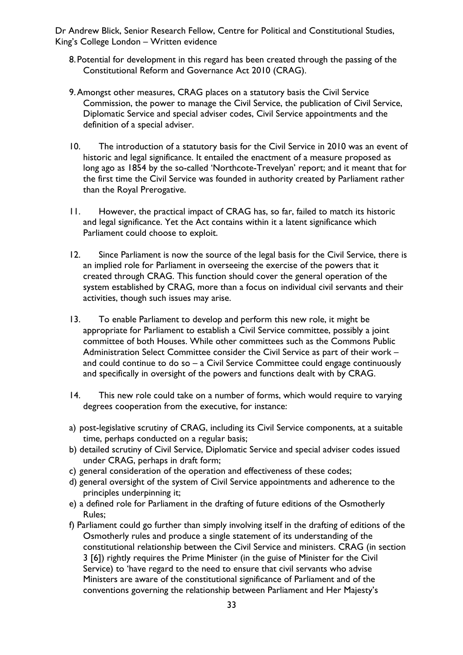- 8.Potential for development in this regard has been created through the passing of the Constitutional Reform and Governance Act 2010 (CRAG).
- 9.Amongst other measures, CRAG places on a statutory basis the Civil Service Commission, the power to manage the Civil Service, the publication of Civil Service, Diplomatic Service and special adviser codes, Civil Service appointments and the definition of a special adviser.
- 10. The introduction of a statutory basis for the Civil Service in 2010 was an event of historic and legal significance. It entailed the enactment of a measure proposed as long ago as 1854 by the so-called 'Northcote-Trevelyan' report; and it meant that for the first time the Civil Service was founded in authority created by Parliament rather than the Royal Prerogative.
- 11. However, the practical impact of CRAG has, so far, failed to match its historic and legal significance. Yet the Act contains within it a latent significance which Parliament could choose to exploit.
- 12. Since Parliament is now the source of the legal basis for the Civil Service, there is an implied role for Parliament in overseeing the exercise of the powers that it created through CRAG. This function should cover the general operation of the system established by CRAG, more than a focus on individual civil servants and their activities, though such issues may arise.
- 13. To enable Parliament to develop and perform this new role, it might be appropriate for Parliament to establish a Civil Service committee, possibly a joint committee of both Houses. While other committees such as the Commons Public Administration Select Committee consider the Civil Service as part of their work – and could continue to do so – a Civil Service Committee could engage continuously and specifically in oversight of the powers and functions dealt with by CRAG.
- 14. This new role could take on a number of forms, which would require to varying degrees cooperation from the executive, for instance:
- a) post-legislative scrutiny of CRAG, including its Civil Service components, at a suitable time, perhaps conducted on a regular basis;
- b) detailed scrutiny of Civil Service, Diplomatic Service and special adviser codes issued under CRAG, perhaps in draft form;
- c) general consideration of the operation and effectiveness of these codes;
- d) general oversight of the system of Civil Service appointments and adherence to the principles underpinning it;
- e) a defined role for Parliament in the drafting of future editions of the Osmotherly Rules;
- f) Parliament could go further than simply involving itself in the drafting of editions of the Osmotherly rules and produce a single statement of its understanding of the constitutional relationship between the Civil Service and ministers. CRAG (in section 3 [6]) rightly requires the Prime Minister (in the guise of Minister for the Civil Service) to 'have regard to the need to ensure that civil servants who advise Ministers are aware of the constitutional significance of Parliament and of the conventions governing the relationship between Parliament and Her Majesty's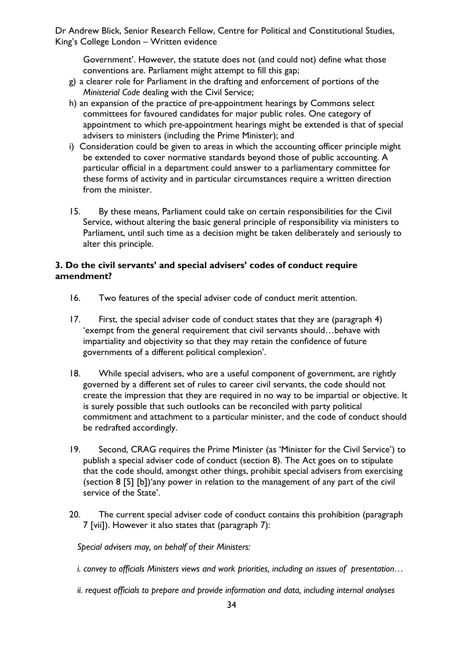Government'. However, the statute does not (and could not) define what those conventions are. Parliament might attempt to fill this gap;

- g) a clearer role for Parliament in the drafting and enforcement of portions of the *Ministerial Code* dealing with the Civil Service;
- h) an expansion of the practice of pre-appointment hearings by Commons select committees for favoured candidates for major public roles. One category of appointment to which pre-appointment hearings might be extended is that of special advisers to ministers (including the Prime Minister); and
- i) Consideration could be given to areas in which the accounting officer principle might be extended to cover normative standards beyond those of public accounting. A particular official in a department could answer to a parliamentary committee for these forms of activity and in particular circumstances require a written direction from the minister.
- 15. By these means, Parliament could take on certain responsibilities for the Civil Service, without altering the basic general principle of responsibility via ministers to Parliament, until such time as a decision might be taken deliberately and seriously to alter this principle.

#### **3. Do the civil servants' and special advisers' codes of conduct require amendment?**

- 16. Two features of the special adviser code of conduct merit attention.
- 17. First, the special adviser code of conduct states that they are (paragraph 4) 'exempt from the general requirement that civil servants should…behave with impartiality and objectivity so that they may retain the confidence of future governments of a different political complexion'.
- 18. While special advisers, who are a useful component of government, are rightly governed by a different set of rules to career civil servants, the code should not create the impression that they are required in no way to be impartial or objective. It is surely possible that such outlooks can be reconciled with party political commitment and attachment to a particular minister, and the code of conduct should be redrafted accordingly.
- 19. Second, CRAG requires the Prime Minister (as 'Minister for the Civil Service') to publish a special adviser code of conduct (section 8). The Act goes on to stipulate that the code should, amongst other things, prohibit special advisers from exercising (section 8 [5] [b])'any power in relation to the management of any part of the civil service of the State'.
- 20. The current special adviser code of conduct contains this prohibition (paragraph 7 [vii]). However it also states that (paragraph 7):

*Special advisers may, on behalf of their Ministers:* 

- *i. convey to officials Ministers views and work priorities, including on issues of presentation…*
- *ii. request officials to prepare and provide information and data, including internal analyses*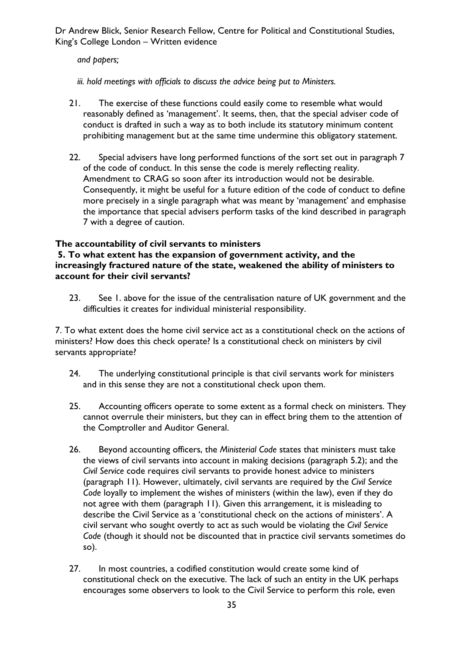*and papers;* 

*iii. hold meetings with officials to discuss the advice being put to Ministers.* 

- 21. The exercise of these functions could easily come to resemble what would reasonably defined as 'management'. It seems, then, that the special adviser code of conduct is drafted in such a way as to both include its statutory minimum content prohibiting management but at the same time undermine this obligatory statement.
- 22. Special advisers have long performed functions of the sort set out in paragraph 7 of the code of conduct. In this sense the code is merely reflecting reality. Amendment to CRAG so soon after its introduction would not be desirable. Consequently, it might be useful for a future edition of the code of conduct to define more precisely in a single paragraph what was meant by 'management' and emphasise the importance that special advisers perform tasks of the kind described in paragraph 7 with a degree of caution.

### **The accountability of civil servants to ministers**

#### **5. To what extent has the expansion of government activity, and the increasingly fractured nature of the state, weakened the ability of ministers to account for their civil servants?**

23. See 1. above for the issue of the centralisation nature of UK government and the difficulties it creates for individual ministerial responsibility.

7. To what extent does the home civil service act as a constitutional check on the actions of ministers? How does this check operate? Is a constitutional check on ministers by civil servants appropriate?

- 24. The underlying constitutional principle is that civil servants work for ministers and in this sense they are not a constitutional check upon them.
- 25. Accounting officers operate to some extent as a formal check on ministers. They cannot overrule their ministers, but they can in effect bring them to the attention of the Comptroller and Auditor General.
- 26. Beyond accounting officers, the *Ministerial Code* states that ministers must take the views of civil servants into account in making decisions (paragraph 5.2); and the *Civil Service* code requires civil servants to provide honest advice to ministers (paragraph 11). However, ultimately, civil servants are required by the *Civil Service Code* loyally to implement the wishes of ministers (within the law), even if they do not agree with them (paragraph 11). Given this arrangement, it is misleading to describe the Civil Service as a 'constitutional check on the actions of ministers'. A civil servant who sought overtly to act as such would be violating the *Civil Service Code* (though it should not be discounted that in practice civil servants sometimes do so).
- 27. In most countries, a codified constitution would create some kind of constitutional check on the executive. The lack of such an entity in the UK perhaps encourages some observers to look to the Civil Service to perform this role, even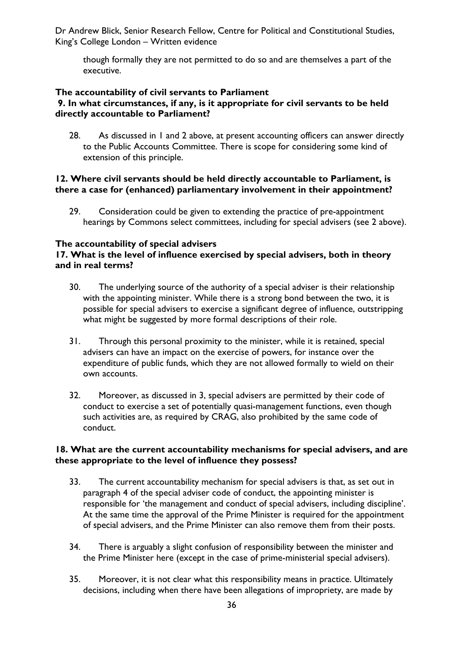though formally they are not permitted to do so and are themselves a part of the executive.

#### **The accountability of civil servants to Parliament 9. In what circumstances, if any, is it appropriate for civil servants to be held directly accountable to Parliament?**

28. As discussed in 1 and 2 above, at present accounting officers can answer directly to the Public Accounts Committee. There is scope for considering some kind of extension of this principle.

#### **12. Where civil servants should be held directly accountable to Parliament, is there a case for (enhanced) parliamentary involvement in their appointment?**

29. Consideration could be given to extending the practice of pre-appointment hearings by Commons select committees, including for special advisers (see 2 above).

#### **The accountability of special advisers**

#### **17. What is the level of influence exercised by special advisers, both in theory and in real terms?**

- 30. The underlying source of the authority of a special adviser is their relationship with the appointing minister. While there is a strong bond between the two, it is possible for special advisers to exercise a significant degree of influence, outstripping what might be suggested by more formal descriptions of their role.
- 31. Through this personal proximity to the minister, while it is retained, special advisers can have an impact on the exercise of powers, for instance over the expenditure of public funds, which they are not allowed formally to wield on their own accounts.
- 32. Moreover, as discussed in 3, special advisers are permitted by their code of conduct to exercise a set of potentially quasi-management functions, even though such activities are, as required by CRAG, also prohibited by the same code of conduct.

#### **18. What are the current accountability mechanisms for special advisers, and are these appropriate to the level of influence they possess?**

- 33. The current accountability mechanism for special advisers is that, as set out in paragraph 4 of the special adviser code of conduct, the appointing minister is responsible for 'the management and conduct of special advisers, including discipline'. At the same time the approval of the Prime Minister is required for the appointment of special advisers, and the Prime Minister can also remove them from their posts.
- 34. There is arguably a slight confusion of responsibility between the minister and the Prime Minister here (except in the case of prime-ministerial special advisers).
- 35. Moreover, it is not clear what this responsibility means in practice. Ultimately decisions, including when there have been allegations of impropriety, are made by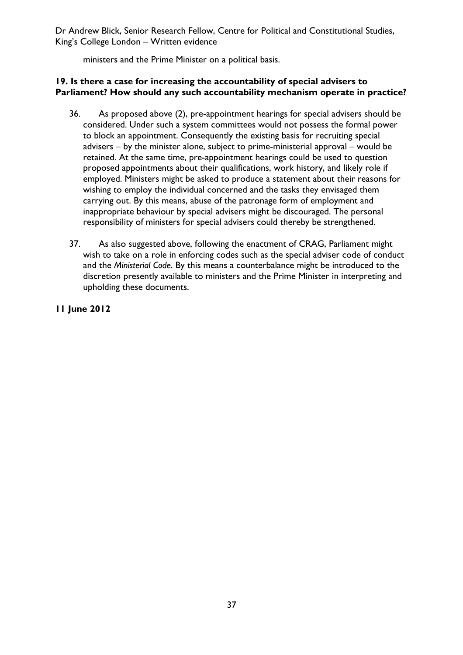Dr Andrew Blick, Senior Research Fellow, Centre for Political and Constitutional Studies, King's College London – Written evidence

ministers and the Prime Minister on a political basis.

### **19. Is there a case for increasing the accountability of special advisers to Parliament? How should any such accountability mechanism operate in practice?**

- 36. As proposed above (2), pre-appointment hearings for special advisers should be considered. Under such a system committees would not possess the formal power to block an appointment. Consequently the existing basis for recruiting special advisers – by the minister alone, subject to prime-ministerial approval – would be retained. At the same time, pre-appointment hearings could be used to question proposed appointments about their qualifications, work history, and likely role if employed. Ministers might be asked to produce a statement about their reasons for wishing to employ the individual concerned and the tasks they envisaged them carrying out. By this means, abuse of the patronage form of employment and inappropriate behaviour by special advisers might be discouraged. The personal responsibility of ministers for special advisers could thereby be strengthened.
- 37. As also suggested above, following the enactment of CRAG, Parliament might wish to take on a role in enforcing codes such as the special adviser code of conduct and the *Ministerial Code*. By this means a counterbalance might be introduced to the discretion presently available to ministers and the Prime Minister in interpreting and upholding these documents.

**11 June 2012**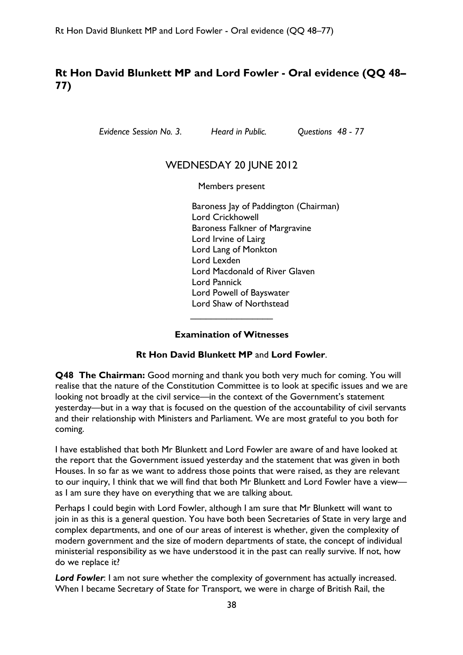# **Rt Hon David Blunkett MP and Lord Fowler - Oral evidence (QQ 48– 77)**

*Evidence Session No. 3. Heard in Public. Questions 48 - 77* 

# WEDNESDAY 20 JUNE 2012

Members present

Baroness Jay of Paddington (Chairman) Lord Crickhowell Baroness Falkner of Margravine Lord Irvine of Lairg Lord Lang of Monkton Lord Lexden Lord Macdonald of River Glaven Lord Pannick Lord Powell of Bayswater Lord Shaw of Northstead

### **Examination of Witnesses**

 $\overline{\phantom{a}}$  , which is a set of the set of the set of the set of the set of the set of the set of the set of the set of the set of the set of the set of the set of the set of the set of the set of the set of the set of th

#### **Rt Hon David Blunkett MP** and **Lord Fowler**.

**Q48 The Chairman:** Good morning and thank you both very much for coming. You will realise that the nature of the Constitution Committee is to look at specific issues and we are looking not broadly at the civil service—in the context of the Government's statement yesterday—but in a way that is focused on the question of the accountability of civil servants and their relationship with Ministers and Parliament. We are most grateful to you both for coming.

I have established that both Mr Blunkett and Lord Fowler are aware of and have looked at the report that the Government issued yesterday and the statement that was given in both Houses. In so far as we want to address those points that were raised, as they are relevant to our inquiry, I think that we will find that both Mr Blunkett and Lord Fowler have a view as I am sure they have on everything that we are talking about.

Perhaps I could begin with Lord Fowler, although I am sure that Mr Blunkett will want to join in as this is a general question. You have both been Secretaries of State in very large and complex departments, and one of our areas of interest is whether, given the complexity of modern government and the size of modern departments of state, the concept of individual ministerial responsibility as we have understood it in the past can really survive. If not, how do we replace it?

*Lord Fowler*: I am not sure whether the complexity of government has actually increased. When I became Secretary of State for Transport, we were in charge of British Rail, the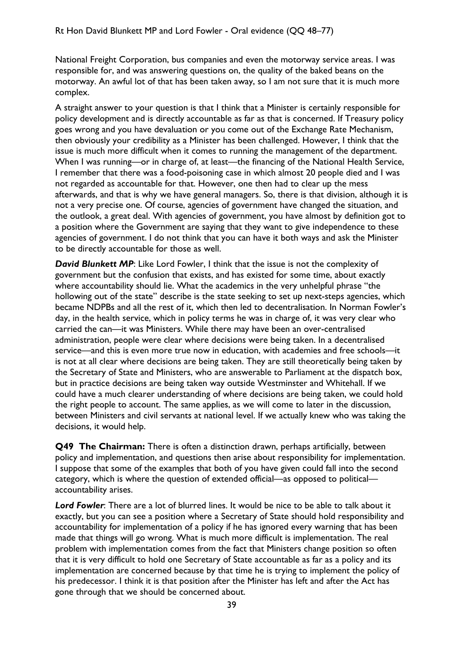National Freight Corporation, bus companies and even the motorway service areas. I was responsible for, and was answering questions on, the quality of the baked beans on the motorway. An awful lot of that has been taken away, so I am not sure that it is much more complex.

A straight answer to your question is that I think that a Minister is certainly responsible for policy development and is directly accountable as far as that is concerned. If Treasury policy goes wrong and you have devaluation or you come out of the Exchange Rate Mechanism, then obviously your credibility as a Minister has been challenged. However, I think that the issue is much more difficult when it comes to running the management of the department. When I was running—or in charge of, at least—the financing of the National Health Service, I remember that there was a food-poisoning case in which almost 20 people died and I was not regarded as accountable for that. However, one then had to clear up the mess afterwards, and that is why we have general managers. So, there is that division, although it is not a very precise one. Of course, agencies of government have changed the situation, and the outlook, a great deal. With agencies of government, you have almost by definition got to a position where the Government are saying that they want to give independence to these agencies of government. I do not think that you can have it both ways and ask the Minister to be directly accountable for those as well.

**David Blunkett MP:** Like Lord Fowler, I think that the issue is not the complexity of government but the confusion that exists, and has existed for some time, about exactly where accountability should lie. What the academics in the very unhelpful phrase "the hollowing out of the state" describe is the state seeking to set up next-steps agencies, which became NDPBs and all the rest of it, which then led to decentralisation. In Norman Fowler's day, in the health service, which in policy terms he was in charge of, it was very clear who carried the can—it was Ministers. While there may have been an over-centralised administration, people were clear where decisions were being taken. In a decentralised service—and this is even more true now in education, with academies and free schools—it is not at all clear where decisions are being taken. They are still theoretically being taken by the Secretary of State and Ministers, who are answerable to Parliament at the dispatch box, but in practice decisions are being taken way outside Westminster and Whitehall. If we could have a much clearer understanding of where decisions are being taken, we could hold the right people to account. The same applies, as we will come to later in the discussion, between Ministers and civil servants at national level. If we actually knew who was taking the decisions, it would help.

**Q49 The Chairman:** There is often a distinction drawn, perhaps artificially, between policy and implementation, and questions then arise about responsibility for implementation. I suppose that some of the examples that both of you have given could fall into the second category, which is where the question of extended official—as opposed to political accountability arises.

*Lord Fowler*: There are a lot of blurred lines. It would be nice to be able to talk about it exactly, but you can see a position where a Secretary of State should hold responsibility and accountability for implementation of a policy if he has ignored every warning that has been made that things will go wrong. What is much more difficult is implementation. The real problem with implementation comes from the fact that Ministers change position so often that it is very difficult to hold one Secretary of State accountable as far as a policy and its implementation are concerned because by that time he is trying to implement the policy of his predecessor. I think it is that position after the Minister has left and after the Act has gone through that we should be concerned about.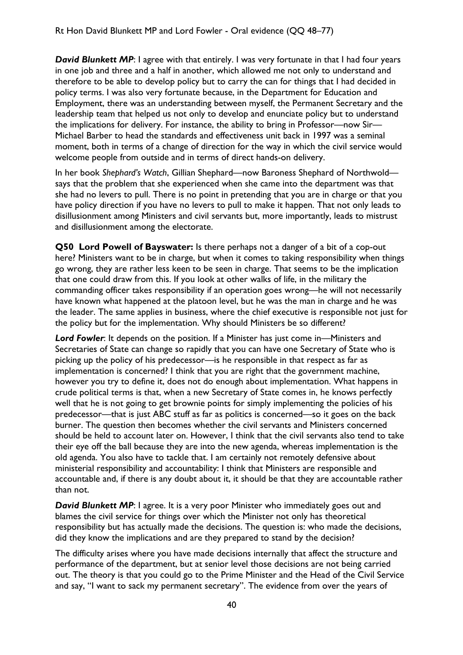**David Blunkett MP:** I agree with that entirely. I was very fortunate in that I had four years in one job and three and a half in another, which allowed me not only to understand and therefore to be able to develop policy but to carry the can for things that I had decided in policy terms. I was also very fortunate because, in the Department for Education and Employment, there was an understanding between myself, the Permanent Secretary and the leadership team that helped us not only to develop and enunciate policy but to understand the implications for delivery. For instance, the ability to bring in Professor—now Sir— Michael Barber to head the standards and effectiveness unit back in 1997 was a seminal moment, both in terms of a change of direction for the way in which the civil service would welcome people from outside and in terms of direct hands-on delivery.

In her book *Shephard's Watch*, Gillian Shephard—now Baroness Shephard of Northwold says that the problem that she experienced when she came into the department was that she had no levers to pull. There is no point in pretending that you are in charge or that you have policy direction if you have no levers to pull to make it happen. That not only leads to disillusionment among Ministers and civil servants but, more importantly, leads to mistrust and disillusionment among the electorate.

**Q50 Lord Powell of Bayswater:** Is there perhaps not a danger of a bit of a cop-out here? Ministers want to be in charge, but when it comes to taking responsibility when things go wrong, they are rather less keen to be seen in charge. That seems to be the implication that one could draw from this. If you look at other walks of life, in the military the commanding officer takes responsibility if an operation goes wrong—he will not necessarily have known what happened at the platoon level, but he was the man in charge and he was the leader. The same applies in business, where the chief executive is responsible not just for the policy but for the implementation. Why should Ministers be so different?

*Lord Fowler*: It depends on the position. If a Minister has just come in—Ministers and Secretaries of State can change so rapidly that you can have one Secretary of State who is picking up the policy of his predecessor—is he responsible in that respect as far as implementation is concerned? I think that you are right that the government machine, however you try to define it, does not do enough about implementation. What happens in crude political terms is that, when a new Secretary of State comes in, he knows perfectly well that he is not going to get brownie points for simply implementing the policies of his predecessor—that is just ABC stuff as far as politics is concerned—so it goes on the back burner. The question then becomes whether the civil servants and Ministers concerned should be held to account later on. However, I think that the civil servants also tend to take their eye off the ball because they are into the new agenda, whereas implementation is the old agenda. You also have to tackle that. I am certainly not remotely defensive about ministerial responsibility and accountability: I think that Ministers are responsible and accountable and, if there is any doubt about it, it should be that they are accountable rather than not.

**David Blunkett MP:** I agree. It is a very poor Minister who immediately goes out and blames the civil service for things over which the Minister not only has theoretical responsibility but has actually made the decisions. The question is: who made the decisions, did they know the implications and are they prepared to stand by the decision?

The difficulty arises where you have made decisions internally that affect the structure and performance of the department, but at senior level those decisions are not being carried out. The theory is that you could go to the Prime Minister and the Head of the Civil Service and say, "I want to sack my permanent secretary". The evidence from over the years of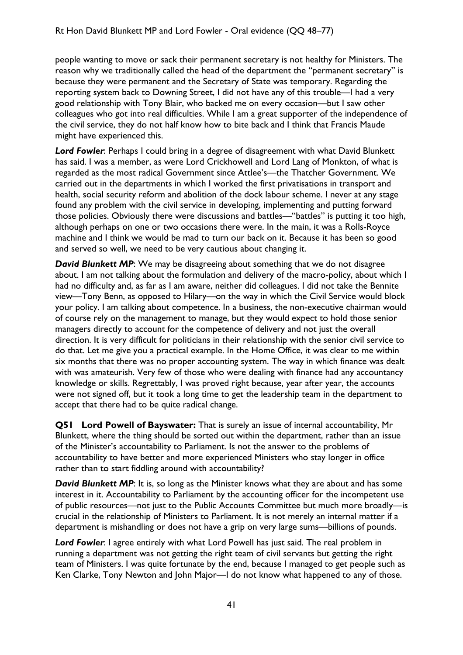people wanting to move or sack their permanent secretary is not healthy for Ministers. The reason why we traditionally called the head of the department the "permanent secretary" is because they were permanent and the Secretary of State was temporary. Regarding the reporting system back to Downing Street, I did not have any of this trouble—I had a very good relationship with Tony Blair, who backed me on every occasion—but I saw other colleagues who got into real difficulties. While I am a great supporter of the independence of the civil service, they do not half know how to bite back and I think that Francis Maude might have experienced this.

*Lord Fowler*: Perhaps I could bring in a degree of disagreement with what David Blunkett has said. I was a member, as were Lord Crickhowell and Lord Lang of Monkton, of what is regarded as the most radical Government since Attlee's—the Thatcher Government. We carried out in the departments in which I worked the first privatisations in transport and health, social security reform and abolition of the dock labour scheme. I never at any stage found any problem with the civil service in developing, implementing and putting forward those policies. Obviously there were discussions and battles—"battles" is putting it too high, although perhaps on one or two occasions there were. In the main, it was a Rolls-Royce machine and I think we would be mad to turn our back on it. Because it has been so good and served so well, we need to be very cautious about changing it.

*David Blunkett MP*: We may be disagreeing about something that we do not disagree about. I am not talking about the formulation and delivery of the macro-policy, about which I had no difficulty and, as far as I am aware, neither did colleagues. I did not take the Bennite view—Tony Benn, as opposed to Hilary—on the way in which the Civil Service would block your policy. I am talking about competence. In a business, the non-executive chairman would of course rely on the management to manage, but they would expect to hold those senior managers directly to account for the competence of delivery and not just the overall direction. It is very difficult for politicians in their relationship with the senior civil service to do that. Let me give you a practical example. In the Home Office, it was clear to me within six months that there was no proper accounting system. The way in which finance was dealt with was amateurish. Very few of those who were dealing with finance had any accountancy knowledge or skills. Regrettably, I was proved right because, year after year, the accounts were not signed off, but it took a long time to get the leadership team in the department to accept that there had to be quite radical change.

**Q51 Lord Powell of Bayswater:** That is surely an issue of internal accountability, Mr Blunkett, where the thing should be sorted out within the department, rather than an issue of the Minister's accountability to Parliament. Is not the answer to the problems of accountability to have better and more experienced Ministers who stay longer in office rather than to start fiddling around with accountability?

**David Blunkett MP:** It is, so long as the Minister knows what they are about and has some interest in it. Accountability to Parliament by the accounting officer for the incompetent use of public resources—not just to the Public Accounts Committee but much more broadly—is crucial in the relationship of Ministers to Parliament. It is not merely an internal matter if a department is mishandling or does not have a grip on very large sums—billions of pounds.

*Lord Fowler*: I agree entirely with what Lord Powell has just said. The real problem in running a department was not getting the right team of civil servants but getting the right team of Ministers. I was quite fortunate by the end, because I managed to get people such as Ken Clarke, Tony Newton and John Major—I do not know what happened to any of those.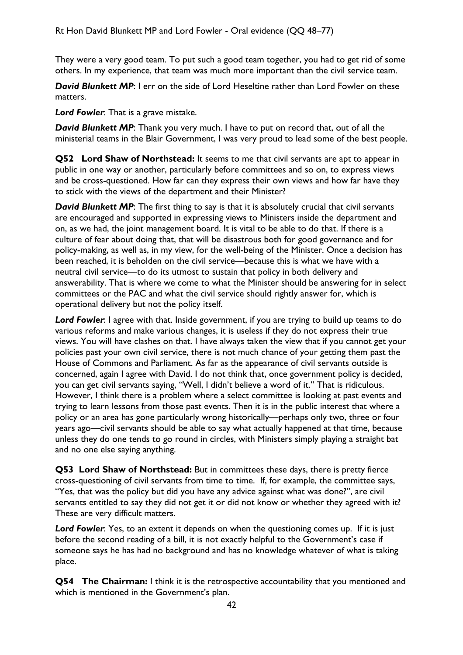They were a very good team. To put such a good team together, you had to get rid of some others. In my experience, that team was much more important than the civil service team.

**David Blunkett MP**: I err on the side of Lord Heseltine rather than Lord Fowler on these matters.

*Lord Fowler*: That is a grave mistake.

**David Blunkett MP**: Thank you very much. I have to put on record that, out of all the ministerial teams in the Blair Government, I was very proud to lead some of the best people.

**Q52 Lord Shaw of Northstead:** It seems to me that civil servants are apt to appear in public in one way or another, particularly before committees and so on, to express views and be cross-questioned. How far can they express their own views and how far have they to stick with the views of the department and their Minister?

**David Blunkett MP**: The first thing to say is that it is absolutely crucial that civil servants are encouraged and supported in expressing views to Ministers inside the department and on, as we had, the joint management board. It is vital to be able to do that. If there is a culture of fear about doing that, that will be disastrous both for good governance and for policy-making, as well as, in my view, for the well-being of the Minister. Once a decision has been reached, it is beholden on the civil service—because this is what we have with a neutral civil service—to do its utmost to sustain that policy in both delivery and answerability. That is where we come to what the Minister should be answering for in select committees or the PAC and what the civil service should rightly answer for, which is operational delivery but not the policy itself.

*Lord Fowler*: I agree with that. Inside government, if you are trying to build up teams to do various reforms and make various changes, it is useless if they do not express their true views. You will have clashes on that. I have always taken the view that if you cannot get your policies past your own civil service, there is not much chance of your getting them past the House of Commons and Parliament. As far as the appearance of civil servants outside is concerned, again I agree with David. I do not think that, once government policy is decided, you can get civil servants saying, "Well, I didn't believe a word of it." That is ridiculous. However, I think there is a problem where a select committee is looking at past events and trying to learn lessons from those past events. Then it is in the public interest that where a policy or an area has gone particularly wrong historically—perhaps only two, three or four years ago—civil servants should be able to say what actually happened at that time, because unless they do one tends to go round in circles, with Ministers simply playing a straight bat and no one else saying anything.

**Q53 Lord Shaw of Northstead:** But in committees these days, there is pretty fierce cross-questioning of civil servants from time to time. If, for example, the committee says, "Yes, that was the policy but did you have any advice against what was done?", are civil servants entitled to say they did not get it or did not know or whether they agreed with it? These are very difficult matters.

*Lord Fowler*: Yes, to an extent it depends on when the questioning comes up. If it is just before the second reading of a bill, it is not exactly helpful to the Government's case if someone says he has had no background and has no knowledge whatever of what is taking place.

**Q54 The Chairman:** I think it is the retrospective accountability that you mentioned and which is mentioned in the Government's plan.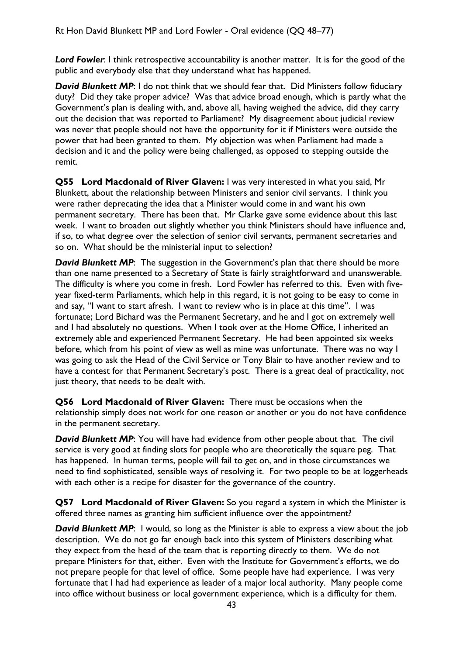*Lord Fowler*: I think retrospective accountability is another matter. It is for the good of the public and everybody else that they understand what has happened.

**David Blunkett MP:** I do not think that we should fear that. Did Ministers follow fiduciary duty? Did they take proper advice? Was that advice broad enough, which is partly what the Government's plan is dealing with, and, above all, having weighed the advice, did they carry out the decision that was reported to Parliament? My disagreement about judicial review was never that people should not have the opportunity for it if Ministers were outside the power that had been granted to them. My objection was when Parliament had made a decision and it and the policy were being challenged, as opposed to stepping outside the remit.

**Q55 Lord Macdonald of River Glaven:** I was very interested in what you said, Mr Blunkett, about the relationship between Ministers and senior civil servants. I think you were rather deprecating the idea that a Minister would come in and want his own permanent secretary. There has been that. Mr Clarke gave some evidence about this last week. I want to broaden out slightly whether you think Ministers should have influence and, if so, to what degree over the selection of senior civil servants, permanent secretaries and so on. What should be the ministerial input to selection?

**David Blunkett MP:** The suggestion in the Government's plan that there should be more than one name presented to a Secretary of State is fairly straightforward and unanswerable. The difficulty is where you come in fresh. Lord Fowler has referred to this. Even with fiveyear fixed-term Parliaments, which help in this regard, it is not going to be easy to come in and say, "I want to start afresh. I want to review who is in place at this time". I was fortunate; Lord Bichard was the Permanent Secretary, and he and I got on extremely well and I had absolutely no questions. When I took over at the Home Office, I inherited an extremely able and experienced Permanent Secretary. He had been appointed six weeks before, which from his point of view as well as mine was unfortunate. There was no way I was going to ask the Head of the Civil Service or Tony Blair to have another review and to have a contest for that Permanent Secretary's post. There is a great deal of practicality, not just theory, that needs to be dealt with.

**Q56 Lord Macdonald of River Glaven:** There must be occasions when the relationship simply does not work for one reason or another or you do not have confidence in the permanent secretary.

**David Blunkett MP:** You will have had evidence from other people about that. The civil service is very good at finding slots for people who are theoretically the square peg. That has happened. In human terms, people will fail to get on, and in those circumstances we need to find sophisticated, sensible ways of resolving it. For two people to be at loggerheads with each other is a recipe for disaster for the governance of the country.

**Q57 Lord Macdonald of River Glaven:** So you regard a system in which the Minister is offered three names as granting him sufficient influence over the appointment?

**David Blunkett MP:** I would, so long as the Minister is able to express a view about the job description. We do not go far enough back into this system of Ministers describing what they expect from the head of the team that is reporting directly to them. We do not prepare Ministers for that, either. Even with the Institute for Government's efforts, we do not prepare people for that level of office. Some people have had experience. I was very fortunate that I had had experience as leader of a major local authority. Many people come into office without business or local government experience, which is a difficulty for them.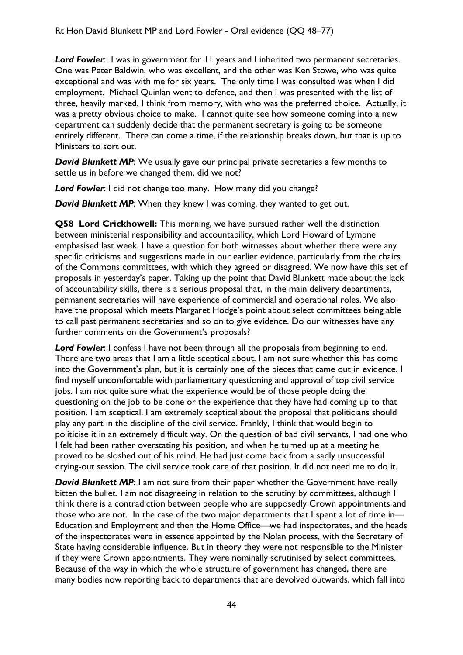*Lord Fowler*: I was in government for 11 years and I inherited two permanent secretaries. One was Peter Baldwin, who was excellent, and the other was Ken Stowe, who was quite exceptional and was with me for six years. The only time I was consulted was when I did employment. Michael Quinlan went to defence, and then I was presented with the list of three, heavily marked, I think from memory, with who was the preferred choice. Actually, it was a pretty obvious choice to make. I cannot quite see how someone coming into a new department can suddenly decide that the permanent secretary is going to be someone entirely different. There can come a time, if the relationship breaks down, but that is up to Ministers to sort out.

**David Blunkett MP:** We usually gave our principal private secretaries a few months to settle us in before we changed them, did we not?

*Lord Fowler*: I did not change too many. How many did you change?

*David Blunkett MP*: When they knew I was coming, they wanted to get out.

**Q58 Lord Crickhowell:** This morning, we have pursued rather well the distinction between ministerial responsibility and accountability, which Lord Howard of Lympne emphasised last week. I have a question for both witnesses about whether there were any specific criticisms and suggestions made in our earlier evidence, particularly from the chairs of the Commons committees, with which they agreed or disagreed. We now have this set of proposals in yesterday's paper. Taking up the point that David Blunkett made about the lack of accountability skills, there is a serious proposal that, in the main delivery departments, permanent secretaries will have experience of commercial and operational roles. We also have the proposal which meets Margaret Hodge's point about select committees being able to call past permanent secretaries and so on to give evidence. Do our witnesses have any further comments on the Government's proposals?

*Lord Fowler*: I confess I have not been through all the proposals from beginning to end. There are two areas that I am a little sceptical about. I am not sure whether this has come into the Government's plan, but it is certainly one of the pieces that came out in evidence. I find myself uncomfortable with parliamentary questioning and approval of top civil service jobs. I am not quite sure what the experience would be of those people doing the questioning on the job to be done or the experience that they have had coming up to that position. I am sceptical. I am extremely sceptical about the proposal that politicians should play any part in the discipline of the civil service. Frankly, I think that would begin to politicise it in an extremely difficult way. On the question of bad civil servants, I had one who I felt had been rather overstating his position, and when he turned up at a meeting he proved to be sloshed out of his mind. He had just come back from a sadly unsuccessful drying-out session. The civil service took care of that position. It did not need me to do it.

**David Blunkett MP:** I am not sure from their paper whether the Government have really bitten the bullet. I am not disagreeing in relation to the scrutiny by committees, although I think there is a contradiction between people who are supposedly Crown appointments and those who are not. In the case of the two major departments that I spent a lot of time in— Education and Employment and then the Home Office—we had inspectorates, and the heads of the inspectorates were in essence appointed by the Nolan process, with the Secretary of State having considerable influence. But in theory they were not responsible to the Minister if they were Crown appointments. They were nominally scrutinised by select committees. Because of the way in which the whole structure of government has changed, there are many bodies now reporting back to departments that are devolved outwards, which fall into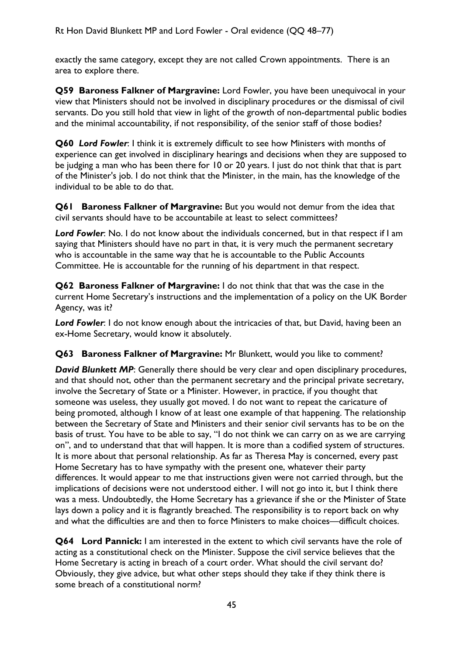exactly the same category, except they are not called Crown appointments. There is an area to explore there.

**Q59 Baroness Falkner of Margravine:** Lord Fowler, you have been unequivocal in your view that Ministers should not be involved in disciplinary procedures or the dismissal of civil servants. Do you still hold that view in light of the growth of non-departmental public bodies and the minimal accountability, if not responsibility, of the senior staff of those bodies?

**Q60** *Lord Fowler*: I think it is extremely difficult to see how Ministers with months of experience can get involved in disciplinary hearings and decisions when they are supposed to be judging a man who has been there for 10 or 20 years. I just do not think that that is part of the Minister's job. I do not think that the Minister, in the main, has the knowledge of the individual to be able to do that.

**Q61 Baroness Falkner of Margravine:** But you would not demur from the idea that civil servants should have to be accountabile at least to select committees?

*Lord Fowler*: No. I do not know about the individuals concerned, but in that respect if I am saying that Ministers should have no part in that, it is very much the permanent secretary who is accountable in the same way that he is accountable to the Public Accounts Committee. He is accountable for the running of his department in that respect.

**Q62 Baroness Falkner of Margravine:** I do not think that that was the case in the current Home Secretary's instructions and the implementation of a policy on the UK Border Agency, was it?

**Lord Fowler:** I do not know enough about the intricacies of that, but David, having been an ex-Home Secretary, would know it absolutely.

**Q63 Baroness Falkner of Margravine:** Mr Blunkett, would you like to comment?

*David Blunkett MP*: Generally there should be very clear and open disciplinary procedures, and that should not, other than the permanent secretary and the principal private secretary, involve the Secretary of State or a Minister. However, in practice, if you thought that someone was useless, they usually got moved. I do not want to repeat the caricature of being promoted, although I know of at least one example of that happening. The relationship between the Secretary of State and Ministers and their senior civil servants has to be on the basis of trust. You have to be able to say, "I do not think we can carry on as we are carrying on", and to understand that that will happen. It is more than a codified system of structures. It is more about that personal relationship. As far as Theresa May is concerned, every past Home Secretary has to have sympathy with the present one, whatever their party differences. It would appear to me that instructions given were not carried through, but the implications of decisions were not understood either. I will not go into it, but I think there was a mess. Undoubtedly, the Home Secretary has a grievance if she or the Minister of State lays down a policy and it is flagrantly breached. The responsibility is to report back on why and what the difficulties are and then to force Ministers to make choices—difficult choices.

**Q64 Lord Pannick:** I am interested in the extent to which civil servants have the role of acting as a constitutional check on the Minister. Suppose the civil service believes that the Home Secretary is acting in breach of a court order. What should the civil servant do? Obviously, they give advice, but what other steps should they take if they think there is some breach of a constitutional norm?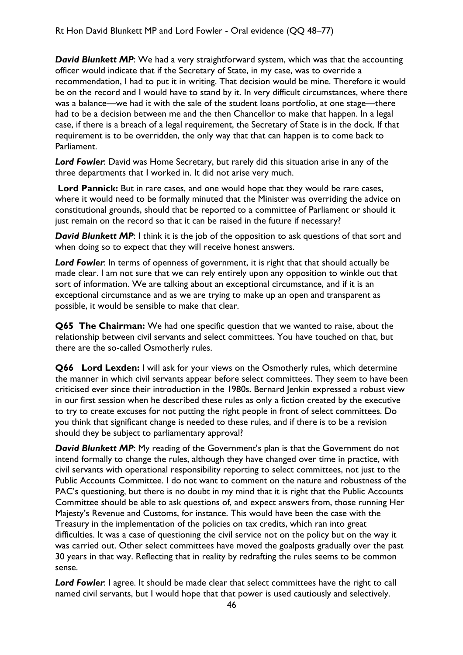**David Blunkett MP:** We had a very straightforward system, which was that the accounting officer would indicate that if the Secretary of State, in my case, was to override a recommendation, I had to put it in writing. That decision would be mine. Therefore it would be on the record and I would have to stand by it. In very difficult circumstances, where there was a balance—we had it with the sale of the student loans portfolio, at one stage—there had to be a decision between me and the then Chancellor to make that happen. In a legal case, if there is a breach of a legal requirement, the Secretary of State is in the dock. If that requirement is to be overridden, the only way that that can happen is to come back to Parliament.

*Lord Fowler*: David was Home Secretary, but rarely did this situation arise in any of the three departments that I worked in. It did not arise very much.

**Lord Pannick:** But in rare cases, and one would hope that they would be rare cases, where it would need to be formally minuted that the Minister was overriding the advice on constitutional grounds, should that be reported to a committee of Parliament or should it just remain on the record so that it can be raised in the future if necessary?

**David Blunkett MP:** I think it is the job of the opposition to ask questions of that sort and when doing so to expect that they will receive honest answers.

*Lord Fowler*: In terms of openness of government, it is right that that should actually be made clear. I am not sure that we can rely entirely upon any opposition to winkle out that sort of information. We are talking about an exceptional circumstance, and if it is an exceptional circumstance and as we are trying to make up an open and transparent as possible, it would be sensible to make that clear.

**Q65 The Chairman:** We had one specific question that we wanted to raise, about the relationship between civil servants and select committees. You have touched on that, but there are the so-called Osmotherly rules.

**Q66 Lord Lexden:** I will ask for your views on the Osmotherly rules, which determine the manner in which civil servants appear before select committees. They seem to have been criticised ever since their introduction in the 1980s. Bernard Jenkin expressed a robust view in our first session when he described these rules as only a fiction created by the executive to try to create excuses for not putting the right people in front of select committees. Do you think that significant change is needed to these rules, and if there is to be a revision should they be subject to parliamentary approval?

**David Blunkett MP:** My reading of the Government's plan is that the Government do not intend formally to change the rules, although they have changed over time in practice, with civil servants with operational responsibility reporting to select committees, not just to the Public Accounts Committee. I do not want to comment on the nature and robustness of the PAC's questioning, but there is no doubt in my mind that it is right that the Public Accounts Committee should be able to ask questions of, and expect answers from, those running Her Majesty's Revenue and Customs, for instance. This would have been the case with the Treasury in the implementation of the policies on tax credits, which ran into great difficulties. It was a case of questioning the civil service not on the policy but on the way it was carried out. Other select committees have moved the goalposts gradually over the past 30 years in that way. Reflecting that in reality by redrafting the rules seems to be common sense.

*Lord Fowler*: I agree. It should be made clear that select committees have the right to call named civil servants, but I would hope that that power is used cautiously and selectively.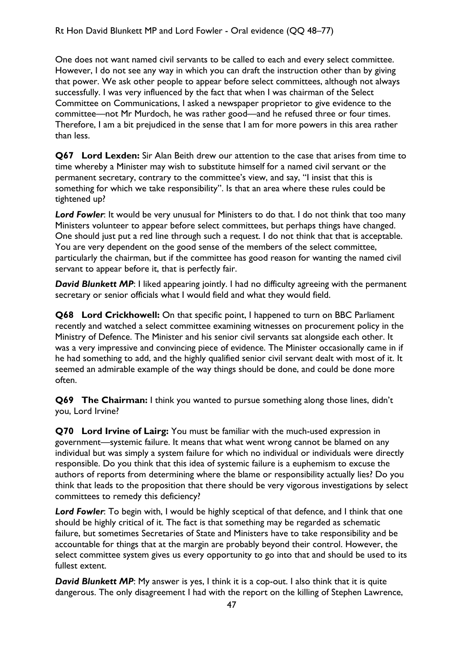One does not want named civil servants to be called to each and every select committee. However, I do not see any way in which you can draft the instruction other than by giving that power. We ask other people to appear before select committees, although not always successfully. I was very influenced by the fact that when I was chairman of the Select Committee on Communications, I asked a newspaper proprietor to give evidence to the committee—not Mr Murdoch, he was rather good—and he refused three or four times. Therefore, I am a bit prejudiced in the sense that I am for more powers in this area rather than less.

**Q67 Lord Lexden:** Sir Alan Beith drew our attention to the case that arises from time to time whereby a Minister may wish to substitute himself for a named civil servant or the permanent secretary, contrary to the committee's view, and say, "I insist that this is something for which we take responsibility". Is that an area where these rules could be tightened up?

*Lord Fowler*: It would be very unusual for Ministers to do that. I do not think that too many Ministers volunteer to appear before select committees, but perhaps things have changed. One should just put a red line through such a request. I do not think that that is acceptable. You are very dependent on the good sense of the members of the select committee, particularly the chairman, but if the committee has good reason for wanting the named civil servant to appear before it, that is perfectly fair.

**David Blunkett MP:** I liked appearing jointly. I had no difficulty agreeing with the permanent secretary or senior officials what I would field and what they would field.

**Q68 Lord Crickhowell:** On that specific point, I happened to turn on BBC Parliament recently and watched a select committee examining witnesses on procurement policy in the Ministry of Defence. The Minister and his senior civil servants sat alongside each other. It was a very impressive and convincing piece of evidence. The Minister occasionally came in if he had something to add, and the highly qualified senior civil servant dealt with most of it. It seemed an admirable example of the way things should be done, and could be done more often.

**Q69 The Chairman:** I think you wanted to pursue something along those lines, didn't you, Lord Irvine?

**Q70 Lord Irvine of Lairg:** You must be familiar with the much-used expression in government—systemic failure. It means that what went wrong cannot be blamed on any individual but was simply a system failure for which no individual or individuals were directly responsible. Do you think that this idea of systemic failure is a euphemism to excuse the authors of reports from determining where the blame or responsibility actually lies? Do you think that leads to the proposition that there should be very vigorous investigations by select committees to remedy this deficiency?

*Lord Fowler*: To begin with, I would be highly sceptical of that defence, and I think that one should be highly critical of it. The fact is that something may be regarded as schematic failure, but sometimes Secretaries of State and Ministers have to take responsibility and be accountable for things that at the margin are probably beyond their control. However, the select committee system gives us every opportunity to go into that and should be used to its fullest extent.

**David Blunkett MP:** My answer is yes, I think it is a cop-out. I also think that it is quite dangerous. The only disagreement I had with the report on the killing of Stephen Lawrence,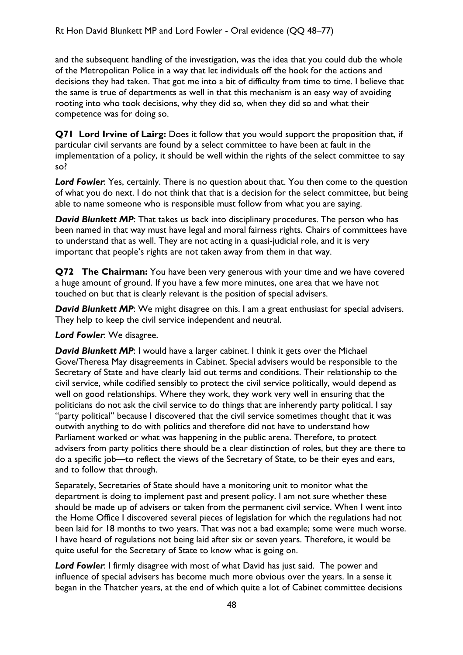and the subsequent handling of the investigation, was the idea that you could dub the whole of the Metropolitan Police in a way that let individuals off the hook for the actions and decisions they had taken. That got me into a bit of difficulty from time to time. I believe that the same is true of departments as well in that this mechanism is an easy way of avoiding rooting into who took decisions, why they did so, when they did so and what their competence was for doing so.

**Q71 Lord Irvine of Lairg:** Does it follow that you would support the proposition that, if particular civil servants are found by a select committee to have been at fault in the implementation of a policy, it should be well within the rights of the select committee to say so?

*Lord Fowler*: Yes, certainly. There is no question about that. You then come to the question of what you do next. I do not think that that is a decision for the select committee, but being able to name someone who is responsible must follow from what you are saying.

*David Blunkett MP*: That takes us back into disciplinary procedures. The person who has been named in that way must have legal and moral fairness rights. Chairs of committees have to understand that as well. They are not acting in a quasi-judicial role, and it is very important that people's rights are not taken away from them in that way.

**Q72 The Chairman:** You have been very generous with your time and we have covered a huge amount of ground. If you have a few more minutes, one area that we have not touched on but that is clearly relevant is the position of special advisers.

**David Blunkett MP:** We might disagree on this. I am a great enthusiast for special advisers. They help to keep the civil service independent and neutral.

*Lord Fowler*: We disagree.

**David Blunkett MP:** I would have a larger cabinet. I think it gets over the Michael Gove/Theresa May disagreements in Cabinet. Special advisers would be responsible to the Secretary of State and have clearly laid out terms and conditions. Their relationship to the civil service, while codified sensibly to protect the civil service politically, would depend as well on good relationships. Where they work, they work very well in ensuring that the politicians do not ask the civil service to do things that are inherently party political. I say "party political" because I discovered that the civil service sometimes thought that it was outwith anything to do with politics and therefore did not have to understand how Parliament worked or what was happening in the public arena. Therefore, to protect advisers from party politics there should be a clear distinction of roles, but they are there to do a specific job—to reflect the views of the Secretary of State, to be their eyes and ears, and to follow that through.

Separately, Secretaries of State should have a monitoring unit to monitor what the department is doing to implement past and present policy. I am not sure whether these should be made up of advisers or taken from the permanent civil service. When I went into the Home Office I discovered several pieces of legislation for which the regulations had not been laid for 18 months to two years. That was not a bad example; some were much worse. I have heard of regulations not being laid after six or seven years. Therefore, it would be quite useful for the Secretary of State to know what is going on.

*Lord Fowler*: I firmly disagree with most of what David has just said. The power and influence of special advisers has become much more obvious over the years. In a sense it began in the Thatcher years, at the end of which quite a lot of Cabinet committee decisions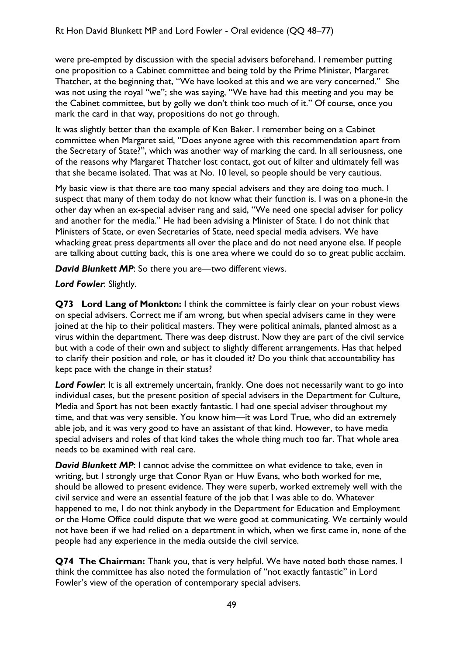were pre-empted by discussion with the special advisers beforehand. I remember putting one proposition to a Cabinet committee and being told by the Prime Minister, Margaret Thatcher, at the beginning that, "We have looked at this and we are very concerned." She was not using the royal "we"; she was saying, "We have had this meeting and you may be the Cabinet committee, but by golly we don't think too much of it." Of course, once you mark the card in that way, propositions do not go through.

It was slightly better than the example of Ken Baker. I remember being on a Cabinet committee when Margaret said, "Does anyone agree with this recommendation apart from the Secretary of State?", which was another way of marking the card. In all seriousness, one of the reasons why Margaret Thatcher lost contact, got out of kilter and ultimately fell was that she became isolated. That was at No. 10 level, so people should be very cautious.

My basic view is that there are too many special advisers and they are doing too much. I suspect that many of them today do not know what their function is. I was on a phone-in the other day when an ex-special adviser rang and said, "We need one special adviser for policy and another for the media." He had been advising a Minister of State. I do not think that Ministers of State, or even Secretaries of State, need special media advisers. We have whacking great press departments all over the place and do not need anyone else. If people are talking about cutting back, this is one area where we could do so to great public acclaim.

*David Blunkett MP*: So there you are—two different views.

### *Lord Fowler*: Slightly.

**Q73 Lord Lang of Monkton:** I think the committee is fairly clear on your robust views on special advisers. Correct me if am wrong, but when special advisers came in they were joined at the hip to their political masters. They were political animals, planted almost as a virus within the department. There was deep distrust. Now they are part of the civil service but with a code of their own and subject to slightly different arrangements. Has that helped to clarify their position and role, or has it clouded it? Do you think that accountability has kept pace with the change in their status?

Lord Fowler: It is all extremely uncertain, frankly. One does not necessarily want to go into individual cases, but the present position of special advisers in the Department for Culture, Media and Sport has not been exactly fantastic. I had one special adviser throughout my time, and that was very sensible. You know him—it was Lord True, who did an extremely able job, and it was very good to have an assistant of that kind. However, to have media special advisers and roles of that kind takes the whole thing much too far. That whole area needs to be examined with real care.

**David Blunkett MP:** I cannot advise the committee on what evidence to take, even in writing, but I strongly urge that Conor Ryan or Huw Evans, who both worked for me, should be allowed to present evidence. They were superb, worked extremely well with the civil service and were an essential feature of the job that I was able to do. Whatever happened to me, I do not think anybody in the Department for Education and Employment or the Home Office could dispute that we were good at communicating. We certainly would not have been if we had relied on a department in which, when we first came in, none of the people had any experience in the media outside the civil service.

**Q74 The Chairman:** Thank you, that is very helpful. We have noted both those names. I think the committee has also noted the formulation of "not exactly fantastic" in Lord Fowler's view of the operation of contemporary special advisers.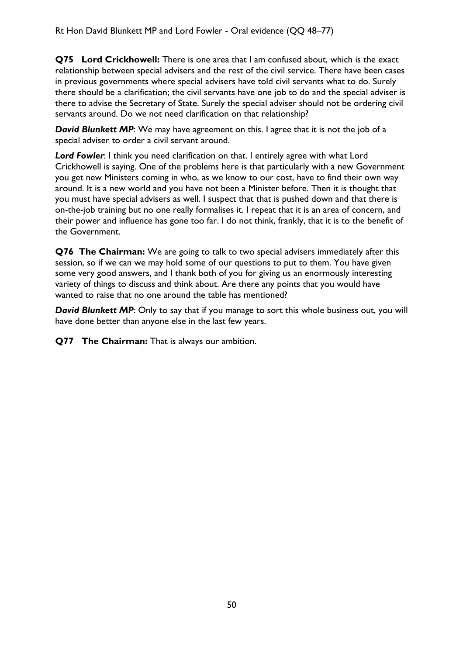**Q75 Lord Crickhowell:** There is one area that I am confused about, which is the exact relationship between special advisers and the rest of the civil service. There have been cases in previous governments where special advisers have told civil servants what to do. Surely there should be a clarification; the civil servants have one job to do and the special adviser is there to advise the Secretary of State. Surely the special adviser should not be ordering civil servants around. Do we not need clarification on that relationship?

**David Blunkett MP:** We may have agreement on this. I agree that it is not the job of a special adviser to order a civil servant around.

*Lord Fowler*: I think you need clarification on that. I entirely agree with what Lord Crickhowell is saying. One of the problems here is that particularly with a new Government you get new Ministers coming in who, as we know to our cost, have to find their own way around. It is a new world and you have not been a Minister before. Then it is thought that you must have special advisers as well. I suspect that that is pushed down and that there is on-the-job training but no one really formalises it. I repeat that it is an area of concern, and their power and influence has gone too far. I do not think, frankly, that it is to the benefit of the Government.

**Q76 The Chairman:** We are going to talk to two special advisers immediately after this session, so if we can we may hold some of our questions to put to them. You have given some very good answers, and I thank both of you for giving us an enormously interesting variety of things to discuss and think about. Are there any points that you would have wanted to raise that no one around the table has mentioned?

*David Blunkett MP*: Only to say that if you manage to sort this whole business out, you will have done better than anyone else in the last few years.

**Q77 The Chairman:** That is always our ambition.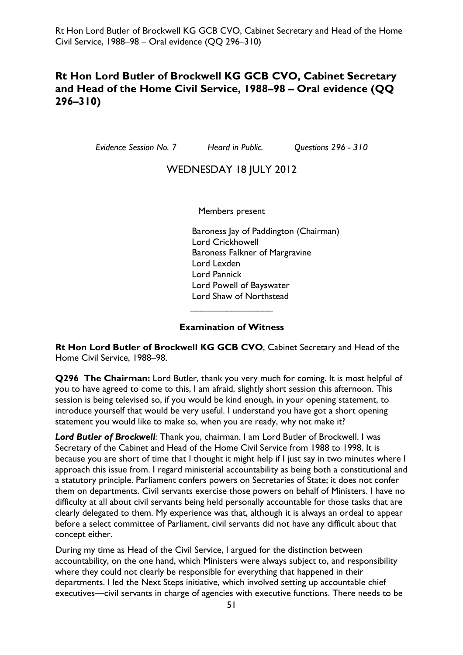## **Rt Hon Lord Butler of Brockwell KG GCB CVO, Cabinet Secretary and Head of the Home Civil Service, 1988–98 – Oral evidence (QQ 296–310)**

*Evidence Session No. 7 Heard in Public. Questions 296 - 310* 

### WEDNESDAY 18 JULY 2012

Members present

Baroness Jay of Paddington (Chairman) Lord Crickhowell Baroness Falkner of Margravine Lord Lexden Lord Pannick Lord Powell of Bayswater Lord Shaw of Northstead  $\overline{\phantom{a}}$  , which is a set of the set of the set of the set of the set of the set of the set of the set of the set of the set of the set of the set of the set of the set of the set of the set of the set of the set of th

#### **Examination of Witness**

**Rt Hon Lord Butler of Brockwell KG GCB CVO**, Cabinet Secretary and Head of the Home Civil Service, 1988–98.

**Q296 The Chairman:** Lord Butler, thank you very much for coming. It is most helpful of you to have agreed to come to this, I am afraid, slightly short session this afternoon. This session is being televised so, if you would be kind enough, in your opening statement, to introduce yourself that would be very useful. I understand you have got a short opening statement you would like to make so, when you are ready, why not make it?

*Lord Butler of Brockwell*: Thank you, chairman. I am Lord Butler of Brockwell. I was Secretary of the Cabinet and Head of the Home Civil Service from 1988 to 1998. It is because you are short of time that I thought it might help if I just say in two minutes where I approach this issue from. I regard ministerial accountability as being both a constitutional and a statutory principle. Parliament confers powers on Secretaries of State; it does not confer them on departments. Civil servants exercise those powers on behalf of Ministers. I have no difficulty at all about civil servants being held personally accountable for those tasks that are clearly delegated to them. My experience was that, although it is always an ordeal to appear before a select committee of Parliament, civil servants did not have any difficult about that concept either.

During my time as Head of the Civil Service, I argued for the distinction between accountability, on the one hand, which Ministers were always subject to, and responsibility where they could not clearly be responsible for everything that happened in their departments. I led the Next Steps initiative, which involved setting up accountable chief executives—civil servants in charge of agencies with executive functions. There needs to be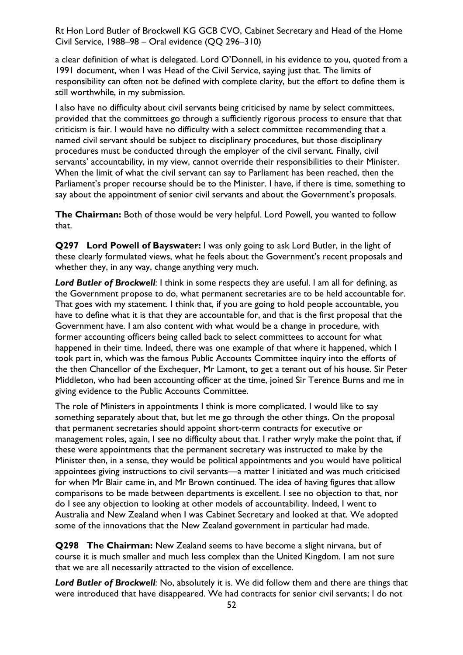a clear definition of what is delegated. Lord O'Donnell, in his evidence to you, quoted from a 1991 document, when I was Head of the Civil Service, saying just that. The limits of responsibility can often not be defined with complete clarity, but the effort to define them is still worthwhile, in my submission.

I also have no difficulty about civil servants being criticised by name by select committees, provided that the committees go through a sufficiently rigorous process to ensure that that criticism is fair. I would have no difficulty with a select committee recommending that a named civil servant should be subject to disciplinary procedures, but those disciplinary procedures must be conducted through the employer of the civil servant. Finally, civil servants' accountability, in my view, cannot override their responsibilities to their Minister. When the limit of what the civil servant can say to Parliament has been reached, then the Parliament's proper recourse should be to the Minister. I have, if there is time, something to say about the appointment of senior civil servants and about the Government's proposals.

**The Chairman:** Both of those would be very helpful. Lord Powell, you wanted to follow that.

**Q297 Lord Powell of Bayswater:** I was only going to ask Lord Butler, in the light of these clearly formulated views, what he feels about the Government's recent proposals and whether they, in any way, change anything very much.

*Lord Butler of Brockwell*: I think in some respects they are useful. I am all for defining, as the Government propose to do, what permanent secretaries are to be held accountable for. That goes with my statement. I think that, if you are going to hold people accountable, you have to define what it is that they are accountable for, and that is the first proposal that the Government have. I am also content with what would be a change in procedure, with former accounting officers being called back to select committees to account for what happened in their time. Indeed, there was one example of that where it happened, which I took part in, which was the famous Public Accounts Committee inquiry into the efforts of the then Chancellor of the Exchequer, Mr Lamont, to get a tenant out of his house. Sir Peter Middleton, who had been accounting officer at the time, joined Sir Terence Burns and me in giving evidence to the Public Accounts Committee.

The role of Ministers in appointments I think is more complicated. I would like to say something separately about that, but let me go through the other things. On the proposal that permanent secretaries should appoint short-term contracts for executive or management roles, again, I see no difficulty about that. I rather wryly make the point that, if these were appointments that the permanent secretary was instructed to make by the Minister then, in a sense, they would be political appointments and you would have political appointees giving instructions to civil servants—a matter I initiated and was much criticised for when Mr Blair came in, and Mr Brown continued. The idea of having figures that allow comparisons to be made between departments is excellent. I see no objection to that, nor do I see any objection to looking at other models of accountability. Indeed, I went to Australia and New Zealand when I was Cabinet Secretary and looked at that. We adopted some of the innovations that the New Zealand government in particular had made.

**Q298 The Chairman:** New Zealand seems to have become a slight nirvana, but of course it is much smaller and much less complex than the United Kingdom. I am not sure that we are all necessarily attracted to the vision of excellence.

*Lord Butler of Brockwell*: No, absolutely it is. We did follow them and there are things that were introduced that have disappeared. We had contracts for senior civil servants; I do not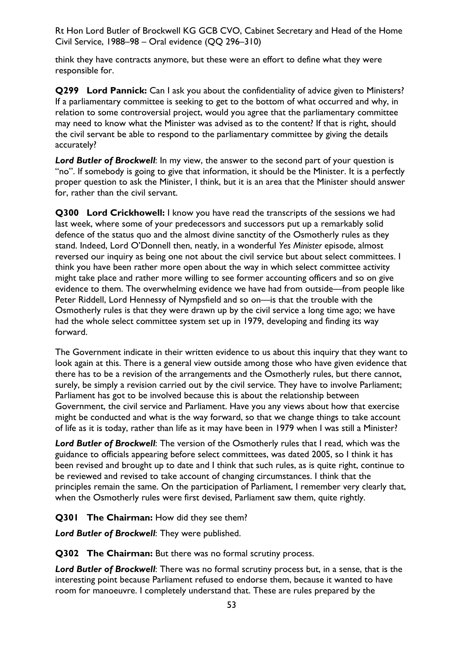think they have contracts anymore, but these were an effort to define what they were responsible for.

**Q299 Lord Pannick:** Can I ask you about the confidentiality of advice given to Ministers? If a parliamentary committee is seeking to get to the bottom of what occurred and why, in relation to some controversial project, would you agree that the parliamentary committee may need to know what the Minister was advised as to the content? If that is right, should the civil servant be able to respond to the parliamentary committee by giving the details accurately?

*Lord Butler of Brockwell*: In my view, the answer to the second part of your question is "no". If somebody is going to give that information, it should be the Minister. It is a perfectly proper question to ask the Minister, I think, but it is an area that the Minister should answer for, rather than the civil servant.

**Q300 Lord Crickhowell:** I know you have read the transcripts of the sessions we had last week, where some of your predecessors and successors put up a remarkably solid defence of the status quo and the almost divine sanctity of the Osmotherly rules as they stand. Indeed, Lord O'Donnell then, neatly, in a wonderful *Yes Minister* episode, almost reversed our inquiry as being one not about the civil service but about select committees. I think you have been rather more open about the way in which select committee activity might take place and rather more willing to see former accounting officers and so on give evidence to them. The overwhelming evidence we have had from outside—from people like Peter Riddell, Lord Hennessy of Nympsfield and so on—is that the trouble with the Osmotherly rules is that they were drawn up by the civil service a long time ago; we have had the whole select committee system set up in 1979, developing and finding its way forward.

The Government indicate in their written evidence to us about this inquiry that they want to look again at this. There is a general view outside among those who have given evidence that there has to be a revision of the arrangements and the Osmotherly rules, but there cannot, surely, be simply a revision carried out by the civil service. They have to involve Parliament; Parliament has got to be involved because this is about the relationship between Government, the civil service and Parliament. Have you any views about how that exercise might be conducted and what is the way forward, so that we change things to take account of life as it is today, rather than life as it may have been in 1979 when I was still a Minister?

*Lord Butler of Brockwell*: The version of the Osmotherly rules that I read, which was the guidance to officials appearing before select committees, was dated 2005, so I think it has been revised and brought up to date and I think that such rules, as is quite right, continue to be reviewed and revised to take account of changing circumstances. I think that the principles remain the same. On the participation of Parliament, I remember very clearly that, when the Osmotherly rules were first devised, Parliament saw them, quite rightly.

### **Q301 The Chairman:** How did they see them?

*Lord Butler of Brockwell*: They were published.

**Q302 The Chairman:** But there was no formal scrutiny process.

*Lord Butler of Brockwell*: There was no formal scrutiny process but, in a sense, that is the interesting point because Parliament refused to endorse them, because it wanted to have room for manoeuvre. I completely understand that. These are rules prepared by the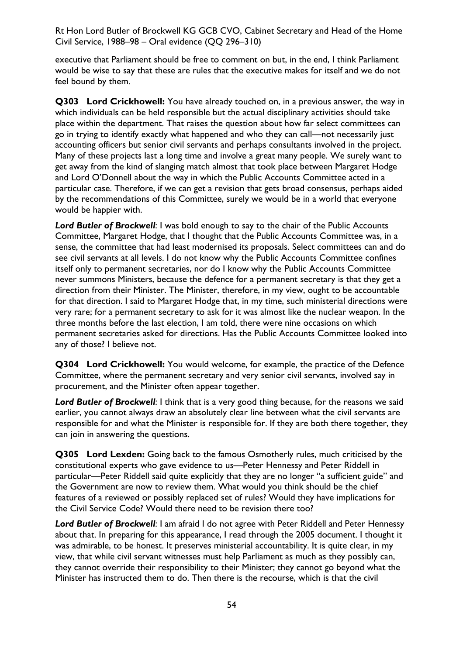executive that Parliament should be free to comment on but, in the end, I think Parliament would be wise to say that these are rules that the executive makes for itself and we do not feel bound by them.

**Q303 Lord Crickhowell:** You have already touched on, in a previous answer, the way in which individuals can be held responsible but the actual disciplinary activities should take place within the department. That raises the question about how far select committees can go in trying to identify exactly what happened and who they can call—not necessarily just accounting officers but senior civil servants and perhaps consultants involved in the project. Many of these projects last a long time and involve a great many people. We surely want to get away from the kind of slanging match almost that took place between Margaret Hodge and Lord O'Donnell about the way in which the Public Accounts Committee acted in a particular case. Therefore, if we can get a revision that gets broad consensus, perhaps aided by the recommendations of this Committee, surely we would be in a world that everyone would be happier with.

*Lord Butler of Brockwell*: I was bold enough to say to the chair of the Public Accounts Committee, Margaret Hodge, that I thought that the Public Accounts Committee was, in a sense, the committee that had least modernised its proposals. Select committees can and do see civil servants at all levels. I do not know why the Public Accounts Committee confines itself only to permanent secretaries, nor do I know why the Public Accounts Committee never summons Ministers, because the defence for a permanent secretary is that they get a direction from their Minister. The Minister, therefore, in my view, ought to be accountable for that direction. I said to Margaret Hodge that, in my time, such ministerial directions were very rare; for a permanent secretary to ask for it was almost like the nuclear weapon. In the three months before the last election, I am told, there were nine occasions on which permanent secretaries asked for directions. Has the Public Accounts Committee looked into any of those? I believe not.

**Q304 Lord Crickhowell:** You would welcome, for example, the practice of the Defence Committee, where the permanent secretary and very senior civil servants, involved say in procurement, and the Minister often appear together.

Lord Butler of Brockwell: I think that is a very good thing because, for the reasons we said earlier, you cannot always draw an absolutely clear line between what the civil servants are responsible for and what the Minister is responsible for. If they are both there together, they can join in answering the questions.

**Q305 Lord Lexden:** Going back to the famous Osmotherly rules, much criticised by the constitutional experts who gave evidence to us—Peter Hennessy and Peter Riddell in particular—Peter Riddell said quite explicitly that they are no longer "a sufficient guide" and the Government are now to review them. What would you think should be the chief features of a reviewed or possibly replaced set of rules? Would they have implications for the Civil Service Code? Would there need to be revision there too?

*Lord Butler of Brockwell*: I am afraid I do not agree with Peter Riddell and Peter Hennessy about that. In preparing for this appearance, I read through the 2005 document. I thought it was admirable, to be honest. It preserves ministerial accountability. It is quite clear, in my view, that while civil servant witnesses must help Parliament as much as they possibly can, they cannot override their responsibility to their Minister; they cannot go beyond what the Minister has instructed them to do. Then there is the recourse, which is that the civil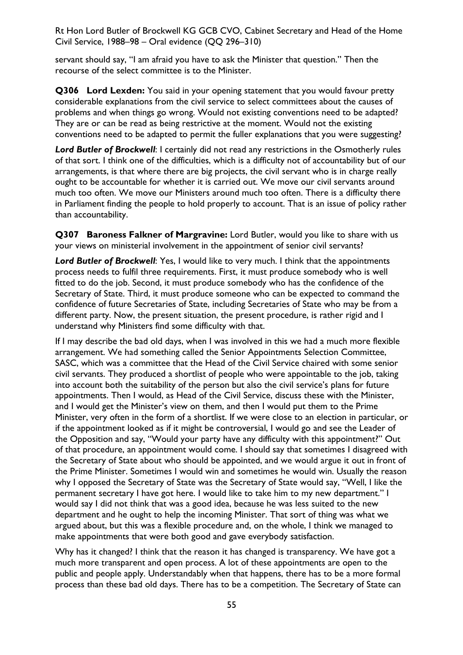servant should say, "I am afraid you have to ask the Minister that question." Then the recourse of the select committee is to the Minister.

**Q306 Lord Lexden:** You said in your opening statement that you would favour pretty considerable explanations from the civil service to select committees about the causes of problems and when things go wrong. Would not existing conventions need to be adapted? They are or can be read as being restrictive at the moment. Would not the existing conventions need to be adapted to permit the fuller explanations that you were suggesting?

**Lord Butler of Brockwell:** I certainly did not read any restrictions in the Osmotherly rules of that sort. I think one of the difficulties, which is a difficulty not of accountability but of our arrangements, is that where there are big projects, the civil servant who is in charge really ought to be accountable for whether it is carried out. We move our civil servants around much too often. We move our Ministers around much too often. There is a difficulty there in Parliament finding the people to hold properly to account. That is an issue of policy rather than accountability.

**Q307 Baroness Falkner of Margravine:** Lord Butler, would you like to share with us your views on ministerial involvement in the appointment of senior civil servants?

*Lord Butler of Brockwell*: Yes, I would like to very much. I think that the appointments process needs to fulfil three requirements. First, it must produce somebody who is well fitted to do the job. Second, it must produce somebody who has the confidence of the Secretary of State. Third, it must produce someone who can be expected to command the confidence of future Secretaries of State, including Secretaries of State who may be from a different party. Now, the present situation, the present procedure, is rather rigid and I understand why Ministers find some difficulty with that.

If I may describe the bad old days, when I was involved in this we had a much more flexible arrangement. We had something called the Senior Appointments Selection Committee, SASC, which was a committee that the Head of the Civil Service chaired with some senior civil servants. They produced a shortlist of people who were appointable to the job, taking into account both the suitability of the person but also the civil service's plans for future appointments. Then I would, as Head of the Civil Service, discuss these with the Minister, and I would get the Minister's view on them, and then I would put them to the Prime Minister, very often in the form of a shortlist. If we were close to an election in particular, or if the appointment looked as if it might be controversial, I would go and see the Leader of the Opposition and say, "Would your party have any difficulty with this appointment?" Out of that procedure, an appointment would come. I should say that sometimes I disagreed with the Secretary of State about who should be appointed, and we would argue it out in front of the Prime Minister. Sometimes I would win and sometimes he would win. Usually the reason why I opposed the Secretary of State was the Secretary of State would say, "Well, I like the permanent secretary I have got here. I would like to take him to my new department." I would say I did not think that was a good idea, because he was less suited to the new department and he ought to help the incoming Minister. That sort of thing was what we argued about, but this was a flexible procedure and, on the whole, I think we managed to make appointments that were both good and gave everybody satisfaction.

Why has it changed? I think that the reason it has changed is transparency. We have got a much more transparent and open process. A lot of these appointments are open to the public and people apply. Understandably when that happens, there has to be a more formal process than these bad old days. There has to be a competition. The Secretary of State can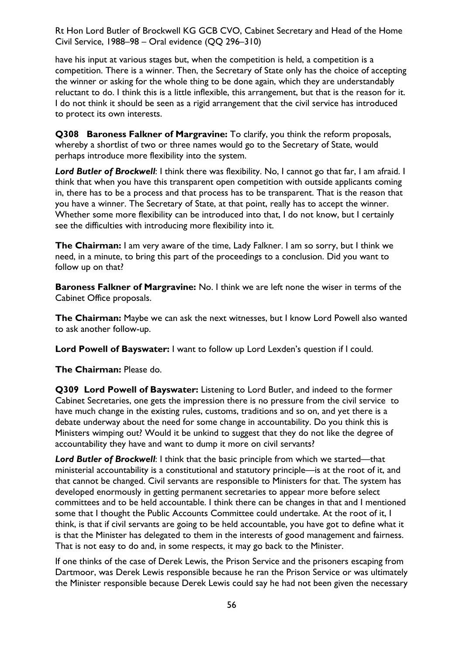have his input at various stages but, when the competition is held, a competition is a competition. There is a winner. Then, the Secretary of State only has the choice of accepting the winner or asking for the whole thing to be done again, which they are understandably reluctant to do. I think this is a little inflexible, this arrangement, but that is the reason for it. I do not think it should be seen as a rigid arrangement that the civil service has introduced to protect its own interests.

**Q308 Baroness Falkner of Margravine:** To clarify, you think the reform proposals, whereby a shortlist of two or three names would go to the Secretary of State, would perhaps introduce more flexibility into the system.

*Lord Butler of Brockwell*: I think there was flexibility. No, I cannot go that far, I am afraid. I think that when you have this transparent open competition with outside applicants coming in, there has to be a process and that process has to be transparent. That is the reason that you have a winner. The Secretary of State, at that point, really has to accept the winner. Whether some more flexibility can be introduced into that, I do not know, but I certainly see the difficulties with introducing more flexibility into it.

**The Chairman:** I am very aware of the time, Lady Falkner. I am so sorry, but I think we need, in a minute, to bring this part of the proceedings to a conclusion. Did you want to follow up on that?

**Baroness Falkner of Margravine:** No. I think we are left none the wiser in terms of the Cabinet Office proposals.

**The Chairman:** Maybe we can ask the next witnesses, but I know Lord Powell also wanted to ask another follow-up.

**Lord Powell of Bayswater:** I want to follow up Lord Lexden's question if I could.

**The Chairman:** Please do.

**Q309 Lord Powell of Bayswater:** Listening to Lord Butler, and indeed to the former Cabinet Secretaries, one gets the impression there is no pressure from the civil service to have much change in the existing rules, customs, traditions and so on, and yet there is a debate underway about the need for some change in accountability. Do you think this is Ministers wimping out? Would it be unkind to suggest that they do not like the degree of accountability they have and want to dump it more on civil servants?

**Lord Butler of Brockwell:** I think that the basic principle from which we started—that ministerial accountability is a constitutional and statutory principle—is at the root of it, and that cannot be changed. Civil servants are responsible to Ministers for that. The system has developed enormously in getting permanent secretaries to appear more before select committees and to be held accountable. I think there can be changes in that and I mentioned some that I thought the Public Accounts Committee could undertake. At the root of it, I think, is that if civil servants are going to be held accountable, you have got to define what it is that the Minister has delegated to them in the interests of good management and fairness. That is not easy to do and, in some respects, it may go back to the Minister.

If one thinks of the case of Derek Lewis, the Prison Service and the prisoners escaping from Dartmoor, was Derek Lewis responsible because he ran the Prison Service or was ultimately the Minister responsible because Derek Lewis could say he had not been given the necessary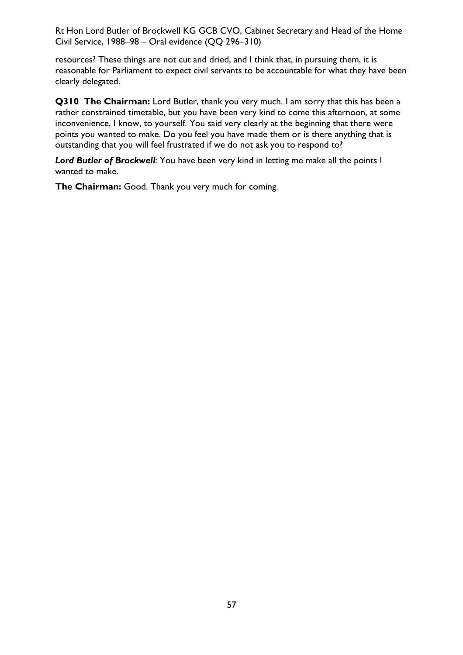resources? These things are not cut and dried, and I think that, in pursuing them, it is reasonable for Parliament to expect civil servants to be accountable for what they have been clearly delegated.

**Q310 The Chairman:** Lord Butler, thank you very much. I am sorry that this has been a rather constrained timetable, but you have been very kind to come this afternoon, at some inconvenience, I know, to yourself. You said very clearly at the beginning that there were points you wanted to make. Do you feel you have made them or is there anything that is outstanding that you will feel frustrated if we do not ask you to respond to?

*Lord Butler of Brockwell*: You have been very kind in letting me make all the points I wanted to make.

**The Chairman:** Good. Thank you very much for coming.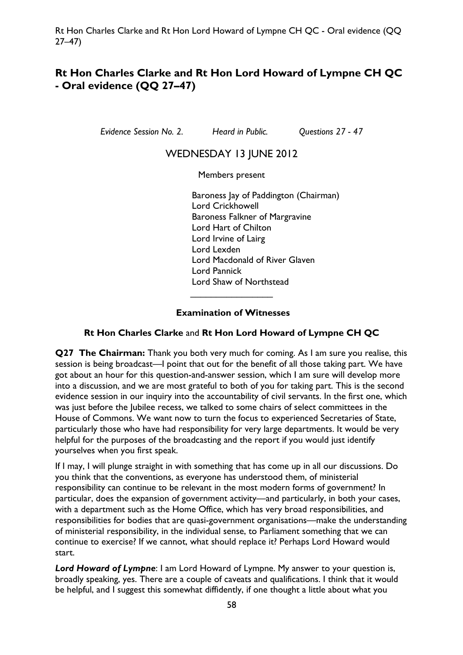# **Rt Hon Charles Clarke and Rt Hon Lord Howard of Lympne CH QC - Oral evidence (QQ 27–47)**

*Evidence Session No. 2. Heard in Public. Questions 27 - 47* 

# WEDNESDAY 13 JUNE 2012

Members present

Baroness Jay of Paddington (Chairman) Lord Crickhowell Baroness Falkner of Margravine Lord Hart of Chilton Lord Irvine of Lairg Lord Lexden Lord Macdonald of River Glaven Lord Pannick Lord Shaw of Northstead  $\overline{\phantom{a}}$  , which is a set of the set of the set of the set of the set of the set of the set of the set of the set of the set of the set of the set of the set of the set of the set of the set of the set of the set of th

### **Examination of Witnesses**

### **Rt Hon Charles Clarke** and **Rt Hon Lord Howard of Lympne CH QC**

**Q27 The Chairman:** Thank you both very much for coming. As I am sure you realise, this session is being broadcast—I point that out for the benefit of all those taking part. We have got about an hour for this question-and-answer session, which I am sure will develop more into a discussion, and we are most grateful to both of you for taking part. This is the second evidence session in our inquiry into the accountability of civil servants. In the first one, which was just before the Jubilee recess, we talked to some chairs of select committees in the House of Commons. We want now to turn the focus to experienced Secretaries of State, particularly those who have had responsibility for very large departments. It would be very helpful for the purposes of the broadcasting and the report if you would just identify yourselves when you first speak.

If I may, I will plunge straight in with something that has come up in all our discussions. Do you think that the conventions, as everyone has understood them, of ministerial responsibility can continue to be relevant in the most modern forms of government? In particular, does the expansion of government activity—and particularly, in both your cases, with a department such as the Home Office, which has very broad responsibilities, and responsibilities for bodies that are quasi-government organisations—make the understanding of ministerial responsibility, in the individual sense, to Parliament something that we can continue to exercise? If we cannot, what should replace it? Perhaps Lord Howard would start.

*Lord Howard of Lympne*: I am Lord Howard of Lympne. My answer to your question is, broadly speaking, yes. There are a couple of caveats and qualifications. I think that it would be helpful, and I suggest this somewhat diffidently, if one thought a little about what you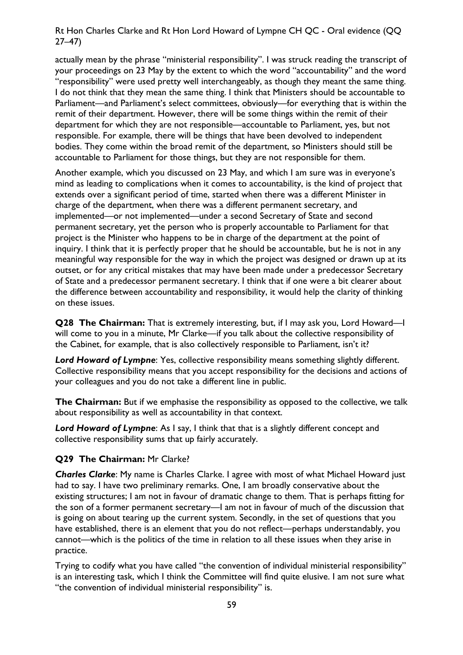actually mean by the phrase "ministerial responsibility". I was struck reading the transcript of your proceedings on 23 May by the extent to which the word "accountability" and the word "responsibility" were used pretty well interchangeably, as though they meant the same thing. I do not think that they mean the same thing. I think that Ministers should be accountable to Parliament—and Parliament's select committees, obviously—for everything that is within the remit of their department. However, there will be some things within the remit of their department for which they are not responsible—accountable to Parliament, yes, but not responsible. For example, there will be things that have been devolved to independent bodies. They come within the broad remit of the department, so Ministers should still be accountable to Parliament for those things, but they are not responsible for them.

Another example, which you discussed on 23 May, and which I am sure was in everyone's mind as leading to complications when it comes to accountability, is the kind of project that extends over a significant period of time, started when there was a different Minister in charge of the department, when there was a different permanent secretary, and implemented—or not implemented—under a second Secretary of State and second permanent secretary, yet the person who is properly accountable to Parliament for that project is the Minister who happens to be in charge of the department at the point of inquiry. I think that it is perfectly proper that he should be accountable, but he is not in any meaningful way responsible for the way in which the project was designed or drawn up at its outset, or for any critical mistakes that may have been made under a predecessor Secretary of State and a predecessor permanent secretary. I think that if one were a bit clearer about the difference between accountability and responsibility, it would help the clarity of thinking on these issues.

**Q28 The Chairman:** That is extremely interesting, but, if I may ask you, Lord Howard—I will come to you in a minute, Mr Clarke—if you talk about the collective responsibility of the Cabinet, for example, that is also collectively responsible to Parliament, isn't it?

**Lord Howard of Lympne:** Yes, collective responsibility means something slightly different. Collective responsibility means that you accept responsibility for the decisions and actions of your colleagues and you do not take a different line in public.

**The Chairman:** But if we emphasise the responsibility as opposed to the collective, we talk about responsibility as well as accountability in that context.

*Lord Howard of Lympne*: As I say, I think that that is a slightly different concept and collective responsibility sums that up fairly accurately.

#### **Q29 The Chairman:** Mr Clarke?

*Charles Clarke*: My name is Charles Clarke. I agree with most of what Michael Howard just had to say. I have two preliminary remarks. One, I am broadly conservative about the existing structures; I am not in favour of dramatic change to them. That is perhaps fitting for the son of a former permanent secretary—I am not in favour of much of the discussion that is going on about tearing up the current system. Secondly, in the set of questions that you have established, there is an element that you do not reflect—perhaps understandably, you cannot—which is the politics of the time in relation to all these issues when they arise in practice.

Trying to codify what you have called "the convention of individual ministerial responsibility" is an interesting task, which I think the Committee will find quite elusive. I am not sure what "the convention of individual ministerial responsibility" is.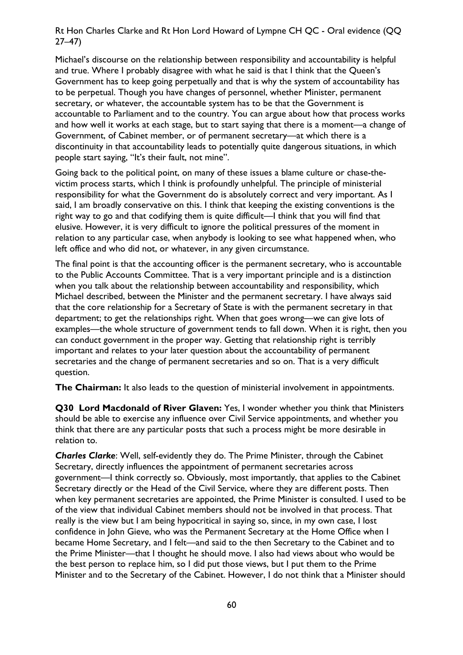Michael's discourse on the relationship between responsibility and accountability is helpful and true. Where I probably disagree with what he said is that I think that the Queen's Government has to keep going perpetually and that is why the system of accountability has to be perpetual. Though you have changes of personnel, whether Minister, permanent secretary, or whatever, the accountable system has to be that the Government is accountable to Parliament and to the country. You can argue about how that process works and how well it works at each stage, but to start saying that there is a moment—a change of Government, of Cabinet member, or of permanent secretary—at which there is a discontinuity in that accountability leads to potentially quite dangerous situations, in which people start saying, "It's their fault, not mine".

Going back to the political point, on many of these issues a blame culture or chase-thevictim process starts, which I think is profoundly unhelpful. The principle of ministerial responsibility for what the Government do is absolutely correct and very important. As I said, I am broadly conservative on this. I think that keeping the existing conventions is the right way to go and that codifying them is quite difficult—I think that you will find that elusive. However, it is very difficult to ignore the political pressures of the moment in relation to any particular case, when anybody is looking to see what happened when, who left office and who did not, or whatever, in any given circumstance.

The final point is that the accounting officer is the permanent secretary, who is accountable to the Public Accounts Committee. That is a very important principle and is a distinction when you talk about the relationship between accountability and responsibility, which Michael described, between the Minister and the permanent secretary. I have always said that the core relationship for a Secretary of State is with the permanent secretary in that department; to get the relationships right. When that goes wrong—we can give lots of examples—the whole structure of government tends to fall down. When it is right, then you can conduct government in the proper way. Getting that relationship right is terribly important and relates to your later question about the accountability of permanent secretaries and the change of permanent secretaries and so on. That is a very difficult question.

**The Chairman:** It also leads to the question of ministerial involvement in appointments.

**Q30 Lord Macdonald of River Glaven:** Yes, I wonder whether you think that Ministers should be able to exercise any influence over Civil Service appointments, and whether you think that there are any particular posts that such a process might be more desirable in relation to.

*Charles Clarke*: Well, self-evidently they do. The Prime Minister, through the Cabinet Secretary, directly influences the appointment of permanent secretaries across government—I think correctly so. Obviously, most importantly, that applies to the Cabinet Secretary directly or the Head of the Civil Service, where they are different posts. Then when key permanent secretaries are appointed, the Prime Minister is consulted. I used to be of the view that individual Cabinet members should not be involved in that process. That really is the view but I am being hypocritical in saying so, since, in my own case, I lost confidence in John Gieve, who was the Permanent Secretary at the Home Office when I became Home Secretary, and I felt—and said to the then Secretary to the Cabinet and to the Prime Minister—that I thought he should move. I also had views about who would be the best person to replace him, so I did put those views, but I put them to the Prime Minister and to the Secretary of the Cabinet. However, I do not think that a Minister should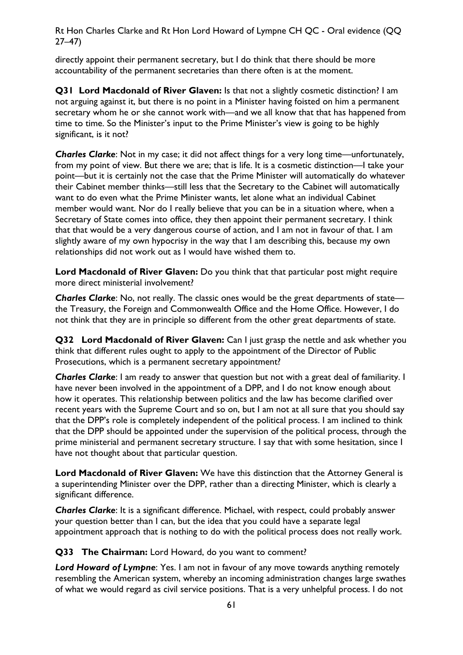directly appoint their permanent secretary, but I do think that there should be more accountability of the permanent secretaries than there often is at the moment.

**Q31 Lord Macdonald of River Glaven:** Is that not a slightly cosmetic distinction? I am not arguing against it, but there is no point in a Minister having foisted on him a permanent secretary whom he or she cannot work with—and we all know that that has happened from time to time. So the Minister's input to the Prime Minister's view is going to be highly significant, is it not?

*Charles Clarke*: Not in my case; it did not affect things for a very long time—unfortunately, from my point of view. But there we are; that is life. It is a cosmetic distinction—I take your point—but it is certainly not the case that the Prime Minister will automatically do whatever their Cabinet member thinks—still less that the Secretary to the Cabinet will automatically want to do even what the Prime Minister wants, let alone what an individual Cabinet member would want. Nor do I really believe that you can be in a situation where, when a Secretary of State comes into office, they then appoint their permanent secretary. I think that that would be a very dangerous course of action, and I am not in favour of that. I am slightly aware of my own hypocrisy in the way that I am describing this, because my own relationships did not work out as I would have wished them to.

Lord Macdonald of River Glaven: Do you think that that particular post might require more direct ministerial involvement?

*Charles Clarke*: No, not really. The classic ones would be the great departments of state the Treasury, the Foreign and Commonwealth Office and the Home Office. However, I do not think that they are in principle so different from the other great departments of state.

**Q32 Lord Macdonald of River Glaven:** Can I just grasp the nettle and ask whether you think that different rules ought to apply to the appointment of the Director of Public Prosecutions, which is a permanent secretary appointment?

*Charles Clarke*: I am ready to answer that question but not with a great deal of familiarity. I have never been involved in the appointment of a DPP, and I do not know enough about how it operates. This relationship between politics and the law has become clarified over recent years with the Supreme Court and so on, but I am not at all sure that you should say that the DPP's role is completely independent of the political process. I am inclined to think that the DPP should be appointed under the supervision of the political process, through the prime ministerial and permanent secretary structure. I say that with some hesitation, since I have not thought about that particular question.

**Lord Macdonald of River Glaven:** We have this distinction that the Attorney General is a superintending Minister over the DPP, rather than a directing Minister, which is clearly a significant difference.

*Charles Clarke*: It is a significant difference. Michael, with respect, could probably answer your question better than I can, but the idea that you could have a separate legal appointment approach that is nothing to do with the political process does not really work.

**Q33 The Chairman:** Lord Howard, do you want to comment?

*Lord Howard of Lympne*: Yes. I am not in favour of any move towards anything remotely resembling the American system, whereby an incoming administration changes large swathes of what we would regard as civil service positions. That is a very unhelpful process. I do not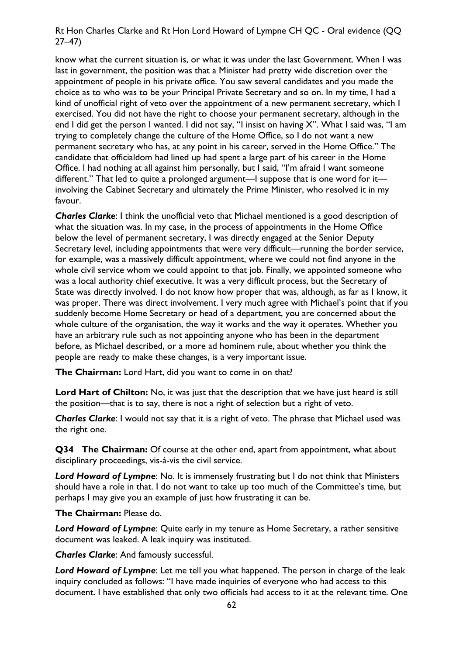know what the current situation is, or what it was under the last Government. When I was last in government, the position was that a Minister had pretty wide discretion over the appointment of people in his private office. You saw several candidates and you made the choice as to who was to be your Principal Private Secretary and so on. In my time, I had a kind of unofficial right of veto over the appointment of a new permanent secretary, which I exercised. You did not have the right to choose your permanent secretary, although in the end I did get the person I wanted. I did not say, "I insist on having X". What I said was, "I am trying to completely change the culture of the Home Office, so I do not want a new permanent secretary who has, at any point in his career, served in the Home Office." The candidate that officialdom had lined up had spent a large part of his career in the Home Office. I had nothing at all against him personally, but I said, "I'm afraid I want someone different." That led to quite a prolonged argument—I suppose that is one word for it involving the Cabinet Secretary and ultimately the Prime Minister, who resolved it in my favour.

*Charles Clarke*: I think the unofficial veto that Michael mentioned is a good description of what the situation was. In my case, in the process of appointments in the Home Office below the level of permanent secretary, I was directly engaged at the Senior Deputy Secretary level, including appointments that were very difficult—running the border service, for example, was a massively difficult appointment, where we could not find anyone in the whole civil service whom we could appoint to that job. Finally, we appointed someone who was a local authority chief executive. It was a very difficult process, but the Secretary of State was directly involved. I do not know how proper that was, although, as far as I know, it was proper. There was direct involvement. I very much agree with Michael's point that if you suddenly become Home Secretary or head of a department, you are concerned about the whole culture of the organisation, the way it works and the way it operates. Whether you have an arbitrary rule such as not appointing anyone who has been in the department before, as Michael described, or a more ad hominem rule, about whether you think the people are ready to make these changes, is a very important issue.

**The Chairman:** Lord Hart, did you want to come in on that?

**Lord Hart of Chilton:** No, it was just that the description that we have just heard is still the position—that is to say, there is not a right of selection but a right of veto.

*Charles Clarke*: I would not say that it is a right of veto. The phrase that Michael used was the right one.

**Q34 The Chairman:** Of course at the other end, apart from appointment, what about disciplinary proceedings, vis-à-vis the civil service.

*Lord Howard of Lympne*: No. It is immensely frustrating but I do not think that Ministers should have a role in that. I do not want to take up too much of the Committee's time, but perhaps I may give you an example of just how frustrating it can be.

#### **The Chairman:** Please do.

*Lord Howard of Lympne*: Quite early in my tenure as Home Secretary, a rather sensitive document was leaked. A leak inquiry was instituted.

*Charles Clarke*: And famously successful.

*Lord Howard of Lympne*: Let me tell you what happened. The person in charge of the leak inquiry concluded as follows: "I have made inquiries of everyone who had access to this document. I have established that only two officials had access to it at the relevant time. One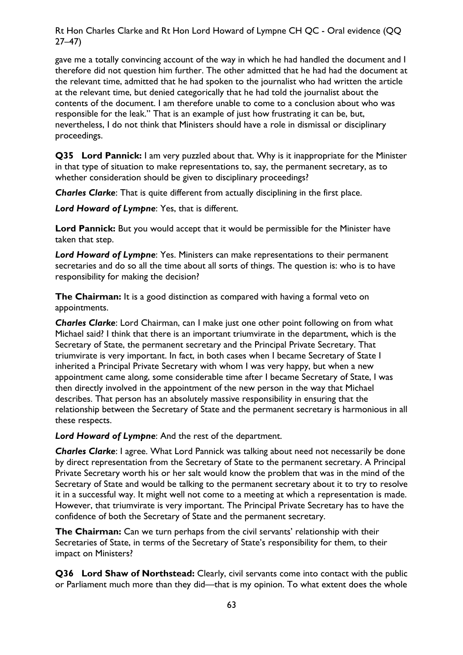gave me a totally convincing account of the way in which he had handled the document and I therefore did not question him further. The other admitted that he had had the document at the relevant time, admitted that he had spoken to the journalist who had written the article at the relevant time, but denied categorically that he had told the journalist about the contents of the document. I am therefore unable to come to a conclusion about who was responsible for the leak." That is an example of just how frustrating it can be, but, nevertheless, I do not think that Ministers should have a role in dismissal or disciplinary proceedings.

**Q35 Lord Pannick:** I am very puzzled about that. Why is it inappropriate for the Minister in that type of situation to make representations to, say, the permanent secretary, as to whether consideration should be given to disciplinary proceedings?

*Charles Clarke*: That is quite different from actually disciplining in the first place.

*Lord Howard of Lympne*: Yes, that is different.

**Lord Pannick:** But you would accept that it would be permissible for the Minister have taken that step.

*Lord Howard of Lympne*: Yes. Ministers can make representations to their permanent secretaries and do so all the time about all sorts of things. The question is: who is to have responsibility for making the decision?

**The Chairman:** It is a good distinction as compared with having a formal veto on appointments.

*Charles Clarke*: Lord Chairman, can I make just one other point following on from what Michael said? I think that there is an important triumvirate in the department, which is the Secretary of State, the permanent secretary and the Principal Private Secretary. That triumvirate is very important. In fact, in both cases when I became Secretary of State I inherited a Principal Private Secretary with whom I was very happy, but when a new appointment came along, some considerable time after I became Secretary of State, I was then directly involved in the appointment of the new person in the way that Michael describes. That person has an absolutely massive responsibility in ensuring that the relationship between the Secretary of State and the permanent secretary is harmonious in all these respects.

*Lord Howard of Lympne*: And the rest of the department.

*Charles Clarke*: I agree. What Lord Pannick was talking about need not necessarily be done by direct representation from the Secretary of State to the permanent secretary. A Principal Private Secretary worth his or her salt would know the problem that was in the mind of the Secretary of State and would be talking to the permanent secretary about it to try to resolve it in a successful way. It might well not come to a meeting at which a representation is made. However, that triumvirate is very important. The Principal Private Secretary has to have the confidence of both the Secretary of State and the permanent secretary.

**The Chairman:** Can we turn perhaps from the civil servants' relationship with their Secretaries of State, in terms of the Secretary of State's responsibility for them, to their impact on Ministers?

**Q36 Lord Shaw of Northstead:** Clearly, civil servants come into contact with the public or Parliament much more than they did—that is my opinion. To what extent does the whole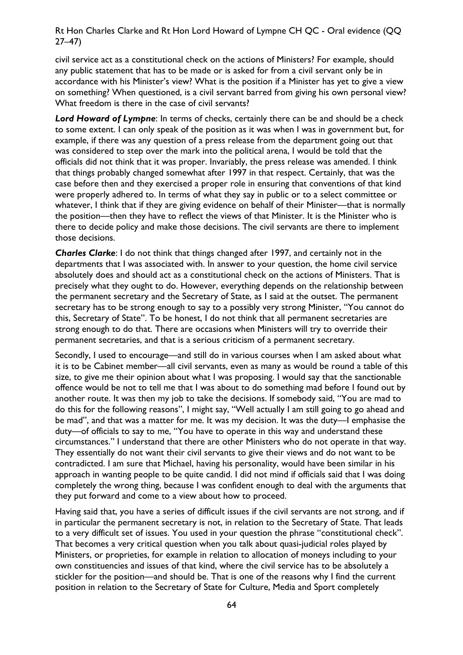civil service act as a constitutional check on the actions of Ministers? For example, should any public statement that has to be made or is asked for from a civil servant only be in accordance with his Minister's view? What is the position if a Minister has yet to give a view on something? When questioned, is a civil servant barred from giving his own personal view? What freedom is there in the case of civil servants?

Lord Howard of Lympne: In terms of checks, certainly there can be and should be a check to some extent. I can only speak of the position as it was when I was in government but, for example, if there was any question of a press release from the department going out that was considered to step over the mark into the political arena, I would be told that the officials did not think that it was proper. Invariably, the press release was amended. I think that things probably changed somewhat after 1997 in that respect. Certainly, that was the case before then and they exercised a proper role in ensuring that conventions of that kind were properly adhered to. In terms of what they say in public or to a select committee or whatever, I think that if they are giving evidence on behalf of their Minister—that is normally the position—then they have to reflect the views of that Minister. It is the Minister who is there to decide policy and make those decisions. The civil servants are there to implement those decisions.

*Charles Clarke*: I do not think that things changed after 1997, and certainly not in the departments that I was associated with. In answer to your question, the home civil service absolutely does and should act as a constitutional check on the actions of Ministers. That is precisely what they ought to do. However, everything depends on the relationship between the permanent secretary and the Secretary of State, as I said at the outset. The permanent secretary has to be strong enough to say to a possibly very strong Minister, "You cannot do this, Secretary of State". To be honest, I do not think that all permanent secretaries are strong enough to do that. There are occasions when Ministers will try to override their permanent secretaries, and that is a serious criticism of a permanent secretary.

Secondly, I used to encourage—and still do in various courses when I am asked about what it is to be Cabinet member—all civil servants, even as many as would be round a table of this size, to give me their opinion about what I was proposing. I would say that the sanctionable offence would be not to tell me that I was about to do something mad before I found out by another route. It was then my job to take the decisions. If somebody said, "You are mad to do this for the following reasons", I might say, "Well actually I am still going to go ahead and be mad", and that was a matter for me. It was my decision. It was the duty—I emphasise the duty—of officials to say to me, "You have to operate in this way and understand these circumstances." I understand that there are other Ministers who do not operate in that way. They essentially do not want their civil servants to give their views and do not want to be contradicted. I am sure that Michael, having his personality, would have been similar in his approach in wanting people to be quite candid. I did not mind if officials said that I was doing completely the wrong thing, because I was confident enough to deal with the arguments that they put forward and come to a view about how to proceed.

Having said that, you have a series of difficult issues if the civil servants are not strong, and if in particular the permanent secretary is not, in relation to the Secretary of State. That leads to a very difficult set of issues. You used in your question the phrase "constitutional check". That becomes a very critical question when you talk about quasi-judicial roles played by Ministers, or proprieties, for example in relation to allocation of moneys including to your own constituencies and issues of that kind, where the civil service has to be absolutely a stickler for the position—and should be. That is one of the reasons why I find the current position in relation to the Secretary of State for Culture, Media and Sport completely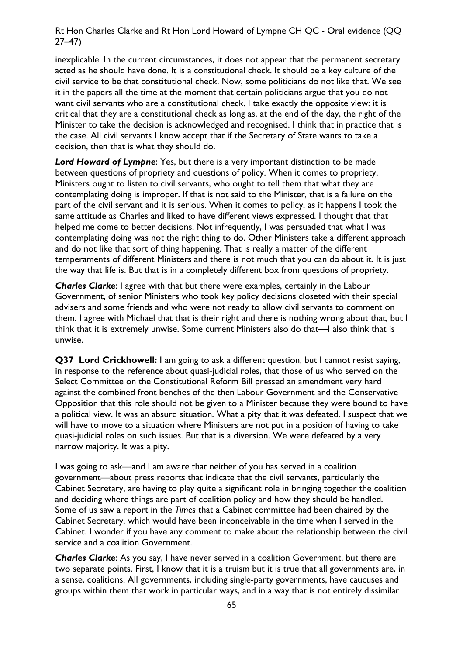inexplicable. In the current circumstances, it does not appear that the permanent secretary acted as he should have done. It is a constitutional check. It should be a key culture of the civil service to be that constitutional check. Now, some politicians do not like that. We see it in the papers all the time at the moment that certain politicians argue that you do not want civil servants who are a constitutional check. I take exactly the opposite view: it is critical that they are a constitutional check as long as, at the end of the day, the right of the Minister to take the decision is acknowledged and recognised. I think that in practice that is the case. All civil servants I know accept that if the Secretary of State wants to take a decision, then that is what they should do.

*Lord Howard of Lympne*: Yes, but there is a very important distinction to be made between questions of propriety and questions of policy. When it comes to propriety, Ministers ought to listen to civil servants, who ought to tell them that what they are contemplating doing is improper. If that is not said to the Minister, that is a failure on the part of the civil servant and it is serious. When it comes to policy, as it happens I took the same attitude as Charles and liked to have different views expressed. I thought that that helped me come to better decisions. Not infrequently, I was persuaded that what I was contemplating doing was not the right thing to do. Other Ministers take a different approach and do not like that sort of thing happening. That is really a matter of the different temperaments of different Ministers and there is not much that you can do about it. It is just the way that life is. But that is in a completely different box from questions of propriety.

*Charles Clarke*: I agree with that but there were examples, certainly in the Labour Government, of senior Ministers who took key policy decisions closeted with their special advisers and some friends and who were not ready to allow civil servants to comment on them. I agree with Michael that that is their right and there is nothing wrong about that, but I think that it is extremely unwise. Some current Ministers also do that—I also think that is unwise.

**Q37 Lord Crickhowell:** I am going to ask a different question, but I cannot resist saying, in response to the reference about quasi-judicial roles, that those of us who served on the Select Committee on the Constitutional Reform Bill pressed an amendment very hard against the combined front benches of the then Labour Government and the Conservative Opposition that this role should not be given to a Minister because they were bound to have a political view. It was an absurd situation. What a pity that it was defeated. I suspect that we will have to move to a situation where Ministers are not put in a position of having to take quasi-judicial roles on such issues. But that is a diversion. We were defeated by a very narrow majority. It was a pity.

I was going to ask—and I am aware that neither of you has served in a coalition government—about press reports that indicate that the civil servants, particularly the Cabinet Secretary, are having to play quite a significant role in bringing together the coalition and deciding where things are part of coalition policy and how they should be handled. Some of us saw a report in the *Times* that a Cabinet committee had been chaired by the Cabinet Secretary, which would have been inconceivable in the time when I served in the Cabinet. I wonder if you have any comment to make about the relationship between the civil service and a coalition Government.

*Charles Clarke*: As you say, I have never served in a coalition Government, but there are two separate points. First, I know that it is a truism but it is true that all governments are, in a sense, coalitions. All governments, including single-party governments, have caucuses and groups within them that work in particular ways, and in a way that is not entirely dissimilar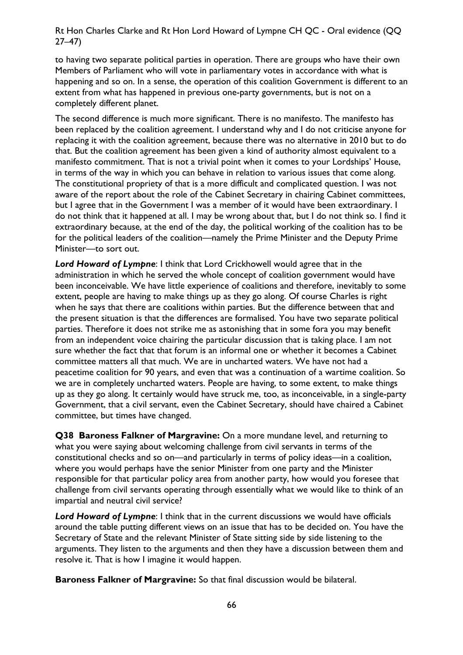to having two separate political parties in operation. There are groups who have their own Members of Parliament who will vote in parliamentary votes in accordance with what is happening and so on. In a sense, the operation of this coalition Government is different to an extent from what has happened in previous one-party governments, but is not on a completely different planet.

The second difference is much more significant. There is no manifesto. The manifesto has been replaced by the coalition agreement. I understand why and I do not criticise anyone for replacing it with the coalition agreement, because there was no alternative in 2010 but to do that. But the coalition agreement has been given a kind of authority almost equivalent to a manifesto commitment. That is not a trivial point when it comes to your Lordships' House, in terms of the way in which you can behave in relation to various issues that come along. The constitutional propriety of that is a more difficult and complicated question. I was not aware of the report about the role of the Cabinet Secretary in chairing Cabinet committees, but I agree that in the Government I was a member of it would have been extraordinary. I do not think that it happened at all. I may be wrong about that, but I do not think so. I find it extraordinary because, at the end of the day, the political working of the coalition has to be for the political leaders of the coalition—namely the Prime Minister and the Deputy Prime Minister—to sort out.

*Lord Howard of Lympne*: I think that Lord Crickhowell would agree that in the administration in which he served the whole concept of coalition government would have been inconceivable. We have little experience of coalitions and therefore, inevitably to some extent, people are having to make things up as they go along. Of course Charles is right when he says that there are coalitions within parties. But the difference between that and the present situation is that the differences are formalised. You have two separate political parties. Therefore it does not strike me as astonishing that in some fora you may benefit from an independent voice chairing the particular discussion that is taking place. I am not sure whether the fact that that forum is an informal one or whether it becomes a Cabinet committee matters all that much. We are in uncharted waters. We have not had a peacetime coalition for 90 years, and even that was a continuation of a wartime coalition. So we are in completely uncharted waters. People are having, to some extent, to make things up as they go along. It certainly would have struck me, too, as inconceivable, in a single-party Government, that a civil servant, even the Cabinet Secretary, should have chaired a Cabinet committee, but times have changed.

**Q38 Baroness Falkner of Margravine:** On a more mundane level, and returning to what you were saying about welcoming challenge from civil servants in terms of the constitutional checks and so on—and particularly in terms of policy ideas—in a coalition, where you would perhaps have the senior Minister from one party and the Minister responsible for that particular policy area from another party, how would you foresee that challenge from civil servants operating through essentially what we would like to think of an impartial and neutral civil service?

*Lord Howard of Lympne*: I think that in the current discussions we would have officials around the table putting different views on an issue that has to be decided on. You have the Secretary of State and the relevant Minister of State sitting side by side listening to the arguments. They listen to the arguments and then they have a discussion between them and resolve it. That is how I imagine it would happen.

**Baroness Falkner of Margravine:** So that final discussion would be bilateral.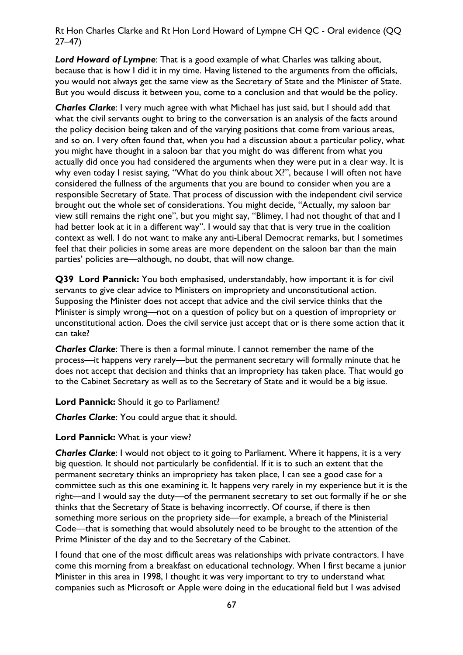*Lord Howard of Lympne*: That is a good example of what Charles was talking about, because that is how I did it in my time. Having listened to the arguments from the officials, you would not always get the same view as the Secretary of State and the Minister of State. But you would discuss it between you, come to a conclusion and that would be the policy.

*Charles Clarke*: I very much agree with what Michael has just said, but I should add that what the civil servants ought to bring to the conversation is an analysis of the facts around the policy decision being taken and of the varying positions that come from various areas, and so on. I very often found that, when you had a discussion about a particular policy, what you might have thought in a saloon bar that you might do was different from what you actually did once you had considered the arguments when they were put in a clear way. It is why even today I resist saying, "What do you think about X?", because I will often not have considered the fullness of the arguments that you are bound to consider when you are a responsible Secretary of State. That process of discussion with the independent civil service brought out the whole set of considerations. You might decide, "Actually, my saloon bar view still remains the right one", but you might say, "Blimey, I had not thought of that and I had better look at it in a different way". I would say that that is very true in the coalition context as well. I do not want to make any anti-Liberal Democrat remarks, but I sometimes feel that their policies in some areas are more dependent on the saloon bar than the main parties' policies are—although, no doubt, that will now change.

**Q39 Lord Pannick:** You both emphasised, understandably, how important it is for civil servants to give clear advice to Ministers on impropriety and unconstitutional action. Supposing the Minister does not accept that advice and the civil service thinks that the Minister is simply wrong—not on a question of policy but on a question of impropriety or unconstitutional action. Does the civil service just accept that or is there some action that it can take?

*Charles Clarke*: There is then a formal minute. I cannot remember the name of the process—it happens very rarely—but the permanent secretary will formally minute that he does not accept that decision and thinks that an impropriety has taken place. That would go to the Cabinet Secretary as well as to the Secretary of State and it would be a big issue.

**Lord Pannick:** Should it go to Parliament?

*Charles Clarke*: You could argue that it should.

**Lord Pannick:** What is your view?

*Charles Clarke*: I would not object to it going to Parliament. Where it happens, it is a very big question. It should not particularly be confidential. If it is to such an extent that the permanent secretary thinks an impropriety has taken place, I can see a good case for a committee such as this one examining it. It happens very rarely in my experience but it is the right—and I would say the duty—of the permanent secretary to set out formally if he or she thinks that the Secretary of State is behaving incorrectly. Of course, if there is then something more serious on the propriety side—for example, a breach of the Ministerial Code—that is something that would absolutely need to be brought to the attention of the Prime Minister of the day and to the Secretary of the Cabinet.

I found that one of the most difficult areas was relationships with private contractors. I have come this morning from a breakfast on educational technology. When I first became a junior Minister in this area in 1998, I thought it was very important to try to understand what companies such as Microsoft or Apple were doing in the educational field but I was advised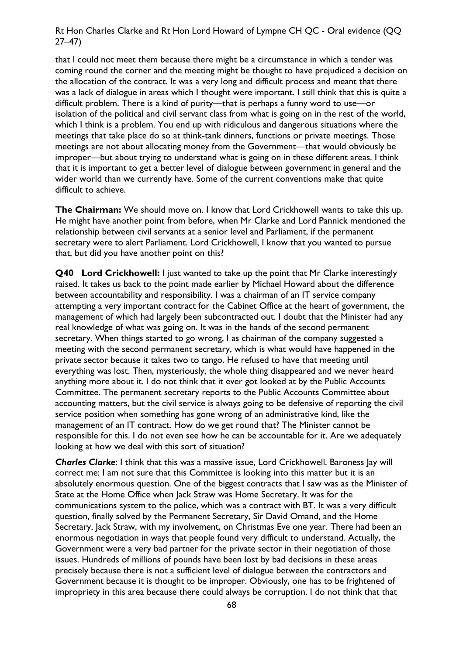that I could not meet them because there might be a circumstance in which a tender was coming round the corner and the meeting might be thought to have prejudiced a decision on the allocation of the contract. It was a very long and difficult process and meant that there was a lack of dialogue in areas which I thought were important. I still think that this is quite a difficult problem. There is a kind of purity—that is perhaps a funny word to use—or isolation of the political and civil servant class from what is going on in the rest of the world, which I think is a problem. You end up with ridiculous and dangerous situations where the meetings that take place do so at think-tank dinners, functions or private meetings. Those meetings are not about allocating money from the Government—that would obviously be improper—but about trying to understand what is going on in these different areas. I think that it is important to get a better level of dialogue between government in general and the wider world than we currently have. Some of the current conventions make that quite difficult to achieve.

**The Chairman:** We should move on. I know that Lord Crickhowell wants to take this up. He might have another point from before, when Mr Clarke and Lord Pannick mentioned the relationship between civil servants at a senior level and Parliament, if the permanent secretary were to alert Parliament. Lord Crickhowell, I know that you wanted to pursue that, but did you have another point on this?

**Q40 Lord Crickhowell:** I just wanted to take up the point that Mr Clarke interestingly raised. It takes us back to the point made earlier by Michael Howard about the difference between accountability and responsibility. I was a chairman of an IT service company attempting a very important contract for the Cabinet Office at the heart of government, the management of which had largely been subcontracted out. I doubt that the Minister had any real knowledge of what was going on. It was in the hands of the second permanent secretary. When things started to go wrong, I as chairman of the company suggested a meeting with the second permanent secretary, which is what would have happened in the private sector because it takes two to tango. He refused to have that meeting until everything was lost. Then, mysteriously, the whole thing disappeared and we never heard anything more about it. I do not think that it ever got looked at by the Public Accounts Committee. The permanent secretary reports to the Public Accounts Committee about accounting matters, but the civil service is always going to be defensive of reporting the civil service position when something has gone wrong of an administrative kind, like the management of an IT contract. How do we get round that? The Minister cannot be responsible for this. I do not even see how he can be accountable for it. Are we adequately looking at how we deal with this sort of situation?

*Charles Clarke*: I think that this was a massive issue, Lord Crickhowell. Baroness Jay will correct me: I am not sure that this Committee is looking into this matter but it is an absolutely enormous question. One of the biggest contracts that I saw was as the Minister of State at the Home Office when Jack Straw was Home Secretary. It was for the communications system to the police, which was a contract with BT. It was a very difficult question, finally solved by the Permanent Secretary, Sir David Omand, and the Home Secretary, Jack Straw, with my involvement, on Christmas Eve one year. There had been an enormous negotiation in ways that people found very difficult to understand. Actually, the Government were a very bad partner for the private sector in their negotiation of those issues. Hundreds of millions of pounds have been lost by bad decisions in these areas precisely because there is not a sufficient level of dialogue between the contractors and Government because it is thought to be improper. Obviously, one has to be frightened of impropriety in this area because there could always be corruption. I do not think that that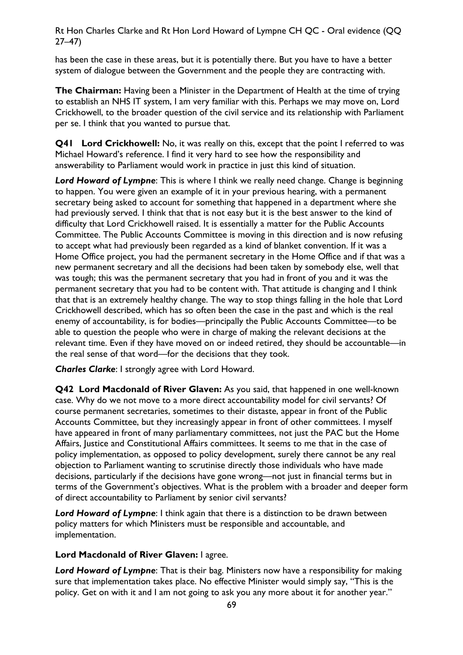has been the case in these areas, but it is potentially there. But you have to have a better system of dialogue between the Government and the people they are contracting with.

**The Chairman:** Having been a Minister in the Department of Health at the time of trying to establish an NHS IT system, I am very familiar with this. Perhaps we may move on, Lord Crickhowell, to the broader question of the civil service and its relationship with Parliament per se. I think that you wanted to pursue that.

**Q41 Lord Crickhowell:** No, it was really on this, except that the point I referred to was Michael Howard's reference. I find it very hard to see how the responsibility and answerability to Parliament would work in practice in just this kind of situation.

*Lord Howard of Lympne*: This is where I think we really need change. Change is beginning to happen. You were given an example of it in your previous hearing, with a permanent secretary being asked to account for something that happened in a department where she had previously served. I think that that is not easy but it is the best answer to the kind of difficulty that Lord Crickhowell raised. It is essentially a matter for the Public Accounts Committee. The Public Accounts Committee is moving in this direction and is now refusing to accept what had previously been regarded as a kind of blanket convention. If it was a Home Office project, you had the permanent secretary in the Home Office and if that was a new permanent secretary and all the decisions had been taken by somebody else, well that was tough; this was the permanent secretary that you had in front of you and it was the permanent secretary that you had to be content with. That attitude is changing and I think that that is an extremely healthy change. The way to stop things falling in the hole that Lord Crickhowell described, which has so often been the case in the past and which is the real enemy of accountability, is for bodies—principally the Public Accounts Committee—to be able to question the people who were in charge of making the relevant decisions at the relevant time. Even if they have moved on or indeed retired, they should be accountable—in the real sense of that word—for the decisions that they took.

*Charles Clarke*: I strongly agree with Lord Howard.

**Q42 Lord Macdonald of River Glaven:** As you said, that happened in one well-known case. Why do we not move to a more direct accountability model for civil servants? Of course permanent secretaries, sometimes to their distaste, appear in front of the Public Accounts Committee, but they increasingly appear in front of other committees. I myself have appeared in front of many parliamentary committees, not just the PAC but the Home Affairs, Justice and Constitutional Affairs committees. It seems to me that in the case of policy implementation, as opposed to policy development, surely there cannot be any real objection to Parliament wanting to scrutinise directly those individuals who have made decisions, particularly if the decisions have gone wrong—not just in financial terms but in terms of the Government's objectives. What is the problem with a broader and deeper form of direct accountability to Parliament by senior civil servants?

*Lord Howard of Lympne*: I think again that there is a distinction to be drawn between policy matters for which Ministers must be responsible and accountable, and implementation.

**Lord Macdonald of River Glaven:** I agree.

*Lord Howard of Lympne*: That is their bag. Ministers now have a responsibility for making sure that implementation takes place. No effective Minister would simply say, "This is the policy. Get on with it and I am not going to ask you any more about it for another year."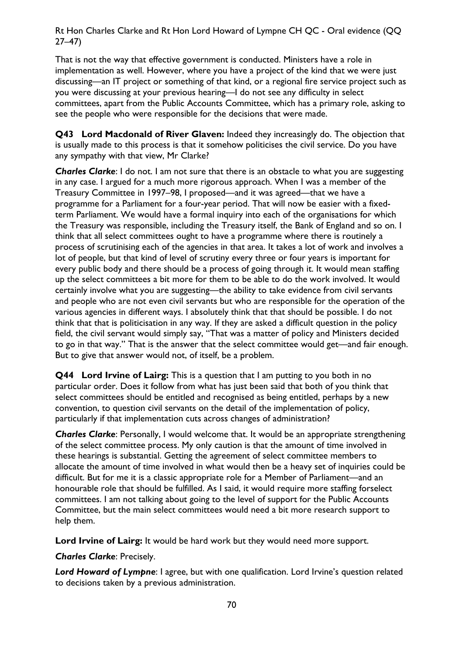That is not the way that effective government is conducted. Ministers have a role in implementation as well. However, where you have a project of the kind that we were just discussing—an IT project or something of that kind, or a regional fire service project such as you were discussing at your previous hearing—I do not see any difficulty in select committees, apart from the Public Accounts Committee, which has a primary role, asking to see the people who were responsible for the decisions that were made.

**Q43 Lord Macdonald of River Glaven:** Indeed they increasingly do. The objection that is usually made to this process is that it somehow politicises the civil service. Do you have any sympathy with that view, Mr Clarke?

*Charles Clarke*: I do not. I am not sure that there is an obstacle to what you are suggesting in any case. I argued for a much more rigorous approach. When I was a member of the Treasury Committee in 1997–98, I proposed—and it was agreed—that we have a programme for a Parliament for a four-year period. That will now be easier with a fixedterm Parliament. We would have a formal inquiry into each of the organisations for which the Treasury was responsible, including the Treasury itself, the Bank of England and so on. I think that all select committees ought to have a programme where there is routinely a process of scrutinising each of the agencies in that area. It takes a lot of work and involves a lot of people, but that kind of level of scrutiny every three or four years is important for every public body and there should be a process of going through it. It would mean staffing up the select committees a bit more for them to be able to do the work involved. It would certainly involve what you are suggesting—the ability to take evidence from civil servants and people who are not even civil servants but who are responsible for the operation of the various agencies in different ways. I absolutely think that that should be possible. I do not think that that is politicisation in any way. If they are asked a difficult question in the policy field, the civil servant would simply say, "That was a matter of policy and Ministers decided to go in that way." That is the answer that the select committee would get—and fair enough. But to give that answer would not, of itself, be a problem.

**Q44 Lord Irvine of Lairg:** This is a question that I am putting to you both in no particular order. Does it follow from what has just been said that both of you think that select committees should be entitled and recognised as being entitled, perhaps by a new convention, to question civil servants on the detail of the implementation of policy, particularly if that implementation cuts across changes of administration?

*Charles Clarke*: Personally, I would welcome that. It would be an appropriate strengthening of the select committee process. My only caution is that the amount of time involved in these hearings is substantial. Getting the agreement of select committee members to allocate the amount of time involved in what would then be a heavy set of inquiries could be difficult. But for me it is a classic appropriate role for a Member of Parliament—and an honourable role that should be fulfilled. As I said, it would require more staffing forselect committees. I am not talking about going to the level of support for the Public Accounts Committee, but the main select committees would need a bit more research support to help them.

**Lord Irvine of Lairg:** It would be hard work but they would need more support.

*Charles Clarke*: Precisely.

*Lord Howard of Lympne*: I agree, but with one qualification. Lord Irvine's question related to decisions taken by a previous administration.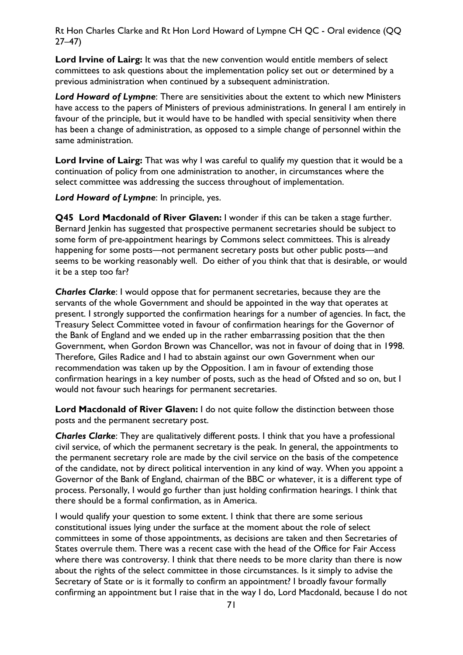Lord Irvine of Lairg: It was that the new convention would entitle members of select committees to ask questions about the implementation policy set out or determined by a previous administration when continued by a subsequent administration.

*Lord Howard of Lympne*: There are sensitivities about the extent to which new Ministers have access to the papers of Ministers of previous administrations. In general I am entirely in favour of the principle, but it would have to be handled with special sensitivity when there has been a change of administration, as opposed to a simple change of personnel within the same administration.

**Lord Irvine of Lairg:** That was why I was careful to qualify my question that it would be a continuation of policy from one administration to another, in circumstances where the select committee was addressing the success throughout of implementation.

*Lord Howard of Lympne*: In principle, yes.

**Q45 Lord Macdonald of River Glaven:** I wonder if this can be taken a stage further. Bernard Jenkin has suggested that prospective permanent secretaries should be subject to some form of pre-appointment hearings by Commons select committees. This is already happening for some posts—not permanent secretary posts but other public posts—and seems to be working reasonably well. Do either of you think that that is desirable, or would it be a step too far?

*Charles Clarke*: I would oppose that for permanent secretaries, because they are the servants of the whole Government and should be appointed in the way that operates at present. I strongly supported the confirmation hearings for a number of agencies. In fact, the Treasury Select Committee voted in favour of confirmation hearings for the Governor of the Bank of England and we ended up in the rather embarrassing position that the then Government, when Gordon Brown was Chancellor, was not in favour of doing that in 1998. Therefore, Giles Radice and I had to abstain against our own Government when our recommendation was taken up by the Opposition. I am in favour of extending those confirmation hearings in a key number of posts, such as the head of Ofsted and so on, but I would not favour such hearings for permanent secretaries.

**Lord Macdonald of River Glaven:** I do not quite follow the distinction between those posts and the permanent secretary post.

*Charles Clarke*: They are qualitatively different posts. I think that you have a professional civil service, of which the permanent secretary is the peak. In general, the appointments to the permanent secretary role are made by the civil service on the basis of the competence of the candidate, not by direct political intervention in any kind of way. When you appoint a Governor of the Bank of England, chairman of the BBC or whatever, it is a different type of process. Personally, I would go further than just holding confirmation hearings. I think that there should be a formal confirmation, as in America.

I would qualify your question to some extent. I think that there are some serious constitutional issues lying under the surface at the moment about the role of select committees in some of those appointments, as decisions are taken and then Secretaries of States overrule them. There was a recent case with the head of the Office for Fair Access where there was controversy. I think that there needs to be more clarity than there is now about the rights of the select committee in those circumstances. Is it simply to advise the Secretary of State or is it formally to confirm an appointment? I broadly favour formally confirming an appointment but I raise that in the way I do, Lord Macdonald, because I do not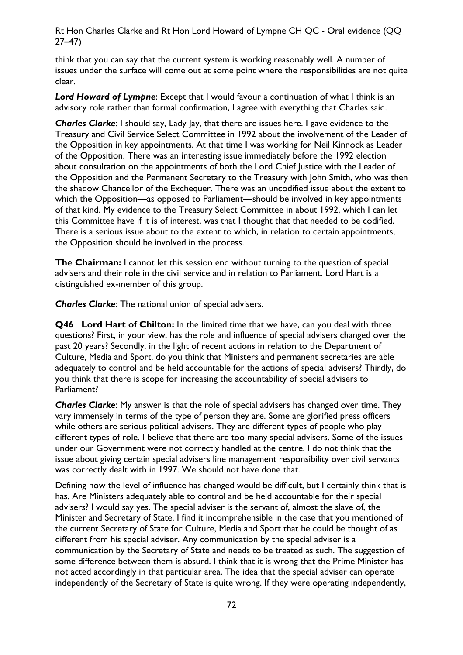think that you can say that the current system is working reasonably well. A number of issues under the surface will come out at some point where the responsibilities are not quite clear.

*Lord Howard of Lympne*: Except that I would favour a continuation of what I think is an advisory role rather than formal confirmation, I agree with everything that Charles said.

**Charles Clarke:** I should say, Lady Jay, that there are issues here. I gave evidence to the Treasury and Civil Service Select Committee in 1992 about the involvement of the Leader of the Opposition in key appointments. At that time I was working for Neil Kinnock as Leader of the Opposition. There was an interesting issue immediately before the 1992 election about consultation on the appointments of both the Lord Chief Justice with the Leader of the Opposition and the Permanent Secretary to the Treasury with John Smith, who was then the shadow Chancellor of the Exchequer. There was an uncodified issue about the extent to which the Opposition—as opposed to Parliament—should be involved in key appointments of that kind. My evidence to the Treasury Select Committee in about 1992, which I can let this Committee have if it is of interest, was that I thought that that needed to be codified. There is a serious issue about to the extent to which, in relation to certain appointments, the Opposition should be involved in the process.

**The Chairman:** I cannot let this session end without turning to the question of special advisers and their role in the civil service and in relation to Parliament. Lord Hart is a distinguished ex-member of this group.

*Charles Clarke*: The national union of special advisers.

**Q46 Lord Hart of Chilton:** In the limited time that we have, can you deal with three questions? First, in your view, has the role and influence of special advisers changed over the past 20 years? Secondly, in the light of recent actions in relation to the Department of Culture, Media and Sport, do you think that Ministers and permanent secretaries are able adequately to control and be held accountable for the actions of special advisers? Thirdly, do you think that there is scope for increasing the accountability of special advisers to Parliament?

*Charles Clarke*: My answer is that the role of special advisers has changed over time. They vary immensely in terms of the type of person they are. Some are glorified press officers while others are serious political advisers. They are different types of people who play different types of role. I believe that there are too many special advisers. Some of the issues under our Government were not correctly handled at the centre. I do not think that the issue about giving certain special advisers line management responsibility over civil servants was correctly dealt with in 1997. We should not have done that.

Defining how the level of influence has changed would be difficult, but I certainly think that is has. Are Ministers adequately able to control and be held accountable for their special advisers? I would say yes. The special adviser is the servant of, almost the slave of, the Minister and Secretary of State. I find it incomprehensible in the case that you mentioned of the current Secretary of State for Culture, Media and Sport that he could be thought of as different from his special adviser. Any communication by the special adviser is a communication by the Secretary of State and needs to be treated as such. The suggestion of some difference between them is absurd. I think that it is wrong that the Prime Minister has not acted accordingly in that particular area. The idea that the special adviser can operate independently of the Secretary of State is quite wrong. If they were operating independently,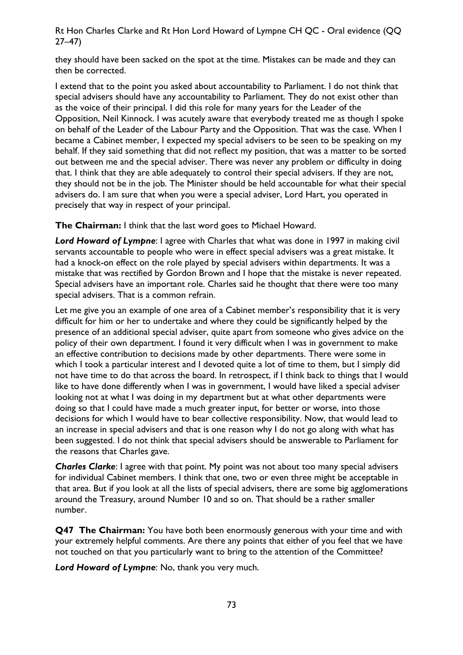Rt Hon Charles Clarke and Rt Hon Lord Howard of Lympne CH QC - Oral evidence (QQ 27–47)

they should have been sacked on the spot at the time. Mistakes can be made and they can then be corrected.

I extend that to the point you asked about accountability to Parliament. I do not think that special advisers should have any accountability to Parliament. They do not exist other than as the voice of their principal. I did this role for many years for the Leader of the Opposition, Neil Kinnock. I was acutely aware that everybody treated me as though I spoke on behalf of the Leader of the Labour Party and the Opposition. That was the case. When I became a Cabinet member, I expected my special advisers to be seen to be speaking on my behalf. If they said something that did not reflect my position, that was a matter to be sorted out between me and the special adviser. There was never any problem or difficulty in doing that. I think that they are able adequately to control their special advisers. If they are not, they should not be in the job. The Minister should be held accountable for what their special advisers do. I am sure that when you were a special adviser, Lord Hart, you operated in precisely that way in respect of your principal.

**The Chairman:** I think that the last word goes to Michael Howard.

*Lord Howard of Lympne*: I agree with Charles that what was done in 1997 in making civil servants accountable to people who were in effect special advisers was a great mistake. It had a knock-on effect on the role played by special advisers within departments. It was a mistake that was rectified by Gordon Brown and I hope that the mistake is never repeated. Special advisers have an important role. Charles said he thought that there were too many special advisers. That is a common refrain.

Let me give you an example of one area of a Cabinet member's responsibility that it is very difficult for him or her to undertake and where they could be significantly helped by the presence of an additional special adviser, quite apart from someone who gives advice on the policy of their own department. I found it very difficult when I was in government to make an effective contribution to decisions made by other departments. There were some in which I took a particular interest and I devoted quite a lot of time to them, but I simply did not have time to do that across the board. In retrospect, if I think back to things that I would like to have done differently when I was in government, I would have liked a special adviser looking not at what I was doing in my department but at what other departments were doing so that I could have made a much greater input, for better or worse, into those decisions for which I would have to bear collective responsibility. Now, that would lead to an increase in special advisers and that is one reason why I do not go along with what has been suggested. I do not think that special advisers should be answerable to Parliament for the reasons that Charles gave.

*Charles Clarke*: I agree with that point. My point was not about too many special advisers for individual Cabinet members. I think that one, two or even three might be acceptable in that area. But if you look at all the lists of special advisers, there are some big agglomerations around the Treasury, around Number 10 and so on. That should be a rather smaller number.

**Q47 The Chairman:** You have both been enormously generous with your time and with your extremely helpful comments. Are there any points that either of you feel that we have not touched on that you particularly want to bring to the attention of the Committee?

*Lord Howard of Lympne*: No, thank you very much.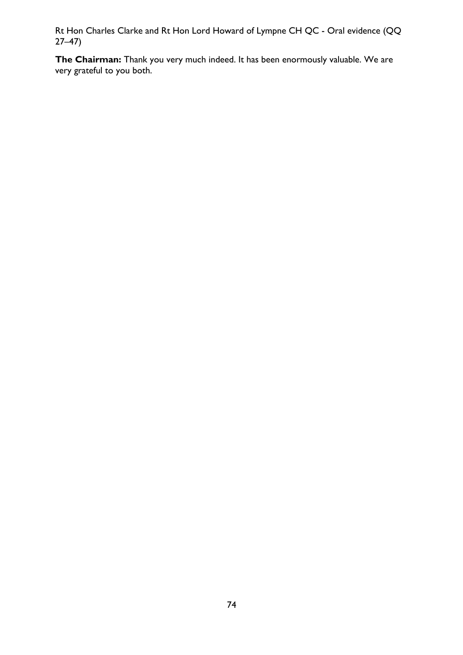Rt Hon Charles Clarke and Rt Hon Lord Howard of Lympne CH QC - Oral evidence (QQ 27–47)

**The Chairman:** Thank you very much indeed. It has been enormously valuable. We are very grateful to you both.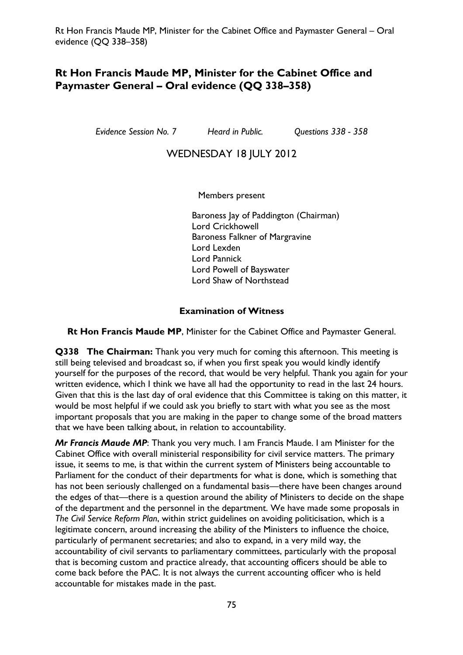*Evidence Session No. 7 Heard in Public. Questions 338 - 358* 

# WEDNESDAY 18 JULY 2012

Members present

Baroness Jay of Paddington (Chairman) Lord Crickhowell Baroness Falkner of Margravine Lord Lexden Lord Pannick Lord Powell of Bayswater Lord Shaw of Northstead

### **Examination of Witness**

**Rt Hon Francis Maude MP**, Minister for the Cabinet Office and Paymaster General.

**Q338 The Chairman:** Thank you very much for coming this afternoon. This meeting is still being televised and broadcast so, if when you first speak you would kindly identify yourself for the purposes of the record, that would be very helpful. Thank you again for your written evidence, which I think we have all had the opportunity to read in the last 24 hours. Given that this is the last day of oral evidence that this Committee is taking on this matter, it would be most helpful if we could ask you briefly to start with what you see as the most important proposals that you are making in the paper to change some of the broad matters that we have been talking about, in relation to accountability.

*Mr Francis Maude MP*: Thank you very much. I am Francis Maude. I am Minister for the Cabinet Office with overall ministerial responsibility for civil service matters. The primary issue, it seems to me, is that within the current system of Ministers being accountable to Parliament for the conduct of their departments for what is done, which is something that has not been seriously challenged on a fundamental basis—there have been changes around the edges of that—there is a question around the ability of Ministers to decide on the shape of the department and the personnel in the department. We have made some proposals in *The Civil Service Reform Plan*, within strict guidelines on avoiding politicisation, which is a legitimate concern, around increasing the ability of the Ministers to influence the choice, particularly of permanent secretaries; and also to expand, in a very mild way, the accountability of civil servants to parliamentary committees, particularly with the proposal that is becoming custom and practice already, that accounting officers should be able to come back before the PAC. It is not always the current accounting officer who is held accountable for mistakes made in the past.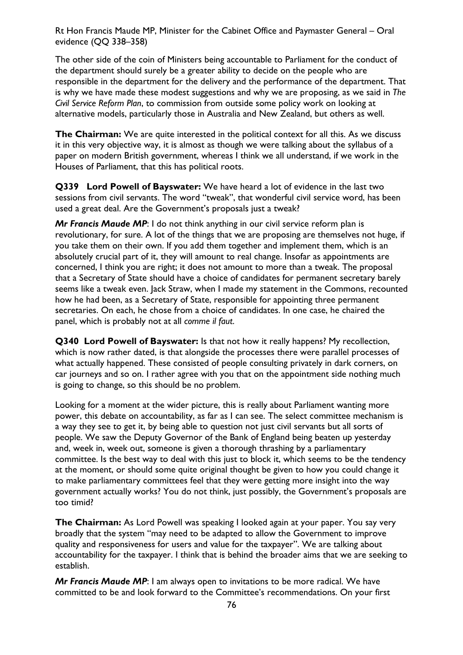The other side of the coin of Ministers being accountable to Parliament for the conduct of the department should surely be a greater ability to decide on the people who are responsible in the department for the delivery and the performance of the department. That is why we have made these modest suggestions and why we are proposing, as we said in *The Civil Service Reform Plan*, to commission from outside some policy work on looking at alternative models, particularly those in Australia and New Zealand, but others as well.

**The Chairman:** We are quite interested in the political context for all this. As we discuss it in this very objective way, it is almost as though we were talking about the syllabus of a paper on modern British government, whereas I think we all understand, if we work in the Houses of Parliament, that this has political roots.

**Q339 Lord Powell of Bayswater:** We have heard a lot of evidence in the last two sessions from civil servants. The word "tweak", that wonderful civil service word, has been used a great deal. Are the Government's proposals just a tweak?

*Mr Francis Maude MP*: I do not think anything in our civil service reform plan is revolutionary, for sure. A lot of the things that we are proposing are themselves not huge, if you take them on their own. If you add them together and implement them, which is an absolutely crucial part of it, they will amount to real change. Insofar as appointments are concerned, I think you are right; it does not amount to more than a tweak. The proposal that a Secretary of State should have a choice of candidates for permanent secretary barely seems like a tweak even. Jack Straw, when I made my statement in the Commons, recounted how he had been, as a Secretary of State, responsible for appointing three permanent secretaries. On each, he chose from a choice of candidates. In one case, he chaired the panel, which is probably not at all *comme il faut*.

**Q340 Lord Powell of Bayswater:** Is that not how it really happens? My recollection, which is now rather dated, is that alongside the processes there were parallel processes of what actually happened. These consisted of people consulting privately in dark corners, on car journeys and so on. I rather agree with you that on the appointment side nothing much is going to change, so this should be no problem.

Looking for a moment at the wider picture, this is really about Parliament wanting more power, this debate on accountability, as far as I can see. The select committee mechanism is a way they see to get it, by being able to question not just civil servants but all sorts of people. We saw the Deputy Governor of the Bank of England being beaten up yesterday and, week in, week out, someone is given a thorough thrashing by a parliamentary committee. Is the best way to deal with this just to block it, which seems to be the tendency at the moment, or should some quite original thought be given to how you could change it to make parliamentary committees feel that they were getting more insight into the way government actually works? You do not think, just possibly, the Government's proposals are too timid?

**The Chairman:** As Lord Powell was speaking I looked again at your paper. You say very broadly that the system "may need to be adapted to allow the Government to improve quality and responsiveness for users and value for the taxpayer". We are talking about accountability for the taxpayer. I think that is behind the broader aims that we are seeking to establish.

*Mr Francis Maude MP*: I am always open to invitations to be more radical. We have committed to be and look forward to the Committee's recommendations. On your first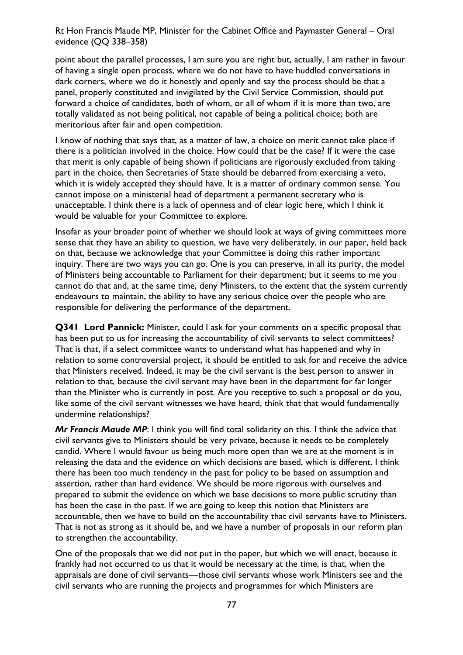point about the parallel processes, I am sure you are right but, actually, I am rather in favour of having a single open process, where we do not have to have huddled conversations in dark corners, where we do it honestly and openly and say the process should be that a panel, properly constituted and invigilated by the Civil Service Commission, should put forward a choice of candidates, both of whom, or all of whom if it is more than two, are totally validated as not being political, not capable of being a political choice; both are meritorious after fair and open competition.

I know of nothing that says that, as a matter of law, a choice on merit cannot take place if there is a politician involved in the choice. How could that be the case? If it were the case that merit is only capable of being shown if politicians are rigorously excluded from taking part in the choice, then Secretaries of State should be debarred from exercising a veto, which it is widely accepted they should have. It is a matter of ordinary common sense. You cannot impose on a ministerial head of department a permanent secretary who is unacceptable. I think there is a lack of openness and of clear logic here, which I think it would be valuable for your Committee to explore.

Insofar as your broader point of whether we should look at ways of giving committees more sense that they have an ability to question, we have very deliberately, in our paper, held back on that, because we acknowledge that your Committee is doing this rather important inquiry. There are two ways you can go. One is you can preserve, in all its purity, the model of Ministers being accountable to Parliament for their department; but it seems to me you cannot do that and, at the same time, deny Ministers, to the extent that the system currently endeavours to maintain, the ability to have any serious choice over the people who are responsible for delivering the performance of the department.

**Q341 Lord Pannick:** Minister, could I ask for your comments on a specific proposal that has been put to us for increasing the accountability of civil servants to select committees? That is that, if a select committee wants to understand what has happened and why in relation to some controversial project, it should be entitled to ask for and receive the advice that Ministers received. Indeed, it may be the civil servant is the best person to answer in relation to that, because the civil servant may have been in the department for far longer than the Minister who is currently in post. Are you receptive to such a proposal or do you, like some of the civil servant witnesses we have heard, think that that would fundamentally undermine relationships?

*Mr Francis Maude MP*: I think you will find total solidarity on this. I think the advice that civil servants give to Ministers should be very private, because it needs to be completely candid. Where I would favour us being much more open than we are at the moment is in releasing the data and the evidence on which decisions are based, which is different. I think there has been too much tendency in the past for policy to be based on assumption and assertion, rather than hard evidence. We should be more rigorous with ourselves and prepared to submit the evidence on which we base decisions to more public scrutiny than has been the case in the past. If we are going to keep this notion that Ministers are accountable, then we have to build on the accountability that civil servants have to Ministers. That is not as strong as it should be, and we have a number of proposals in our reform plan to strengthen the accountability.

One of the proposals that we did not put in the paper, but which we will enact, because it frankly had not occurred to us that it would be necessary at the time, is that, when the appraisals are done of civil servants—those civil servants whose work Ministers see and the civil servants who are running the projects and programmes for which Ministers are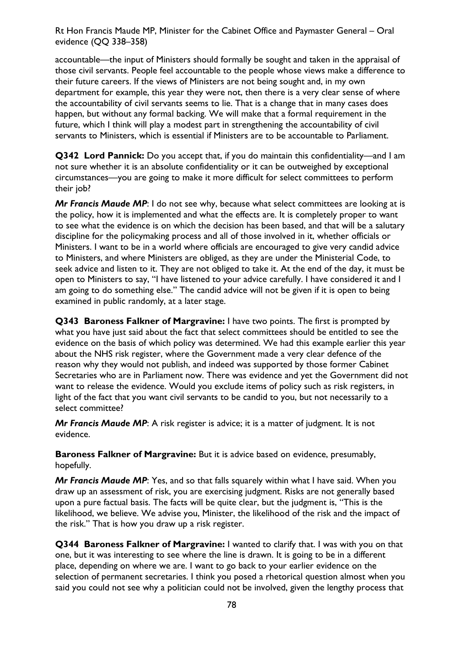accountable—the input of Ministers should formally be sought and taken in the appraisal of those civil servants. People feel accountable to the people whose views make a difference to their future careers. If the views of Ministers are not being sought and, in my own department for example, this year they were not, then there is a very clear sense of where the accountability of civil servants seems to lie. That is a change that in many cases does happen, but without any formal backing. We will make that a formal requirement in the future, which I think will play a modest part in strengthening the accountability of civil servants to Ministers, which is essential if Ministers are to be accountable to Parliament.

**Q342 Lord Pannick:** Do you accept that, if you do maintain this confidentiality—and I am not sure whether it is an absolute confidentiality or it can be outweighed by exceptional circumstances—you are going to make it more difficult for select committees to perform their job?

*Mr Francis Maude MP*: I do not see why, because what select committees are looking at is the policy, how it is implemented and what the effects are. It is completely proper to want to see what the evidence is on which the decision has been based, and that will be a salutary discipline for the policymaking process and all of those involved in it, whether officials or Ministers. I want to be in a world where officials are encouraged to give very candid advice to Ministers, and where Ministers are obliged, as they are under the Ministerial Code, to seek advice and listen to it. They are not obliged to take it. At the end of the day, it must be open to Ministers to say, "I have listened to your advice carefully. I have considered it and I am going to do something else." The candid advice will not be given if it is open to being examined in public randomly, at a later stage.

**Q343 Baroness Falkner of Margravine:** I have two points. The first is prompted by what you have just said about the fact that select committees should be entitled to see the evidence on the basis of which policy was determined. We had this example earlier this year about the NHS risk register, where the Government made a very clear defence of the reason why they would not publish, and indeed was supported by those former Cabinet Secretaries who are in Parliament now. There was evidence and yet the Government did not want to release the evidence. Would you exclude items of policy such as risk registers, in light of the fact that you want civil servants to be candid to you, but not necessarily to a select committee?

*Mr Francis Maude MP*: A risk register is advice; it is a matter of judgment. It is not evidence.

**Baroness Falkner of Margravine:** But it is advice based on evidence, presumably, hopefully.

*Mr Francis Maude MP*: Yes, and so that falls squarely within what I have said. When you draw up an assessment of risk, you are exercising judgment. Risks are not generally based upon a pure factual basis. The facts will be quite clear, but the judgment is, "This is the likelihood, we believe. We advise you, Minister, the likelihood of the risk and the impact of the risk." That is how you draw up a risk register.

**Q344 Baroness Falkner of Margravine:** I wanted to clarify that. I was with you on that one, but it was interesting to see where the line is drawn. It is going to be in a different place, depending on where we are. I want to go back to your earlier evidence on the selection of permanent secretaries. I think you posed a rhetorical question almost when you said you could not see why a politician could not be involved, given the lengthy process that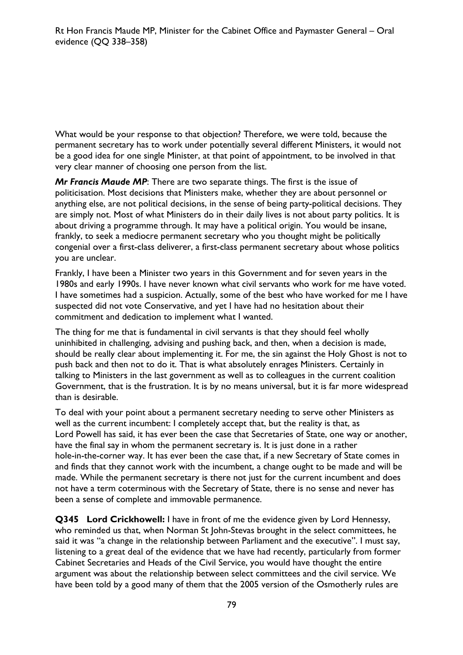What would be your response to that objection? Therefore, we were told, because the permanent secretary has to work under potentially several different Ministers, it would not be a good idea for one single Minister, at that point of appointment, to be involved in that very clear manner of choosing one person from the list.

*Mr Francis Maude MP*: There are two separate things. The first is the issue of politicisation. Most decisions that Ministers make, whether they are about personnel or anything else, are not political decisions, in the sense of being party-political decisions. They are simply not. Most of what Ministers do in their daily lives is not about party politics. It is about driving a programme through. It may have a political origin. You would be insane, frankly, to seek a mediocre permanent secretary who you thought might be politically congenial over a first-class deliverer, a first-class permanent secretary about whose politics you are unclear.

Frankly, I have been a Minister two years in this Government and for seven years in the 1980s and early 1990s. I have never known what civil servants who work for me have voted. I have sometimes had a suspicion. Actually, some of the best who have worked for me I have suspected did not vote Conservative, and yet I have had no hesitation about their commitment and dedication to implement what I wanted.

The thing for me that is fundamental in civil servants is that they should feel wholly uninhibited in challenging, advising and pushing back, and then, when a decision is made, should be really clear about implementing it. For me, the sin against the Holy Ghost is not to push back and then not to do it. That is what absolutely enrages Ministers. Certainly in talking to Ministers in the last government as well as to colleagues in the current coalition Government, that is the frustration. It is by no means universal, but it is far more widespread than is desirable.

To deal with your point about a permanent secretary needing to serve other Ministers as well as the current incumbent: I completely accept that, but the reality is that, as Lord Powell has said, it has ever been the case that Secretaries of State, one way or another, have the final say in whom the permanent secretary is. It is just done in a rather hole-in-the-corner way. It has ever been the case that, if a new Secretary of State comes in and finds that they cannot work with the incumbent, a change ought to be made and will be made. While the permanent secretary is there not just for the current incumbent and does not have a term coterminous with the Secretary of State, there is no sense and never has been a sense of complete and immovable permanence.

**Q345 Lord Crickhowell:** I have in front of me the evidence given by Lord Hennessy, who reminded us that, when Norman St John-Stevas brought in the select committees, he said it was "a change in the relationship between Parliament and the executive". I must say, listening to a great deal of the evidence that we have had recently, particularly from former Cabinet Secretaries and Heads of the Civil Service, you would have thought the entire argument was about the relationship between select committees and the civil service. We have been told by a good many of them that the 2005 version of the Osmotherly rules are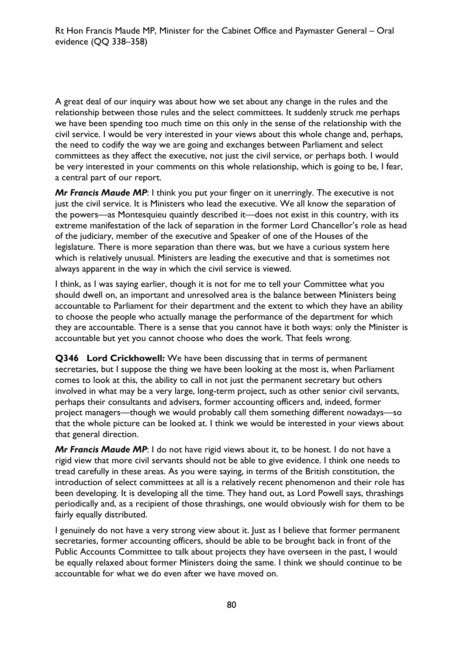A great deal of our inquiry was about how we set about any change in the rules and the relationship between those rules and the select committees. It suddenly struck me perhaps we have been spending too much time on this only in the sense of the relationship with the civil service. I would be very interested in your views about this whole change and, perhaps, the need to codify the way we are going and exchanges between Parliament and select committees as they affect the executive, not just the civil service, or perhaps both. I would be very interested in your comments on this whole relationship, which is going to be, I fear, a central part of our report.

*Mr Francis Maude MP*: I think you put your finger on it unerringly. The executive is not just the civil service. It is Ministers who lead the executive. We all know the separation of the powers—as Montesquieu quaintly described it—does not exist in this country, with its extreme manifestation of the lack of separation in the former Lord Chancellor's role as head of the judiciary, member of the executive and Speaker of one of the Houses of the legislature. There is more separation than there was, but we have a curious system here which is relatively unusual. Ministers are leading the executive and that is sometimes not always apparent in the way in which the civil service is viewed.

I think, as I was saying earlier, though it is not for me to tell your Committee what you should dwell on, an important and unresolved area is the balance between Ministers being accountable to Parliament for their department and the extent to which they have an ability to choose the people who actually manage the performance of the department for which they are accountable. There is a sense that you cannot have it both ways: only the Minister is accountable but yet you cannot choose who does the work. That feels wrong.

**Q346 Lord Crickhowell:** We have been discussing that in terms of permanent secretaries, but I suppose the thing we have been looking at the most is, when Parliament comes to look at this, the ability to call in not just the permanent secretary but others involved in what may be a very large, long-term project, such as other senior civil servants, perhaps their consultants and advisers, former accounting officers and, indeed, former project managers—though we would probably call them something different nowadays—so that the whole picture can be looked at. I think we would be interested in your views about that general direction.

*Mr Francis Maude MP*: I do not have rigid views about it, to be honest. I do not have a rigid view that more civil servants should not be able to give evidence. I think one needs to tread carefully in these areas. As you were saying, in terms of the British constitution, the introduction of select committees at all is a relatively recent phenomenon and their role has been developing. It is developing all the time. They hand out, as Lord Powell says, thrashings periodically and, as a recipient of those thrashings, one would obviously wish for them to be fairly equally distributed.

I genuinely do not have a very strong view about it. Just as I believe that former permanent secretaries, former accounting officers, should be able to be brought back in front of the Public Accounts Committee to talk about projects they have overseen in the past, I would be equally relaxed about former Ministers doing the same. I think we should continue to be accountable for what we do even after we have moved on.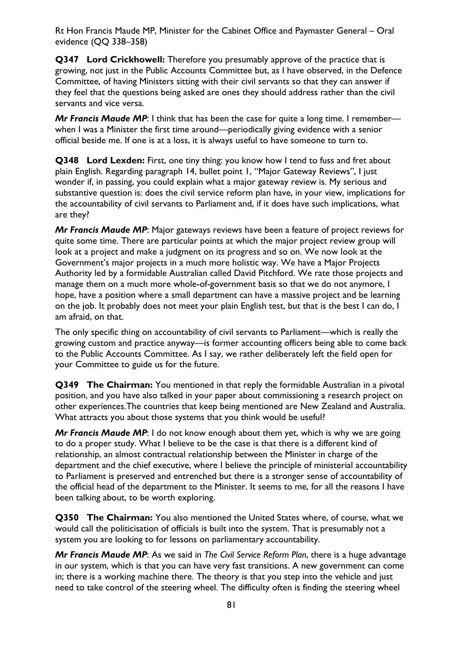**Q347 Lord Crickhowell:** Therefore you presumably approve of the practice that is growing, not just in the Public Accounts Committee but, as I have observed, in the Defence Committee, of having Ministers sitting with their civil servants so that they can answer if they feel that the questions being asked are ones they should address rather than the civil servants and vice versa.

*Mr Francis Maude MP*: I think that has been the case for quite a long time. I remember when I was a Minister the first time around—periodically giving evidence with a senior official beside me. If one is at a loss, it is always useful to have someone to turn to.

**Q348 Lord Lexden:** First, one tiny thing: you know how I tend to fuss and fret about plain English. Regarding paragraph 14, bullet point 1, "Major Gateway Reviews", I just wonder if, in passing, you could explain what a major gateway review is. My serious and substantive question is: does the civil service reform plan have, in your view, implications for the accountability of civil servants to Parliament and, if it does have such implications, what are they?

*Mr Francis Maude MP*: Major gateways reviews have been a feature of project reviews for quite some time. There are particular points at which the major project review group will look at a project and make a judgment on its progress and so on. We now look at the Government's major projects in a much more holistic way. We have a Major Projects Authority led by a formidable Australian called David Pitchford. We rate those projects and manage them on a much more whole-of-government basis so that we do not anymore, I hope, have a position where a small department can have a massive project and be learning on the job. It probably does not meet your plain English test, but that is the best I can do, I am afraid, on that.

The only specific thing on accountability of civil servants to Parliament—which is really the growing custom and practice anyway—is former accounting officers being able to come back to the Public Accounts Committee. As I say, we rather deliberately left the field open for your Committee to guide us for the future.

**Q349 The Chairman:** You mentioned in that reply the formidable Australian in a pivotal position, and you have also talked in your paper about commissioning a research project on other experiences.The countries that keep being mentioned are New Zealand and Australia. What attracts you about those systems that you think would be useful?

*Mr Francis Maude MP*: I do not know enough about them yet, which is why we are going to do a proper study. What I believe to be the case is that there is a different kind of relationship, an almost contractual relationship between the Minister in charge of the department and the chief executive, where I believe the principle of ministerial accountability to Parliament is preserved and entrenched but there is a stronger sense of accountability of the official head of the department to the Minister. It seems to me, for all the reasons I have been talking about, to be worth exploring.

**Q350 The Chairman:** You also mentioned the United States where, of course, what we would call the politicisation of officials is built into the system. That is presumably not a system you are looking to for lessons on parliamentary accountability.

*Mr Francis Maude MP*: As we said in *The Civil Service Reform Plan*, there is a huge advantage in our system, which is that you can have very fast transitions. A new government can come in; there is a working machine there. The theory is that you step into the vehicle and just need to take control of the steering wheel. The difficulty often is finding the steering wheel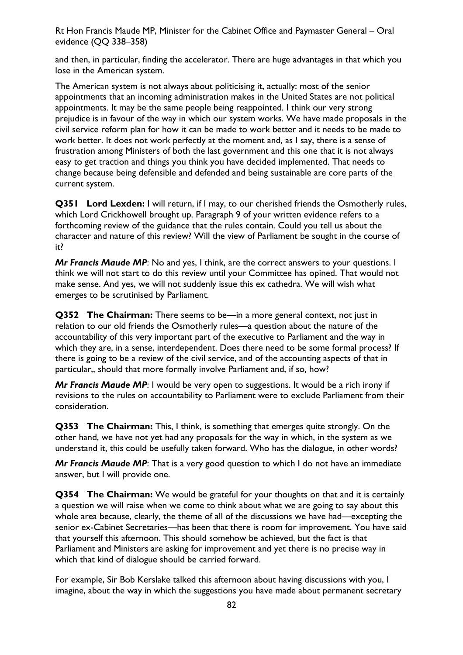and then, in particular, finding the accelerator. There are huge advantages in that which you lose in the American system.

The American system is not always about politicising it, actually: most of the senior appointments that an incoming administration makes in the United States are not political appointments. It may be the same people being reappointed. I think our very strong prejudice is in favour of the way in which our system works. We have made proposals in the civil service reform plan for how it can be made to work better and it needs to be made to work better. It does not work perfectly at the moment and, as I say, there is a sense of frustration among Ministers of both the last government and this one that it is not always easy to get traction and things you think you have decided implemented. That needs to change because being defensible and defended and being sustainable are core parts of the current system.

**Q351 Lord Lexden:** I will return, if I may, to our cherished friends the Osmotherly rules, which Lord Crickhowell brought up. Paragraph 9 of your written evidence refers to a forthcoming review of the guidance that the rules contain. Could you tell us about the character and nature of this review? Will the view of Parliament be sought in the course of it?

*Mr Francis Maude MP*: No and yes, I think, are the correct answers to your questions. I think we will not start to do this review until your Committee has opined. That would not make sense. And yes, we will not suddenly issue this ex cathedra. We will wish what emerges to be scrutinised by Parliament.

**Q352 The Chairman:** There seems to be—in a more general context, not just in relation to our old friends the Osmotherly rules—a question about the nature of the accountability of this very important part of the executive to Parliament and the way in which they are, in a sense, interdependent. Does there need to be some formal process? If there is going to be a review of the civil service, and of the accounting aspects of that in particular,, should that more formally involve Parliament and, if so, how?

*Mr Francis Maude MP*: I would be very open to suggestions. It would be a rich irony if revisions to the rules on accountability to Parliament were to exclude Parliament from their consideration.

**Q353 The Chairman:** This, I think, is something that emerges quite strongly. On the other hand, we have not yet had any proposals for the way in which, in the system as we understand it, this could be usefully taken forward. Who has the dialogue, in other words?

*Mr Francis Maude MP*: That is a very good question to which I do not have an immediate answer, but I will provide one.

**Q354 The Chairman:** We would be grateful for your thoughts on that and it is certainly a question we will raise when we come to think about what we are going to say about this whole area because, clearly, the theme of all of the discussions we have had—excepting the senior ex-Cabinet Secretaries—has been that there is room for improvement. You have said that yourself this afternoon. This should somehow be achieved, but the fact is that Parliament and Ministers are asking for improvement and yet there is no precise way in which that kind of dialogue should be carried forward.

For example, Sir Bob Kerslake talked this afternoon about having discussions with you, I imagine, about the way in which the suggestions you have made about permanent secretary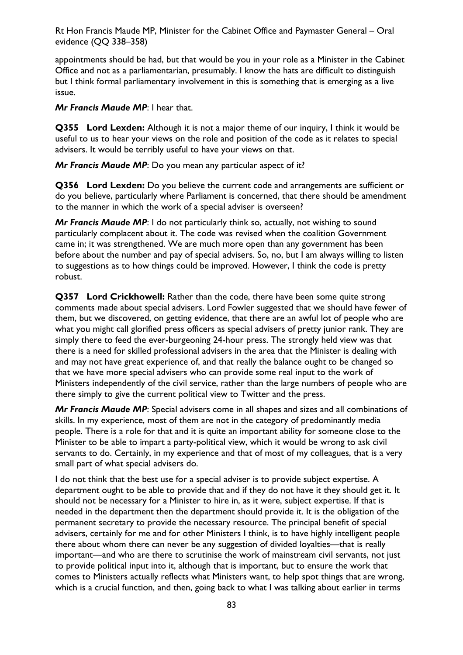appointments should be had, but that would be you in your role as a Minister in the Cabinet Office and not as a parliamentarian, presumably. I know the hats are difficult to distinguish but I think formal parliamentary involvement in this is something that is emerging as a live issue.

*Mr Francis Maude MP*: I hear that.

**Q355 Lord Lexden:** Although it is not a major theme of our inquiry, I think it would be useful to us to hear your views on the role and position of the code as it relates to special advisers. It would be terribly useful to have your views on that.

*Mr Francis Maude MP*: Do you mean any particular aspect of it?

**Q356 Lord Lexden:** Do you believe the current code and arrangements are sufficient or do you believe, particularly where Parliament is concerned, that there should be amendment to the manner in which the work of a special adviser is overseen?

*Mr Francis Maude MP*: I do not particularly think so, actually, not wishing to sound particularly complacent about it. The code was revised when the coalition Government came in; it was strengthened. We are much more open than any government has been before about the number and pay of special advisers. So, no, but I am always willing to listen to suggestions as to how things could be improved. However, I think the code is pretty robust.

**Q357 Lord Crickhowell:** Rather than the code, there have been some quite strong comments made about special advisers. Lord Fowler suggested that we should have fewer of them, but we discovered, on getting evidence, that there are an awful lot of people who are what you might call glorified press officers as special advisers of pretty junior rank. They are simply there to feed the ever-burgeoning 24-hour press. The strongly held view was that there is a need for skilled professional advisers in the area that the Minister is dealing with and may not have great experience of, and that really the balance ought to be changed so that we have more special advisers who can provide some real input to the work of Ministers independently of the civil service, rather than the large numbers of people who are there simply to give the current political view to Twitter and the press.

*Mr Francis Maude MP*: Special advisers come in all shapes and sizes and all combinations of skills. In my experience, most of them are not in the category of predominantly media people. There is a role for that and it is quite an important ability for someone close to the Minister to be able to impart a party-political view, which it would be wrong to ask civil servants to do. Certainly, in my experience and that of most of my colleagues, that is a very small part of what special advisers do.

I do not think that the best use for a special adviser is to provide subject expertise. A department ought to be able to provide that and if they do not have it they should get it. It should not be necessary for a Minister to hire in, as it were, subject expertise. If that is needed in the department then the department should provide it. It is the obligation of the permanent secretary to provide the necessary resource. The principal benefit of special advisers, certainly for me and for other Ministers I think, is to have highly intelligent people there about whom there can never be any suggestion of divided loyalties—that is really important—and who are there to scrutinise the work of mainstream civil servants, not just to provide political input into it, although that is important, but to ensure the work that comes to Ministers actually reflects what Ministers want, to help spot things that are wrong, which is a crucial function, and then, going back to what I was talking about earlier in terms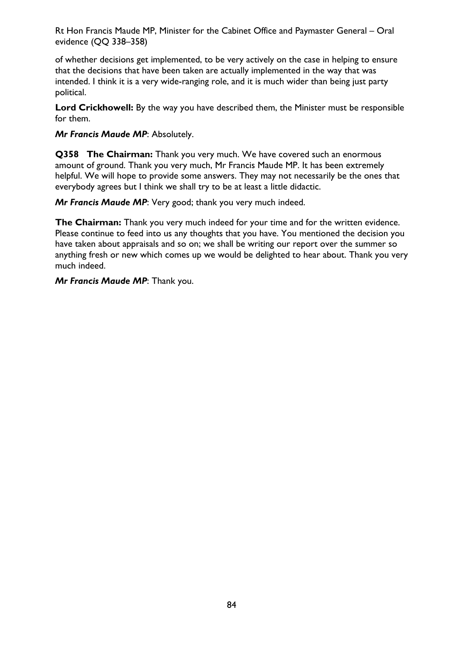of whether decisions get implemented, to be very actively on the case in helping to ensure that the decisions that have been taken are actually implemented in the way that was intended. I think it is a very wide-ranging role, and it is much wider than being just party political.

**Lord Crickhowell:** By the way you have described them, the Minister must be responsible for them.

*Mr Francis Maude MP*: Absolutely.

**Q358 The Chairman:** Thank you very much. We have covered such an enormous amount of ground. Thank you very much, Mr Francis Maude MP. It has been extremely helpful. We will hope to provide some answers. They may not necessarily be the ones that everybody agrees but I think we shall try to be at least a little didactic.

*Mr Francis Maude MP*: Very good; thank you very much indeed.

**The Chairman:** Thank you very much indeed for your time and for the written evidence. Please continue to feed into us any thoughts that you have. You mentioned the decision you have taken about appraisals and so on; we shall be writing our report over the summer so anything fresh or new which comes up we would be delighted to hear about. Thank you very much indeed.

*Mr Francis Maude MP*: Thank you.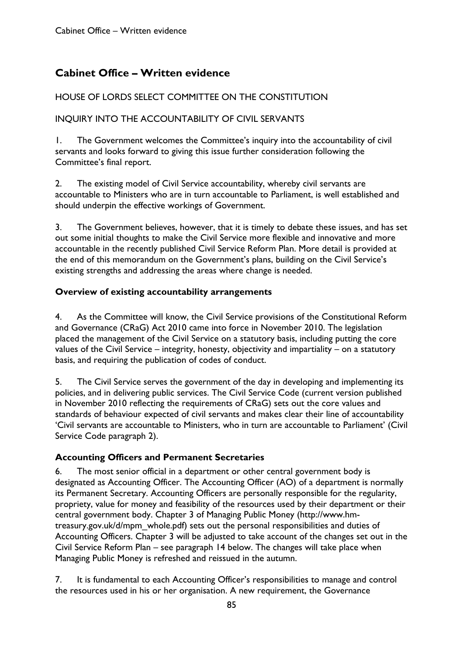# **Cabinet Office – Written evidence**

## HOUSE OF LORDS SELECT COMMITTEE ON THE CONSTITUTION

## INQUIRY INTO THE ACCOUNTABILITY OF CIVIL SERVANTS

1. The Government welcomes the Committee's inquiry into the accountability of civil servants and looks forward to giving this issue further consideration following the Committee's final report.

2. The existing model of Civil Service accountability, whereby civil servants are accountable to Ministers who are in turn accountable to Parliament, is well established and should underpin the effective workings of Government.

3. The Government believes, however, that it is timely to debate these issues, and has set out some initial thoughts to make the Civil Service more flexible and innovative and more accountable in the recently published Civil Service Reform Plan. More detail is provided at the end of this memorandum on the Government's plans, building on the Civil Service's existing strengths and addressing the areas where change is needed.

### **Overview of existing accountability arrangements**

4. As the Committee will know, the Civil Service provisions of the Constitutional Reform and Governance (CRaG) Act 2010 came into force in November 2010. The legislation placed the management of the Civil Service on a statutory basis, including putting the core values of the Civil Service – integrity, honesty, objectivity and impartiality – on a statutory basis, and requiring the publication of codes of conduct.

5. The Civil Service serves the government of the day in developing and implementing its policies, and in delivering public services. The Civil Service Code (current version published in November 2010 reflecting the requirements of CRaG) sets out the core values and standards of behaviour expected of civil servants and makes clear their line of accountability 'Civil servants are accountable to Ministers, who in turn are accountable to Parliament' (Civil Service Code paragraph 2).

### **Accounting Officers and Permanent Secretaries**

6. The most senior official in a department or other central government body is designated as Accounting Officer. The Accounting Officer (AO) of a department is normally its Permanent Secretary. Accounting Officers are personally responsible for the regularity, propriety, value for money and feasibility of the resources used by their department or their central government body. Chapter 3 of Managing Public Money (http://www.hmtreasury.gov.uk/d/mpm\_whole.pdf) sets out the personal responsibilities and duties of Accounting Officers. Chapter 3 will be adjusted to take account of the changes set out in the Civil Service Reform Plan – see paragraph 14 below. The changes will take place when Managing Public Money is refreshed and reissued in the autumn.

7. It is fundamental to each Accounting Officer's responsibilities to manage and control the resources used in his or her organisation. A new requirement, the Governance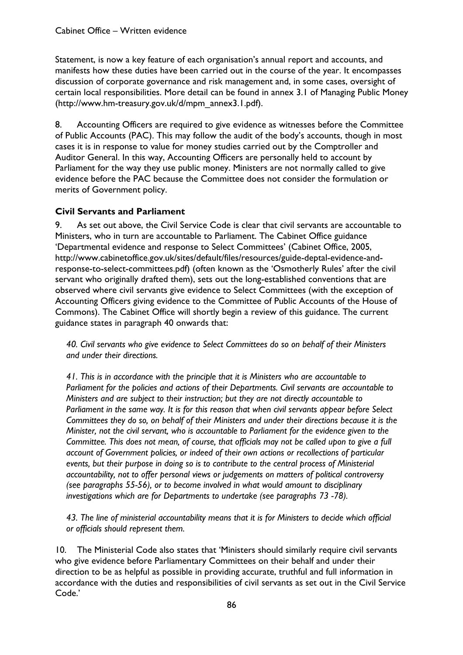Statement, is now a key feature of each organisation's annual report and accounts, and manifests how these duties have been carried out in the course of the year. It encompasses discussion of corporate governance and risk management and, in some cases, oversight of certain local responsibilities. More detail can be found in annex 3.1 of Managing Public Money (http://www.hm-treasury.gov.uk/d/mpm\_annex3.1.pdf).

8. Accounting Officers are required to give evidence as witnesses before the Committee of Public Accounts (PAC). This may follow the audit of the body's accounts, though in most cases it is in response to value for money studies carried out by the Comptroller and Auditor General. In this way, Accounting Officers are personally held to account by Parliament for the way they use public money. Ministers are not normally called to give evidence before the PAC because the Committee does not consider the formulation or merits of Government policy.

## **Civil Servants and Parliament**

9. As set out above, the Civil Service Code is clear that civil servants are accountable to Ministers, who in turn are accountable to Parliament. The Cabinet Office guidance 'Departmental evidence and response to Select Committees' (Cabinet Office, 2005, http://www.cabinetoffice.gov.uk/sites/default/files/resources/guide-deptal-evidence-andresponse-to-select-committees.pdf) (often known as the 'Osmotherly Rules' after the civil servant who originally drafted them), sets out the long-established conventions that are observed where civil servants give evidence to Select Committees (with the exception of Accounting Officers giving evidence to the Committee of Public Accounts of the House of Commons). The Cabinet Office will shortly begin a review of this guidance. The current guidance states in paragraph 40 onwards that:

*40. Civil servants who give evidence to Select Committees do so on behalf of their Ministers and under their directions.* 

*41. This is in accordance with the principle that it is Ministers who are accountable to Parliament for the policies and actions of their Departments. Civil servants are accountable to Ministers and are subject to their instruction; but they are not directly accountable to Parliament in the same way. It is for this reason that when civil servants appear before Select Committees they do so, on behalf of their Ministers and under their directions because it is the Minister, not the civil servant, who is accountable to Parliament for the evidence given to the Committee. This does not mean, of course, that officials may not be called upon to give a full account of Government policies, or indeed of their own actions or recollections of particular events, but their purpose in doing so is to contribute to the central process of Ministerial accountability, not to offer personal views or judgements on matters of political controversy (see paragraphs 55-56), or to become involved in what would amount to disciplinary*  investigations which are for Departments to undertake (see paragraphs 73 -78).

*43. The line of ministerial accountability means that it is for Ministers to decide which official or officials should represent them.* 

10. The Ministerial Code also states that 'Ministers should similarly require civil servants who give evidence before Parliamentary Committees on their behalf and under their direction to be as helpful as possible in providing accurate, truthful and full information in accordance with the duties and responsibilities of civil servants as set out in the Civil Service Code.'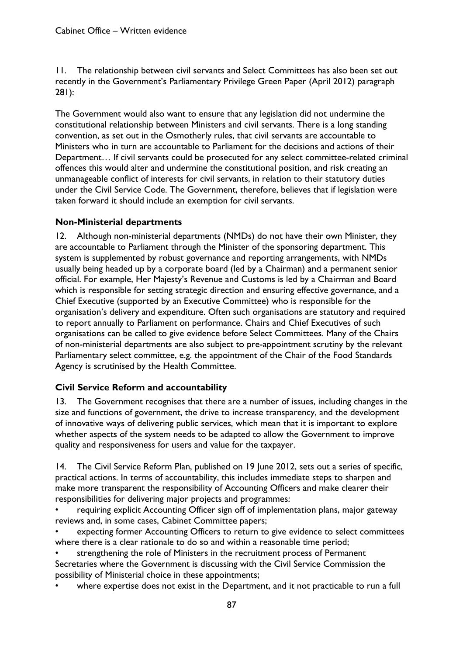11. The relationship between civil servants and Select Committees has also been set out recently in the Government's Parliamentary Privilege Green Paper (April 2012) paragraph 281):

The Government would also want to ensure that any legislation did not undermine the constitutional relationship between Ministers and civil servants. There is a long standing convention, as set out in the Osmotherly rules, that civil servants are accountable to Ministers who in turn are accountable to Parliament for the decisions and actions of their Department… If civil servants could be prosecuted for any select committee-related criminal offences this would alter and undermine the constitutional position, and risk creating an unmanageable conflict of interests for civil servants, in relation to their statutory duties under the Civil Service Code. The Government, therefore, believes that if legislation were taken forward it should include an exemption for civil servants.

### **Non-Ministerial departments**

12. Although non-ministerial departments (NMDs) do not have their own Minister, they are accountable to Parliament through the Minister of the sponsoring department. This system is supplemented by robust governance and reporting arrangements, with NMDs usually being headed up by a corporate board (led by a Chairman) and a permanent senior official. For example, Her Majesty's Revenue and Customs is led by a Chairman and Board which is responsible for setting strategic direction and ensuring effective governance, and a Chief Executive (supported by an Executive Committee) who is responsible for the organisation's delivery and expenditure. Often such organisations are statutory and required to report annually to Parliament on performance. Chairs and Chief Executives of such organisations can be called to give evidence before Select Committees. Many of the Chairs of non-ministerial departments are also subject to pre-appointment scrutiny by the relevant Parliamentary select committee, e.g. the appointment of the Chair of the Food Standards Agency is scrutinised by the Health Committee.

## **Civil Service Reform and accountability**

13. The Government recognises that there are a number of issues, including changes in the size and functions of government, the drive to increase transparency, and the development of innovative ways of delivering public services, which mean that it is important to explore whether aspects of the system needs to be adapted to allow the Government to improve quality and responsiveness for users and value for the taxpayer.

14. The Civil Service Reform Plan, published on 19 June 2012, sets out a series of specific, practical actions. In terms of accountability, this includes immediate steps to sharpen and make more transparent the responsibility of Accounting Officers and make clearer their responsibilities for delivering major projects and programmes:

• requiring explicit Accounting Officer sign off of implementation plans, major gateway reviews and, in some cases, Cabinet Committee papers;

expecting former Accounting Officers to return to give evidence to select committees where there is a clear rationale to do so and within a reasonable time period;

strengthening the role of Ministers in the recruitment process of Permanent Secretaries where the Government is discussing with the Civil Service Commission the possibility of Ministerial choice in these appointments;

where expertise does not exist in the Department, and it not practicable to run a full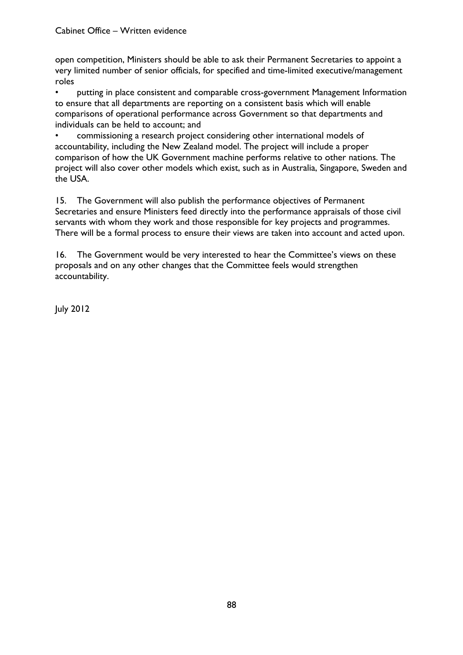open competition, Ministers should be able to ask their Permanent Secretaries to appoint a very limited number of senior officials, for specified and time-limited executive/management roles

• putting in place consistent and comparable cross-government Management Information to ensure that all departments are reporting on a consistent basis which will enable comparisons of operational performance across Government so that departments and individuals can be held to account; and

• commissioning a research project considering other international models of accountability, including the New Zealand model. The project will include a proper comparison of how the UK Government machine performs relative to other nations. The project will also cover other models which exist, such as in Australia, Singapore, Sweden and the USA.

15. The Government will also publish the performance objectives of Permanent Secretaries and ensure Ministers feed directly into the performance appraisals of those civil servants with whom they work and those responsible for key projects and programmes. There will be a formal process to ensure their views are taken into account and acted upon.

16. The Government would be very interested to hear the Committee's views on these proposals and on any other changes that the Committee feels would strengthen accountability.

July 2012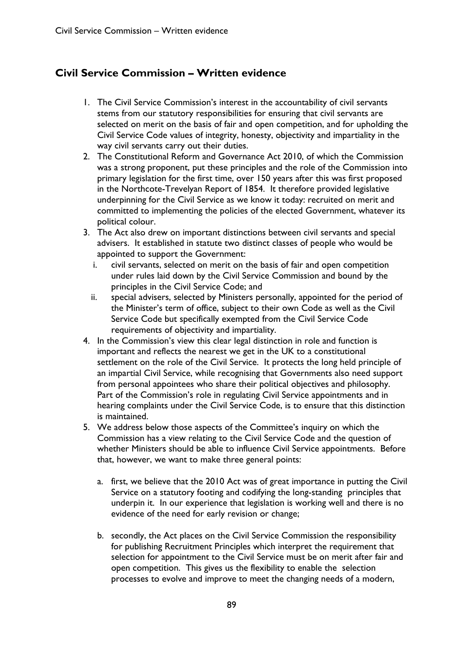## **Civil Service Commission – Written evidence**

- 1. The Civil Service Commission's interest in the accountability of civil servants stems from our statutory responsibilities for ensuring that civil servants are selected on merit on the basis of fair and open competition, and for upholding the Civil Service Code values of integrity, honesty, objectivity and impartiality in the way civil servants carry out their duties.
- 2. The Constitutional Reform and Governance Act 2010, of which the Commission was a strong proponent, put these principles and the role of the Commission into primary legislation for the first time, over 150 years after this was first proposed in the Northcote-Trevelyan Report of 1854. It therefore provided legislative underpinning for the Civil Service as we know it today: recruited on merit and committed to implementing the policies of the elected Government, whatever its political colour.
- 3. The Act also drew on important distinctions between civil servants and special advisers. It established in statute two distinct classes of people who would be appointed to support the Government:
	- i. civil servants, selected on merit on the basis of fair and open competition under rules laid down by the Civil Service Commission and bound by the principles in the Civil Service Code; and
	- ii. special advisers, selected by Ministers personally, appointed for the period of the Minister's term of office, subject to their own Code as well as the Civil Service Code but specifically exempted from the Civil Service Code requirements of objectivity and impartiality.
- 4. In the Commission's view this clear legal distinction in role and function is important and reflects the nearest we get in the UK to a constitutional settlement on the role of the Civil Service. It protects the long held principle of an impartial Civil Service, while recognising that Governments also need support from personal appointees who share their political objectives and philosophy. Part of the Commission's role in regulating Civil Service appointments and in hearing complaints under the Civil Service Code, is to ensure that this distinction is maintained.
- 5. We address below those aspects of the Committee's inquiry on which the Commission has a view relating to the Civil Service Code and the question of whether Ministers should be able to influence Civil Service appointments. Before that, however, we want to make three general points:
	- a. first, we believe that the 2010 Act was of great importance in putting the Civil Service on a statutory footing and codifying the long-standing principles that underpin it. In our experience that legislation is working well and there is no evidence of the need for early revision or change;
	- b. secondly, the Act places on the Civil Service Commission the responsibility for publishing Recruitment Principles which interpret the requirement that selection for appointment to the Civil Service must be on merit after fair and open competition. This gives us the flexibility to enable the selection processes to evolve and improve to meet the changing needs of a modern,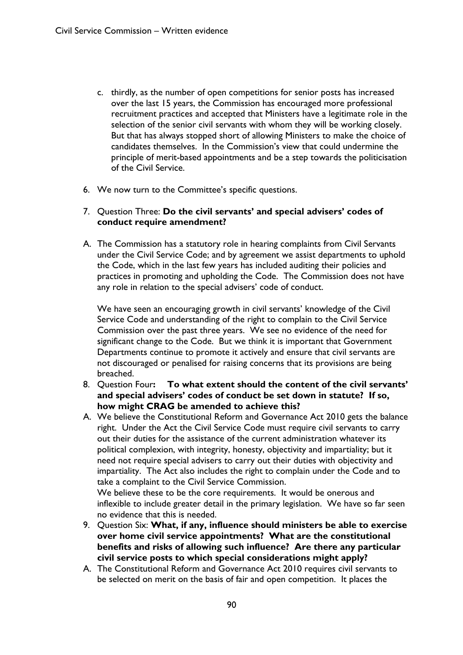- c. thirdly, as the number of open competitions for senior posts has increased over the last 15 years, the Commission has encouraged more professional recruitment practices and accepted that Ministers have a legitimate role in the selection of the senior civil servants with whom they will be working closely. But that has always stopped short of allowing Ministers to make the choice of candidates themselves. In the Commission's view that could undermine the principle of merit-based appointments and be a step towards the politicisation of the Civil Service.
- 6. We now turn to the Committee's specific questions.

#### 7. Question Three: **Do the civil servants' and special advisers' codes of conduct require amendment?**

A. The Commission has a statutory role in hearing complaints from Civil Servants under the Civil Service Code; and by agreement we assist departments to uphold the Code, which in the last few years has included auditing their policies and practices in promoting and upholding the Code. The Commission does not have any role in relation to the special advisers' code of conduct.

We have seen an encouraging growth in civil servants' knowledge of the Civil Service Code and understanding of the right to complain to the Civil Service Commission over the past three years. We see no evidence of the need for significant change to the Code. But we think it is important that Government Departments continue to promote it actively and ensure that civil servants are not discouraged or penalised for raising concerns that its provisions are being breached.

- 8. Question Four**: To what extent should the content of the civil servants' and special advisers' codes of conduct be set down in statute? If so, how might CRAG be amended to achieve this?**
- A. We believe the Constitutional Reform and Governance Act 2010 gets the balance right. Under the Act the Civil Service Code must require civil servants to carry out their duties for the assistance of the current administration whatever its political complexion, with integrity, honesty, objectivity and impartiality; but it need not require special advisers to carry out their duties with objectivity and impartiality. The Act also includes the right to complain under the Code and to take a complaint to the Civil Service Commission.

We believe these to be the core requirements. It would be onerous and inflexible to include greater detail in the primary legislation. We have so far seen no evidence that this is needed.

- 9. Question Six: **What, if any, influence should ministers be able to exercise over home civil service appointments? What are the constitutional benefits and risks of allowing such influence? Are there any particular civil service posts to which special considerations might apply?**
- A. The Constitutional Reform and Governance Act 2010 requires civil servants to be selected on merit on the basis of fair and open competition. It places the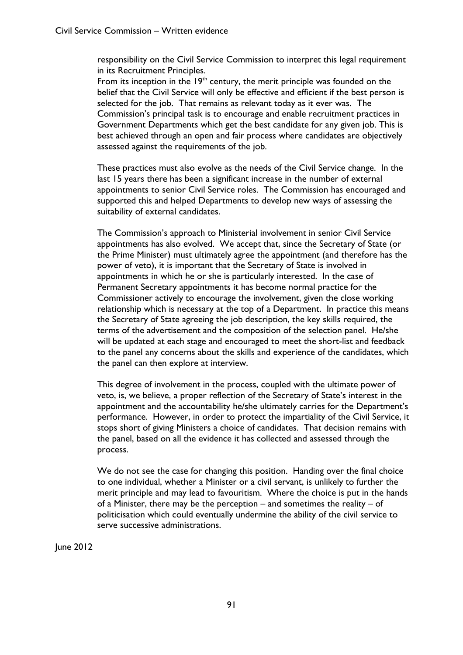responsibility on the Civil Service Commission to interpret this legal requirement in its Recruitment Principles.

From its inception in the  $19<sup>th</sup>$  century, the merit principle was founded on the belief that the Civil Service will only be effective and efficient if the best person is selected for the job. That remains as relevant today as it ever was. The Commission's principal task is to encourage and enable recruitment practices in Government Departments which get the best candidate for any given job. This is best achieved through an open and fair process where candidates are objectively assessed against the requirements of the job.

These practices must also evolve as the needs of the Civil Service change. In the last 15 years there has been a significant increase in the number of external appointments to senior Civil Service roles. The Commission has encouraged and supported this and helped Departments to develop new ways of assessing the suitability of external candidates.

The Commission's approach to Ministerial involvement in senior Civil Service appointments has also evolved. We accept that, since the Secretary of State (or the Prime Minister) must ultimately agree the appointment (and therefore has the power of veto), it is important that the Secretary of State is involved in appointments in which he or she is particularly interested. In the case of Permanent Secretary appointments it has become normal practice for the Commissioner actively to encourage the involvement, given the close working relationship which is necessary at the top of a Department. In practice this means the Secretary of State agreeing the job description, the key skills required, the terms of the advertisement and the composition of the selection panel. He/she will be updated at each stage and encouraged to meet the short-list and feedback to the panel any concerns about the skills and experience of the candidates, which the panel can then explore at interview.

This degree of involvement in the process, coupled with the ultimate power of veto, is, we believe, a proper reflection of the Secretary of State's interest in the appointment and the accountability he/she ultimately carries for the Department's performance. However, in order to protect the impartiality of the Civil Service, it stops short of giving Ministers a choice of candidates. That decision remains with the panel, based on all the evidence it has collected and assessed through the process.

We do not see the case for changing this position. Handing over the final choice to one individual, whether a Minister or a civil servant, is unlikely to further the merit principle and may lead to favouritism. Where the choice is put in the hands of a Minister, there may be the perception – and sometimes the reality – of politicisation which could eventually undermine the ability of the civil service to serve successive administrations.

June 2012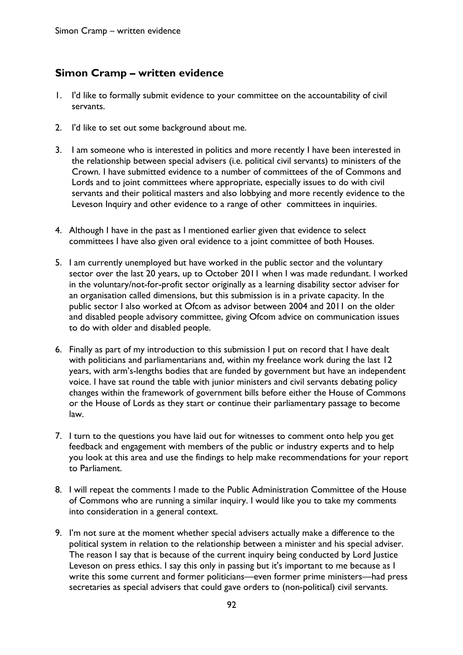## **Simon Cramp – written evidence**

- 1. I'd like to formally submit evidence to your committee on the accountability of civil servants.
- 2. I'd like to set out some background about me.
- 3. I am someone who is interested in politics and more recently I have been interested in the relationship between special advisers (i.e. political civil servants) to ministers of the Crown. I have submitted evidence to a number of committees of the of Commons and Lords and to joint committees where appropriate, especially issues to do with civil servants and their political masters and also lobbying and more recently evidence to the Leveson Inquiry and other evidence to a range of other committees in inquiries.
- 4. Although I have in the past as I mentioned earlier given that evidence to select committees I have also given oral evidence to a joint committee of both Houses.
- 5. I am currently unemployed but have worked in the public sector and the voluntary sector over the last 20 years, up to October 2011 when I was made redundant. I worked in the voluntary/not-for-profit sector originally as a learning disability sector adviser for an organisation called dimensions, but this submission is in a private capacity. In the public sector I also worked at Ofcom as advisor between 2004 and 2011 on the older and disabled people advisory committee, giving Ofcom advice on communication issues to do with older and disabled people.
- 6. Finally as part of my introduction to this submission I put on record that I have dealt with politicians and parliamentarians and, within my freelance work during the last 12 years, with arm's-lengths bodies that are funded by government but have an independent voice. I have sat round the table with junior ministers and civil servants debating policy changes within the framework of government bills before either the House of Commons or the House of Lords as they start or continue their parliamentary passage to become law.
- 7. I turn to the questions you have laid out for witnesses to comment onto help you get feedback and engagement with members of the public or industry experts and to help you look at this area and use the findings to help make recommendations for your report to Parliament.
- 8. I will repeat the comments I made to the Public Administration Committee of the House of Commons who are running a similar inquiry. I would like you to take my comments into consideration in a general context.
- 9. I'm not sure at the moment whether special advisers actually make a difference to the political system in relation to the relationship between a minister and his special adviser. The reason I say that is because of the current inquiry being conducted by Lord Justice Leveson on press ethics. I say this only in passing but it's important to me because as I write this some current and former politicians—even former prime ministers—had press secretaries as special advisers that could gave orders to (non-political) civil servants.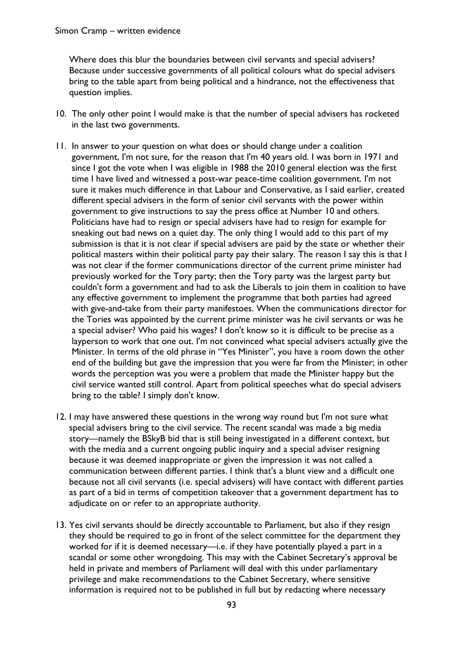Where does this blur the boundaries between civil servants and special advisers? Because under successive governments of all political colours what do special advisers bring to the table apart from being political and a hindrance, not the effectiveness that question implies.

- 10. The only other point I would make is that the number of special advisers has rocketed in the last two governments.
- 11. In answer to your question on what does or should change under a coalition government, I'm not sure, for the reason that I'm 40 years old. I was born in 1971 and since I got the vote when I was eligible in 1988 the 2010 general election was the first time I have lived and witnessed a post-war peace-time coalition government. I'm not sure it makes much difference in that Labour and Conservative, as I said earlier, created different special advisers in the form of senior civil servants with the power within government to give instructions to say the press office at Number 10 and others. Politicians have had to resign or special advisers have had to resign for example for sneaking out bad news on a quiet day. The only thing I would add to this part of my submission is that it is not clear if special advisers are paid by the state or whether their political masters within their political party pay their salary. The reason I say this is that I was not clear if the former communications director of the current prime minister had previously worked for the Tory party; then the Tory party was the largest party but couldn't form a government and had to ask the Liberals to join them in coalition to have any effective government to implement the programme that both parties had agreed with give-and-take from their party manifestoes. When the communications director for the Tories was appointed by the current prime minister was he civil servants or was he a special adviser? Who paid his wages? I don't know so it is difficult to be precise as a layperson to work that one out. I'm not convinced what special advisers actually give the Minister. In terms of the old phrase in "Yes Minister", you have a room down the other end of the building but gave the impression that you were far from the Minister; in other words the perception was you were a problem that made the Minister happy but the civil service wanted still control. Apart from political speeches what do special advisers bring to the table? I simply don't know.
- 12. I may have answered these questions in the wrong way round but I'm not sure what special advisers bring to the civil service. The recent scandal was made a big media story—namely the BSkyB bid that is still being investigated in a different context, but with the media and a current ongoing public inquiry and a special adviser resigning because it was deemed inappropriate or given the impression it was not called a communication between different parties. I think that's a blunt view and a difficult one because not all civil servants (i.e. special advisers) will have contact with different parties as part of a bid in terms of competition takeover that a government department has to adjudicate on or refer to an appropriate authority.
- 13. Yes civil servants should be directly accountable to Parliament, but also if they resign they should be required to go in front of the select committee for the department they worked for if it is deemed necessary—i.e. if they have potentially played a part in a scandal or some other wrongdoing. This may with the Cabinet Secretary's approval be held in private and members of Parliament will deal with this under parliamentary privilege and make recommendations to the Cabinet Secretary, where sensitive information is required not to be published in full but by redacting where necessary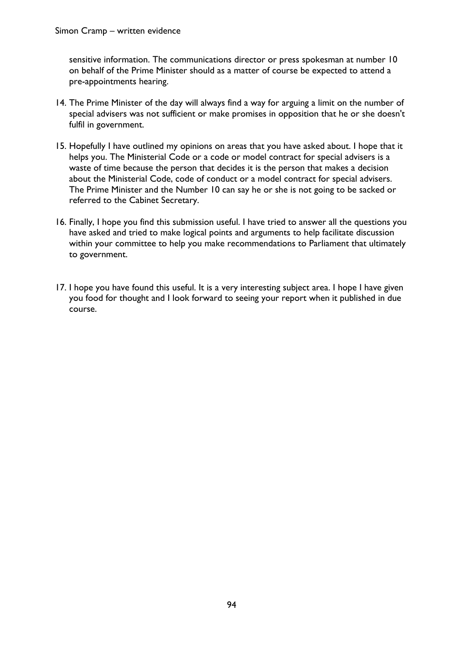sensitive information. The communications director or press spokesman at number 10 on behalf of the Prime Minister should as a matter of course be expected to attend a pre-appointments hearing.

- 14. The Prime Minister of the day will always find a way for arguing a limit on the number of special advisers was not sufficient or make promises in opposition that he or she doesn't fulfil in government.
- 15. Hopefully I have outlined my opinions on areas that you have asked about. I hope that it helps you. The Ministerial Code or a code or model contract for special advisers is a waste of time because the person that decides it is the person that makes a decision about the Ministerial Code, code of conduct or a model contract for special advisers. The Prime Minister and the Number 10 can say he or she is not going to be sacked or referred to the Cabinet Secretary.
- 16. Finally, I hope you find this submission useful. I have tried to answer all the questions you have asked and tried to make logical points and arguments to help facilitate discussion within your committee to help you make recommendations to Parliament that ultimately to government.
- 17. I hope you have found this useful. It is a very interesting subject area. I hope I have given you food for thought and I look forward to seeing your report when it published in due course.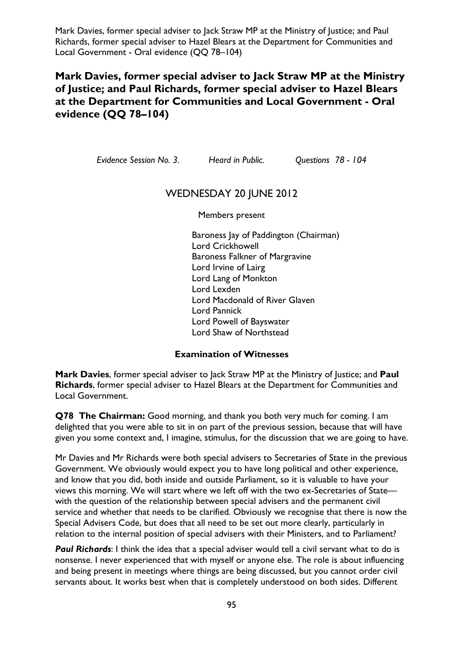## **Mark Davies, former special adviser to Jack Straw MP at the Ministry of Justice; and Paul Richards, former special adviser to Hazel Blears at the Department for Communities and Local Government - Oral evidence (QQ 78–104)**

*Evidence Session No. 3. Heard in Public. Questions 78 - 104* 

#### WEDNESDAY 20 JUNE 2012

Members present

Baroness Jay of Paddington (Chairman) Lord Crickhowell Baroness Falkner of Margravine Lord Irvine of Lairg Lord Lang of Monkton Lord Lexden Lord Macdonald of River Glaven Lord Pannick Lord Powell of Bayswater Lord Shaw of Northstead

#### **Examination of Witnesses**

**Mark Davies**, former special adviser to Jack Straw MP at the Ministry of Justice; and **Paul Richards**, former special adviser to Hazel Blears at the Department for Communities and Local Government.

**Q78 The Chairman:** Good morning, and thank you both very much for coming. I am delighted that you were able to sit in on part of the previous session, because that will have given you some context and, I imagine, stimulus, for the discussion that we are going to have.

Mr Davies and Mr Richards were both special advisers to Secretaries of State in the previous Government. We obviously would expect you to have long political and other experience, and know that you did, both inside and outside Parliament, so it is valuable to have your views this morning. We will start where we left off with the two ex-Secretaries of State with the question of the relationship between special advisers and the permanent civil service and whether that needs to be clarified. Obviously we recognise that there is now the Special Advisers Code, but does that all need to be set out more clearly, particularly in relation to the internal position of special advisers with their Ministers, and to Parliament?

**Paul Richards:** I think the idea that a special adviser would tell a civil servant what to do is nonsense. I never experienced that with myself or anyone else. The role is about influencing and being present in meetings where things are being discussed, but you cannot order civil servants about. It works best when that is completely understood on both sides. Different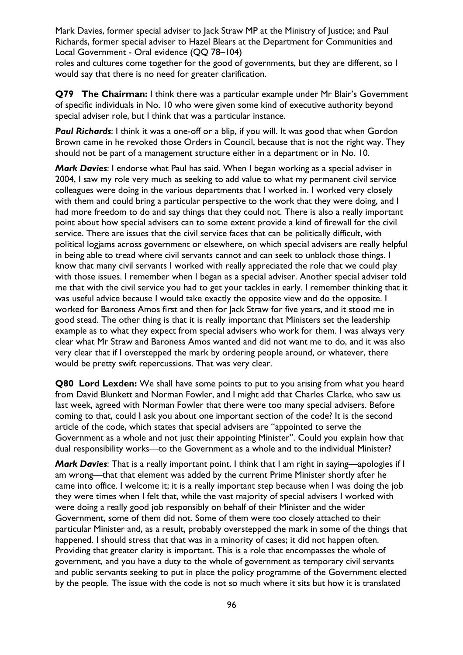roles and cultures come together for the good of governments, but they are different, so I would say that there is no need for greater clarification.

**Q79 The Chairman:** I think there was a particular example under Mr Blair's Government of specific individuals in No. 10 who were given some kind of executive authority beyond special adviser role, but I think that was a particular instance.

**Paul Richards:** I think it was a one-off or a blip, if you will. It was good that when Gordon Brown came in he revoked those Orders in Council, because that is not the right way. They should not be part of a management structure either in a department or in No. 10.

*Mark Davies*: I endorse what Paul has said. When I began working as a special adviser in 2004, I saw my role very much as seeking to add value to what my permanent civil service colleagues were doing in the various departments that I worked in. I worked very closely with them and could bring a particular perspective to the work that they were doing, and I had more freedom to do and say things that they could not. There is also a really important point about how special advisers can to some extent provide a kind of firewall for the civil service. There are issues that the civil service faces that can be politically difficult, with political logjams across government or elsewhere, on which special advisers are really helpful in being able to tread where civil servants cannot and can seek to unblock those things. I know that many civil servants I worked with really appreciated the role that we could play with those issues. I remember when I began as a special adviser. Another special adviser told me that with the civil service you had to get your tackles in early. I remember thinking that it was useful advice because I would take exactly the opposite view and do the opposite. I worked for Baroness Amos first and then for Jack Straw for five years, and it stood me in good stead. The other thing is that it is really important that Ministers set the leadership example as to what they expect from special advisers who work for them. I was always very clear what Mr Straw and Baroness Amos wanted and did not want me to do, and it was also very clear that if I overstepped the mark by ordering people around, or whatever, there would be pretty swift repercussions. That was very clear.

**Q80 Lord Lexden:** We shall have some points to put to you arising from what you heard from David Blunkett and Norman Fowler, and I might add that Charles Clarke, who saw us last week, agreed with Norman Fowler that there were too many special advisers. Before coming to that, could I ask you about one important section of the code? It is the second article of the code, which states that special advisers are "appointed to serve the Government as a whole and not just their appointing Minister". Could you explain how that dual responsibility works—to the Government as a whole and to the individual Minister?

*Mark Davies*: That is a really important point. I think that I am right in saying—apologies if I am wrong—that that element was added by the current Prime Minister shortly after he came into office. I welcome it; it is a really important step because when I was doing the job they were times when I felt that, while the vast majority of special advisers I worked with were doing a really good job responsibly on behalf of their Minister and the wider Government, some of them did not. Some of them were too closely attached to their particular Minister and, as a result, probably overstepped the mark in some of the things that happened. I should stress that that was in a minority of cases; it did not happen often. Providing that greater clarity is important. This is a role that encompasses the whole of government, and you have a duty to the whole of government as temporary civil servants and public servants seeking to put in place the policy programme of the Government elected by the people. The issue with the code is not so much where it sits but how it is translated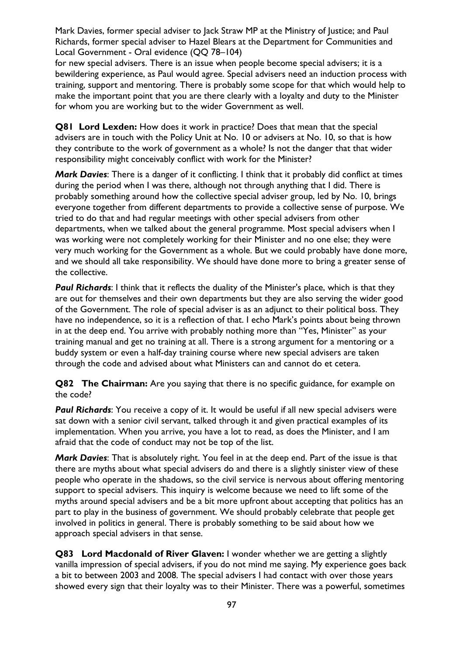for new special advisers. There is an issue when people become special advisers; it is a bewildering experience, as Paul would agree. Special advisers need an induction process with training, support and mentoring. There is probably some scope for that which would help to make the important point that you are there clearly with a loyalty and duty to the Minister for whom you are working but to the wider Government as well.

**Q81 Lord Lexden:** How does it work in practice? Does that mean that the special advisers are in touch with the Policy Unit at No. 10 or advisers at No. 10, so that is how they contribute to the work of government as a whole? Is not the danger that that wider responsibility might conceivably conflict with work for the Minister?

*Mark Davies*: There is a danger of it conflicting. I think that it probably did conflict at times during the period when I was there, although not through anything that I did. There is probably something around how the collective special adviser group, led by No. 10, brings everyone together from different departments to provide a collective sense of purpose. We tried to do that and had regular meetings with other special advisers from other departments, when we talked about the general programme. Most special advisers when I was working were not completely working for their Minister and no one else; they were very much working for the Government as a whole. But we could probably have done more, and we should all take responsibility. We should have done more to bring a greater sense of the collective.

**Paul Richards:** I think that it reflects the duality of the Minister's place, which is that they are out for themselves and their own departments but they are also serving the wider good of the Government. The role of special adviser is as an adjunct to their political boss. They have no independence, so it is a reflection of that. I echo Mark's points about being thrown in at the deep end. You arrive with probably nothing more than "Yes, Minister" as your training manual and get no training at all. There is a strong argument for a mentoring or a buddy system or even a half-day training course where new special advisers are taken through the code and advised about what Ministers can and cannot do et cetera.

**Q82 The Chairman:** Are you saying that there is no specific guidance, for example on the code?

**Paul Richards**: You receive a copy of it. It would be useful if all new special advisers were sat down with a senior civil servant, talked through it and given practical examples of its implementation. When you arrive, you have a lot to read, as does the Minister, and I am afraid that the code of conduct may not be top of the list.

*Mark Davies*: That is absolutely right. You feel in at the deep end. Part of the issue is that there are myths about what special advisers do and there is a slightly sinister view of these people who operate in the shadows, so the civil service is nervous about offering mentoring support to special advisers. This inquiry is welcome because we need to lift some of the myths around special advisers and be a bit more upfront about accepting that politics has an part to play in the business of government. We should probably celebrate that people get involved in politics in general. There is probably something to be said about how we approach special advisers in that sense.

**Q83 Lord Macdonald of River Glaven:** I wonder whether we are getting a slightly vanilla impression of special advisers, if you do not mind me saying. My experience goes back a bit to between 2003 and 2008. The special advisers I had contact with over those years showed every sign that their loyalty was to their Minister. There was a powerful, sometimes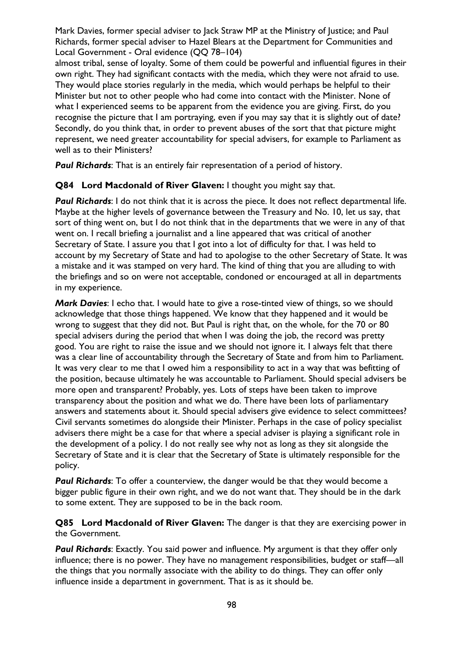almost tribal, sense of loyalty. Some of them could be powerful and influential figures in their own right. They had significant contacts with the media, which they were not afraid to use. They would place stories regularly in the media, which would perhaps be helpful to their Minister but not to other people who had come into contact with the Minister. None of what I experienced seems to be apparent from the evidence you are giving. First, do you recognise the picture that I am portraying, even if you may say that it is slightly out of date? Secondly, do you think that, in order to prevent abuses of the sort that that picture might represent, we need greater accountability for special advisers, for example to Parliament as well as to their Ministers?

*Paul Richards*: That is an entirely fair representation of a period of history.

**Q84 Lord Macdonald of River Glaven:** I thought you might say that.

**Paul Richards**: I do not think that it is across the piece. It does not reflect departmental life. Maybe at the higher levels of governance between the Treasury and No. 10, let us say, that sort of thing went on, but I do not think that in the departments that we were in any of that went on. I recall briefing a journalist and a line appeared that was critical of another Secretary of State. I assure you that I got into a lot of difficulty for that. I was held to account by my Secretary of State and had to apologise to the other Secretary of State. It was a mistake and it was stamped on very hard. The kind of thing that you are alluding to with the briefings and so on were not acceptable, condoned or encouraged at all in departments in my experience.

*Mark Davies*: I echo that. I would hate to give a rose-tinted view of things, so we should acknowledge that those things happened. We know that they happened and it would be wrong to suggest that they did not. But Paul is right that, on the whole, for the 70 or 80 special advisers during the period that when I was doing the job, the record was pretty good. You are right to raise the issue and we should not ignore it. I always felt that there was a clear line of accountability through the Secretary of State and from him to Parliament. It was very clear to me that I owed him a responsibility to act in a way that was befitting of the position, because ultimately he was accountable to Parliament. Should special advisers be more open and transparent? Probably, yes. Lots of steps have been taken to improve transparency about the position and what we do. There have been lots of parliamentary answers and statements about it. Should special advisers give evidence to select committees? Civil servants sometimes do alongside their Minister. Perhaps in the case of policy specialist advisers there might be a case for that where a special adviser is playing a significant role in the development of a policy. I do not really see why not as long as they sit alongside the Secretary of State and it is clear that the Secretary of State is ultimately responsible for the policy.

*Paul Richards*: To offer a counterview, the danger would be that they would become a bigger public figure in their own right, and we do not want that. They should be in the dark to some extent. They are supposed to be in the back room.

**Q85 Lord Macdonald of River Glaven:** The danger is that they are exercising power in the Government.

*Paul Richards*: Exactly. You said power and influence. My argument is that they offer only influence; there is no power. They have no management responsibilities, budget or staff—all the things that you normally associate with the ability to do things. They can offer only influence inside a department in government. That is as it should be.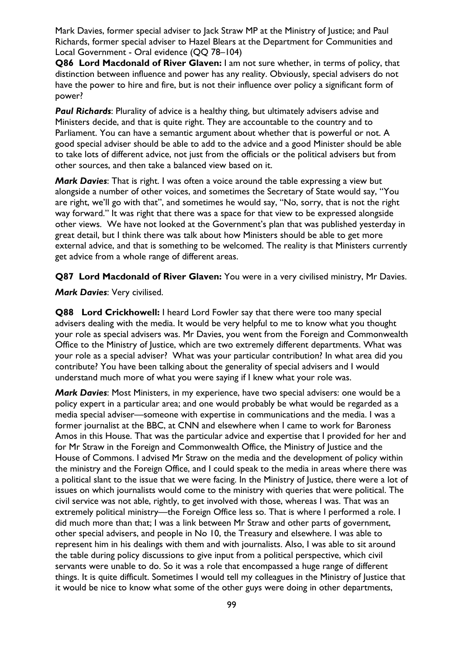**Q86 Lord Macdonald of River Glaven:** I am not sure whether, in terms of policy, that distinction between influence and power has any reality. Obviously, special advisers do not have the power to hire and fire, but is not their influence over policy a significant form of power?

**Paul Richards:** Plurality of advice is a healthy thing, but ultimately advisers advise and Ministers decide, and that is quite right. They are accountable to the country and to Parliament. You can have a semantic argument about whether that is powerful or not. A good special adviser should be able to add to the advice and a good Minister should be able to take lots of different advice, not just from the officials or the political advisers but from other sources, and then take a balanced view based on it.

*Mark Davies*: That is right. I was often a voice around the table expressing a view but alongside a number of other voices, and sometimes the Secretary of State would say, "You are right, we'll go with that", and sometimes he would say, "No, sorry, that is not the right way forward." It was right that there was a space for that view to be expressed alongside other views. We have not looked at the Government's plan that was published yesterday in great detail, but I think there was talk about how Ministers should be able to get more external advice, and that is something to be welcomed. The reality is that Ministers currently get advice from a whole range of different areas.

**Q87 Lord Macdonald of River Glaven:** You were in a very civilised ministry, Mr Davies.

#### *Mark Davies*: Very civilised.

**Q88 Lord Crickhowell:** I heard Lord Fowler say that there were too many special advisers dealing with the media. It would be very helpful to me to know what you thought your role as special advisers was. Mr Davies, you went from the Foreign and Commonwealth Office to the Ministry of Justice, which are two extremely different departments. What was your role as a special adviser? What was your particular contribution? In what area did you contribute? You have been talking about the generality of special advisers and I would understand much more of what you were saying if I knew what your role was.

*Mark Davies*: Most Ministers, in my experience, have two special advisers: one would be a policy expert in a particular area; and one would probably be what would be regarded as a media special adviser—someone with expertise in communications and the media. I was a former journalist at the BBC, at CNN and elsewhere when I came to work for Baroness Amos in this House. That was the particular advice and expertise that I provided for her and for Mr Straw in the Foreign and Commonwealth Office, the Ministry of Justice and the House of Commons. I advised Mr Straw on the media and the development of policy within the ministry and the Foreign Office, and I could speak to the media in areas where there was a political slant to the issue that we were facing. In the Ministry of Justice, there were a lot of issues on which journalists would come to the ministry with queries that were political. The civil service was not able, rightly, to get involved with those, whereas I was. That was an extremely political ministry—the Foreign Office less so. That is where I performed a role. I did much more than that; I was a link between Mr Straw and other parts of government, other special advisers, and people in No 10, the Treasury and elsewhere. I was able to represent him in his dealings with them and with journalists. Also, I was able to sit around the table during policy discussions to give input from a political perspective, which civil servants were unable to do. So it was a role that encompassed a huge range of different things. It is quite difficult. Sometimes I would tell my colleagues in the Ministry of Justice that it would be nice to know what some of the other guys were doing in other departments,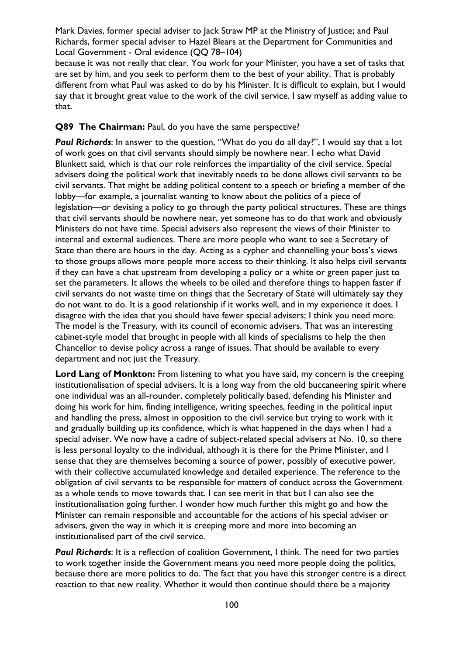because it was not really that clear. You work for your Minister, you have a set of tasks that are set by him, and you seek to perform them to the best of your ability. That is probably different from what Paul was asked to do by his Minister. It is difficult to explain, but I would say that it brought great value to the work of the civil service. I saw myself as adding value to that.

#### **Q89 The Chairman:** Paul, do you have the same perspective?

**Paul Richards:** In answer to the question, "What do you do all day?", I would say that a lot of work goes on that civil servants should simply be nowhere near. I echo what David Blunkett said, which is that our role reinforces the impartiality of the civil service. Special advisers doing the political work that inevitably needs to be done allows civil servants to be civil servants. That might be adding political content to a speech or briefing a member of the lobby—for example, a journalist wanting to know about the politics of a piece of legislation—or devising a policy to go through the party political structures. These are things that civil servants should be nowhere near, yet someone has to do that work and obviously Ministers do not have time. Special advisers also represent the views of their Minister to internal and external audiences. There are more people who want to see a Secretary of State than there are hours in the day. Acting as a cypher and channelling your boss's views to those groups allows more people more access to their thinking. It also helps civil servants if they can have a chat upstream from developing a policy or a white or green paper just to set the parameters. It allows the wheels to be oiled and therefore things to happen faster if civil servants do not waste time on things that the Secretary of State will ultimately say they do not want to do. It is a good relationship if it works well, and in my experience it does. I disagree with the idea that you should have fewer special advisers; I think you need more. The model is the Treasury, with its council of economic advisers. That was an interesting cabinet-style model that brought in people with all kinds of specialisms to help the then Chancellor to devise policy across a range of issues. That should be available to every department and not just the Treasury.

Lord Lang of Monkton: From listening to what you have said, my concern is the creeping institutionalisation of special advisers. It is a long way from the old buccaneering spirit where one individual was an all-rounder, completely politically based, defending his Minister and doing his work for him, finding intelligence, writing speeches, feeding in the political input and handling the press, almost in opposition to the civil service but trying to work with it and gradually building up its confidence, which is what happened in the days when I had a special adviser. We now have a cadre of subject-related special advisers at No. 10, so there is less personal loyalty to the individual, although it is there for the Prime Minister, and I sense that they are themselves becoming a source of power, possibly of executive power, with their collective accumulated knowledge and detailed experience. The reference to the obligation of civil servants to be responsible for matters of conduct across the Government as a whole tends to move towards that. I can see merit in that but I can also see the institutionalisation going further. I wonder how much further this might go and how the Minister can remain responsible and accountable for the actions of his special adviser or advisers, given the way in which it is creeping more and more into becoming an institutionalised part of the civil service.

**Paul Richards:** It is a reflection of coalition Government, I think. The need for two parties to work together inside the Government means you need more people doing the politics, because there are more politics to do. The fact that you have this stronger centre is a direct reaction to that new reality. Whether it would then continue should there be a majority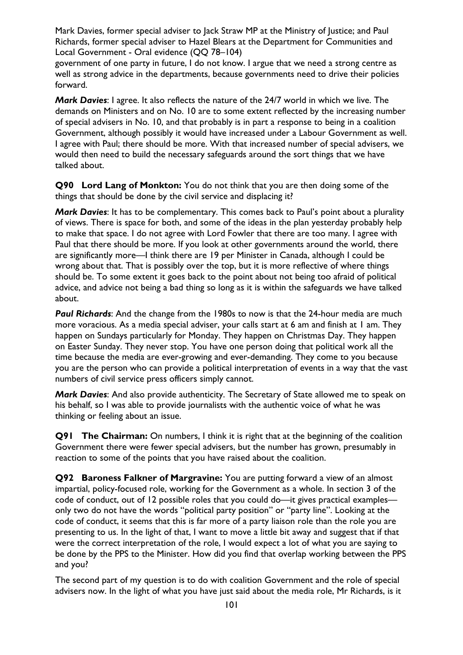government of one party in future, I do not know. I argue that we need a strong centre as well as strong advice in the departments, because governments need to drive their policies forward.

*Mark Davies*: I agree. It also reflects the nature of the 24/7 world in which we live. The demands on Ministers and on No. 10 are to some extent reflected by the increasing number of special advisers in No. 10, and that probably is in part a response to being in a coalition Government, although possibly it would have increased under a Labour Government as well. I agree with Paul; there should be more. With that increased number of special advisers, we would then need to build the necessary safeguards around the sort things that we have talked about.

**Q90 Lord Lang of Monkton:** You do not think that you are then doing some of the things that should be done by the civil service and displacing it?

*Mark Davies*: It has to be complementary. This comes back to Paul's point about a plurality of views. There is space for both, and some of the ideas in the plan yesterday probably help to make that space. I do not agree with Lord Fowler that there are too many. I agree with Paul that there should be more. If you look at other governments around the world, there are significantly more—I think there are 19 per Minister in Canada, although I could be wrong about that. That is possibly over the top, but it is more reflective of where things should be. To some extent it goes back to the point about not being too afraid of political advice, and advice not being a bad thing so long as it is within the safeguards we have talked about.

*Paul Richards*: And the change from the 1980s to now is that the 24-hour media are much more voracious. As a media special adviser, your calls start at 6 am and finish at 1 am. They happen on Sundays particularly for Monday. They happen on Christmas Day. They happen on Easter Sunday. They never stop. You have one person doing that political work all the time because the media are ever-growing and ever-demanding. They come to you because you are the person who can provide a political interpretation of events in a way that the vast numbers of civil service press officers simply cannot.

*Mark Davies*: And also provide authenticity. The Secretary of State allowed me to speak on his behalf, so I was able to provide journalists with the authentic voice of what he was thinking or feeling about an issue.

**Q91 The Chairman:** On numbers, I think it is right that at the beginning of the coalition Government there were fewer special advisers, but the number has grown, presumably in reaction to some of the points that you have raised about the coalition.

**Q92 Baroness Falkner of Margravine:** You are putting forward a view of an almost impartial, policy-focused role, working for the Government as a whole. In section 3 of the code of conduct, out of 12 possible roles that you could do—it gives practical examples only two do not have the words "political party position" or "party line". Looking at the code of conduct, it seems that this is far more of a party liaison role than the role you are presenting to us. In the light of that, I want to move a little bit away and suggest that if that were the correct interpretation of the role, I would expect a lot of what you are saying to be done by the PPS to the Minister. How did you find that overlap working between the PPS and you?

The second part of my question is to do with coalition Government and the role of special advisers now. In the light of what you have just said about the media role, Mr Richards, is it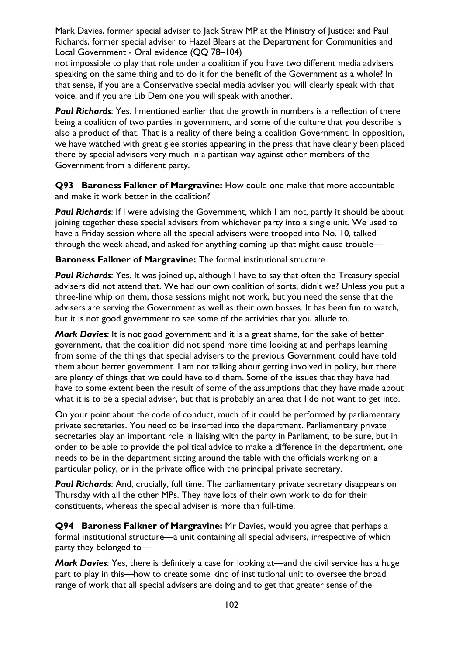not impossible to play that role under a coalition if you have two different media advisers speaking on the same thing and to do it for the benefit of the Government as a whole? In that sense, if you are a Conservative special media adviser you will clearly speak with that voice, and if you are Lib Dem one you will speak with another.

**Paul Richards:** Yes. I mentioned earlier that the growth in numbers is a reflection of there being a coalition of two parties in government, and some of the culture that you describe is also a product of that. That is a reality of there being a coalition Government. In opposition, we have watched with great glee stories appearing in the press that have clearly been placed there by special advisers very much in a partisan way against other members of the Government from a different party.

**Q93 Baroness Falkner of Margravine:** How could one make that more accountable and make it work better in the coalition?

**Paul Richards:** If I were advising the Government, which I am not, partly it should be about joining together these special advisers from whichever party into a single unit. We used to have a Friday session where all the special advisers were trooped into No. 10, talked through the week ahead, and asked for anything coming up that might cause trouble—

**Baroness Falkner of Margravine:** The formal institutional structure.

**Paul Richards:** Yes. It was joined up, although I have to say that often the Treasury special advisers did not attend that. We had our own coalition of sorts, didn't we? Unless you put a three-line whip on them, those sessions might not work, but you need the sense that the advisers are serving the Government as well as their own bosses. It has been fun to watch, but it is not good government to see some of the activities that you allude to.

*Mark Davies*: It is not good government and it is a great shame, for the sake of better government, that the coalition did not spend more time looking at and perhaps learning from some of the things that special advisers to the previous Government could have told them about better government. I am not talking about getting involved in policy, but there are plenty of things that we could have told them. Some of the issues that they have had have to some extent been the result of some of the assumptions that they have made about what it is to be a special adviser, but that is probably an area that I do not want to get into.

On your point about the code of conduct, much of it could be performed by parliamentary private secretaries. You need to be inserted into the department. Parliamentary private secretaries play an important role in liaising with the party in Parliament, to be sure, but in order to be able to provide the political advice to make a difference in the department, one needs to be in the department sitting around the table with the officials working on a particular policy, or in the private office with the principal private secretary.

**Paul Richards:** And, crucially, full time. The parliamentary private secretary disappears on Thursday with all the other MPs. They have lots of their own work to do for their constituents, whereas the special adviser is more than full-time.

**Q94 Baroness Falkner of Margravine:** Mr Davies, would you agree that perhaps a formal institutional structure—a unit containing all special advisers, irrespective of which party they belonged to—

*Mark Davies*: Yes, there is definitely a case for looking at—and the civil service has a huge part to play in this—how to create some kind of institutional unit to oversee the broad range of work that all special advisers are doing and to get that greater sense of the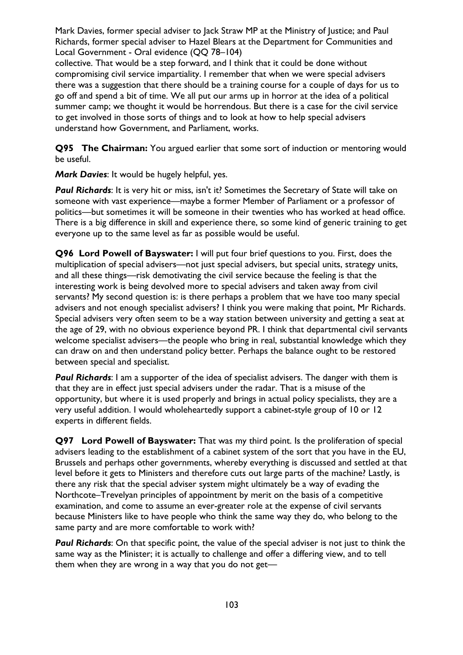collective. That would be a step forward, and I think that it could be done without compromising civil service impartiality. I remember that when we were special advisers there was a suggestion that there should be a training course for a couple of days for us to go off and spend a bit of time. We all put our arms up in horror at the idea of a political summer camp; we thought it would be horrendous. But there is a case for the civil service to get involved in those sorts of things and to look at how to help special advisers understand how Government, and Parliament, works.

**Q95 The Chairman:** You argued earlier that some sort of induction or mentoring would be useful.

*Mark Davies*: It would be hugely helpful, yes.

*Paul Richards*: It is very hit or miss, isn't it? Sometimes the Secretary of State will take on someone with vast experience—maybe a former Member of Parliament or a professor of politics—but sometimes it will be someone in their twenties who has worked at head office. There is a big difference in skill and experience there, so some kind of generic training to get everyone up to the same level as far as possible would be useful.

**Q96 Lord Powell of Bayswater:** I will put four brief questions to you. First, does the multiplication of special advisers—not just special advisers, but special units, strategy units, and all these things—risk demotivating the civil service because the feeling is that the interesting work is being devolved more to special advisers and taken away from civil servants? My second question is: is there perhaps a problem that we have too many special advisers and not enough specialist advisers? I think you were making that point, Mr Richards. Special advisers very often seem to be a way station between university and getting a seat at the age of 29, with no obvious experience beyond PR. I think that departmental civil servants welcome specialist advisers—the people who bring in real, substantial knowledge which they can draw on and then understand policy better. Perhaps the balance ought to be restored between special and specialist.

**Paul Richards:** I am a supporter of the idea of specialist advisers. The danger with them is that they are in effect just special advisers under the radar. That is a misuse of the opportunity, but where it is used properly and brings in actual policy specialists, they are a very useful addition. I would wholeheartedly support a cabinet-style group of 10 or 12 experts in different fields.

**Q97 Lord Powell of Bayswater:** That was my third point. Is the proliferation of special advisers leading to the establishment of a cabinet system of the sort that you have in the EU, Brussels and perhaps other governments, whereby everything is discussed and settled at that level before it gets to Ministers and therefore cuts out large parts of the machine? Lastly, is there any risk that the special adviser system might ultimately be a way of evading the Northcote–Trevelyan principles of appointment by merit on the basis of a competitive examination, and come to assume an ever-greater role at the expense of civil servants because Ministers like to have people who think the same way they do, who belong to the same party and are more comfortable to work with?

**Paul Richards:** On that specific point, the value of the special adviser is not just to think the same way as the Minister; it is actually to challenge and offer a differing view, and to tell them when they are wrong in a way that you do not get—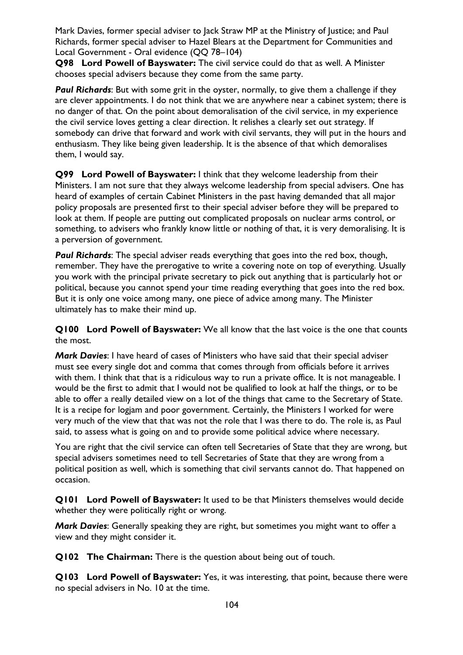**Q98 Lord Powell of Bayswater:** The civil service could do that as well. A Minister chooses special advisers because they come from the same party.

*Paul Richards*: But with some grit in the oyster, normally, to give them a challenge if they are clever appointments. I do not think that we are anywhere near a cabinet system; there is no danger of that. On the point about demoralisation of the civil service, in my experience the civil service loves getting a clear direction. It relishes a clearly set out strategy. If somebody can drive that forward and work with civil servants, they will put in the hours and enthusiasm. They like being given leadership. It is the absence of that which demoralises them, I would say.

**Q99 Lord Powell of Bayswater:** I think that they welcome leadership from their Ministers. I am not sure that they always welcome leadership from special advisers. One has heard of examples of certain Cabinet Ministers in the past having demanded that all major policy proposals are presented first to their special adviser before they will be prepared to look at them. If people are putting out complicated proposals on nuclear arms control, or something, to advisers who frankly know little or nothing of that, it is very demoralising. It is a perversion of government.

*Paul Richards*: The special adviser reads everything that goes into the red box, though, remember. They have the prerogative to write a covering note on top of everything. Usually you work with the principal private secretary to pick out anything that is particularly hot or political, because you cannot spend your time reading everything that goes into the red box. But it is only one voice among many, one piece of advice among many. The Minister ultimately has to make their mind up.

**Q100 Lord Powell of Bayswater:** We all know that the last voice is the one that counts the most.

*Mark Davies*: I have heard of cases of Ministers who have said that their special adviser must see every single dot and comma that comes through from officials before it arrives with them. I think that that is a ridiculous way to run a private office. It is not manageable. I would be the first to admit that I would not be qualified to look at half the things, or to be able to offer a really detailed view on a lot of the things that came to the Secretary of State. It is a recipe for logjam and poor government. Certainly, the Ministers I worked for were very much of the view that that was not the role that I was there to do. The role is, as Paul said, to assess what is going on and to provide some political advice where necessary.

You are right that the civil service can often tell Secretaries of State that they are wrong, but special advisers sometimes need to tell Secretaries of State that they are wrong from a political position as well, which is something that civil servants cannot do. That happened on occasion.

**Q101 Lord Powell of Bayswater:** It used to be that Ministers themselves would decide whether they were politically right or wrong.

*Mark Davies*: Generally speaking they are right, but sometimes you might want to offer a view and they might consider it.

**Q102 The Chairman:** There is the question about being out of touch.

**Q103 Lord Powell of Bayswater:** Yes, it was interesting, that point, because there were no special advisers in No. 10 at the time.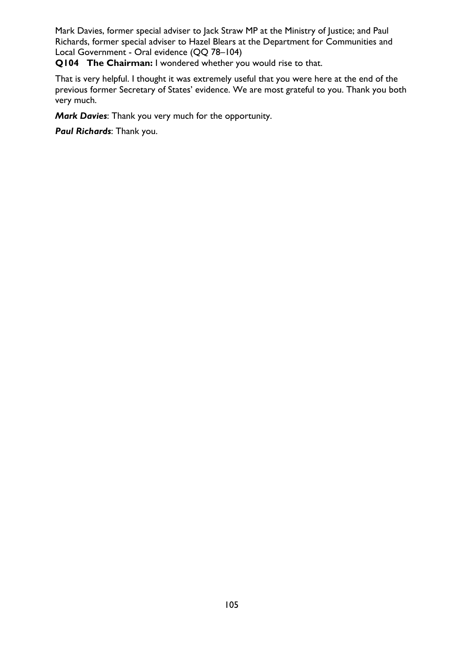**Q104 The Chairman:** I wondered whether you would rise to that.

That is very helpful. I thought it was extremely useful that you were here at the end of the previous former Secretary of States' evidence. We are most grateful to you. Thank you both very much.

*Mark Davies*: Thank you very much for the opportunity.

*Paul Richards*: Thank you.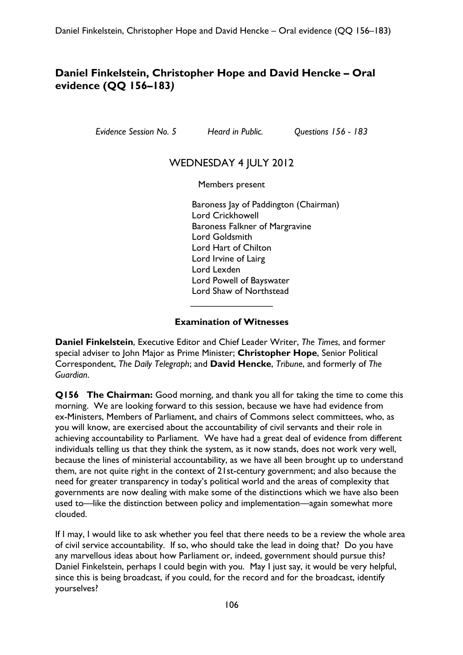## **Daniel Finkelstein, Christopher Hope and David Hencke – Oral evidence (QQ 156–183***)*

*Evidence Session No. 5 Heard in Public. Questions 156 - 183* 

## WEDNESDAY 4 JULY 2012

Members present

Baroness Jay of Paddington (Chairman) Lord Crickhowell Baroness Falkner of Margravine Lord Goldsmith Lord Hart of Chilton Lord Irvine of Lairg Lord Lexden Lord Powell of Bayswater Lord Shaw of Northstead  $\overline{\phantom{a}}$  , which is a set of the set of the set of the set of the set of the set of the set of the set of the set of the set of the set of the set of the set of the set of the set of the set of the set of the set of th

#### **Examination of Witnesses**

**Daniel Finkelstein**, Executive Editor and Chief Leader Writer, *The Times*, and former special adviser to John Major as Prime Minister; **Christopher Hope**, Senior Political Correspondent, *The Daily Telegraph*; and **David Hencke**, *Tribune*, and formerly of *The Guardian*.

**Q156 The Chairman:** Good morning, and thank you all for taking the time to come this morning. We are looking forward to this session, because we have had evidence from ex-Ministers, Members of Parliament, and chairs of Commons select committees, who, as you will know, are exercised about the accountability of civil servants and their role in achieving accountability to Parliament. We have had a great deal of evidence from different individuals telling us that they think the system, as it now stands, does not work very well, because the lines of ministerial accountability, as we have all been brought up to understand them, are not quite right in the context of 21st-century government; and also because the need for greater transparency in today's political world and the areas of complexity that governments are now dealing with make some of the distinctions which we have also been used to—like the distinction between policy and implementation—again somewhat more clouded.

If I may, I would like to ask whether you feel that there needs to be a review the whole area of civil service accountability. If so, who should take the lead in doing that? Do you have any marvellous ideas about how Parliament or, indeed, government should pursue this? Daniel Finkelstein, perhaps I could begin with you. May I just say, it would be very helpful, since this is being broadcast, if you could, for the record and for the broadcast, identify yourselves?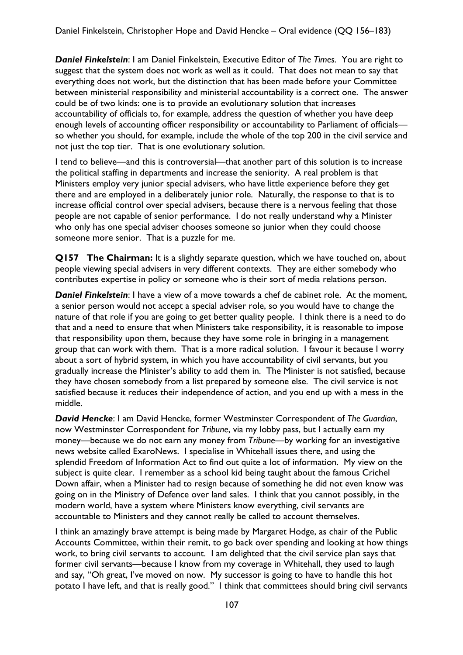*Daniel Finkelstein*: I am Daniel Finkelstein, Executive Editor of *The Times*. You are right to suggest that the system does not work as well as it could. That does not mean to say that everything does not work, but the distinction that has been made before your Committee between ministerial responsibility and ministerial accountability is a correct one. The answer could be of two kinds: one is to provide an evolutionary solution that increases accountability of officials to, for example, address the question of whether you have deep enough levels of accounting officer responsibility or accountability to Parliament of officialsso whether you should, for example, include the whole of the top 200 in the civil service and not just the top tier. That is one evolutionary solution.

I tend to believe—and this is controversial—that another part of this solution is to increase the political staffing in departments and increase the seniority. A real problem is that Ministers employ very junior special advisers, who have little experience before they get there and are employed in a deliberately junior role. Naturally, the response to that is to increase official control over special advisers, because there is a nervous feeling that those people are not capable of senior performance. I do not really understand why a Minister who only has one special adviser chooses someone so junior when they could choose someone more senior. That is a puzzle for me.

**Q157 The Chairman:** It is a slightly separate question, which we have touched on, about people viewing special advisers in very different contexts. They are either somebody who contributes expertise in policy or someone who is their sort of media relations person.

*Daniel Finkelstein*: I have a view of a move towards a chef de cabinet role. At the moment, a senior person would not accept a special adviser role, so you would have to change the nature of that role if you are going to get better quality people. I think there is a need to do that and a need to ensure that when Ministers take responsibility, it is reasonable to impose that responsibility upon them, because they have some role in bringing in a management group that can work with them. That is a more radical solution. I favour it because I worry about a sort of hybrid system, in which you have accountability of civil servants, but you gradually increase the Minister's ability to add them in. The Minister is not satisfied, because they have chosen somebody from a list prepared by someone else. The civil service is not satisfied because it reduces their independence of action, and you end up with a mess in the middle.

*David Hencke*: I am David Hencke, former Westminster Correspondent of *The Guardian*, now Westminster Correspondent for *Tribune*, via my lobby pass, but I actually earn my money—because we do not earn any money from *Tribune—*by working for an investigative news website called ExaroNews. I specialise in Whitehall issues there, and using the splendid Freedom of Information Act to find out quite a lot of information. My view on the subject is quite clear. I remember as a school kid being taught about the famous Crichel Down affair, when a Minister had to resign because of something he did not even know was going on in the Ministry of Defence over land sales. I think that you cannot possibly, in the modern world, have a system where Ministers know everything, civil servants are accountable to Ministers and they cannot really be called to account themselves.

I think an amazingly brave attempt is being made by Margaret Hodge, as chair of the Public Accounts Committee, within their remit, to go back over spending and looking at how things work, to bring civil servants to account. I am delighted that the civil service plan says that former civil servants—because I know from my coverage in Whitehall, they used to laugh and say, "Oh great, I've moved on now. My successor is going to have to handle this hot potato I have left, and that is really good." I think that committees should bring civil servants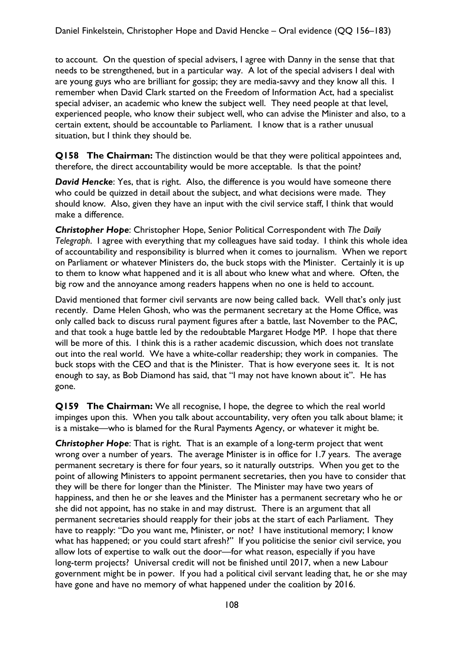to account. On the question of special advisers, I agree with Danny in the sense that that needs to be strengthened, but in a particular way. A lot of the special advisers I deal with are young guys who are brilliant for gossip; they are media-savvy and they know all this. I remember when David Clark started on the Freedom of Information Act, had a specialist special adviser, an academic who knew the subject well. They need people at that level, experienced people, who know their subject well, who can advise the Minister and also, to a certain extent, should be accountable to Parliament. I know that is a rather unusual situation, but I think they should be.

**Q158 The Chairman:** The distinction would be that they were political appointees and, therefore, the direct accountability would be more acceptable. Is that the point?

*David Hencke*: Yes, that is right. Also, the difference is you would have someone there who could be quizzed in detail about the subject, and what decisions were made. They should know. Also, given they have an input with the civil service staff, I think that would make a difference.

*Christopher Hope*: Christopher Hope, Senior Political Correspondent with *The Daily Telegraph*. I agree with everything that my colleagues have said today. I think this whole idea of accountability and responsibility is blurred when it comes to journalism. When we report on Parliament or whatever Ministers do, the buck stops with the Minister. Certainly it is up to them to know what happened and it is all about who knew what and where. Often, the big row and the annoyance among readers happens when no one is held to account.

David mentioned that former civil servants are now being called back. Well that's only just recently. Dame Helen Ghosh, who was the permanent secretary at the Home Office, was only called back to discuss rural payment figures after a battle, last November to the PAC, and that took a huge battle led by the redoubtable Margaret Hodge MP. I hope that there will be more of this. I think this is a rather academic discussion, which does not translate out into the real world. We have a white-collar readership; they work in companies. The buck stops with the CEO and that is the Minister. That is how everyone sees it. It is not enough to say, as Bob Diamond has said, that "I may not have known about it". He has gone.

**Q159 The Chairman:** We all recognise, I hope, the degree to which the real world impinges upon this. When you talk about accountability, very often you talk about blame; it is a mistake—who is blamed for the Rural Payments Agency, or whatever it might be.

**Christopher Hope:** That is right. That is an example of a long-term project that went wrong over a number of years. The average Minister is in office for 1.7 years. The average permanent secretary is there for four years, so it naturally outstrips. When you get to the point of allowing Ministers to appoint permanent secretaries, then you have to consider that they will be there for longer than the Minister. The Minister may have two years of happiness, and then he or she leaves and the Minister has a permanent secretary who he or she did not appoint, has no stake in and may distrust. There is an argument that all permanent secretaries should reapply for their jobs at the start of each Parliament. They have to reapply: "Do you want me, Minister, or not? I have institutional memory; I know what has happened; or you could start afresh?" If you politicise the senior civil service, you allow lots of expertise to walk out the door—for what reason, especially if you have long-term projects? Universal credit will not be finished until 2017, when a new Labour government might be in power. If you had a political civil servant leading that, he or she may have gone and have no memory of what happened under the coalition by 2016.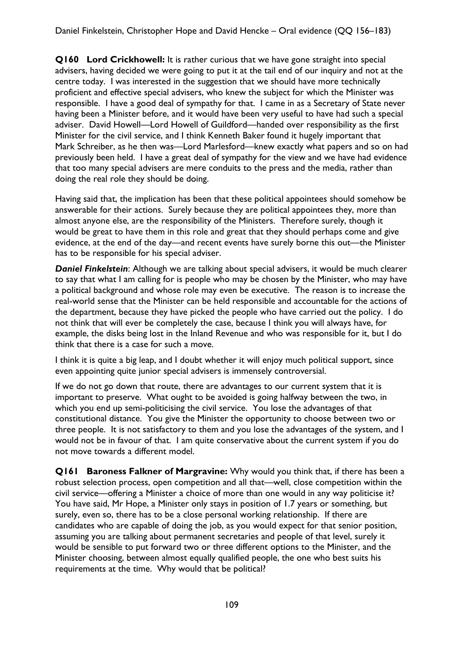**Q160 Lord Crickhowell:** It is rather curious that we have gone straight into special advisers, having decided we were going to put it at the tail end of our inquiry and not at the centre today. I was interested in the suggestion that we should have more technically proficient and effective special advisers, who knew the subject for which the Minister was responsible. I have a good deal of sympathy for that. I came in as a Secretary of State never having been a Minister before, and it would have been very useful to have had such a special adviser. David Howell—Lord Howell of Guildford—handed over responsibility as the first Minister for the civil service, and I think Kenneth Baker found it hugely important that Mark Schreiber, as he then was—Lord Marlesford—knew exactly what papers and so on had previously been held. I have a great deal of sympathy for the view and we have had evidence that too many special advisers are mere conduits to the press and the media, rather than doing the real role they should be doing.

Having said that, the implication has been that these political appointees should somehow be answerable for their actions. Surely because they are political appointees they, more than almost anyone else, are the responsibility of the Ministers. Therefore surely, though it would be great to have them in this role and great that they should perhaps come and give evidence, at the end of the day—and recent events have surely borne this out—the Minister has to be responsible for his special adviser.

*Daniel Finkelstein*: Although we are talking about special advisers, it would be much clearer to say that what I am calling for is people who may be chosen by the Minister, who may have a political background and whose role may even be executive. The reason is to increase the real-world sense that the Minister can be held responsible and accountable for the actions of the department, because they have picked the people who have carried out the policy. I do not think that will ever be completely the case, because I think you will always have, for example, the disks being lost in the Inland Revenue and who was responsible for it, but I do think that there is a case for such a move.

I think it is quite a big leap, and I doubt whether it will enjoy much political support, since even appointing quite junior special advisers is immensely controversial.

If we do not go down that route, there are advantages to our current system that it is important to preserve. What ought to be avoided is going halfway between the two, in which you end up semi-politicising the civil service. You lose the advantages of that constitutional distance. You give the Minister the opportunity to choose between two or three people. It is not satisfactory to them and you lose the advantages of the system, and I would not be in favour of that. I am quite conservative about the current system if you do not move towards a different model.

**Q161 Baroness Falkner of Margravine:** Why would you think that, if there has been a robust selection process, open competition and all that—well, close competition within the civil service—offering a Minister a choice of more than one would in any way politicise it? You have said, Mr Hope, a Minister only stays in position of 1.7 years or something, but surely, even so, there has to be a close personal working relationship. If there are candidates who are capable of doing the job, as you would expect for that senior position, assuming you are talking about permanent secretaries and people of that level, surely it would be sensible to put forward two or three different options to the Minister, and the Minister choosing, between almost equally qualified people, the one who best suits his requirements at the time. Why would that be political?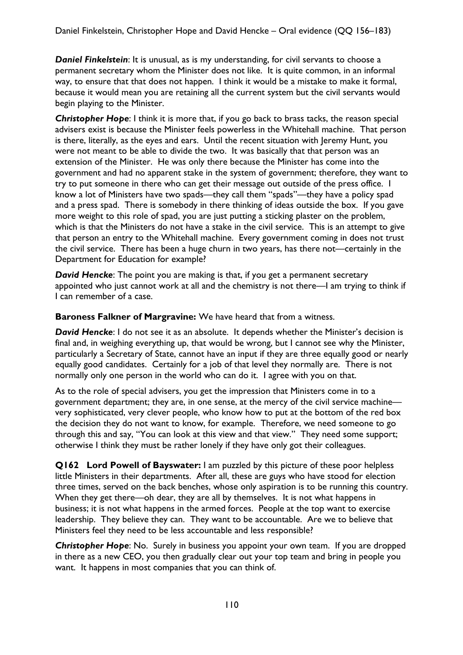*Daniel Finkelstein*: It is unusual, as is my understanding, for civil servants to choose a permanent secretary whom the Minister does not like. It is quite common, in an informal way, to ensure that that does not happen. I think it would be a mistake to make it formal, because it would mean you are retaining all the current system but the civil servants would begin playing to the Minister.

**Christopher Hope:** I think it is more that, if you go back to brass tacks, the reason special advisers exist is because the Minister feels powerless in the Whitehall machine. That person is there, literally, as the eyes and ears. Until the recent situation with Jeremy Hunt, you were not meant to be able to divide the two. It was basically that that person was an extension of the Minister. He was only there because the Minister has come into the government and had no apparent stake in the system of government; therefore, they want to try to put someone in there who can get their message out outside of the press office. I know a lot of Ministers have two spads—they call them "spads"—they have a policy spad and a press spad. There is somebody in there thinking of ideas outside the box. If you gave more weight to this role of spad, you are just putting a sticking plaster on the problem, which is that the Ministers do not have a stake in the civil service. This is an attempt to give that person an entry to the Whitehall machine. Every government coming in does not trust the civil service. There has been a huge churn in two years, has there not—certainly in the Department for Education for example?

*David Hencke*: The point you are making is that, if you get a permanent secretary appointed who just cannot work at all and the chemistry is not there—I am trying to think if I can remember of a case.

**Baroness Falkner of Margravine:** We have heard that from a witness.

*David Hencke*: I do not see it as an absolute. It depends whether the Minister's decision is final and, in weighing everything up, that would be wrong, but I cannot see why the Minister, particularly a Secretary of State, cannot have an input if they are three equally good or nearly equally good candidates. Certainly for a job of that level they normally are. There is not normally only one person in the world who can do it. I agree with you on that.

As to the role of special advisers, you get the impression that Ministers come in to a government department; they are, in one sense, at the mercy of the civil service machine very sophisticated, very clever people, who know how to put at the bottom of the red box the decision they do not want to know, for example. Therefore, we need someone to go through this and say, "You can look at this view and that view." They need some support; otherwise I think they must be rather lonely if they have only got their colleagues.

**Q162 Lord Powell of Bayswater:** I am puzzled by this picture of these poor helpless little Ministers in their departments. After all, these are guys who have stood for election three times, served on the back benches, whose only aspiration is to be running this country. When they get there—oh dear, they are all by themselves. It is not what happens in business; it is not what happens in the armed forces. People at the top want to exercise leadership. They believe they can. They want to be accountable. Are we to believe that Ministers feel they need to be less accountable and less responsible?

*Christopher Hope*: No. Surely in business you appoint your own team. If you are dropped in there as a new CEO, you then gradually clear out your top team and bring in people you want. It happens in most companies that you can think of.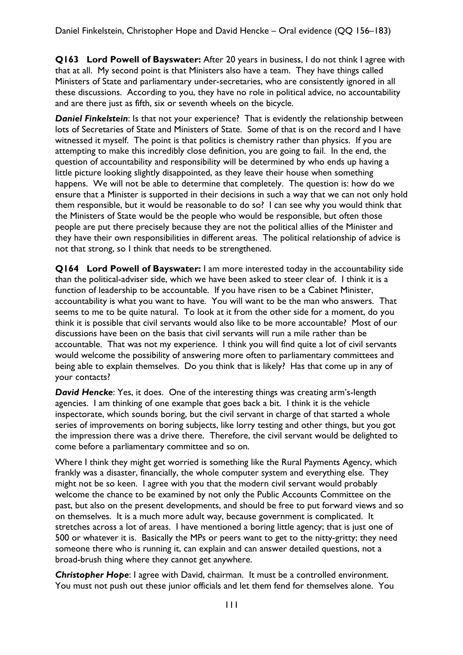**Q163 Lord Powell of Bayswater:** After 20 years in business, I do not think I agree with that at all. My second point is that Ministers also have a team. They have things called Ministers of State and parliamentary under-secretaries, who are consistently ignored in all these discussions. According to you, they have no role in political advice, no accountability and are there just as fifth, six or seventh wheels on the bicycle.

**Daniel Finkelstein:** Is that not your experience? That is evidently the relationship between lots of Secretaries of State and Ministers of State. Some of that is on the record and I have witnessed it myself. The point is that politics is chemistry rather than physics. If you are attempting to make this incredibly close definition, you are going to fail. In the end, the question of accountability and responsibility will be determined by who ends up having a little picture looking slightly disappointed, as they leave their house when something happens. We will not be able to determine that completely. The question is: how do we ensure that a Minister is supported in their decisions in such a way that we can not only hold them responsible, but it would be reasonable to do so? I can see why you would think that the Ministers of State would be the people who would be responsible, but often those people are put there precisely because they are not the political allies of the Minister and they have their own responsibilities in different areas. The political relationship of advice is not that strong, so I think that needs to be strengthened.

**Q164 Lord Powell of Bayswater:** I am more interested today in the accountability side than the political-adviser side, which we have been asked to steer clear of. I think it is a function of leadership to be accountable. If you have risen to be a Cabinet Minister, accountability is what you want to have. You will want to be the man who answers. That seems to me to be quite natural. To look at it from the other side for a moment, do you think it is possible that civil servants would also like to be more accountable? Most of our discussions have been on the basis that civil servants will run a mile rather than be accountable. That was not my experience. I think you will find quite a lot of civil servants would welcome the possibility of answering more often to parliamentary committees and being able to explain themselves. Do you think that is likely? Has that come up in any of your contacts?

*David Hencke*: Yes, it does. One of the interesting things was creating arm's-length agencies. I am thinking of one example that goes back a bit. I think it is the vehicle inspectorate, which sounds boring, but the civil servant in charge of that started a whole series of improvements on boring subjects, like lorry testing and other things, but you got the impression there was a drive there. Therefore, the civil servant would be delighted to come before a parliamentary committee and so on.

Where I think they might get worried is something like the Rural Payments Agency, which frankly was a disaster, financially, the whole computer system and everything else. They might not be so keen. I agree with you that the modern civil servant would probably welcome the chance to be examined by not only the Public Accounts Committee on the past, but also on the present developments, and should be free to put forward views and so on themselves. It is a much more adult way, because government is complicated. It stretches across a lot of areas. I have mentioned a boring little agency; that is just one of 500 or whatever it is. Basically the MPs or peers want to get to the nitty-gritty; they need someone there who is running it, can explain and can answer detailed questions, not a broad-brush thing where they cannot get anywhere.

**Christopher Hope**: I agree with David, chairman. It must be a controlled environment. You must not push out these junior officials and let them fend for themselves alone. You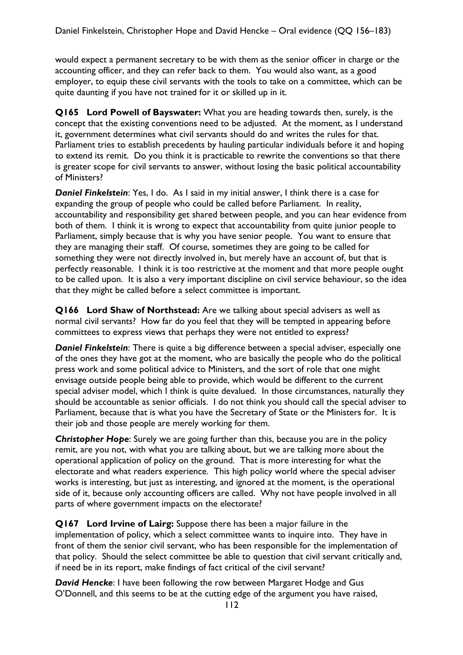would expect a permanent secretary to be with them as the senior officer in charge or the accounting officer, and they can refer back to them. You would also want, as a good employer, to equip these civil servants with the tools to take on a committee, which can be quite daunting if you have not trained for it or skilled up in it.

**Q165 Lord Powell of Bayswater:** What you are heading towards then, surely, is the concept that the existing conventions need to be adjusted. At the moment, as I understand it, government determines what civil servants should do and writes the rules for that. Parliament tries to establish precedents by hauling particular individuals before it and hoping to extend its remit. Do you think it is practicable to rewrite the conventions so that there is greater scope for civil servants to answer, without losing the basic political accountability of Ministers?

*Daniel Finkelstein*: Yes, I do. As I said in my initial answer, I think there is a case for expanding the group of people who could be called before Parliament. In reality, accountability and responsibility get shared between people, and you can hear evidence from both of them. I think it is wrong to expect that accountability from quite junior people to Parliament, simply because that is why you have senior people. You want to ensure that they are managing their staff. Of course, sometimes they are going to be called for something they were not directly involved in, but merely have an account of, but that is perfectly reasonable. I think it is too restrictive at the moment and that more people ought to be called upon. It is also a very important discipline on civil service behaviour, so the idea that they might be called before a select committee is important.

**Q166 Lord Shaw of Northstead:** Are we talking about special advisers as well as normal civil servants? How far do you feel that they will be tempted in appearing before committees to express views that perhaps they were not entitled to express?

*Daniel Finkelstein*: There is quite a big difference between a special adviser, especially one of the ones they have got at the moment, who are basically the people who do the political press work and some political advice to Ministers, and the sort of role that one might envisage outside people being able to provide, which would be different to the current special adviser model, which I think is quite devalued. In those circumstances, naturally they should be accountable as senior officials. I do not think you should call the special adviser to Parliament, because that is what you have the Secretary of State or the Ministers for. It is their job and those people are merely working for them.

**Christopher Hope:** Surely we are going further than this, because you are in the policy remit, are you not, with what you are talking about, but we are talking more about the operational application of policy on the ground. That is more interesting for what the electorate and what readers experience. This high policy world where the special adviser works is interesting, but just as interesting, and ignored at the moment, is the operational side of it, because only accounting officers are called. Why not have people involved in all parts of where government impacts on the electorate?

**Q167 Lord Irvine of Lairg:** Suppose there has been a major failure in the implementation of policy, which a select committee wants to inquire into. They have in front of them the senior civil servant, who has been responsible for the implementation of that policy. Should the select committee be able to question that civil servant critically and, if need be in its report, make findings of fact critical of the civil servant?

*David Hencke*: I have been following the row between Margaret Hodge and Gus O'Donnell, and this seems to be at the cutting edge of the argument you have raised,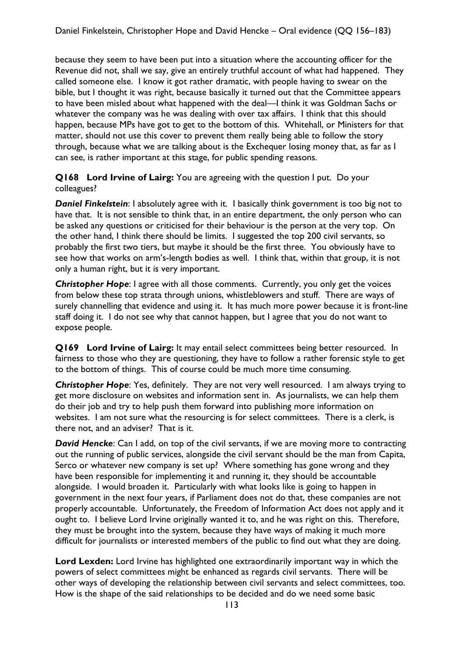because they seem to have been put into a situation where the accounting officer for the Revenue did not, shall we say, give an entirely truthful account of what had happened. They called someone else. I know it got rather dramatic, with people having to swear on the bible, but I thought it was right, because basically it turned out that the Committee appears to have been misled about what happened with the deal—I think it was Goldman Sachs or whatever the company was he was dealing with over tax affairs. I think that this should happen, because MPs have got to get to the bottom of this. Whitehall, or Ministers for that matter, should not use this cover to prevent them really being able to follow the story through, because what we are talking about is the Exchequer losing money that, as far as I can see, is rather important at this stage, for public spending reasons.

**Q168 Lord Irvine of Lairg:** You are agreeing with the question I put. Do your colleagues?

**Daniel Finkelstein**: I absolutely agree with it. I basically think government is too big not to have that. It is not sensible to think that, in an entire department, the only person who can be asked any questions or criticised for their behaviour is the person at the very top. On the other hand, I think there should be limits. I suggested the top 200 civil servants, so probably the first two tiers, but maybe it should be the first three. You obviously have to see how that works on arm's-length bodies as well. I think that, within that group, it is not only a human right, but it is very important.

**Christopher Hope**: I agree with all those comments. Currently, you only get the voices from below these top strata through unions, whistleblowers and stuff. There are ways of surely channelling that evidence and using it. It has much more power because it is front-line staff doing it. I do not see why that cannot happen, but I agree that you do not want to expose people.

**Q169 Lord Irvine of Lairg:** It may entail select committees being better resourced. In fairness to those who they are questioning, they have to follow a rather forensic style to get to the bottom of things. This of course could be much more time consuming.

*Christopher Hope*: Yes, definitely. They are not very well resourced. I am always trying to get more disclosure on websites and information sent in. As journalists, we can help them do their job and try to help push them forward into publishing more information on websites. I am not sure what the resourcing is for select committees. There is a clerk, is there not, and an adviser? That is it.

**David Hencke:** Can I add, on top of the civil servants, if we are moving more to contracting out the running of public services, alongside the civil servant should be the man from Capita, Serco or whatever new company is set up? Where something has gone wrong and they have been responsible for implementing it and running it, they should be accountable alongside. I would broaden it. Particularly with what looks like is going to happen in government in the next four years, if Parliament does not do that, these companies are not properly accountable. Unfortunately, the Freedom of Information Act does not apply and it ought to. I believe Lord Irvine originally wanted it to, and he was right on this. Therefore, they must be brought into the system, because they have ways of making it much more difficult for journalists or interested members of the public to find out what they are doing.

**Lord Lexden:** Lord Irvine has highlighted one extraordinarily important way in which the powers of select committees might be enhanced as regards civil servants. There will be other ways of developing the relationship between civil servants and select committees, too. How is the shape of the said relationships to be decided and do we need some basic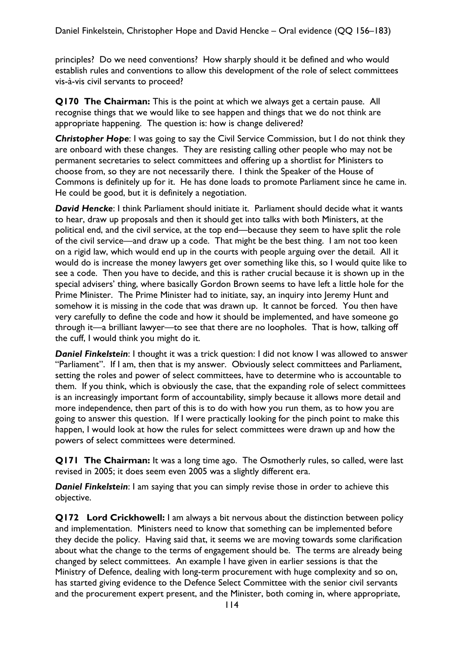principles? Do we need conventions? How sharply should it be defined and who would establish rules and conventions to allow this development of the role of select committees vis-à-vis civil servants to proceed?

**Q170 The Chairman:** This is the point at which we always get a certain pause. All recognise things that we would like to see happen and things that we do not think are appropriate happening. The question is: how is change delivered?

**Christopher Hope:** I was going to say the Civil Service Commission, but I do not think they are onboard with these changes. They are resisting calling other people who may not be permanent secretaries to select committees and offering up a shortlist for Ministers to choose from, so they are not necessarily there. I think the Speaker of the House of Commons is definitely up for it. He has done loads to promote Parliament since he came in. He could be good, but it is definitely a negotiation.

*David Hencke*: I think Parliament should initiate it. Parliament should decide what it wants to hear, draw up proposals and then it should get into talks with both Ministers, at the political end, and the civil service, at the top end—because they seem to have split the role of the civil service—and draw up a code. That might be the best thing. I am not too keen on a rigid law, which would end up in the courts with people arguing over the detail. All it would do is increase the money lawyers get over something like this, so I would quite like to see a code. Then you have to decide, and this is rather crucial because it is shown up in the special advisers' thing, where basically Gordon Brown seems to have left a little hole for the Prime Minister. The Prime Minister had to initiate, say, an inquiry into Jeremy Hunt and somehow it is missing in the code that was drawn up. It cannot be forced. You then have very carefully to define the code and how it should be implemented, and have someone go through it—a brilliant lawyer—to see that there are no loopholes. That is how, talking off the cuff, I would think you might do it.

**Daniel Finkelstein**: I thought it was a trick question: I did not know I was allowed to answer "Parliament". If I am, then that is my answer. Obviously select committees and Parliament, setting the roles and power of select committees, have to determine who is accountable to them. If you think, which is obviously the case, that the expanding role of select committees is an increasingly important form of accountability, simply because it allows more detail and more independence, then part of this is to do with how you run them, as to how you are going to answer this question. If I were practically looking for the pinch point to make this happen, I would look at how the rules for select committees were drawn up and how the powers of select committees were determined.

**Q171 The Chairman:** It was a long time ago. The Osmotherly rules, so called, were last revised in 2005; it does seem even 2005 was a slightly different era.

**Daniel Finkelstein:** I am saying that you can simply revise those in order to achieve this objective.

**Q172 Lord Crickhowell:** I am always a bit nervous about the distinction between policy and implementation. Ministers need to know that something can be implemented before they decide the policy. Having said that, it seems we are moving towards some clarification about what the change to the terms of engagement should be. The terms are already being changed by select committees. An example I have given in earlier sessions is that the Ministry of Defence, dealing with long-term procurement with huge complexity and so on, has started giving evidence to the Defence Select Committee with the senior civil servants and the procurement expert present, and the Minister, both coming in, where appropriate,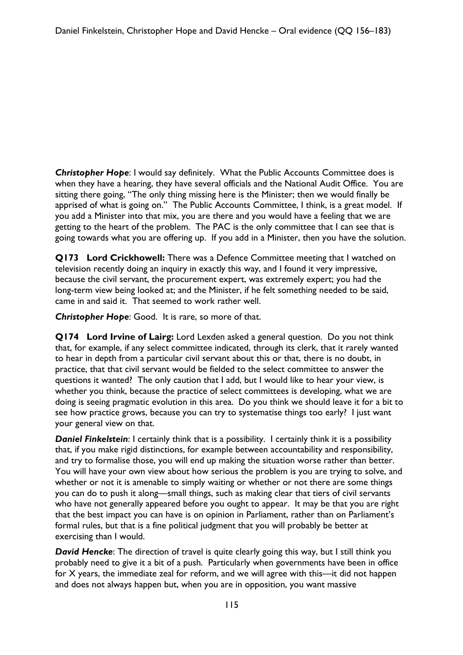*Christopher Hope*: I would say definitely. What the Public Accounts Committee does is when they have a hearing, they have several officials and the National Audit Office. You are sitting there going, "The only thing missing here is the Minister; then we would finally be apprised of what is going on." The Public Accounts Committee, I think, is a great model. If you add a Minister into that mix, you are there and you would have a feeling that we are getting to the heart of the problem. The PAC is the only committee that I can see that is going towards what you are offering up. If you add in a Minister, then you have the solution.

**Q173 Lord Crickhowell:** There was a Defence Committee meeting that I watched on television recently doing an inquiry in exactly this way, and I found it very impressive, because the civil servant, the procurement expert, was extremely expert; you had the long-term view being looked at; and the Minister, if he felt something needed to be said, came in and said it. That seemed to work rather well.

*Christopher Hope*: Good. It is rare, so more of that.

**Q174 Lord Irvine of Lairg:** Lord Lexden asked a general question. Do you not think that, for example, if any select committee indicated, through its clerk, that it rarely wanted to hear in depth from a particular civil servant about this or that, there is no doubt, in practice, that that civil servant would be fielded to the select committee to answer the questions it wanted? The only caution that I add, but I would like to hear your view, is whether you think, because the practice of select committees is developing, what we are doing is seeing pragmatic evolution in this area. Do you think we should leave it for a bit to see how practice grows, because you can try to systematise things too early? I just want your general view on that.

**Daniel Finkelstein:** I certainly think that is a possibility. I certainly think it is a possibility that, if you make rigid distinctions, for example between accountability and responsibility, and try to formalise those, you will end up making the situation worse rather than better. You will have your own view about how serious the problem is you are trying to solve, and whether or not it is amenable to simply waiting or whether or not there are some things you can do to push it along—small things, such as making clear that tiers of civil servants who have not generally appeared before you ought to appear. It may be that you are right that the best impact you can have is on opinion in Parliament, rather than on Parliament's formal rules, but that is a fine political judgment that you will probably be better at exercising than I would.

*David Hencke*: The direction of travel is quite clearly going this way, but I still think you probably need to give it a bit of a push. Particularly when governments have been in office for X years, the immediate zeal for reform, and we will agree with this—it did not happen and does not always happen but, when you are in opposition, you want massive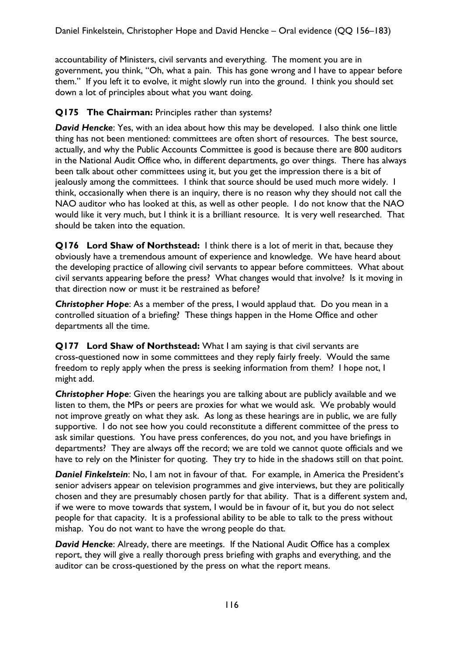accountability of Ministers, civil servants and everything. The moment you are in government, you think, "Oh, what a pain. This has gone wrong and I have to appear before them." If you left it to evolve, it might slowly run into the ground. I think you should set down a lot of principles about what you want doing.

### **Q175 The Chairman:** Principles rather than systems?

*David Hencke*: Yes, with an idea about how this may be developed. I also think one little thing has not been mentioned: committees are often short of resources. The best source, actually, and why the Public Accounts Committee is good is because there are 800 auditors in the National Audit Office who, in different departments, go over things. There has always been talk about other committees using it, but you get the impression there is a bit of jealously among the committees. I think that source should be used much more widely. I think, occasionally when there is an inquiry, there is no reason why they should not call the NAO auditor who has looked at this, as well as other people. I do not know that the NAO would like it very much, but I think it is a brilliant resource. It is very well researched. That should be taken into the equation.

**Q176 Lord Shaw of Northstead:** I think there is a lot of merit in that, because they obviously have a tremendous amount of experience and knowledge. We have heard about the developing practice of allowing civil servants to appear before committees. What about civil servants appearing before the press? What changes would that involve? Is it moving in that direction now or must it be restrained as before?

**Christopher Hope:** As a member of the press, I would applaud that. Do you mean in a controlled situation of a briefing? These things happen in the Home Office and other departments all the time.

**Q177 Lord Shaw of Northstead:** What I am saying is that civil servants are cross-questioned now in some committees and they reply fairly freely. Would the same freedom to reply apply when the press is seeking information from them? I hope not, I might add.

*Christopher Hope*: Given the hearings you are talking about are publicly available and we listen to them, the MPs or peers are proxies for what we would ask. We probably would not improve greatly on what they ask. As long as these hearings are in public, we are fully supportive. I do not see how you could reconstitute a different committee of the press to ask similar questions. You have press conferences, do you not, and you have briefings in departments? They are always off the record; we are told we cannot quote officials and we have to rely on the Minister for quoting. They try to hide in the shadows still on that point.

*Daniel Finkelstein*: No, I am not in favour of that. For example, in America the President's senior advisers appear on television programmes and give interviews, but they are politically chosen and they are presumably chosen partly for that ability. That is a different system and, if we were to move towards that system, I would be in favour of it, but you do not select people for that capacity. It is a professional ability to be able to talk to the press without mishap. You do not want to have the wrong people do that.

*David Hencke*: Already, there are meetings. If the National Audit Office has a complex report, they will give a really thorough press briefing with graphs and everything, and the auditor can be cross-questioned by the press on what the report means.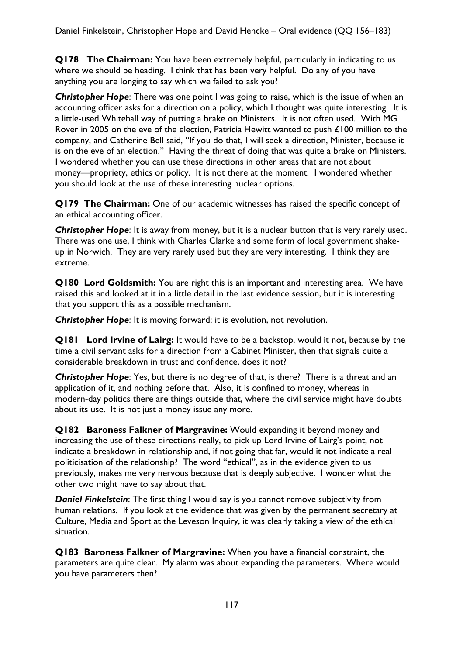**Q178 The Chairman:** You have been extremely helpful, particularly in indicating to us where we should be heading. I think that has been very helpful. Do any of you have anything you are longing to say which we failed to ask you?

**Christopher Hope**: There was one point I was going to raise, which is the issue of when an accounting officer asks for a direction on a policy, which I thought was quite interesting. It is a little-used Whitehall way of putting a brake on Ministers. It is not often used. With MG Rover in 2005 on the eve of the election, Patricia Hewitt wanted to push £100 million to the company, and Catherine Bell said, "If you do that, I will seek a direction, Minister, because it is on the eve of an election." Having the threat of doing that was quite a brake on Ministers. I wondered whether you can use these directions in other areas that are not about money—propriety, ethics or policy. It is not there at the moment. I wondered whether you should look at the use of these interesting nuclear options.

**Q179 The Chairman:** One of our academic witnesses has raised the specific concept of an ethical accounting officer.

*Christopher Hope*: It is away from money, but it is a nuclear button that is very rarely used. There was one use, I think with Charles Clarke and some form of local government shakeup in Norwich. They are very rarely used but they are very interesting. I think they are extreme.

**Q180 Lord Goldsmith:** You are right this is an important and interesting area. We have raised this and looked at it in a little detail in the last evidence session, but it is interesting that you support this as a possible mechanism.

*Christopher Hope*: It is moving forward; it is evolution, not revolution.

**Q181 Lord Irvine of Lairg:** It would have to be a backstop, would it not, because by the time a civil servant asks for a direction from a Cabinet Minister, then that signals quite a considerable breakdown in trust and confidence, does it not?

*Christopher Hope*: Yes, but there is no degree of that, is there? There is a threat and an application of it, and nothing before that. Also, it is confined to money, whereas in modern-day politics there are things outside that, where the civil service might have doubts about its use. It is not just a money issue any more.

**Q182 Baroness Falkner of Margravine:** Would expanding it beyond money and increasing the use of these directions really, to pick up Lord Irvine of Lairg's point, not indicate a breakdown in relationship and, if not going that far, would it not indicate a real politicisation of the relationship? The word "ethical", as in the evidence given to us previously, makes me very nervous because that is deeply subjective. I wonder what the other two might have to say about that.

*Daniel Finkelstein*: The first thing I would say is you cannot remove subjectivity from human relations. If you look at the evidence that was given by the permanent secretary at Culture, Media and Sport at the Leveson Inquiry, it was clearly taking a view of the ethical situation.

**Q183 Baroness Falkner of Margravine:** When you have a financial constraint, the parameters are quite clear. My alarm was about expanding the parameters. Where would you have parameters then?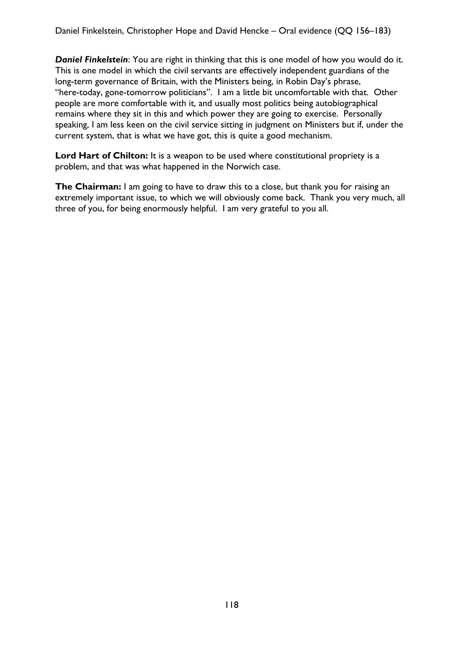*Daniel Finkelstein*: You are right in thinking that this is one model of how you would do it. This is one model in which the civil servants are effectively independent guardians of the long-term governance of Britain, with the Ministers being, in Robin Day's phrase, "here-today, gone-tomorrow politicians". I am a little bit uncomfortable with that. Other people are more comfortable with it, and usually most politics being autobiographical remains where they sit in this and which power they are going to exercise. Personally speaking, I am less keen on the civil service sitting in judgment on Ministers but if, under the current system, that is what we have got, this is quite a good mechanism.

Lord Hart of Chilton: It is a weapon to be used where constitutional propriety is a problem, and that was what happened in the Norwich case.

**The Chairman:** I am going to have to draw this to a close, but thank you for raising an extremely important issue, to which we will obviously come back. Thank you very much, all three of you, for being enormously helpful. I am very grateful to you all.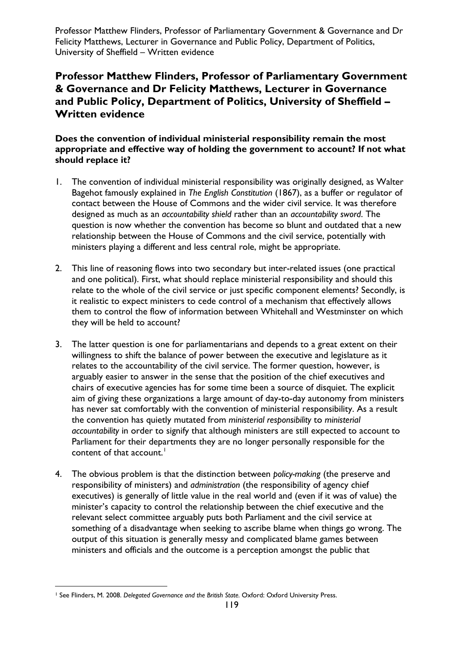Professor Matthew Flinders, Professor of Parliamentary Government & Governance and Dr Felicity Matthews, Lecturer in Governance and Public Policy, Department of Politics, University of Sheffield – Written evidence

# **Professor Matthew Flinders, Professor of Parliamentary Government & Governance and Dr Felicity Matthews, Lecturer in Governance and Public Policy, Department of Politics, University of Sheffield – Written evidence**

#### **Does the convention of individual ministerial responsibility remain the most appropriate and effective way of holding the government to account? If not what should replace it?**

- 1. The convention of individual ministerial responsibility was originally designed, as Walter Bagehot famously explained in *The English Constitution* (1867), as a buffer or regulator of contact between the House of Commons and the wider civil service. It was therefore designed as much as an *accountability shield* rather than an *accountability sword*. The question is now whether the convention has become so blunt and outdated that a new relationship between the House of Commons and the civil service, potentially with ministers playing a different and less central role, might be appropriate.
- 2. This line of reasoning flows into two secondary but inter-related issues (one practical and one political). First, what should replace ministerial responsibility and should this relate to the whole of the civil service or just specific component elements? Secondly, is it realistic to expect ministers to cede control of a mechanism that effectively allows them to control the flow of information between Whitehall and Westminster on which they will be held to account?
- 3. The latter question is one for parliamentarians and depends to a great extent on their willingness to shift the balance of power between the executive and legislature as it relates to the accountability of the civil service. The former question, however, is arguably easier to answer in the sense that the position of the chief executives and chairs of executive agencies has for some time been a source of disquiet. The explicit aim of giving these organizations a large amount of day-to-day autonomy from ministers has never sat comfortably with the convention of ministerial responsibility. As a result the convention has quietly mutated from *ministerial responsibility* to *ministerial accountability* in order to signify that although ministers are still expected to account to Parliament for their departments they are no longer personally responsible for the content of that account. $<sup>1</sup>$  $<sup>1</sup>$  $<sup>1</sup>$ </sup>
- 4. The obvious problem is that the distinction between *policy-making* (the preserve and responsibility of ministers) and *administration* (the responsibility of agency chief executives) is generally of little value in the real world and (even if it was of value) the minister's capacity to control the relationship between the chief executive and the relevant select committee arguably puts both Parliament and the civil service at something of a disadvantage when seeking to ascribe blame when things go wrong. The output of this situation is generally messy and complicated blame games between ministers and officials and the outcome is a perception amongst the public that

l

<span id="page-118-0"></span><sup>1</sup> See Flinders, M. 2008. *Delegated Governance and the British State.* Oxford: Oxford University Press.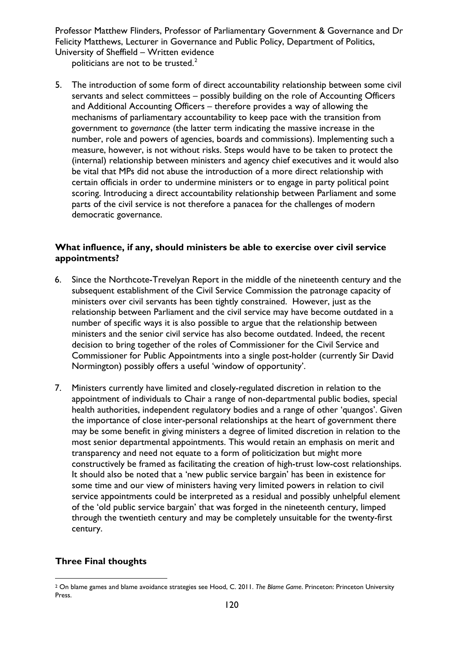Professor Matthew Flinders, Professor of Parliamentary Government & Governance and Dr Felicity Matthews, Lecturer in Governance and Public Policy, Department of Politics, University of Sheffield – Written evidence

politicians are not to be trusted. $2$ 

5. The introduction of some form of direct accountability relationship between some civil servants and select committees – possibly building on the role of Accounting Officers and Additional Accounting Officers – therefore provides a way of allowing the mechanisms of parliamentary accountability to keep pace with the transition from government to *governance* (the latter term indicating the massive increase in the number, role and powers of agencies, boards and commissions). Implementing such a measure, however, is not without risks. Steps would have to be taken to protect the (internal) relationship between ministers and agency chief executives and it would also be vital that MPs did not abuse the introduction of a more direct relationship with certain officials in order to undermine ministers or to engage in party political point scoring. Introducing a direct accountability relationship between Parliament and some parts of the civil service is not therefore a panacea for the challenges of modern democratic governance.

#### **What influence, if any, should ministers be able to exercise over civil service appointments?**

- 6. Since the Northcote-Trevelyan Report in the middle of the nineteenth century and the subsequent establishment of the Civil Service Commission the patronage capacity of ministers over civil servants has been tightly constrained. However, just as the relationship between Parliament and the civil service may have become outdated in a number of specific ways it is also possible to argue that the relationship between ministers and the senior civil service has also become outdated. Indeed, the recent decision to bring together of the roles of Commissioner for the Civil Service and Commissioner for Public Appointments into a single post-holder (currently Sir David Normington) possibly offers a useful 'window of opportunity'.
- 7. Ministers currently have limited and closely-regulated discretion in relation to the appointment of individuals to Chair a range of non-departmental public bodies, special health authorities, independent regulatory bodies and a range of other 'quangos'. Given the importance of close inter-personal relationships at the heart of government there may be some benefit in giving ministers a degree of limited discretion in relation to the most senior departmental appointments. This would retain an emphasis on merit and transparency and need not equate to a form of politicization but might more constructively be framed as facilitating the creation of high-trust low-cost relationships. It should also be noted that a 'new public service bargain' has been in existence for some time and our view of ministers having very limited powers in relation to civil service appointments could be interpreted as a residual and possibly unhelpful element of the 'old public service bargain' that was forged in the nineteenth century, limped through the twentieth century and may be completely unsuitable for the twenty-first century.

#### **Three Final thoughts**

l

<sup>2</sup> On blame games and blame avoidance strategies see Hood, C. 2011. *The Blame Game*. Princeton: Princeton University Press.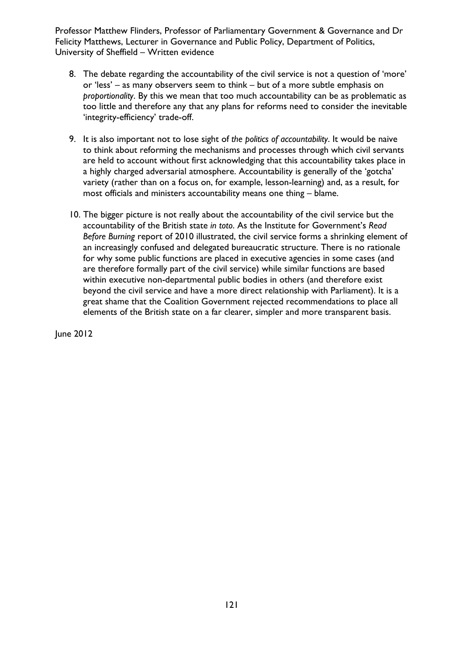Professor Matthew Flinders, Professor of Parliamentary Government & Governance and Dr Felicity Matthews, Lecturer in Governance and Public Policy, Department of Politics, University of Sheffield – Written evidence

- 8. The debate regarding the accountability of the civil service is not a question of 'more' or 'less' – as many observers seem to think – but of a more subtle emphasis on *proportionality*. By this we mean that too much accountability can be as problematic as too little and therefore any that any plans for reforms need to consider the inevitable 'integrity-efficiency' trade-off.
- 9. It is also important not to lose sight of *the politics of accountability*. It would be naive to think about reforming the mechanisms and processes through which civil servants are held to account without first acknowledging that this accountability takes place in a highly charged adversarial atmosphere. Accountability is generally of the 'gotcha' variety (rather than on a focus on, for example, lesson-learning) and, as a result, for most officials and ministers accountability means one thing – blame.
- 10. The bigger picture is not really about the accountability of the civil service but the accountability of the British state *in toto*. As the Institute for Government's *Read Before Burning* report of 2010 illustrated, the civil service forms a shrinking element of an increasingly confused and delegated bureaucratic structure. There is no rationale for why some public functions are placed in executive agencies in some cases (and are therefore formally part of the civil service) while similar functions are based within executive non-departmental public bodies in others (and therefore exist beyond the civil service and have a more direct relationship with Parliament). It is a great shame that the Coalition Government rejected recommendations to place all elements of the British state on a far clearer, simpler and more transparent basis.

June 2012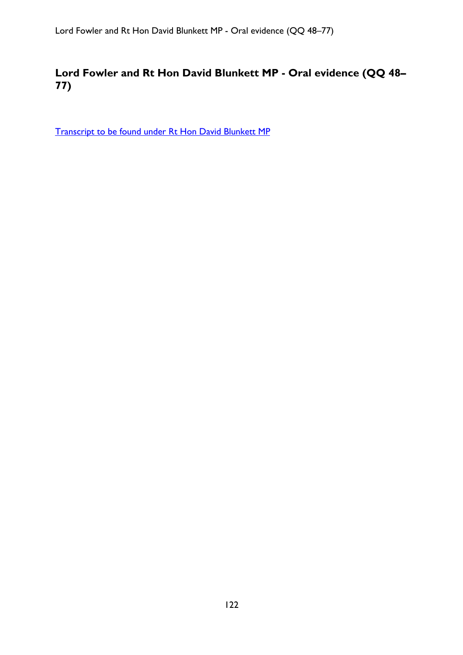# **Lord Fowler and Rt Hon David Blunkett MP - Oral evidence (QQ 48– 77)**

[Transcript to be found under Rt Hon David Blunkett MP](#page-37-0)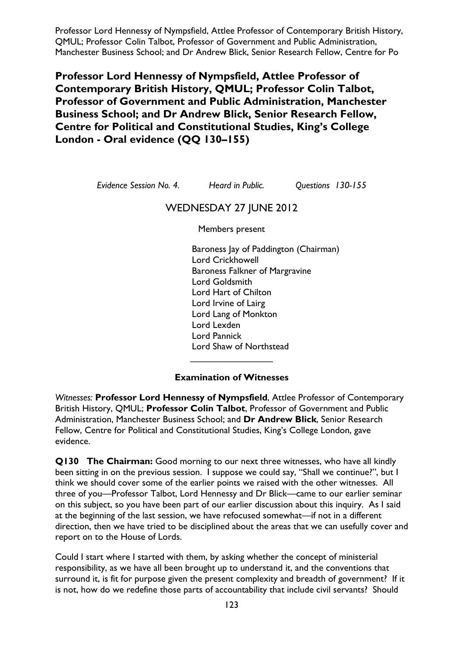Professor Lord Hennessy of Nympsfield, Attlee Professor of Contemporary British History, QMUL; Professor Colin Talbot, Professor of Government and Public Administration, Manchester Business School; and Dr Andrew Blick, Senior Research Fellow, Centre for Po

**Professor Lord Hennessy of Nympsfield, Attlee Professor of Contemporary British History, QMUL; Professor Colin Talbot, Professor of Government and Public Administration, Manchester Business School; and Dr Andrew Blick, Senior Research Fellow, Centre for Political and Constitutional Studies, King's College London - Oral evidence (QQ 130–155)** 

*Evidence Session No. 4. Heard in Public. Questions 130-155* 

## WEDNESDAY 27 JUNE 2012

Members present

Baroness Jay of Paddington (Chairman) Lord Crickhowell Baroness Falkner of Margravine Lord Goldsmith Lord Hart of Chilton Lord Irvine of Lairg Lord Lang of Monkton Lord Lexden Lord Pannick Lord Shaw of Northstead

#### **Examination of Witnesses**

 $\overline{\phantom{a}}$  , which is a set of the set of the set of the set of the set of the set of the set of the set of the set of the set of the set of the set of the set of the set of the set of the set of the set of the set of th

*Witnesses:* **Professor Lord Hennessy of Nympsfield**, Attlee Professor of Contemporary British History, QMUL; **Professor Colin Talbot**, Professor of Government and Public Administration, Manchester Business School; and **Dr Andrew Blick**, Senior Research Fellow, Centre for Political and Constitutional Studies, King's College London, gave evidence.

**Q130 The Chairman:** Good morning to our next three witnesses, who have all kindly been sitting in on the previous session. I suppose we could say, "Shall we continue?", but I think we should cover some of the earlier points we raised with the other witnesses. All three of you—Professor Talbot, Lord Hennessy and Dr Blick—came to our earlier seminar on this subject, so you have been part of our earlier discussion about this inquiry. As I said at the beginning of the last session, we have refocused somewhat—if not in a different direction, then we have tried to be disciplined about the areas that we can usefully cover and report on to the House of Lords.

Could I start where I started with them, by asking whether the concept of ministerial responsibility, as we have all been brought up to understand it, and the conventions that surround it, is fit for purpose given the present complexity and breadth of government? If it is not, how do we redefine those parts of accountability that include civil servants? Should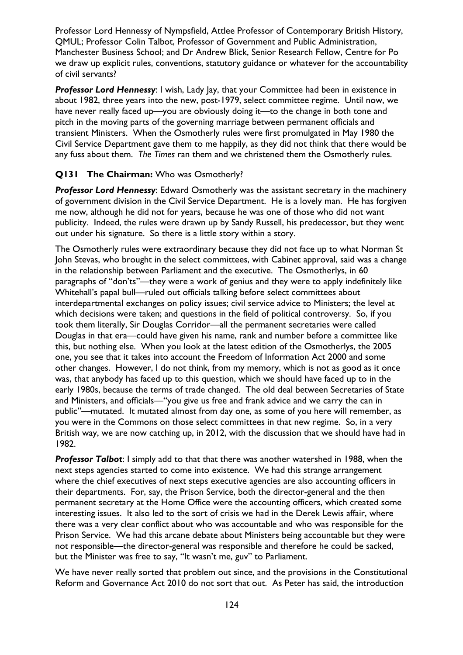Professor Lord Hennessy of Nympsfield, Attlee Professor of Contemporary British History, QMUL; Professor Colin Talbot, Professor of Government and Public Administration, Manchester Business School; and Dr Andrew Blick, Senior Research Fellow, Centre for Po we draw up explicit rules, conventions, statutory guidance or whatever for the accountability of civil servants?

**Professor Lord Hennessy:** I wish, Lady Jay, that your Committee had been in existence in about 1982, three years into the new, post-1979, select committee regime. Until now, we have never really faced up—you are obviously doing it—to the change in both tone and pitch in the moving parts of the governing marriage between permanent officials and transient Ministers. When the Osmotherly rules were first promulgated in May 1980 the Civil Service Department gave them to me happily, as they did not think that there would be any fuss about them. *The Times* ran them and we christened them the Osmotherly rules.

#### **Q131 The Chairman:** Who was Osmotherly?

*Professor Lord Hennessy*: Edward Osmotherly was the assistant secretary in the machinery of government division in the Civil Service Department. He is a lovely man. He has forgiven me now, although he did not for years, because he was one of those who did not want publicity. Indeed, the rules were drawn up by Sandy Russell, his predecessor, but they went out under his signature. So there is a little story within a story.

The Osmotherly rules were extraordinary because they did not face up to what Norman St John Stevas, who brought in the select committees, with Cabinet approval, said was a change in the relationship between Parliament and the executive. The Osmotherlys, in 60 paragraphs of "don'ts"—they were a work of genius and they were to apply indefinitely like Whitehall's papal bull—ruled out officials talking before select committees about interdepartmental exchanges on policy issues; civil service advice to Ministers; the level at which decisions were taken; and questions in the field of political controversy. So, if you took them literally, Sir Douglas Corridor—all the permanent secretaries were called Douglas in that era—could have given his name, rank and number before a committee like this, but nothing else. When you look at the latest edition of the Osmotherlys, the 2005 one, you see that it takes into account the Freedom of Information Act 2000 and some other changes. However, I do not think, from my memory, which is not as good as it once was, that anybody has faced up to this question, which we should have faced up to in the early 1980s, because the terms of trade changed. The old deal between Secretaries of State and Ministers, and officials—"you give us free and frank advice and we carry the can in public"—mutated. It mutated almost from day one, as some of you here will remember, as you were in the Commons on those select committees in that new regime. So, in a very British way, we are now catching up, in 2012, with the discussion that we should have had in 1982.

*Professor Talbot*: I simply add to that that there was another watershed in 1988, when the next steps agencies started to come into existence. We had this strange arrangement where the chief executives of next steps executive agencies are also accounting officers in their departments. For, say, the Prison Service, both the director-general and the then permanent secretary at the Home Office were the accounting officers, which created some interesting issues. It also led to the sort of crisis we had in the Derek Lewis affair, where there was a very clear conflict about who was accountable and who was responsible for the Prison Service. We had this arcane debate about Ministers being accountable but they were not responsible—the director-general was responsible and therefore he could be sacked, but the Minister was free to say, "It wasn't me, guv" to Parliament.

We have never really sorted that problem out since, and the provisions in the Constitutional Reform and Governance Act 2010 do not sort that out. As Peter has said, the introduction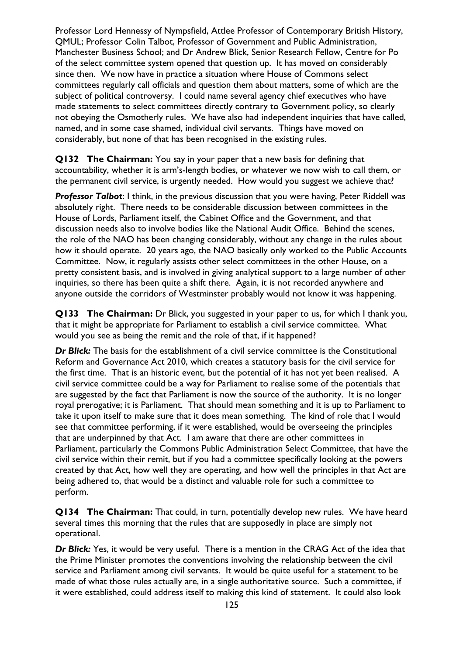Professor Lord Hennessy of Nympsfield, Attlee Professor of Contemporary British History, QMUL; Professor Colin Talbot, Professor of Government and Public Administration, Manchester Business School; and Dr Andrew Blick, Senior Research Fellow, Centre for Po of the select committee system opened that question up. It has moved on considerably since then. We now have in practice a situation where House of Commons select committees regularly call officials and question them about matters, some of which are the subject of political controversy. I could name several agency chief executives who have made statements to select committees directly contrary to Government policy, so clearly not obeying the Osmotherly rules. We have also had independent inquiries that have called, named, and in some case shamed, individual civil servants. Things have moved on considerably, but none of that has been recognised in the existing rules.

**Q132 The Chairman:** You say in your paper that a new basis for defining that accountability, whether it is arm's-length bodies, or whatever we now wish to call them, or the permanent civil service, is urgently needed. How would you suggest we achieve that?

*Professor Talbot*: I think, in the previous discussion that you were having, Peter Riddell was absolutely right. There needs to be considerable discussion between committees in the House of Lords, Parliament itself, the Cabinet Office and the Government, and that discussion needs also to involve bodies like the National Audit Office. Behind the scenes, the role of the NAO has been changing considerably, without any change in the rules about how it should operate. 20 years ago, the NAO basically only worked to the Public Accounts Committee. Now, it regularly assists other select committees in the other House, on a pretty consistent basis, and is involved in giving analytical support to a large number of other inquiries, so there has been quite a shift there. Again, it is not recorded anywhere and anyone outside the corridors of Westminster probably would not know it was happening.

**Q133 The Chairman:** Dr Blick, you suggested in your paper to us, for which I thank you, that it might be appropriate for Parliament to establish a civil service committee. What would you see as being the remit and the role of that, if it happened?

*Dr Blick:* The basis for the establishment of a civil service committee is the Constitutional Reform and Governance Act 2010, which creates a statutory basis for the civil service for the first time. That is an historic event, but the potential of it has not yet been realised. A civil service committee could be a way for Parliament to realise some of the potentials that are suggested by the fact that Parliament is now the source of the authority. It is no longer royal prerogative; it is Parliament. That should mean something and it is up to Parliament to take it upon itself to make sure that it does mean something. The kind of role that I would see that committee performing, if it were established, would be overseeing the principles that are underpinned by that Act. I am aware that there are other committees in Parliament, particularly the Commons Public Administration Select Committee, that have the civil service within their remit, but if you had a committee specifically looking at the powers created by that Act, how well they are operating, and how well the principles in that Act are being adhered to, that would be a distinct and valuable role for such a committee to perform.

**Q134 The Chairman:** That could, in turn, potentially develop new rules. We have heard several times this morning that the rules that are supposedly in place are simply not operational.

*Dr Blick:* Yes, it would be very useful. There is a mention in the CRAG Act of the idea that the Prime Minister promotes the conventions involving the relationship between the civil service and Parliament among civil servants. It would be quite useful for a statement to be made of what those rules actually are, in a single authoritative source. Such a committee, if it were established, could address itself to making this kind of statement. It could also look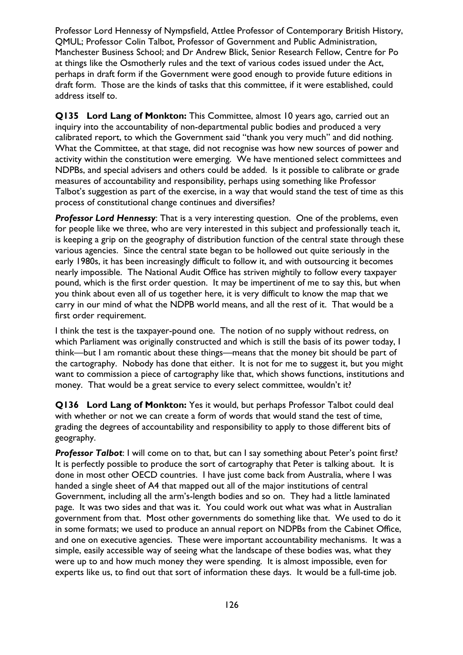Professor Lord Hennessy of Nympsfield, Attlee Professor of Contemporary British History, QMUL; Professor Colin Talbot, Professor of Government and Public Administration, Manchester Business School; and Dr Andrew Blick, Senior Research Fellow, Centre for Po at things like the Osmotherly rules and the text of various codes issued under the Act, perhaps in draft form if the Government were good enough to provide future editions in draft form. Those are the kinds of tasks that this committee, if it were established, could address itself to.

**Q135 Lord Lang of Monkton:** This Committee, almost 10 years ago, carried out an inquiry into the accountability of non-departmental public bodies and produced a very calibrated report, to which the Government said "thank you very much" and did nothing. What the Committee, at that stage, did not recognise was how new sources of power and activity within the constitution were emerging. We have mentioned select committees and NDPBs, and special advisers and others could be added. Is it possible to calibrate or grade measures of accountability and responsibility, perhaps using something like Professor Talbot's suggestion as part of the exercise, in a way that would stand the test of time as this process of constitutional change continues and diversifies?

*Professor Lord Hennessy*: That is a very interesting question. One of the problems, even for people like we three, who are very interested in this subject and professionally teach it, is keeping a grip on the geography of distribution function of the central state through these various agencies. Since the central state began to be hollowed out quite seriously in the early 1980s, it has been increasingly difficult to follow it, and with outsourcing it becomes nearly impossible. The National Audit Office has striven mightily to follow every taxpayer pound, which is the first order question. It may be impertinent of me to say this, but when you think about even all of us together here, it is very difficult to know the map that we carry in our mind of what the NDPB world means, and all the rest of it. That would be a first order requirement.

I think the test is the taxpayer-pound one. The notion of no supply without redress, on which Parliament was originally constructed and which is still the basis of its power today, I think—but I am romantic about these things—means that the money bit should be part of the cartography. Nobody has done that either. It is not for me to suggest it, but you might want to commission a piece of cartography like that, which shows functions, institutions and money. That would be a great service to every select committee, wouldn't it?

**Q136 Lord Lang of Monkton:** Yes it would, but perhaps Professor Talbot could deal with whether or not we can create a form of words that would stand the test of time, grading the degrees of accountability and responsibility to apply to those different bits of geography.

**Professor Talbot:** I will come on to that, but can I say something about Peter's point first? It is perfectly possible to produce the sort of cartography that Peter is talking about. It is done in most other OECD countries. I have just come back from Australia, where I was handed a single sheet of A4 that mapped out all of the major institutions of central Government, including all the arm's-length bodies and so on. They had a little laminated page. It was two sides and that was it. You could work out what was what in Australian government from that. Most other governments do something like that. We used to do it in some formats; we used to produce an annual report on NDPBs from the Cabinet Office, and one on executive agencies. These were important accountability mechanisms. It was a simple, easily accessible way of seeing what the landscape of these bodies was, what they were up to and how much money they were spending. It is almost impossible, even for experts like us, to find out that sort of information these days. It would be a full-time job.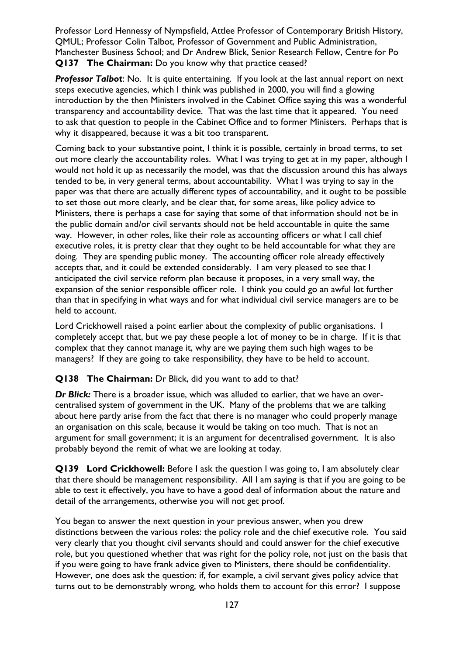Professor Lord Hennessy of Nympsfield, Attlee Professor of Contemporary British History, QMUL; Professor Colin Talbot, Professor of Government and Public Administration, Manchester Business School; and Dr Andrew Blick, Senior Research Fellow, Centre for Po **Q137 The Chairman:** Do you know why that practice ceased?

**Professor Talbot:** No. It is quite entertaining. If you look at the last annual report on next steps executive agencies, which I think was published in 2000, you will find a glowing introduction by the then Ministers involved in the Cabinet Office saying this was a wonderful transparency and accountability device. That was the last time that it appeared. You need to ask that question to people in the Cabinet Office and to former Ministers. Perhaps that is why it disappeared, because it was a bit too transparent.

Coming back to your substantive point, I think it is possible, certainly in broad terms, to set out more clearly the accountability roles. What I was trying to get at in my paper, although I would not hold it up as necessarily the model, was that the discussion around this has always tended to be, in very general terms, about accountability. What I was trying to say in the paper was that there are actually different types of accountability, and it ought to be possible to set those out more clearly, and be clear that, for some areas, like policy advice to Ministers, there is perhaps a case for saying that some of that information should not be in the public domain and/or civil servants should not be held accountable in quite the same way. However, in other roles, like their role as accounting officers or what I call chief executive roles, it is pretty clear that they ought to be held accountable for what they are doing. They are spending public money. The accounting officer role already effectively accepts that, and it could be extended considerably. I am very pleased to see that I anticipated the civil service reform plan because it proposes, in a very small way, the expansion of the senior responsible officer role. I think you could go an awful lot further than that in specifying in what ways and for what individual civil service managers are to be held to account.

Lord Crickhowell raised a point earlier about the complexity of public organisations. I completely accept that, but we pay these people a lot of money to be in charge. If it is that complex that they cannot manage it, why are we paying them such high wages to be managers? If they are going to take responsibility, they have to be held to account.

#### **Q138 The Chairman:** Dr Blick, did you want to add to that?

*Dr Blick:* There is a broader issue, which was alluded to earlier, that we have an overcentralised system of government in the UK. Many of the problems that we are talking about here partly arise from the fact that there is no manager who could properly manage an organisation on this scale, because it would be taking on too much. That is not an argument for small government; it is an argument for decentralised government. It is also probably beyond the remit of what we are looking at today.

**Q139 Lord Crickhowell:** Before I ask the question I was going to, I am absolutely clear that there should be management responsibility. All I am saying is that if you are going to be able to test it effectively, you have to have a good deal of information about the nature and detail of the arrangements, otherwise you will not get proof.

You began to answer the next question in your previous answer, when you drew distinctions between the various roles: the policy role and the chief executive role. You said very clearly that you thought civil servants should and could answer for the chief executive role, but you questioned whether that was right for the policy role, not just on the basis that if you were going to have frank advice given to Ministers, there should be confidentiality. However, one does ask the question: if, for example, a civil servant gives policy advice that turns out to be demonstrably wrong, who holds them to account for this error? I suppose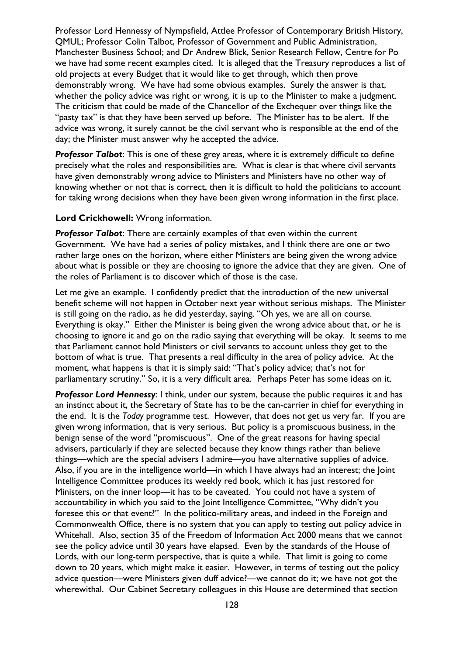Professor Lord Hennessy of Nympsfield, Attlee Professor of Contemporary British History, QMUL; Professor Colin Talbot, Professor of Government and Public Administration, Manchester Business School; and Dr Andrew Blick, Senior Research Fellow, Centre for Po we have had some recent examples cited. It is alleged that the Treasury reproduces a list of old projects at every Budget that it would like to get through, which then prove demonstrably wrong. We have had some obvious examples. Surely the answer is that, whether the policy advice was right or wrong, it is up to the Minister to make a judgment. The criticism that could be made of the Chancellor of the Exchequer over things like the "pasty tax" is that they have been served up before. The Minister has to be alert. If the advice was wrong, it surely cannot be the civil servant who is responsible at the end of the day; the Minister must answer why he accepted the advice.

*Professor Talbot*: This is one of these grey areas, where it is extremely difficult to define precisely what the roles and responsibilities are. What is clear is that where civil servants have given demonstrably wrong advice to Ministers and Ministers have no other way of knowing whether or not that is correct, then it is difficult to hold the politicians to account for taking wrong decisions when they have been given wrong information in the first place.

#### **Lord Crickhowell:** Wrong information.

*Professor Talbot*: There are certainly examples of that even within the current Government. We have had a series of policy mistakes, and I think there are one or two rather large ones on the horizon, where either Ministers are being given the wrong advice about what is possible or they are choosing to ignore the advice that they are given. One of the roles of Parliament is to discover which of those is the case.

Let me give an example. I confidently predict that the introduction of the new universal benefit scheme will not happen in October next year without serious mishaps. The Minister is still going on the radio, as he did yesterday, saying, "Oh yes, we are all on course. Everything is okay." Either the Minister is being given the wrong advice about that, or he is choosing to ignore it and go on the radio saying that everything will be okay. It seems to me that Parliament cannot hold Ministers or civil servants to account unless they get to the bottom of what is true. That presents a real difficulty in the area of policy advice. At the moment, what happens is that it is simply said: "That's policy advice; that's not for parliamentary scrutiny." So, it is a very difficult area. Perhaps Peter has some ideas on it.

**Professor Lord Hennessy:** I think, under our system, because the public requires it and has an instinct about it, the Secretary of State has to be the can-carrier in chief for everything in the end. It is the *Today* programme test. However, that does not get us very far. If you are given wrong information, that is very serious. But policy is a promiscuous business, in the benign sense of the word "promiscuous". One of the great reasons for having special advisers, particularly if they are selected because they know things rather than believe things—which are the special advisers I admire—you have alternative supplies of advice. Also, if you are in the intelligence world—in which I have always had an interest; the Joint Intelligence Committee produces its weekly red book, which it has just restored for Ministers, on the inner loop—it has to be caveated. You could not have a system of accountability in which you said to the Joint Intelligence Committee, "Why didn't you foresee this or that event?" In the politico-military areas, and indeed in the Foreign and Commonwealth Office, there is no system that you can apply to testing out policy advice in Whitehall. Also, section 35 of the Freedom of Information Act 2000 means that we cannot see the policy advice until 30 years have elapsed. Even by the standards of the House of Lords, with our long-term perspective, that is quite a while. That limit is going to come down to 20 years, which might make it easier. However, in terms of testing out the policy advice question—were Ministers given duff advice?—we cannot do it; we have not got the wherewithal. Our Cabinet Secretary colleagues in this House are determined that section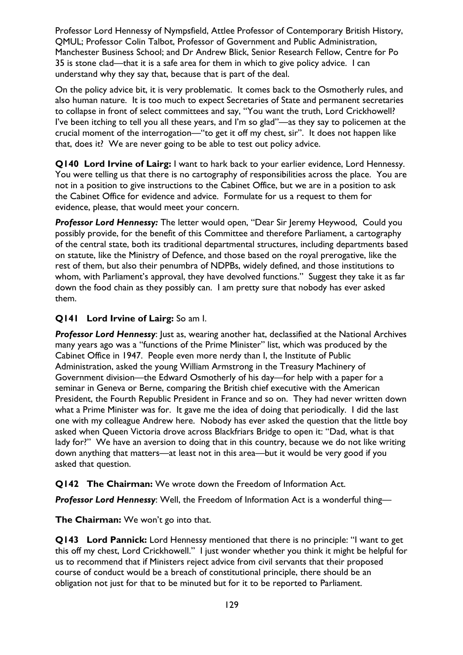Professor Lord Hennessy of Nympsfield, Attlee Professor of Contemporary British History, QMUL; Professor Colin Talbot, Professor of Government and Public Administration, Manchester Business School; and Dr Andrew Blick, Senior Research Fellow, Centre for Po 35 is stone clad—that it is a safe area for them in which to give policy advice. I can understand why they say that, because that is part of the deal.

On the policy advice bit, it is very problematic. It comes back to the Osmotherly rules, and also human nature. It is too much to expect Secretaries of State and permanent secretaries to collapse in front of select committees and say, "You want the truth, Lord Crickhowell? I've been itching to tell you all these years, and I'm so glad"—as they say to policemen at the crucial moment of the interrogation—"to get it off my chest, sir". It does not happen like that, does it? We are never going to be able to test out policy advice.

**Q140 Lord Irvine of Lairg:** I want to hark back to your earlier evidence, Lord Hennessy. You were telling us that there is no cartography of responsibilities across the place. You are not in a position to give instructions to the Cabinet Office, but we are in a position to ask the Cabinet Office for evidence and advice. Formulate for us a request to them for evidence, please, that would meet your concern.

*Professor Lord Hennessy:* The letter would open, "Dear Sir Jeremy Heywood, Could you possibly provide, for the benefit of this Committee and therefore Parliament, a cartography of the central state, both its traditional departmental structures, including departments based on statute, like the Ministry of Defence, and those based on the royal prerogative, like the rest of them, but also their penumbra of NDPBs, widely defined, and those institutions to whom, with Parliament's approval, they have devolved functions." Suggest they take it as far down the food chain as they possibly can. I am pretty sure that nobody has ever asked them.

### **Q141 Lord Irvine of Lairg:** So am I.

*Professor Lord Hennessy*: Just as, wearing another hat, declassified at the National Archives many years ago was a "functions of the Prime Minister" list, which was produced by the Cabinet Office in 1947. People even more nerdy than I, the Institute of Public Administration, asked the young William Armstrong in the Treasury Machinery of Government division—the Edward Osmotherly of his day—for help with a paper for a seminar in Geneva or Berne, comparing the British chief executive with the American President, the Fourth Republic President in France and so on. They had never written down what a Prime Minister was for. It gave me the idea of doing that periodically. I did the last one with my colleague Andrew here. Nobody has ever asked the question that the little boy asked when Queen Victoria drove across Blackfriars Bridge to open it: "Dad, what is that lady for?" We have an aversion to doing that in this country, because we do not like writing down anything that matters—at least not in this area—but it would be very good if you asked that question.

#### **Q142 The Chairman:** We wrote down the Freedom of Information Act.

*Professor Lord Hennessy*: Well, the Freedom of Information Act is a wonderful thing—

**The Chairman:** We won't go into that.

**Q143 Lord Pannick:** Lord Hennessy mentioned that there is no principle: "I want to get this off my chest, Lord Crickhowell." I just wonder whether you think it might be helpful for us to recommend that if Ministers reject advice from civil servants that their proposed course of conduct would be a breach of constitutional principle, there should be an obligation not just for that to be minuted but for it to be reported to Parliament.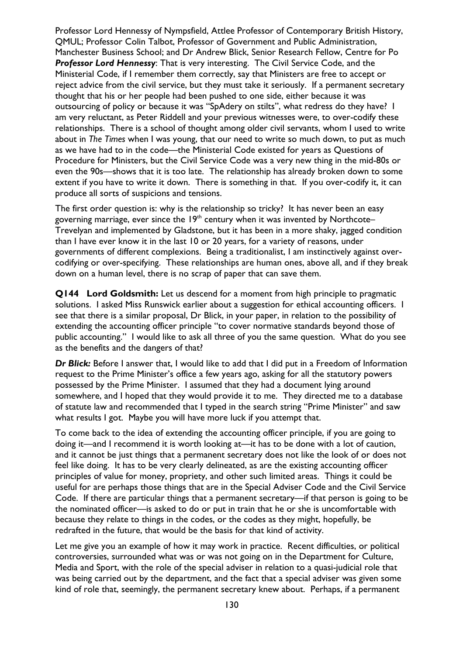Professor Lord Hennessy of Nympsfield, Attlee Professor of Contemporary British History, QMUL; Professor Colin Talbot, Professor of Government and Public Administration, Manchester Business School; and Dr Andrew Blick, Senior Research Fellow, Centre for Po *Professor Lord Hennessy*: That is very interesting. The Civil Service Code, and the Ministerial Code, if I remember them correctly, say that Ministers are free to accept or reject advice from the civil service, but they must take it seriously. If a permanent secretary thought that his or her people had been pushed to one side, either because it was outsourcing of policy or because it was "SpAdery on stilts", what redress do they have? I am very reluctant, as Peter Riddell and your previous witnesses were, to over-codify these relationships. There is a school of thought among older civil servants, whom I used to write about in *The Times* when I was young, that our need to write so much down, to put as much as we have had to in the code—the Ministerial Code existed for years as Questions of Procedure for Ministers, but the Civil Service Code was a very new thing in the mid-80s or even the 90s—shows that it is too late. The relationship has already broken down to some extent if you have to write it down. There is something in that. If you over-codify it, it can produce all sorts of suspicions and tensions.

The first order question is: why is the relationship so tricky? It has never been an easy governing marriage, ever since the  $19<sup>th</sup>$  century when it was invented by Northcote– Trevelyan and implemented by Gladstone, but it has been in a more shaky, jagged condition than I have ever know it in the last 10 or 20 years, for a variety of reasons, under governments of different complexions. Being a traditionalist, I am instinctively against overcodifying or over-specifying. These relationships are human ones, above all, and if they break down on a human level, there is no scrap of paper that can save them.

**Q144 Lord Goldsmith:** Let us descend for a moment from high principle to pragmatic solutions. I asked Miss Runswick earlier about a suggestion for ethical accounting officers. I see that there is a similar proposal, Dr Blick, in your paper, in relation to the possibility of extending the accounting officer principle "to cover normative standards beyond those of public accounting." I would like to ask all three of you the same question. What do you see as the benefits and the dangers of that?

*Dr Blick:* Before I answer that, I would like to add that I did put in a Freedom of Information request to the Prime Minister's office a few years ago, asking for all the statutory powers possessed by the Prime Minister. I assumed that they had a document lying around somewhere, and I hoped that they would provide it to me. They directed me to a database of statute law and recommended that I typed in the search string "Prime Minister" and saw what results I got. Maybe you will have more luck if you attempt that.

To come back to the idea of extending the accounting officer principle, if you are going to doing it—and I recommend it is worth looking at—it has to be done with a lot of caution, and it cannot be just things that a permanent secretary does not like the look of or does not feel like doing. It has to be very clearly delineated, as are the existing accounting officer principles of value for money, propriety, and other such limited areas. Things it could be useful for are perhaps those things that are in the Special Adviser Code and the Civil Service Code. If there are particular things that a permanent secretary—if that person is going to be the nominated officer—is asked to do or put in train that he or she is uncomfortable with because they relate to things in the codes, or the codes as they might, hopefully, be redrafted in the future, that would be the basis for that kind of activity.

Let me give you an example of how it may work in practice. Recent difficulties, or political controversies, surrounded what was or was not going on in the Department for Culture, Media and Sport, with the role of the special adviser in relation to a quasi-judicial role that was being carried out by the department, and the fact that a special adviser was given some kind of role that, seemingly, the permanent secretary knew about. Perhaps, if a permanent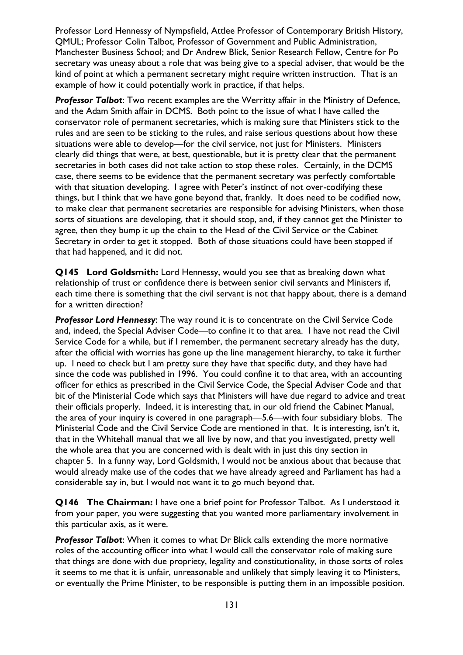Professor Lord Hennessy of Nympsfield, Attlee Professor of Contemporary British History, QMUL; Professor Colin Talbot, Professor of Government and Public Administration, Manchester Business School; and Dr Andrew Blick, Senior Research Fellow, Centre for Po secretary was uneasy about a role that was being give to a special adviser, that would be the kind of point at which a permanent secretary might require written instruction. That is an example of how it could potentially work in practice, if that helps.

*Professor Talbot*: Two recent examples are the Werritty affair in the Ministry of Defence, and the Adam Smith affair in DCMS. Both point to the issue of what I have called the conservator role of permanent secretaries, which is making sure that Ministers stick to the rules and are seen to be sticking to the rules, and raise serious questions about how these situations were able to develop—for the civil service, not just for Ministers. Ministers clearly did things that were, at best, questionable, but it is pretty clear that the permanent secretaries in both cases did not take action to stop these roles. Certainly, in the DCMS case, there seems to be evidence that the permanent secretary was perfectly comfortable with that situation developing. I agree with Peter's instinct of not over-codifying these things, but I think that we have gone beyond that, frankly. It does need to be codified now, to make clear that permanent secretaries are responsible for advising Ministers, when those sorts of situations are developing, that it should stop, and, if they cannot get the Minister to agree, then they bump it up the chain to the Head of the Civil Service or the Cabinet Secretary in order to get it stopped. Both of those situations could have been stopped if that had happened, and it did not.

**Q145 Lord Goldsmith:** Lord Hennessy, would you see that as breaking down what relationship of trust or confidence there is between senior civil servants and Ministers if, each time there is something that the civil servant is not that happy about, there is a demand for a written direction?

*Professor Lord Hennessy*: The way round it is to concentrate on the Civil Service Code and, indeed, the Special Adviser Code—to confine it to that area. I have not read the Civil Service Code for a while, but if I remember, the permanent secretary already has the duty, after the official with worries has gone up the line management hierarchy, to take it further up. I need to check but I am pretty sure they have that specific duty, and they have had since the code was published in 1996. You could confine it to that area, with an accounting officer for ethics as prescribed in the Civil Service Code, the Special Adviser Code and that bit of the Ministerial Code which says that Ministers will have due regard to advice and treat their officials properly. Indeed, it is interesting that, in our old friend the Cabinet Manual, the area of your inquiry is covered in one paragraph—5.6—with four subsidiary blobs. The Ministerial Code and the Civil Service Code are mentioned in that. It is interesting, isn't it, that in the Whitehall manual that we all live by now, and that you investigated, pretty well the whole area that you are concerned with is dealt with in just this tiny section in chapter 5. In a funny way, Lord Goldsmith, I would not be anxious about that because that would already make use of the codes that we have already agreed and Parliament has had a considerable say in, but I would not want it to go much beyond that.

**Q146 The Chairman:** I have one a brief point for Professor Talbot. As I understood it from your paper, you were suggesting that you wanted more parliamentary involvement in this particular axis, as it were.

*Professor Talbot*: When it comes to what Dr Blick calls extending the more normative roles of the accounting officer into what I would call the conservator role of making sure that things are done with due propriety, legality and constitutionality, in those sorts of roles it seems to me that it is unfair, unreasonable and unlikely that simply leaving it to Ministers, or eventually the Prime Minister, to be responsible is putting them in an impossible position.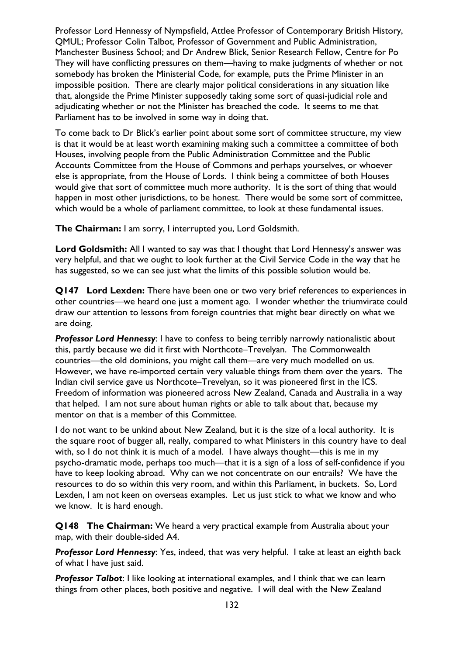Professor Lord Hennessy of Nympsfield, Attlee Professor of Contemporary British History, QMUL; Professor Colin Talbot, Professor of Government and Public Administration, Manchester Business School; and Dr Andrew Blick, Senior Research Fellow, Centre for Po They will have conflicting pressures on them—having to make judgments of whether or not somebody has broken the Ministerial Code, for example, puts the Prime Minister in an impossible position. There are clearly major political considerations in any situation like that, alongside the Prime Minister supposedly taking some sort of quasi-judicial role and adjudicating whether or not the Minister has breached the code. It seems to me that Parliament has to be involved in some way in doing that.

To come back to Dr Blick's earlier point about some sort of committee structure, my view is that it would be at least worth examining making such a committee a committee of both Houses, involving people from the Public Administration Committee and the Public Accounts Committee from the House of Commons and perhaps yourselves, or whoever else is appropriate, from the House of Lords. I think being a committee of both Houses would give that sort of committee much more authority. It is the sort of thing that would happen in most other jurisdictions, to be honest. There would be some sort of committee, which would be a whole of parliament committee, to look at these fundamental issues.

**The Chairman:** I am sorry, I interrupted you, Lord Goldsmith.

**Lord Goldsmith:** All I wanted to say was that I thought that Lord Hennessy's answer was very helpful, and that we ought to look further at the Civil Service Code in the way that he has suggested, so we can see just what the limits of this possible solution would be.

**Q147 Lord Lexden:** There have been one or two very brief references to experiences in other countries—we heard one just a moment ago. I wonder whether the triumvirate could draw our attention to lessons from foreign countries that might bear directly on what we are doing.

**Professor Lord Hennessy:** I have to confess to being terribly narrowly nationalistic about this, partly because we did it first with Northcote–Trevelyan. The Commonwealth countries—the old dominions, you might call them—are very much modelled on us. However, we have re-imported certain very valuable things from them over the years. The Indian civil service gave us Northcote–Trevelyan, so it was pioneered first in the ICS. Freedom of information was pioneered across New Zealand, Canada and Australia in a way that helped. I am not sure about human rights or able to talk about that, because my mentor on that is a member of this Committee.

I do not want to be unkind about New Zealand, but it is the size of a local authority. It is the square root of bugger all, really, compared to what Ministers in this country have to deal with, so I do not think it is much of a model. I have always thought—this is me in my psycho-dramatic mode, perhaps too much—that it is a sign of a loss of self-confidence if you have to keep looking abroad. Why can we not concentrate on our entrails? We have the resources to do so within this very room, and within this Parliament, in buckets. So, Lord Lexden, I am not keen on overseas examples. Let us just stick to what we know and who we know. It is hard enough.

**Q148 The Chairman:** We heard a very practical example from Australia about your map, with their double-sided A4.

*Professor Lord Hennessy*: Yes, indeed, that was very helpful. I take at least an eighth back of what I have just said.

**Professor Talbot:** I like looking at international examples, and I think that we can learn things from other places, both positive and negative. I will deal with the New Zealand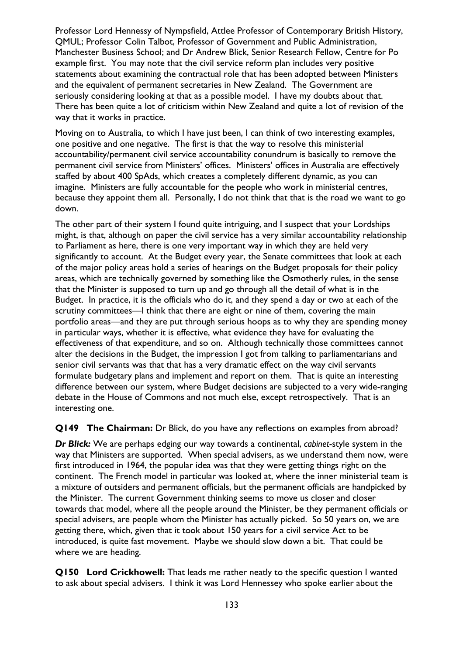Professor Lord Hennessy of Nympsfield, Attlee Professor of Contemporary British History, QMUL; Professor Colin Talbot, Professor of Government and Public Administration, Manchester Business School; and Dr Andrew Blick, Senior Research Fellow, Centre for Po example first. You may note that the civil service reform plan includes very positive statements about examining the contractual role that has been adopted between Ministers and the equivalent of permanent secretaries in New Zealand. The Government are seriously considering looking at that as a possible model. I have my doubts about that. There has been quite a lot of criticism within New Zealand and quite a lot of revision of the way that it works in practice.

Moving on to Australia, to which I have just been, I can think of two interesting examples, one positive and one negative. The first is that the way to resolve this ministerial accountability/permanent civil service accountability conundrum is basically to remove the permanent civil service from Ministers' offices. Ministers' offices in Australia are effectively staffed by about 400 SpAds, which creates a completely different dynamic, as you can imagine. Ministers are fully accountable for the people who work in ministerial centres, because they appoint them all. Personally, I do not think that that is the road we want to go down.

The other part of their system I found quite intriguing, and I suspect that your Lordships might, is that, although on paper the civil service has a very similar accountability relationship to Parliament as here, there is one very important way in which they are held very significantly to account. At the Budget every year, the Senate committees that look at each of the major policy areas hold a series of hearings on the Budget proposals for their policy areas, which are technically governed by something like the Osmotherly rules, in the sense that the Minister is supposed to turn up and go through all the detail of what is in the Budget. In practice, it is the officials who do it, and they spend a day or two at each of the scrutiny committees—I think that there are eight or nine of them, covering the main portfolio areas—and they are put through serious hoops as to why they are spending money in particular ways, whether it is effective, what evidence they have for evaluating the effectiveness of that expenditure, and so on. Although technically those committees cannot alter the decisions in the Budget, the impression I got from talking to parliamentarians and senior civil servants was that that has a very dramatic effect on the way civil servants formulate budgetary plans and implement and report on them. That is quite an interesting difference between our system, where Budget decisions are subjected to a very wide-ranging debate in the House of Commons and not much else, except retrospectively. That is an interesting one.

**Q149 The Chairman:** Dr Blick, do you have any reflections on examples from abroad?

*Dr Blick:* We are perhaps edging our way towards a continental, *cabinet*-style system in the way that Ministers are supported. When special advisers, as we understand them now, were first introduced in 1964, the popular idea was that they were getting things right on the continent. The French model in particular was looked at, where the inner ministerial team is a mixture of outsiders and permanent officials, but the permanent officials are handpicked by the Minister. The current Government thinking seems to move us closer and closer towards that model, where all the people around the Minister, be they permanent officials or special advisers, are people whom the Minister has actually picked. So 50 years on, we are getting there, which, given that it took about 150 years for a civil service Act to be introduced, is quite fast movement. Maybe we should slow down a bit. That could be where we are heading.

**Q150 Lord Crickhowell:** That leads me rather neatly to the specific question I wanted to ask about special advisers. I think it was Lord Hennessey who spoke earlier about the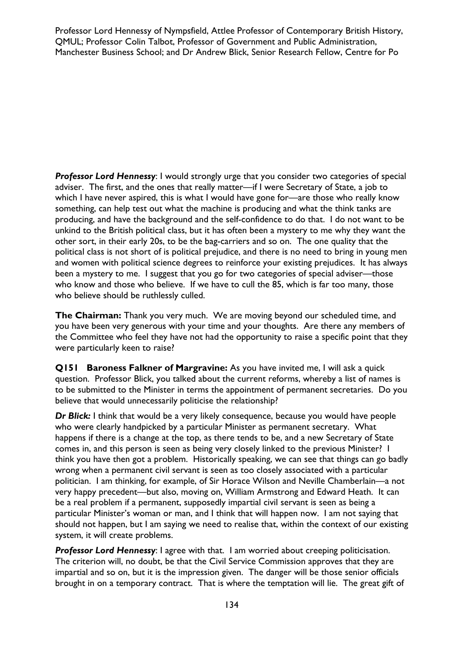Professor Lord Hennessy of Nympsfield, Attlee Professor of Contemporary British History, QMUL; Professor Colin Talbot, Professor of Government and Public Administration, Manchester Business School; and Dr Andrew Blick, Senior Research Fellow, Centre for Po

**Professor Lord Hennessy:** I would strongly urge that you consider two categories of special adviser. The first, and the ones that really matter—if I were Secretary of State, a job to which I have never aspired, this is what I would have gone for—are those who really know something, can help test out what the machine is producing and what the think tanks are producing, and have the background and the self-confidence to do that. I do not want to be unkind to the British political class, but it has often been a mystery to me why they want the other sort, in their early 20s, to be the bag-carriers and so on. The one quality that the political class is not short of is political prejudice, and there is no need to bring in young men and women with political science degrees to reinforce your existing prejudices. It has always been a mystery to me. I suggest that you go for two categories of special adviser—those who know and those who believe. If we have to cull the 85, which is far too many, those who believe should be ruthlessly culled.

**The Chairman:** Thank you very much. We are moving beyond our scheduled time, and you have been very generous with your time and your thoughts. Are there any members of the Committee who feel they have not had the opportunity to raise a specific point that they were particularly keen to raise?

**Q151 Baroness Falkner of Margravine:** As you have invited me, I will ask a quick question. Professor Blick, you talked about the current reforms, whereby a list of names is to be submitted to the Minister in terms the appointment of permanent secretaries. Do you believe that would unnecessarily politicise the relationship?

*Dr Blick:* I think that would be a very likely consequence, because you would have people who were clearly handpicked by a particular Minister as permanent secretary. What happens if there is a change at the top, as there tends to be, and a new Secretary of State comes in, and this person is seen as being very closely linked to the previous Minister? I think you have then got a problem. Historically speaking, we can see that things can go badly wrong when a permanent civil servant is seen as too closely associated with a particular politician. I am thinking, for example, of Sir Horace Wilson and Neville Chamberlain—a not very happy precedent—but also, moving on, William Armstrong and Edward Heath. It can be a real problem if a permanent, supposedly impartial civil servant is seen as being a particular Minister's woman or man, and I think that will happen now. I am not saying that should not happen, but I am saying we need to realise that, within the context of our existing system, it will create problems.

**Professor Lord Hennessy**: I agree with that. I am worried about creeping politicisation. The criterion will, no doubt, be that the Civil Service Commission approves that they are impartial and so on, but it is the impression given. The danger will be those senior officials brought in on a temporary contract. That is where the temptation will lie. The great gift of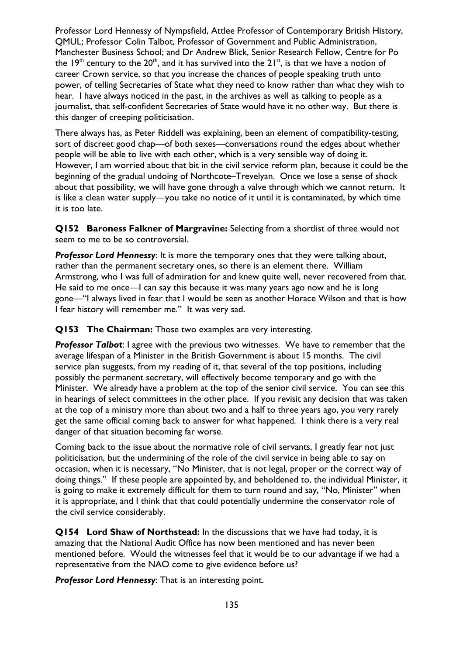Professor Lord Hennessy of Nympsfield, Attlee Professor of Contemporary British History, QMUL; Professor Colin Talbot, Professor of Government and Public Administration, Manchester Business School; and Dr Andrew Blick, Senior Research Fellow, Centre for Po the 19<sup>th</sup> century to the 20<sup>th</sup>, and it has survived into the 21<sup>st</sup>, is that we have a notion of career Crown service, so that you increase the chances of people speaking truth unto power, of telling Secretaries of State what they need to know rather than what they wish to hear. I have always noticed in the past, in the archives as well as talking to people as a journalist, that self-confident Secretaries of State would have it no other way. But there is this danger of creeping politicisation.

There always has, as Peter Riddell was explaining, been an element of compatibility-testing, sort of discreet good chap—of both sexes—conversations round the edges about whether people will be able to live with each other, which is a very sensible way of doing it. However, I am worried about that bit in the civil service reform plan, because it could be the beginning of the gradual undoing of Northcote–Trevelyan. Once we lose a sense of shock about that possibility, we will have gone through a valve through which we cannot return. It is like a clean water supply—you take no notice of it until it is contaminated, by which time it is too late.

**Q152 Baroness Falkner of Margravine:** Selecting from a shortlist of three would not seem to me to be so controversial.

*Professor Lord Hennessy*: It is more the temporary ones that they were talking about, rather than the permanent secretary ones, so there is an element there. William Armstrong, who I was full of admiration for and knew quite well, never recovered from that. He said to me once—I can say this because it was many years ago now and he is long gone—"I always lived in fear that I would be seen as another Horace Wilson and that is how I fear history will remember me." It was very sad.

**Q153 The Chairman:** Those two examples are very interesting.

*Professor Talbot*: I agree with the previous two witnesses. We have to remember that the average lifespan of a Minister in the British Government is about 15 months. The civil service plan suggests, from my reading of it, that several of the top positions, including possibly the permanent secretary, will effectively become temporary and go with the Minister. We already have a problem at the top of the senior civil service. You can see this in hearings of select committees in the other place. If you revisit any decision that was taken at the top of a ministry more than about two and a half to three years ago, you very rarely get the same official coming back to answer for what happened. I think there is a very real danger of that situation becoming far worse.

Coming back to the issue about the normative role of civil servants, I greatly fear not just politicisation, but the undermining of the role of the civil service in being able to say on occasion, when it is necessary, "No Minister, that is not legal, proper or the correct way of doing things." If these people are appointed by, and beholdened to, the individual Minister, it is going to make it extremely difficult for them to turn round and say, "No, Minister" when it is appropriate, and I think that that could potentially undermine the conservator role of the civil service considerably.

**Q154 Lord Shaw of Northstead:** In the discussions that we have had today, it is amazing that the National Audit Office has now been mentioned and has never been mentioned before. Would the witnesses feel that it would be to our advantage if we had a representative from the NAO come to give evidence before us?

*Professor Lord Hennessy*: That is an interesting point.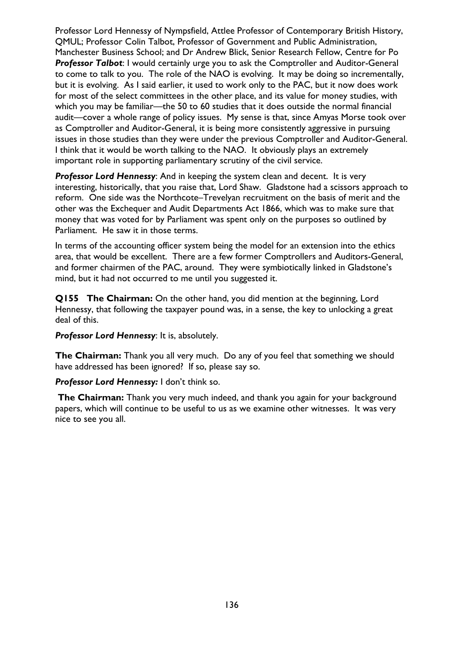Professor Lord Hennessy of Nympsfield, Attlee Professor of Contemporary British History, QMUL; Professor Colin Talbot, Professor of Government and Public Administration, Manchester Business School; and Dr Andrew Blick, Senior Research Fellow, Centre for Po **Professor Talbot:** I would certainly urge you to ask the Comptroller and Auditor-General to come to talk to you. The role of the NAO is evolving. It may be doing so incrementally, but it is evolving. As I said earlier, it used to work only to the PAC, but it now does work for most of the select committees in the other place, and its value for money studies, with which you may be familiar—the 50 to 60 studies that it does outside the normal financial audit—cover a whole range of policy issues. My sense is that, since Amyas Morse took over as Comptroller and Auditor-General, it is being more consistently aggressive in pursuing issues in those studies than they were under the previous Comptroller and Auditor-General. I think that it would be worth talking to the NAO. It obviously plays an extremely important role in supporting parliamentary scrutiny of the civil service.

*Professor Lord Hennessy*: And in keeping the system clean and decent. It is very interesting, historically, that you raise that, Lord Shaw. Gladstone had a scissors approach to reform. One side was the Northcote–Trevelyan recruitment on the basis of merit and the other was the Exchequer and Audit Departments Act 1866, which was to make sure that money that was voted for by Parliament was spent only on the purposes so outlined by Parliament. He saw it in those terms.

In terms of the accounting officer system being the model for an extension into the ethics area, that would be excellent. There are a few former Comptrollers and Auditors-General, and former chairmen of the PAC, around. They were symbiotically linked in Gladstone's mind, but it had not occurred to me until you suggested it.

**Q155 The Chairman:** On the other hand, you did mention at the beginning, Lord Hennessy, that following the taxpayer pound was, in a sense, the key to unlocking a great deal of this.

*Professor Lord Hennessy*: It is, absolutely.

**The Chairman:** Thank you all very much. Do any of you feel that something we should have addressed has been ignored? If so, please say so.

*Professor Lord Hennessy:* I don't think so.

**The Chairman:** Thank you very much indeed, and thank you again for your background papers, which will continue to be useful to us as we examine other witnesses. It was very nice to see you all.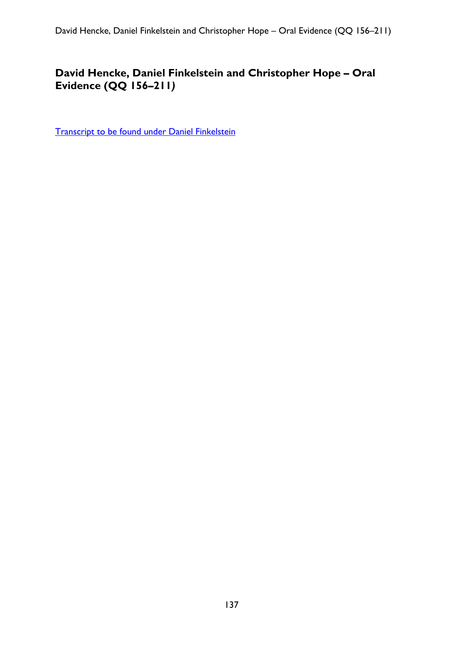# **David Hencke, Daniel Finkelstein and Christopher Hope – Oral Evidence (QQ 156–211***)*

[Transcript to be found under Daniel Finkelstein](#page-105-0)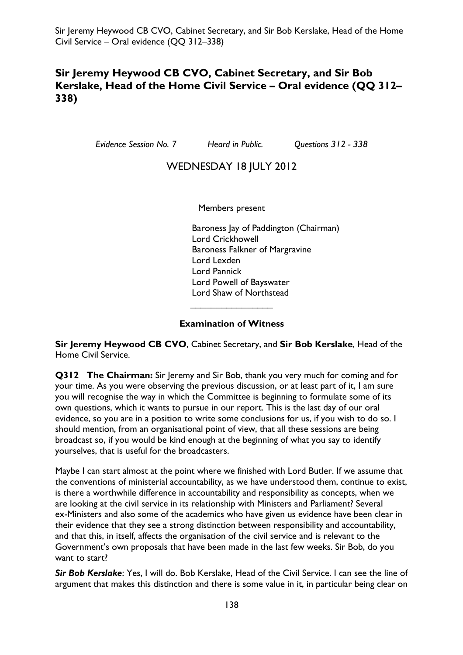## **Sir Jeremy Heywood CB CVO, Cabinet Secretary, and Sir Bob Kerslake, Head of the Home Civil Service – Oral evidence (QQ 312– 338)**

*Evidence Session No. 7 Heard in Public. Questions 312 - 338* 

## WEDNESDAY 18 JULY 2012

Members present

Baroness Jay of Paddington (Chairman) Lord Crickhowell Baroness Falkner of Margravine Lord Lexden Lord Pannick Lord Powell of Bayswater Lord Shaw of Northstead

#### **Examination of Witness**

 $\overline{\phantom{a}}$  , which is a set of the set of the set of the set of the set of the set of the set of the set of the set of the set of the set of the set of the set of the set of the set of the set of the set of the set of th

**Sir Jeremy Heywood CB CVO**, Cabinet Secretary, and **Sir Bob Kerslake**, Head of the Home Civil Service.

**Q312 The Chairman:** Sir Jeremy and Sir Bob, thank you very much for coming and for your time. As you were observing the previous discussion, or at least part of it, I am sure you will recognise the way in which the Committee is beginning to formulate some of its own questions, which it wants to pursue in our report. This is the last day of our oral evidence, so you are in a position to write some conclusions for us, if you wish to do so. I should mention, from an organisational point of view, that all these sessions are being broadcast so, if you would be kind enough at the beginning of what you say to identify yourselves, that is useful for the broadcasters.

Maybe I can start almost at the point where we finished with Lord Butler. If we assume that the conventions of ministerial accountability, as we have understood them, continue to exist, is there a worthwhile difference in accountability and responsibility as concepts, when we are looking at the civil service in its relationship with Ministers and Parliament? Several ex-Ministers and also some of the academics who have given us evidence have been clear in their evidence that they see a strong distinction between responsibility and accountability, and that this, in itself, affects the organisation of the civil service and is relevant to the Government's own proposals that have been made in the last few weeks. Sir Bob, do you want to start?

*Sir Bob Kerslake*: Yes, I will do. Bob Kerslake, Head of the Civil Service. I can see the line of argument that makes this distinction and there is some value in it, in particular being clear on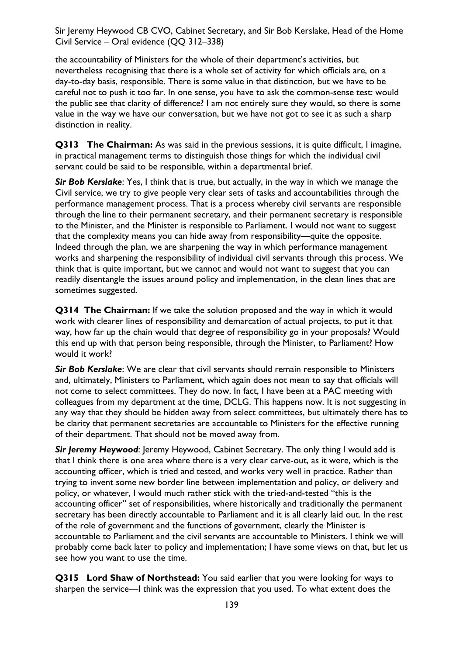the accountability of Ministers for the whole of their department's activities, but nevertheless recognising that there is a whole set of activity for which officials are, on a day-to-day basis, responsible. There is some value in that distinction, but we have to be careful not to push it too far. In one sense, you have to ask the common-sense test: would the public see that clarity of difference? I am not entirely sure they would, so there is some value in the way we have our conversation, but we have not got to see it as such a sharp distinction in reality.

**Q313 The Chairman:** As was said in the previous sessions, it is quite difficult, I imagine, in practical management terms to distinguish those things for which the individual civil servant could be said to be responsible, within a departmental brief.

*Sir Bob Kerslake*: Yes, I think that is true, but actually, in the way in which we manage the Civil service, we try to give people very clear sets of tasks and accountabilities through the performance management process. That is a process whereby civil servants are responsible through the line to their permanent secretary, and their permanent secretary is responsible to the Minister, and the Minister is responsible to Parliament. I would not want to suggest that the complexity means you can hide away from responsibility—quite the opposite. Indeed through the plan, we are sharpening the way in which performance management works and sharpening the responsibility of individual civil servants through this process. We think that is quite important, but we cannot and would not want to suggest that you can readily disentangle the issues around policy and implementation, in the clean lines that are sometimes suggested.

**Q314 The Chairman:** If we take the solution proposed and the way in which it would work with clearer lines of responsibility and demarcation of actual projects, to put it that way, how far up the chain would that degree of responsibility go in your proposals? Would this end up with that person being responsible, through the Minister, to Parliament? How would it work?

*Sir Bob Kerslake*: We are clear that civil servants should remain responsible to Ministers and, ultimately, Ministers to Parliament, which again does not mean to say that officials will not come to select committees. They do now. In fact, I have been at a PAC meeting with colleagues from my department at the time, DCLG. This happens now. It is not suggesting in any way that they should be hidden away from select committees, but ultimately there has to be clarity that permanent secretaries are accountable to Ministers for the effective running of their department. That should not be moved away from.

**Sir Jeremy Heywood:** Jeremy Heywood, Cabinet Secretary. The only thing I would add is that I think there is one area where there is a very clear carve-out, as it were, which is the accounting officer, which is tried and tested, and works very well in practice. Rather than trying to invent some new border line between implementation and policy, or delivery and policy, or whatever, I would much rather stick with the tried-and-tested "this is the accounting officer" set of responsibilities, where historically and traditionally the permanent secretary has been directly accountable to Parliament and it is all clearly laid out. In the rest of the role of government and the functions of government, clearly the Minister is accountable to Parliament and the civil servants are accountable to Ministers. I think we will probably come back later to policy and implementation; I have some views on that, but let us see how you want to use the time.

**Q315 Lord Shaw of Northstead:** You said earlier that you were looking for ways to sharpen the service—I think was the expression that you used. To what extent does the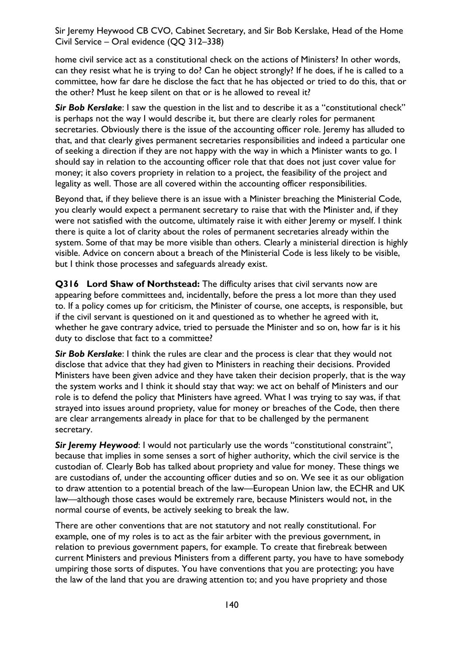home civil service act as a constitutional check on the actions of Ministers? In other words, can they resist what he is trying to do? Can he object strongly? If he does, if he is called to a committee, how far dare he disclose the fact that he has objected or tried to do this, that or the other? Must he keep silent on that or is he allowed to reveal it?

**Sir Bob Kerslake**: I saw the question in the list and to describe it as a "constitutional check" is perhaps not the way I would describe it, but there are clearly roles for permanent secretaries. Obviously there is the issue of the accounting officer role. Jeremy has alluded to that, and that clearly gives permanent secretaries responsibilities and indeed a particular one of seeking a direction if they are not happy with the way in which a Minister wants to go. I should say in relation to the accounting officer role that that does not just cover value for money; it also covers propriety in relation to a project, the feasibility of the project and legality as well. Those are all covered within the accounting officer responsibilities.

Beyond that, if they believe there is an issue with a Minister breaching the Ministerial Code, you clearly would expect a permanent secretary to raise that with the Minister and, if they were not satisfied with the outcome, ultimately raise it with either Jeremy or myself. I think there is quite a lot of clarity about the roles of permanent secretaries already within the system. Some of that may be more visible than others. Clearly a ministerial direction is highly visible. Advice on concern about a breach of the Ministerial Code is less likely to be visible, but I think those processes and safeguards already exist.

**Q316 Lord Shaw of Northstead:** The difficulty arises that civil servants now are appearing before committees and, incidentally, before the press a lot more than they used to. If a policy comes up for criticism, the Minister of course, one accepts, is responsible, but if the civil servant is questioned on it and questioned as to whether he agreed with it, whether he gave contrary advice, tried to persuade the Minister and so on, how far is it his duty to disclose that fact to a committee?

*Sir Bob Kerslake*: I think the rules are clear and the process is clear that they would not disclose that advice that they had given to Ministers in reaching their decisions. Provided Ministers have been given advice and they have taken their decision properly, that is the way the system works and I think it should stay that way: we act on behalf of Ministers and our role is to defend the policy that Ministers have agreed. What I was trying to say was, if that strayed into issues around propriety, value for money or breaches of the Code, then there are clear arrangements already in place for that to be challenged by the permanent secretary.

*Sir Jeremy Heywood*: I would not particularly use the words "constitutional constraint", because that implies in some senses a sort of higher authority, which the civil service is the custodian of. Clearly Bob has talked about propriety and value for money. These things we are custodians of, under the accounting officer duties and so on. We see it as our obligation to draw attention to a potential breach of the law—European Union law, the ECHR and UK law—although those cases would be extremely rare, because Ministers would not, in the normal course of events, be actively seeking to break the law.

There are other conventions that are not statutory and not really constitutional. For example, one of my roles is to act as the fair arbiter with the previous government, in relation to previous government papers, for example. To create that firebreak between current Ministers and previous Ministers from a different party, you have to have somebody umpiring those sorts of disputes. You have conventions that you are protecting; you have the law of the land that you are drawing attention to; and you have propriety and those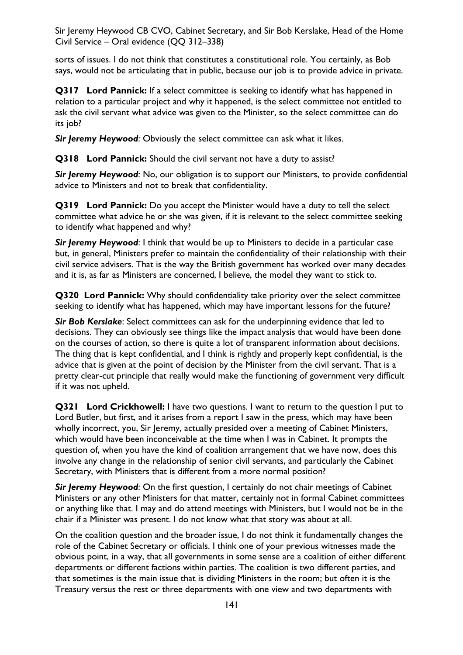sorts of issues. I do not think that constitutes a constitutional role. You certainly, as Bob says, would not be articulating that in public, because our job is to provide advice in private.

**Q317 Lord Pannick:** If a select committee is seeking to identify what has happened in relation to a particular project and why it happened, is the select committee not entitled to ask the civil servant what advice was given to the Minister, so the select committee can do its job?

*Sir Jeremy Heywood*: Obviously the select committee can ask what it likes.

**Q318 Lord Pannick:** Should the civil servant not have a duty to assist?

*Sir Jeremy Heywood*: No, our obligation is to support our Ministers, to provide confidential advice to Ministers and not to break that confidentiality.

**Q319 Lord Pannick:** Do you accept the Minister would have a duty to tell the select committee what advice he or she was given, if it is relevant to the select committee seeking to identify what happened and why?

**Sir Jeremy Heywood:** I think that would be up to Ministers to decide in a particular case but, in general, Ministers prefer to maintain the confidentiality of their relationship with their civil service advisers. That is the way the British government has worked over many decades and it is, as far as Ministers are concerned, I believe, the model they want to stick to.

**Q320 Lord Pannick:** Why should confidentiality take priority over the select committee seeking to identify what has happened, which may have important lessons for the future?

*Sir Bob Kerslake*: Select committees can ask for the underpinning evidence that led to decisions. They can obviously see things like the impact analysis that would have been done on the courses of action, so there is quite a lot of transparent information about decisions. The thing that is kept confidential, and I think is rightly and properly kept confidential, is the advice that is given at the point of decision by the Minister from the civil servant. That is a pretty clear-cut principle that really would make the functioning of government very difficult if it was not upheld.

**Q321 Lord Crickhowell:** I have two questions. I want to return to the question I put to Lord Butler, but first, and it arises from a report I saw in the press, which may have been wholly incorrect, you, Sir Jeremy, actually presided over a meeting of Cabinet Ministers, which would have been inconceivable at the time when I was in Cabinet. It prompts the question of, when you have the kind of coalition arrangement that we have now, does this involve any change in the relationship of senior civil servants, and particularly the Cabinet Secretary, with Ministers that is different from a more normal position?

*Sir Jeremy Heywood*: On the first question, I certainly do not chair meetings of Cabinet Ministers or any other Ministers for that matter, certainly not in formal Cabinet committees or anything like that. I may and do attend meetings with Ministers, but I would not be in the chair if a Minister was present. I do not know what that story was about at all.

On the coalition question and the broader issue, I do not think it fundamentally changes the role of the Cabinet Secretary or officials. I think one of your previous witnesses made the obvious point, in a way, that all governments in some sense are a coalition of either different departments or different factions within parties. The coalition is two different parties, and that sometimes is the main issue that is dividing Ministers in the room; but often it is the Treasury versus the rest or three departments with one view and two departments with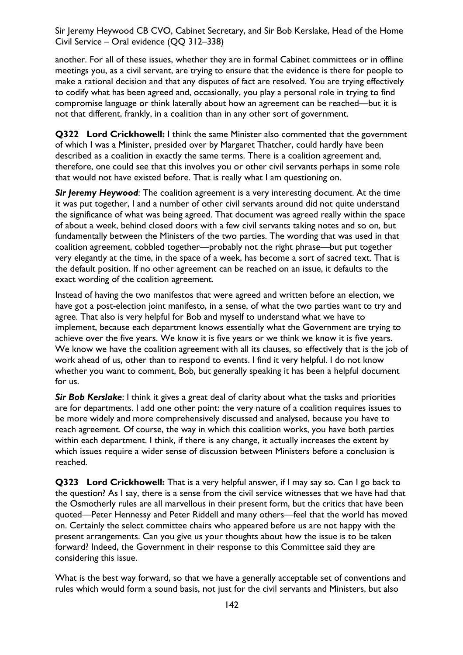another. For all of these issues, whether they are in formal Cabinet committees or in offline meetings you, as a civil servant, are trying to ensure that the evidence is there for people to make a rational decision and that any disputes of fact are resolved. You are trying effectively to codify what has been agreed and, occasionally, you play a personal role in trying to find compromise language or think laterally about how an agreement can be reached—but it is not that different, frankly, in a coalition than in any other sort of government.

**Q322 Lord Crickhowell:** I think the same Minister also commented that the government of which I was a Minister, presided over by Margaret Thatcher, could hardly have been described as a coalition in exactly the same terms. There is a coalition agreement and, therefore, one could see that this involves you or other civil servants perhaps in some role that would not have existed before. That is really what I am questioning on.

**Sir Jeremy Heywood:** The coalition agreement is a very interesting document. At the time it was put together, I and a number of other civil servants around did not quite understand the significance of what was being agreed. That document was agreed really within the space of about a week, behind closed doors with a few civil servants taking notes and so on, but fundamentally between the Ministers of the two parties. The wording that was used in that coalition agreement, cobbled together—probably not the right phrase—but put together very elegantly at the time, in the space of a week, has become a sort of sacred text. That is the default position. If no other agreement can be reached on an issue, it defaults to the exact wording of the coalition agreement.

Instead of having the two manifestos that were agreed and written before an election, we have got a post-election joint manifesto, in a sense, of what the two parties want to try and agree. That also is very helpful for Bob and myself to understand what we have to implement, because each department knows essentially what the Government are trying to achieve over the five years. We know it is five years or we think we know it is five years. We know we have the coalition agreement with all its clauses, so effectively that is the job of work ahead of us, other than to respond to events. I find it very helpful. I do not know whether you want to comment, Bob, but generally speaking it has been a helpful document for us.

*Sir Bob Kerslake*: I think it gives a great deal of clarity about what the tasks and priorities are for departments. I add one other point: the very nature of a coalition requires issues to be more widely and more comprehensively discussed and analysed, because you have to reach agreement. Of course, the way in which this coalition works, you have both parties within each department. I think, if there is any change, it actually increases the extent by which issues require a wider sense of discussion between Ministers before a conclusion is reached.

**Q323 Lord Crickhowell:** That is a very helpful answer, if I may say so. Can I go back to the question? As I say, there is a sense from the civil service witnesses that we have had that the Osmotherly rules are all marvellous in their present form, but the critics that have been quoted—Peter Hennessy and Peter Riddell and many others—feel that the world has moved on. Certainly the select committee chairs who appeared before us are not happy with the present arrangements. Can you give us your thoughts about how the issue is to be taken forward? Indeed, the Government in their response to this Committee said they are considering this issue.

What is the best way forward, so that we have a generally acceptable set of conventions and rules which would form a sound basis, not just for the civil servants and Ministers, but also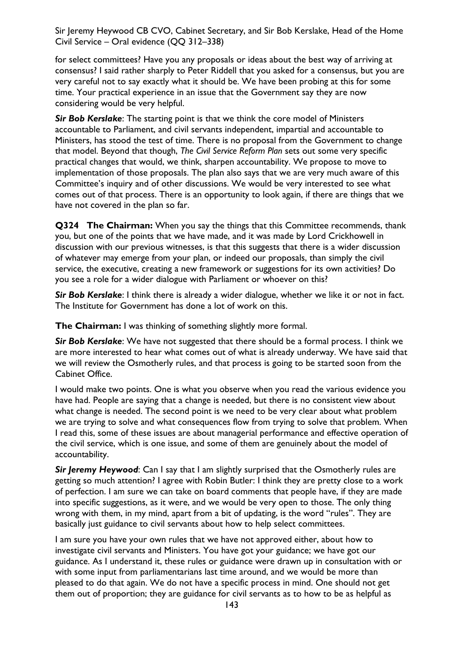for select committees? Have you any proposals or ideas about the best way of arriving at consensus? I said rather sharply to Peter Riddell that you asked for a consensus, but you are very careful not to say exactly what it should be. We have been probing at this for some time. Your practical experience in an issue that the Government say they are now considering would be very helpful.

*Sir Bob Kerslake*: The starting point is that we think the core model of Ministers accountable to Parliament, and civil servants independent, impartial and accountable to Ministers, has stood the test of time. There is no proposal from the Government to change that model. Beyond that though, *The Civil Service Reform Plan* sets out some very specific practical changes that would, we think, sharpen accountability. We propose to move to implementation of those proposals. The plan also says that we are very much aware of this Committee's inquiry and of other discussions. We would be very interested to see what comes out of that process. There is an opportunity to look again, if there are things that we have not covered in the plan so far.

**Q324 The Chairman:** When you say the things that this Committee recommends, thank you, but one of the points that we have made, and it was made by Lord Crickhowell in discussion with our previous witnesses, is that this suggests that there is a wider discussion of whatever may emerge from your plan, or indeed our proposals, than simply the civil service, the executive, creating a new framework or suggestions for its own activities? Do you see a role for a wider dialogue with Parliament or whoever on this?

*Sir Bob Kerslake*: I think there is already a wider dialogue, whether we like it or not in fact. The Institute for Government has done a lot of work on this.

**The Chairman:** I was thinking of something slightly more formal.

*Sir Bob Kerslake*: We have not suggested that there should be a formal process. I think we are more interested to hear what comes out of what is already underway. We have said that we will review the Osmotherly rules, and that process is going to be started soon from the Cabinet Office.

I would make two points. One is what you observe when you read the various evidence you have had. People are saying that a change is needed, but there is no consistent view about what change is needed. The second point is we need to be very clear about what problem we are trying to solve and what consequences flow from trying to solve that problem. When I read this, some of these issues are about managerial performance and effective operation of the civil service, which is one issue, and some of them are genuinely about the model of accountability.

**Sir Jeremy Heywood:** Can I say that I am slightly surprised that the Osmotherly rules are getting so much attention? I agree with Robin Butler: I think they are pretty close to a work of perfection. I am sure we can take on board comments that people have, if they are made into specific suggestions, as it were, and we would be very open to those. The only thing wrong with them, in my mind, apart from a bit of updating, is the word "rules". They are basically just guidance to civil servants about how to help select committees.

I am sure you have your own rules that we have not approved either, about how to investigate civil servants and Ministers. You have got your guidance; we have got our guidance. As I understand it, these rules or guidance were drawn up in consultation with or with some input from parliamentarians last time around, and we would be more than pleased to do that again. We do not have a specific process in mind. One should not get them out of proportion; they are guidance for civil servants as to how to be as helpful as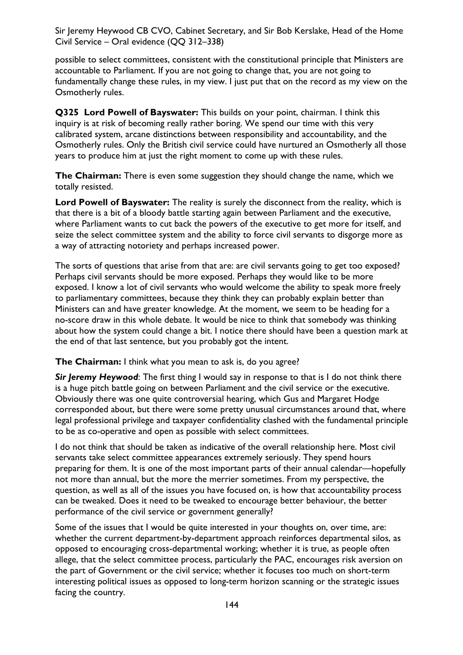possible to select committees, consistent with the constitutional principle that Ministers are accountable to Parliament. If you are not going to change that, you are not going to fundamentally change these rules, in my view. I just put that on the record as my view on the Osmotherly rules.

**Q325 Lord Powell of Bayswater:** This builds on your point, chairman. I think this inquiry is at risk of becoming really rather boring. We spend our time with this very calibrated system, arcane distinctions between responsibility and accountability, and the Osmotherly rules. Only the British civil service could have nurtured an Osmotherly all those years to produce him at just the right moment to come up with these rules.

**The Chairman:** There is even some suggestion they should change the name, which we totally resisted.

**Lord Powell of Bayswater:** The reality is surely the disconnect from the reality, which is that there is a bit of a bloody battle starting again between Parliament and the executive, where Parliament wants to cut back the powers of the executive to get more for itself, and seize the select committee system and the ability to force civil servants to disgorge more as a way of attracting notoriety and perhaps increased power.

The sorts of questions that arise from that are: are civil servants going to get too exposed? Perhaps civil servants should be more exposed. Perhaps they would like to be more exposed. I know a lot of civil servants who would welcome the ability to speak more freely to parliamentary committees, because they think they can probably explain better than Ministers can and have greater knowledge. At the moment, we seem to be heading for a no-score draw in this whole debate. It would be nice to think that somebody was thinking about how the system could change a bit. I notice there should have been a question mark at the end of that last sentence, but you probably got the intent.

**The Chairman:** I think what you mean to ask is, do you agree?

*Sir Jeremy Heywood*: The first thing I would say in response to that is I do not think there is a huge pitch battle going on between Parliament and the civil service or the executive. Obviously there was one quite controversial hearing, which Gus and Margaret Hodge corresponded about, but there were some pretty unusual circumstances around that, where legal professional privilege and taxpayer confidentiality clashed with the fundamental principle to be as co-operative and open as possible with select committees.

I do not think that should be taken as indicative of the overall relationship here. Most civil servants take select committee appearances extremely seriously. They spend hours preparing for them. It is one of the most important parts of their annual calendar—hopefully not more than annual, but the more the merrier sometimes. From my perspective, the question, as well as all of the issues you have focused on, is how that accountability process can be tweaked. Does it need to be tweaked to encourage better behaviour, the better performance of the civil service or government generally?

Some of the issues that I would be quite interested in your thoughts on, over time, are: whether the current department-by-department approach reinforces departmental silos, as opposed to encouraging cross-departmental working; whether it is true, as people often allege, that the select committee process, particularly the PAC, encourages risk aversion on the part of Government or the civil service; whether it focuses too much on short-term interesting political issues as opposed to long-term horizon scanning or the strategic issues facing the country.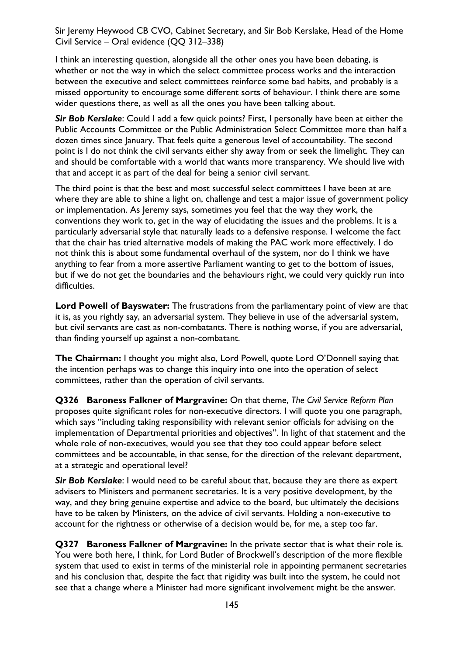I think an interesting question, alongside all the other ones you have been debating, is whether or not the way in which the select committee process works and the interaction between the executive and select committees reinforce some bad habits, and probably is a missed opportunity to encourage some different sorts of behaviour. I think there are some wider questions there, as well as all the ones you have been talking about.

*Sir Bob Kerslake*: Could I add a few quick points? First, I personally have been at either the Public Accounts Committee or the Public Administration Select Committee more than half a dozen times since January. That feels quite a generous level of accountability. The second point is I do not think the civil servants either shy away from or seek the limelight. They can and should be comfortable with a world that wants more transparency. We should live with that and accept it as part of the deal for being a senior civil servant.

The third point is that the best and most successful select committees I have been at are where they are able to shine a light on, challenge and test a major issue of government policy or implementation. As Jeremy says, sometimes you feel that the way they work, the conventions they work to, get in the way of elucidating the issues and the problems. It is a particularly adversarial style that naturally leads to a defensive response. I welcome the fact that the chair has tried alternative models of making the PAC work more effectively. I do not think this is about some fundamental overhaul of the system, nor do I think we have anything to fear from a more assertive Parliament wanting to get to the bottom of issues, but if we do not get the boundaries and the behaviours right, we could very quickly run into difficulties.

**Lord Powell of Bayswater:** The frustrations from the parliamentary point of view are that it is, as you rightly say, an adversarial system. They believe in use of the adversarial system, but civil servants are cast as non-combatants. There is nothing worse, if you are adversarial, than finding yourself up against a non-combatant.

**The Chairman:** I thought you might also, Lord Powell, quote Lord O'Donnell saying that the intention perhaps was to change this inquiry into one into the operation of select committees, rather than the operation of civil servants.

**Q326 Baroness Falkner of Margravine:** On that theme, *The Civil Service Reform Plan* proposes quite significant roles for non-executive directors. I will quote you one paragraph, which says "including taking responsibility with relevant senior officials for advising on the implementation of Departmental priorities and objectives". In light of that statement and the whole role of non-executives, would you see that they too could appear before select committees and be accountable, in that sense, for the direction of the relevant department, at a strategic and operational level?

*Sir Bob Kerslake*: I would need to be careful about that, because they are there as expert advisers to Ministers and permanent secretaries. It is a very positive development, by the way, and they bring genuine expertise and advice to the board, but ultimately the decisions have to be taken by Ministers, on the advice of civil servants. Holding a non-executive to account for the rightness or otherwise of a decision would be, for me, a step too far.

**Q327 Baroness Falkner of Margravine:** In the private sector that is what their role is. You were both here, I think, for Lord Butler of Brockwell's description of the more flexible system that used to exist in terms of the ministerial role in appointing permanent secretaries and his conclusion that, despite the fact that rigidity was built into the system, he could not see that a change where a Minister had more significant involvement might be the answer.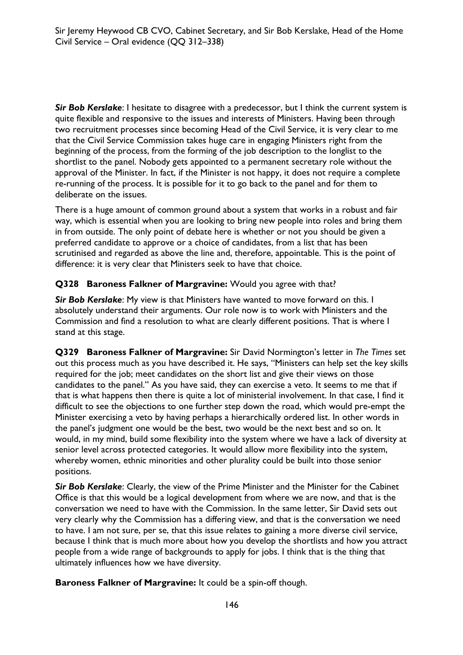*Sir Bob Kerslake*: I hesitate to disagree with a predecessor, but I think the current system is quite flexible and responsive to the issues and interests of Ministers. Having been through two recruitment processes since becoming Head of the Civil Service, it is very clear to me that the Civil Service Commission takes huge care in engaging Ministers right from the beginning of the process, from the forming of the job description to the longlist to the shortlist to the panel. Nobody gets appointed to a permanent secretary role without the approval of the Minister. In fact, if the Minister is not happy, it does not require a complete re-running of the process. It is possible for it to go back to the panel and for them to deliberate on the issues.

There is a huge amount of common ground about a system that works in a robust and fair way, which is essential when you are looking to bring new people into roles and bring them in from outside. The only point of debate here is whether or not you should be given a preferred candidate to approve or a choice of candidates, from a list that has been scrutinised and regarded as above the line and, therefore, appointable. This is the point of difference: it is very clear that Ministers seek to have that choice.

### **Q328 Baroness Falkner of Margravine:** Would you agree with that?

*Sir Bob Kerslake*: My view is that Ministers have wanted to move forward on this. I absolutely understand their arguments. Our role now is to work with Ministers and the Commission and find a resolution to what are clearly different positions. That is where I stand at this stage.

**Q329 Baroness Falkner of Margravine:** Sir David Normington's letter in *The Times* set out this process much as you have described it. He says, "Ministers can help set the key skills required for the job; meet candidates on the short list and give their views on those candidates to the panel." As you have said, they can exercise a veto. It seems to me that if that is what happens then there is quite a lot of ministerial involvement. In that case, I find it difficult to see the objections to one further step down the road, which would pre-empt the Minister exercising a veto by having perhaps a hierarchically ordered list. In other words in the panel's judgment one would be the best, two would be the next best and so on. It would, in my mind, build some flexibility into the system where we have a lack of diversity at senior level across protected categories. It would allow more flexibility into the system, whereby women, ethnic minorities and other plurality could be built into those senior positions.

*Sir Bob Kerslake*: Clearly, the view of the Prime Minister and the Minister for the Cabinet Office is that this would be a logical development from where we are now, and that is the conversation we need to have with the Commission. In the same letter, Sir David sets out very clearly why the Commission has a differing view, and that is the conversation we need to have. I am not sure, per se, that this issue relates to gaining a more diverse civil service, because I think that is much more about how you develop the shortlists and how you attract people from a wide range of backgrounds to apply for jobs. I think that is the thing that ultimately influences how we have diversity.

**Baroness Falkner of Margravine:** It could be a spin-off though.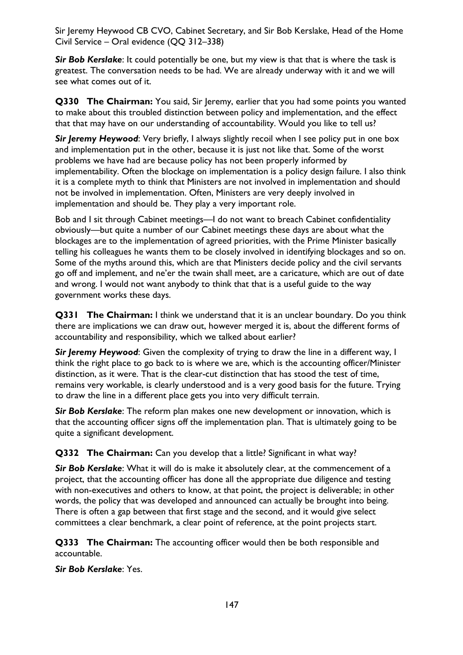**Sir Bob Kerslake**: It could potentially be one, but my view is that that is where the task is greatest. The conversation needs to be had. We are already underway with it and we will see what comes out of it.

**Q330 The Chairman:** You said, Sir Jeremy, earlier that you had some points you wanted to make about this troubled distinction between policy and implementation, and the effect that that may have on our understanding of accountability. Would you like to tell us?

**Sir Jeremy Heywood:** Very briefly, I always slightly recoil when I see policy put in one box and implementation put in the other, because it is just not like that. Some of the worst problems we have had are because policy has not been properly informed by implementability. Often the blockage on implementation is a policy design failure. I also think it is a complete myth to think that Ministers are not involved in implementation and should not be involved in implementation. Often, Ministers are very deeply involved in implementation and should be. They play a very important role.

Bob and I sit through Cabinet meetings—I do not want to breach Cabinet confidentiality obviously—but quite a number of our Cabinet meetings these days are about what the blockages are to the implementation of agreed priorities, with the Prime Minister basically telling his colleagues he wants them to be closely involved in identifying blockages and so on. Some of the myths around this, which are that Ministers decide policy and the civil servants go off and implement, and ne'er the twain shall meet, are a caricature, which are out of date and wrong. I would not want anybody to think that that is a useful guide to the way government works these days.

**Q331 The Chairman:** I think we understand that it is an unclear boundary. Do you think there are implications we can draw out, however merged it is, about the different forms of accountability and responsibility, which we talked about earlier?

*Sir Jeremy Heywood*: Given the complexity of trying to draw the line in a different way, I think the right place to go back to is where we are, which is the accounting officer/Minister distinction, as it were. That is the clear-cut distinction that has stood the test of time, remains very workable, is clearly understood and is a very good basis for the future. Trying to draw the line in a different place gets you into very difficult terrain.

*Sir Bob Kerslake*: The reform plan makes one new development or innovation, which is that the accounting officer signs off the implementation plan. That is ultimately going to be quite a significant development.

**Q332 The Chairman:** Can you develop that a little? Significant in what way?

*Sir Bob Kerslake*: What it will do is make it absolutely clear, at the commencement of a project, that the accounting officer has done all the appropriate due diligence and testing with non-executives and others to know, at that point, the project is deliverable; in other words, the policy that was developed and announced can actually be brought into being. There is often a gap between that first stage and the second, and it would give select committees a clear benchmark, a clear point of reference, at the point projects start.

**Q333 The Chairman:** The accounting officer would then be both responsible and accountable.

*Sir Bob Kerslake*: Yes.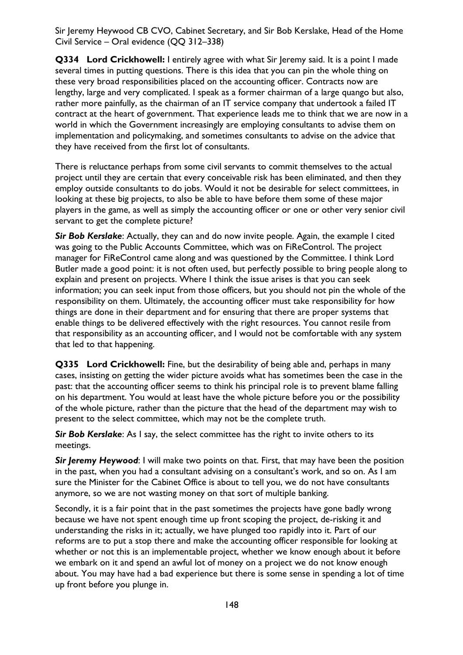**Q334 Lord Crickhowell:** I entirely agree with what Sir Jeremy said. It is a point I made several times in putting questions. There is this idea that you can pin the whole thing on these very broad responsibilities placed on the accounting officer. Contracts now are lengthy, large and very complicated. I speak as a former chairman of a large quango but also, rather more painfully, as the chairman of an IT service company that undertook a failed IT contract at the heart of government. That experience leads me to think that we are now in a world in which the Government increasingly are employing consultants to advise them on implementation and policymaking, and sometimes consultants to advise on the advice that they have received from the first lot of consultants.

There is reluctance perhaps from some civil servants to commit themselves to the actual project until they are certain that every conceivable risk has been eliminated, and then they employ outside consultants to do jobs. Would it not be desirable for select committees, in looking at these big projects, to also be able to have before them some of these major players in the game, as well as simply the accounting officer or one or other very senior civil servant to get the complete picture?

*Sir Bob Kerslake*: Actually, they can and do now invite people. Again, the example I cited was going to the Public Accounts Committee, which was on FiReControl. The project manager for FiReControl came along and was questioned by the Committee. I think Lord Butler made a good point: it is not often used, but perfectly possible to bring people along to explain and present on projects. Where I think the issue arises is that you can seek information; you can seek input from those officers, but you should not pin the whole of the responsibility on them. Ultimately, the accounting officer must take responsibility for how things are done in their department and for ensuring that there are proper systems that enable things to be delivered effectively with the right resources. You cannot resile from that responsibility as an accounting officer, and I would not be comfortable with any system that led to that happening.

**Q335 Lord Crickhowell:** Fine, but the desirability of being able and, perhaps in many cases, insisting on getting the wider picture avoids what has sometimes been the case in the past: that the accounting officer seems to think his principal role is to prevent blame falling on his department. You would at least have the whole picture before you or the possibility of the whole picture, rather than the picture that the head of the department may wish to present to the select committee, which may not be the complete truth.

**Sir Bob Kerslake:** As I say, the select committee has the right to invite others to its meetings.

**Sir Jeremy Heywood:** I will make two points on that. First, that may have been the position in the past, when you had a consultant advising on a consultant's work, and so on. As I am sure the Minister for the Cabinet Office is about to tell you, we do not have consultants anymore, so we are not wasting money on that sort of multiple banking.

Secondly, it is a fair point that in the past sometimes the projects have gone badly wrong because we have not spent enough time up front scoping the project, de-risking it and understanding the risks in it; actually, we have plunged too rapidly into it. Part of our reforms are to put a stop there and make the accounting officer responsible for looking at whether or not this is an implementable project, whether we know enough about it before we embark on it and spend an awful lot of money on a project we do not know enough about. You may have had a bad experience but there is some sense in spending a lot of time up front before you plunge in.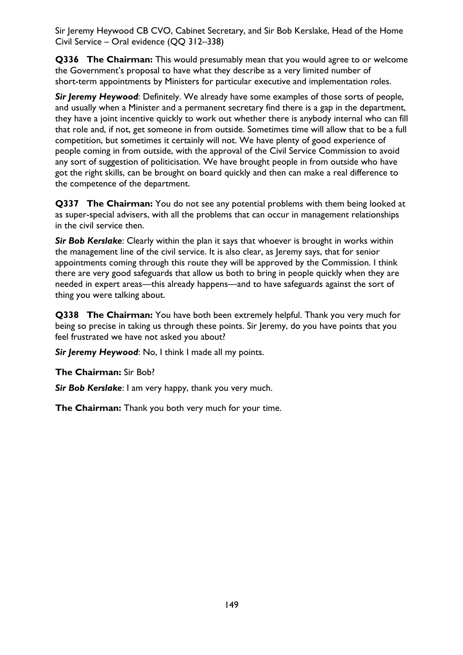**Q336 The Chairman:** This would presumably mean that you would agree to or welcome the Government's proposal to have what they describe as a very limited number of short-term appointments by Ministers for particular executive and implementation roles.

*Sir Jeremy Heywood*: Definitely. We already have some examples of those sorts of people, and usually when a Minister and a permanent secretary find there is a gap in the department, they have a joint incentive quickly to work out whether there is anybody internal who can fill that role and, if not, get someone in from outside. Sometimes time will allow that to be a full competition, but sometimes it certainly will not. We have plenty of good experience of people coming in from outside, with the approval of the Civil Service Commission to avoid any sort of suggestion of politicisation. We have brought people in from outside who have got the right skills, can be brought on board quickly and then can make a real difference to the competence of the department.

**Q337 The Chairman:** You do not see any potential problems with them being looked at as super-special advisers, with all the problems that can occur in management relationships in the civil service then.

*Sir Bob Kerslake*: Clearly within the plan it says that whoever is brought in works within the management line of the civil service. It is also clear, as Jeremy says, that for senior appointments coming through this route they will be approved by the Commission. I think there are very good safeguards that allow us both to bring in people quickly when they are needed in expert areas—this already happens—and to have safeguards against the sort of thing you were talking about.

**Q338 The Chairman:** You have both been extremely helpful. Thank you very much for being so precise in taking us through these points. Sir Jeremy, do you have points that you feel frustrated we have not asked you about?

*Sir Jeremy Heywood*: No, I think I made all my points.

**The Chairman:** Sir Bob?

*Sir Bob Kerslake*: I am very happy, thank you very much.

**The Chairman:** Thank you both very much for your time.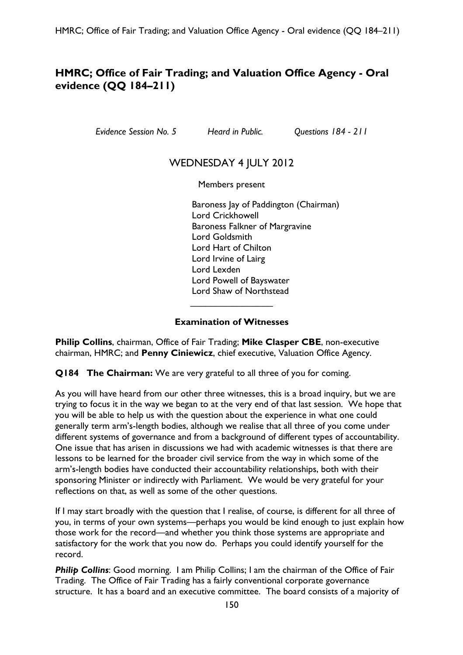# **HMRC; Office of Fair Trading; and Valuation Office Agency - Oral evidence (QQ 184–211)**

*Evidence Session No. 5 Heard in Public. Questions 184 - 211* 

## WEDNESDAY 4 JULY 2012

Members present

Baroness Jay of Paddington (Chairman) Lord Crickhowell Baroness Falkner of Margravine Lord Goldsmith Lord Hart of Chilton Lord Irvine of Lairg Lord Lexden Lord Powell of Bayswater Lord Shaw of Northstead  $\overline{\phantom{a}}$  , which is a set of the set of the set of the set of the set of the set of the set of the set of the set of the set of the set of the set of the set of the set of the set of the set of the set of the set of th

#### **Examination of Witnesses**

**Philip Collins**, chairman, Office of Fair Trading; **Mike Clasper CBE**, non-executive chairman, HMRC; and **Penny Ciniewicz**, chief executive, Valuation Office Agency.

**Q184 The Chairman:** We are very grateful to all three of you for coming.

As you will have heard from our other three witnesses, this is a broad inquiry, but we are trying to focus it in the way we began to at the very end of that last session. We hope that you will be able to help us with the question about the experience in what one could generally term arm's-length bodies, although we realise that all three of you come under different systems of governance and from a background of different types of accountability. One issue that has arisen in discussions we had with academic witnesses is that there are lessons to be learned for the broader civil service from the way in which some of the arm's-length bodies have conducted their accountability relationships, both with their sponsoring Minister or indirectly with Parliament. We would be very grateful for your reflections on that, as well as some of the other questions.

If I may start broadly with the question that I realise, of course, is different for all three of you, in terms of your own systems—perhaps you would be kind enough to just explain how those work for the record—and whether you think those systems are appropriate and satisfactory for the work that you now do. Perhaps you could identify yourself for the record.

**Philip Collins:** Good morning. I am Philip Collins; I am the chairman of the Office of Fair Trading. The Office of Fair Trading has a fairly conventional corporate governance structure. It has a board and an executive committee. The board consists of a majority of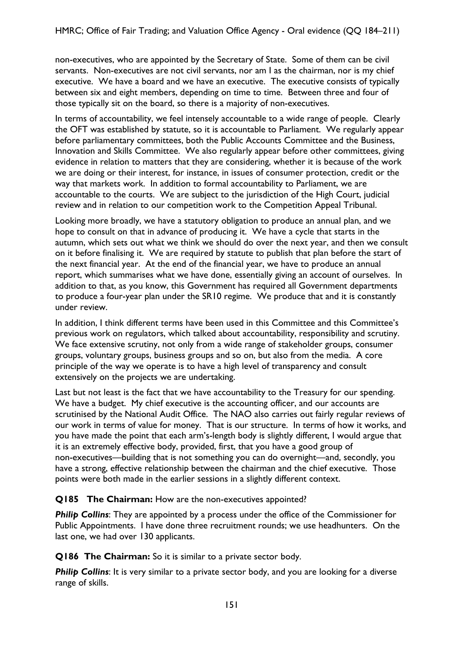non-executives, who are appointed by the Secretary of State. Some of them can be civil servants. Non-executives are not civil servants, nor am I as the chairman, nor is my chief executive. We have a board and we have an executive. The executive consists of typically between six and eight members, depending on time to time. Between three and four of those typically sit on the board, so there is a majority of non-executives.

In terms of accountability, we feel intensely accountable to a wide range of people. Clearly the OFT was established by statute, so it is accountable to Parliament. We regularly appear before parliamentary committees, both the Public Accounts Committee and the Business, Innovation and Skills Committee. We also regularly appear before other committees, giving evidence in relation to matters that they are considering, whether it is because of the work we are doing or their interest, for instance, in issues of consumer protection, credit or the way that markets work. In addition to formal accountability to Parliament, we are accountable to the courts. We are subject to the jurisdiction of the High Court, judicial review and in relation to our competition work to the Competition Appeal Tribunal.

Looking more broadly, we have a statutory obligation to produce an annual plan, and we hope to consult on that in advance of producing it. We have a cycle that starts in the autumn, which sets out what we think we should do over the next year, and then we consult on it before finalising it. We are required by statute to publish that plan before the start of the next financial year. At the end of the financial year, we have to produce an annual report, which summarises what we have done, essentially giving an account of ourselves. In addition to that, as you know, this Government has required all Government departments to produce a four-year plan under the SR10 regime. We produce that and it is constantly under review.

In addition, I think different terms have been used in this Committee and this Committee's previous work on regulators, which talked about accountability, responsibility and scrutiny. We face extensive scrutiny, not only from a wide range of stakeholder groups, consumer groups, voluntary groups, business groups and so on, but also from the media. A core principle of the way we operate is to have a high level of transparency and consult extensively on the projects we are undertaking.

Last but not least is the fact that we have accountability to the Treasury for our spending. We have a budget. My chief executive is the accounting officer, and our accounts are scrutinised by the National Audit Office. The NAO also carries out fairly regular reviews of our work in terms of value for money. That is our structure. In terms of how it works, and you have made the point that each arm's-length body is slightly different, I would argue that it is an extremely effective body, provided, first, that you have a good group of non-executives—building that is not something you can do overnight—and, secondly, you have a strong, effective relationship between the chairman and the chief executive. Those points were both made in the earlier sessions in a slightly different context.

### **Q185 The Chairman:** How are the non-executives appointed?

**Philip Collins:** They are appointed by a process under the office of the Commissioner for Public Appointments. I have done three recruitment rounds; we use headhunters. On the last one, we had over 130 applicants.

**Q186 The Chairman:** So it is similar to a private sector body.

**Philip Collins:** It is very similar to a private sector body, and you are looking for a diverse range of skills.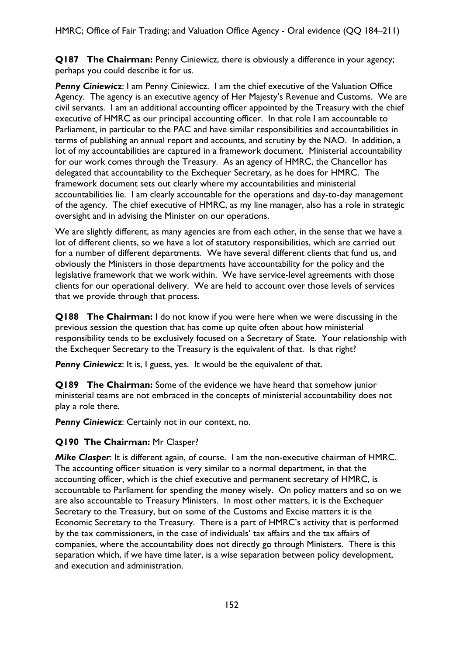**Q187 The Chairman:** Penny Ciniewicz, there is obviously a difference in your agency; perhaps you could describe it for us.

**Penny Ciniewicz**: I am Penny Ciniewicz. I am the chief executive of the Valuation Office Agency. The agency is an executive agency of Her Majesty's Revenue and Customs. We are civil servants. I am an additional accounting officer appointed by the Treasury with the chief executive of HMRC as our principal accounting officer. In that role I am accountable to Parliament, in particular to the PAC and have similar responsibilities and accountabilities in terms of publishing an annual report and accounts, and scrutiny by the NAO. In addition, a lot of my accountabilities are captured in a framework document. Ministerial accountability for our work comes through the Treasury. As an agency of HMRC, the Chancellor has delegated that accountability to the Exchequer Secretary, as he does for HMRC. The framework document sets out clearly where my accountabilities and ministerial accountabilities lie. I am clearly accountable for the operations and day-to-day management of the agency. The chief executive of HMRC, as my line manager, also has a role in strategic oversight and in advising the Minister on our operations.

We are slightly different, as many agencies are from each other, in the sense that we have a lot of different clients, so we have a lot of statutory responsibilities, which are carried out for a number of different departments. We have several different clients that fund us, and obviously the Ministers in those departments have accountability for the policy and the legislative framework that we work within. We have service-level agreements with those clients for our operational delivery. We are held to account over those levels of services that we provide through that process.

**Q188 The Chairman:** I do not know if you were here when we were discussing in the previous session the question that has come up quite often about how ministerial responsibility tends to be exclusively focused on a Secretary of State. Your relationship with the Exchequer Secretary to the Treasury is the equivalent of that. Is that right?

**Penny Ciniewicz**: It is, I guess, yes. It would be the equivalent of that.

**Q189 The Chairman:** Some of the evidence we have heard that somehow junior ministerial teams are not embraced in the concepts of ministerial accountability does not play a role there.

**Penny Ciniewicz:** Certainly not in our context, no.

### **Q190 The Chairman:** Mr Clasper?

*Mike Clasper*: It is different again, of course. I am the non-executive chairman of HMRC. The accounting officer situation is very similar to a normal department, in that the accounting officer, which is the chief executive and permanent secretary of HMRC, is accountable to Parliament for spending the money wisely. On policy matters and so on we are also accountable to Treasury Ministers. In most other matters, it is the Exchequer Secretary to the Treasury, but on some of the Customs and Excise matters it is the Economic Secretary to the Treasury. There is a part of HMRC's activity that is performed by the tax commissioners, in the case of individuals' tax affairs and the tax affairs of companies, where the accountability does not directly go through Ministers. There is this separation which, if we have time later, is a wise separation between policy development, and execution and administration.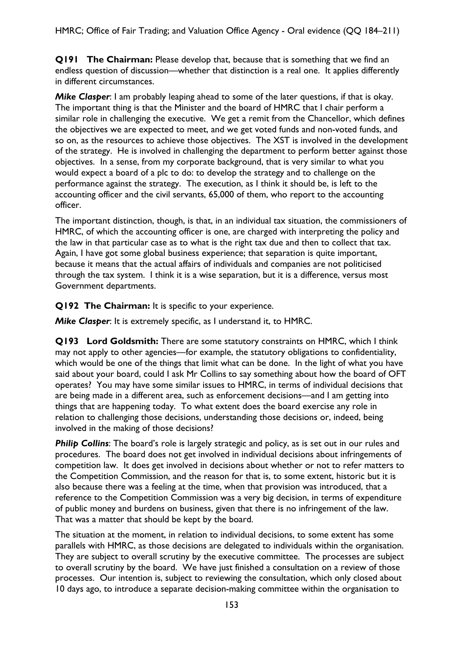**Q191 The Chairman:** Please develop that, because that is something that we find an endless question of discussion—whether that distinction is a real one. It applies differently in different circumstances.

*Mike Clasper*: I am probably leaping ahead to some of the later questions, if that is okay. The important thing is that the Minister and the board of HMRC that I chair perform a similar role in challenging the executive. We get a remit from the Chancellor, which defines the objectives we are expected to meet, and we get voted funds and non-voted funds, and so on, as the resources to achieve those objectives. The XST is involved in the development of the strategy. He is involved in challenging the department to perform better against those objectives. In a sense, from my corporate background, that is very similar to what you would expect a board of a plc to do: to develop the strategy and to challenge on the performance against the strategy. The execution, as I think it should be, is left to the accounting officer and the civil servants, 65,000 of them, who report to the accounting officer.

The important distinction, though, is that, in an individual tax situation, the commissioners of HMRC, of which the accounting officer is one, are charged with interpreting the policy and the law in that particular case as to what is the right tax due and then to collect that tax. Again, I have got some global business experience; that separation is quite important, because it means that the actual affairs of individuals and companies are not politicised through the tax system. I think it is a wise separation, but it is a difference, versus most Government departments.

**Q192 The Chairman:** It is specific to your experience.

*Mike Clasper*: It is extremely specific, as I understand it, to HMRC.

**Q193 Lord Goldsmith:** There are some statutory constraints on HMRC, which I think may not apply to other agencies—for example, the statutory obligations to confidentiality, which would be one of the things that limit what can be done. In the light of what you have said about your board, could I ask Mr Collins to say something about how the board of OFT operates? You may have some similar issues to HMRC, in terms of individual decisions that are being made in a different area, such as enforcement decisions—and I am getting into things that are happening today. To what extent does the board exercise any role in relation to challenging those decisions, understanding those decisions or, indeed, being involved in the making of those decisions?

**Philip Collins:** The board's role is largely strategic and policy, as is set out in our rules and procedures. The board does not get involved in individual decisions about infringements of competition law. It does get involved in decisions about whether or not to refer matters to the Competition Commission, and the reason for that is, to some extent, historic but it is also because there was a feeling at the time, when that provision was introduced, that a reference to the Competition Commission was a very big decision, in terms of expenditure of public money and burdens on business, given that there is no infringement of the law. That was a matter that should be kept by the board.

The situation at the moment, in relation to individual decisions, to some extent has some parallels with HMRC, as those decisions are delegated to individuals within the organisation. They are subject to overall scrutiny by the executive committee. The processes are subject to overall scrutiny by the board. We have just finished a consultation on a review of those processes. Our intention is, subject to reviewing the consultation, which only closed about 10 days ago, to introduce a separate decision-making committee within the organisation to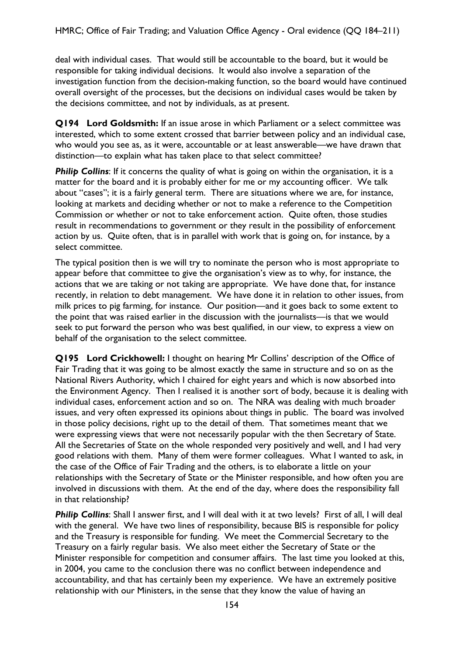deal with individual cases. That would still be accountable to the board, but it would be responsible for taking individual decisions. It would also involve a separation of the investigation function from the decision-making function, so the board would have continued overall oversight of the processes, but the decisions on individual cases would be taken by the decisions committee, and not by individuals, as at present.

**Q194 Lord Goldsmith:** If an issue arose in which Parliament or a select committee was interested, which to some extent crossed that barrier between policy and an individual case, who would you see as, as it were, accountable or at least answerable—we have drawn that distinction—to explain what has taken place to that select committee?

**Philip Collins:** If it concerns the quality of what is going on within the organisation, it is a matter for the board and it is probably either for me or my accounting officer. We talk about "cases"; it is a fairly general term. There are situations where we are, for instance, looking at markets and deciding whether or not to make a reference to the Competition Commission or whether or not to take enforcement action. Quite often, those studies result in recommendations to government or they result in the possibility of enforcement action by us. Quite often, that is in parallel with work that is going on, for instance, by a select committee.

The typical position then is we will try to nominate the person who is most appropriate to appear before that committee to give the organisation's view as to why, for instance, the actions that we are taking or not taking are appropriate. We have done that, for instance recently, in relation to debt management. We have done it in relation to other issues, from milk prices to pig farming, for instance. Our position—and it goes back to some extent to the point that was raised earlier in the discussion with the journalists—is that we would seek to put forward the person who was best qualified, in our view, to express a view on behalf of the organisation to the select committee.

**Q195 Lord Crickhowell:** I thought on hearing Mr Collins' description of the Office of Fair Trading that it was going to be almost exactly the same in structure and so on as the National Rivers Authority, which I chaired for eight years and which is now absorbed into the Environment Agency. Then I realised it is another sort of body, because it is dealing with individual cases, enforcement action and so on. The NRA was dealing with much broader issues, and very often expressed its opinions about things in public. The board was involved in those policy decisions, right up to the detail of them. That sometimes meant that we were expressing views that were not necessarily popular with the then Secretary of State. All the Secretaries of State on the whole responded very positively and well, and I had very good relations with them. Many of them were former colleagues. What I wanted to ask, in the case of the Office of Fair Trading and the others, is to elaborate a little on your relationships with the Secretary of State or the Minister responsible, and how often you are involved in discussions with them. At the end of the day, where does the responsibility fall in that relationship?

**Philip Collins:** Shall I answer first, and I will deal with it at two levels? First of all, I will deal with the general. We have two lines of responsibility, because BIS is responsible for policy and the Treasury is responsible for funding. We meet the Commercial Secretary to the Treasury on a fairly regular basis. We also meet either the Secretary of State or the Minister responsible for competition and consumer affairs. The last time you looked at this, in 2004, you came to the conclusion there was no conflict between independence and accountability, and that has certainly been my experience. We have an extremely positive relationship with our Ministers, in the sense that they know the value of having an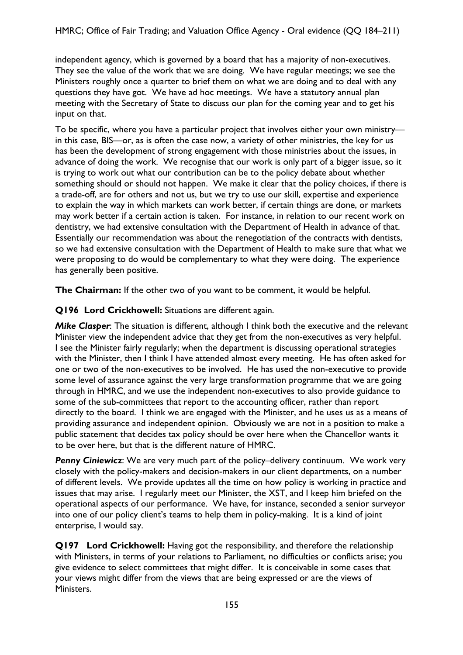independent agency, which is governed by a board that has a majority of non-executives. They see the value of the work that we are doing. We have regular meetings; we see the Ministers roughly once a quarter to brief them on what we are doing and to deal with any questions they have got. We have ad hoc meetings. We have a statutory annual plan meeting with the Secretary of State to discuss our plan for the coming year and to get his input on that.

To be specific, where you have a particular project that involves either your own ministry in this case, BIS—or, as is often the case now, a variety of other ministries, the key for us has been the development of strong engagement with those ministries about the issues, in advance of doing the work. We recognise that our work is only part of a bigger issue, so it is trying to work out what our contribution can be to the policy debate about whether something should or should not happen. We make it clear that the policy choices, if there is a trade-off, are for others and not us, but we try to use our skill, expertise and experience to explain the way in which markets can work better, if certain things are done, or markets may work better if a certain action is taken. For instance, in relation to our recent work on dentistry, we had extensive consultation with the Department of Health in advance of that. Essentially our recommendation was about the renegotiation of the contracts with dentists, so we had extensive consultation with the Department of Health to make sure that what we were proposing to do would be complementary to what they were doing. The experience has generally been positive.

**The Chairman:** If the other two of you want to be comment, it would be helpful.

**Q196 Lord Crickhowell:** Situations are different again.

*Mike Clasper*: The situation is different, although I think both the executive and the relevant Minister view the independent advice that they get from the non-executives as very helpful. I see the Minister fairly regularly; when the department is discussing operational strategies with the Minister, then I think I have attended almost every meeting. He has often asked for one or two of the non-executives to be involved. He has used the non-executive to provide some level of assurance against the very large transformation programme that we are going through in HMRC, and we use the independent non-executives to also provide guidance to some of the sub-committees that report to the accounting officer, rather than report directly to the board. I think we are engaged with the Minister, and he uses us as a means of providing assurance and independent opinion. Obviously we are not in a position to make a public statement that decides tax policy should be over here when the Chancellor wants it to be over here, but that is the different nature of HMRC.

**Penny Ciniewicz**: We are very much part of the policy-delivery continuum. We work very closely with the policy-makers and decision-makers in our client departments, on a number of different levels. We provide updates all the time on how policy is working in practice and issues that may arise. I regularly meet our Minister, the XST, and I keep him briefed on the operational aspects of our performance. We have, for instance, seconded a senior surveyor into one of our policy client's teams to help them in policy-making. It is a kind of joint enterprise, I would say.

**Q197 Lord Crickhowell:** Having got the responsibility, and therefore the relationship with Ministers, in terms of your relations to Parliament, no difficulties or conflicts arise; you give evidence to select committees that might differ. It is conceivable in some cases that your views might differ from the views that are being expressed or are the views of Ministers.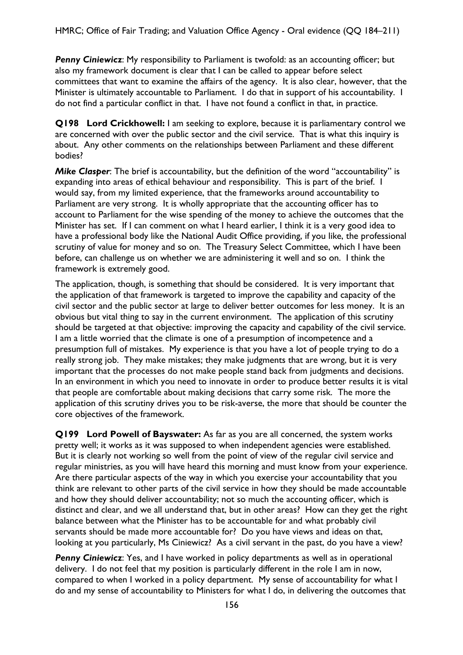**Penny Ciniewicz**: My responsibility to Parliament is twofold: as an accounting officer; but also my framework document is clear that I can be called to appear before select committees that want to examine the affairs of the agency. It is also clear, however, that the Minister is ultimately accountable to Parliament. I do that in support of his accountability. I do not find a particular conflict in that. I have not found a conflict in that, in practice.

**Q198 Lord Crickhowell:** I am seeking to explore, because it is parliamentary control we are concerned with over the public sector and the civil service. That is what this inquiry is about. Any other comments on the relationships between Parliament and these different bodies?

*Mike Clasper*: The brief is accountability, but the definition of the word "accountability" is expanding into areas of ethical behaviour and responsibility. This is part of the brief. I would say, from my limited experience, that the frameworks around accountability to Parliament are very strong. It is wholly appropriate that the accounting officer has to account to Parliament for the wise spending of the money to achieve the outcomes that the Minister has set. If I can comment on what I heard earlier, I think it is a very good idea to have a professional body like the National Audit Office providing, if you like, the professional scrutiny of value for money and so on. The Treasury Select Committee, which I have been before, can challenge us on whether we are administering it well and so on. I think the framework is extremely good.

The application, though, is something that should be considered. It is very important that the application of that framework is targeted to improve the capability and capacity of the civil sector and the public sector at large to deliver better outcomes for less money. It is an obvious but vital thing to say in the current environment. The application of this scrutiny should be targeted at that objective: improving the capacity and capability of the civil service. I am a little worried that the climate is one of a presumption of incompetence and a presumption full of mistakes. My experience is that you have a lot of people trying to do a really strong job. They make mistakes; they make judgments that are wrong, but it is very important that the processes do not make people stand back from judgments and decisions. In an environment in which you need to innovate in order to produce better results it is vital that people are comfortable about making decisions that carry some risk. The more the application of this scrutiny drives you to be risk-averse, the more that should be counter the core objectives of the framework.

**Q199 Lord Powell of Bayswater:** As far as you are all concerned, the system works pretty well; it works as it was supposed to when independent agencies were established. But it is clearly not working so well from the point of view of the regular civil service and regular ministries, as you will have heard this morning and must know from your experience. Are there particular aspects of the way in which you exercise your accountability that you think are relevant to other parts of the civil service in how they should be made accountable and how they should deliver accountability; not so much the accounting officer, which is distinct and clear, and we all understand that, but in other areas? How can they get the right balance between what the Minister has to be accountable for and what probably civil servants should be made more accountable for? Do you have views and ideas on that, looking at you particularly, Ms Ciniewicz? As a civil servant in the past, do you have a view?

**Penny Ciniewicz**: Yes, and I have worked in policy departments as well as in operational delivery. I do not feel that my position is particularly different in the role I am in now, compared to when I worked in a policy department. My sense of accountability for what I do and my sense of accountability to Ministers for what I do, in delivering the outcomes that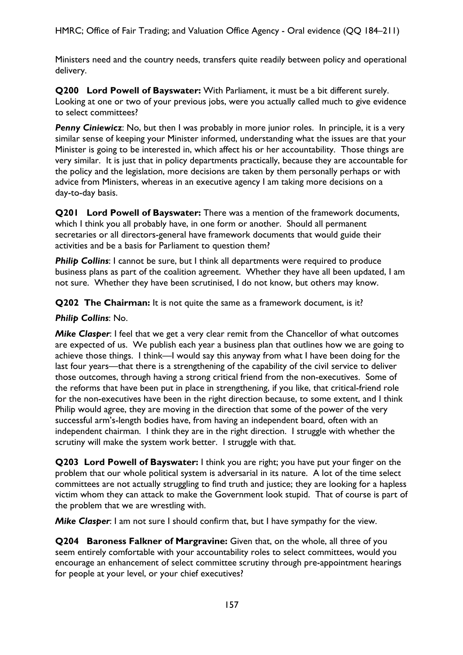Ministers need and the country needs, transfers quite readily between policy and operational delivery.

**Q200 Lord Powell of Bayswater:** With Parliament, it must be a bit different surely. Looking at one or two of your previous jobs, were you actually called much to give evidence to select committees?

**Penny Ciniewicz**: No, but then I was probably in more junior roles. In principle, it is a very similar sense of keeping your Minister informed, understanding what the issues are that your Minister is going to be interested in, which affect his or her accountability. Those things are very similar. It is just that in policy departments practically, because they are accountable for the policy and the legislation, more decisions are taken by them personally perhaps or with advice from Ministers, whereas in an executive agency I am taking more decisions on a day-to-day basis.

**Q201 Lord Powell of Bayswater:** There was a mention of the framework documents, which I think you all probably have, in one form or another. Should all permanent secretaries or all directors-general have framework documents that would guide their activities and be a basis for Parliament to question them?

**Philip Collins:** I cannot be sure, but I think all departments were required to produce business plans as part of the coalition agreement. Whether they have all been updated, I am not sure. Whether they have been scrutinised, I do not know, but others may know.

**Q202 The Chairman:** It is not quite the same as a framework document, is it?

### *Philip Collins*: No.

*Mike Clasper*: I feel that we get a very clear remit from the Chancellor of what outcomes are expected of us. We publish each year a business plan that outlines how we are going to achieve those things. I think—I would say this anyway from what I have been doing for the last four years—that there is a strengthening of the capability of the civil service to deliver those outcomes, through having a strong critical friend from the non-executives. Some of the reforms that have been put in place in strengthening, if you like, that critical-friend role for the non-executives have been in the right direction because, to some extent, and I think Philip would agree, they are moving in the direction that some of the power of the very successful arm's-length bodies have, from having an independent board, often with an independent chairman. I think they are in the right direction. I struggle with whether the scrutiny will make the system work better. I struggle with that.

**Q203 Lord Powell of Bayswater:** I think you are right; you have put your finger on the problem that our whole political system is adversarial in its nature. A lot of the time select committees are not actually struggling to find truth and justice; they are looking for a hapless victim whom they can attack to make the Government look stupid. That of course is part of the problem that we are wrestling with.

*Mike Clasper*: I am not sure I should confirm that, but I have sympathy for the view.

**Q204 Baroness Falkner of Margravine:** Given that, on the whole, all three of you seem entirely comfortable with your accountability roles to select committees, would you encourage an enhancement of select committee scrutiny through pre-appointment hearings for people at your level, or your chief executives?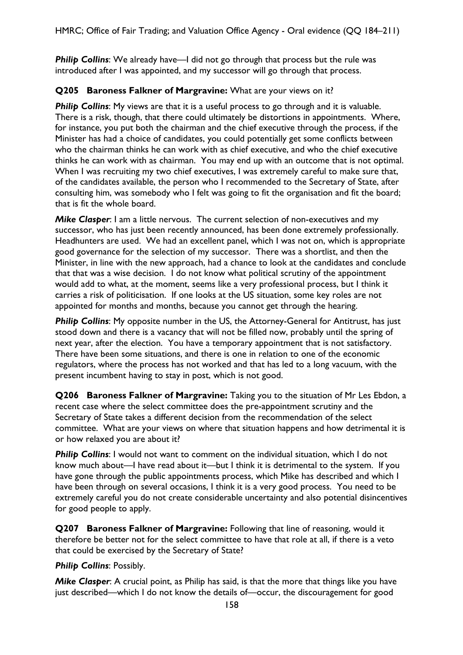**Philip Collins:** We already have—I did not go through that process but the rule was introduced after I was appointed, and my successor will go through that process.

### **Q205 Baroness Falkner of Margravine:** What are your views on it?

**Philip Collins:** My views are that it is a useful process to go through and it is valuable. There is a risk, though, that there could ultimately be distortions in appointments. Where, for instance, you put both the chairman and the chief executive through the process, if the Minister has had a choice of candidates, you could potentially get some conflicts between who the chairman thinks he can work with as chief executive, and who the chief executive thinks he can work with as chairman. You may end up with an outcome that is not optimal. When I was recruiting my two chief executives, I was extremely careful to make sure that, of the candidates available, the person who I recommended to the Secretary of State, after consulting him, was somebody who I felt was going to fit the organisation and fit the board; that is fit the whole board.

*Mike Clasper*: I am a little nervous. The current selection of non-executives and my successor, who has just been recently announced, has been done extremely professionally. Headhunters are used. We had an excellent panel, which I was not on, which is appropriate good governance for the selection of my successor. There was a shortlist, and then the Minister, in line with the new approach, had a chance to look at the candidates and conclude that that was a wise decision. I do not know what political scrutiny of the appointment would add to what, at the moment, seems like a very professional process, but I think it carries a risk of politicisation. If one looks at the US situation, some key roles are not appointed for months and months, because you cannot get through the hearing.

**Philip Collins:** My opposite number in the US, the Attorney-General for Antitrust, has just stood down and there is a vacancy that will not be filled now, probably until the spring of next year, after the election. You have a temporary appointment that is not satisfactory. There have been some situations, and there is one in relation to one of the economic regulators, where the process has not worked and that has led to a long vacuum, with the present incumbent having to stay in post, which is not good.

**Q206 Baroness Falkner of Margravine:** Taking you to the situation of Mr Les Ebdon, a recent case where the select committee does the pre-appointment scrutiny and the Secretary of State takes a different decision from the recommendation of the select committee. What are your views on where that situation happens and how detrimental it is or how relaxed you are about it?

**Philip Collins:** I would not want to comment on the individual situation, which I do not know much about—I have read about it—but I think it is detrimental to the system. If you have gone through the public appointments process, which Mike has described and which I have been through on several occasions, I think it is a very good process. You need to be extremely careful you do not create considerable uncertainty and also potential disincentives for good people to apply.

**Q207 Baroness Falkner of Margravine:** Following that line of reasoning, would it therefore be better not for the select committee to have that role at all, if there is a veto that could be exercised by the Secretary of State?

### *Philip Collins*: Possibly.

*Mike Clasper*: A crucial point, as Philip has said, is that the more that things like you have just described—which I do not know the details of—occur, the discouragement for good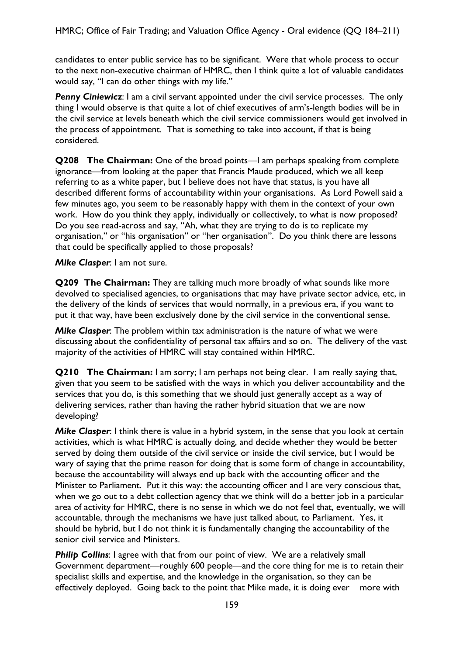candidates to enter public service has to be significant. Were that whole process to occur to the next non-executive chairman of HMRC, then I think quite a lot of valuable candidates would say, "I can do other things with my life."

**Penny Ciniewicz**: I am a civil servant appointed under the civil service processes. The only thing I would observe is that quite a lot of chief executives of arm's-length bodies will be in the civil service at levels beneath which the civil service commissioners would get involved in the process of appointment. That is something to take into account, if that is being considered.

**Q208 The Chairman:** One of the broad points—I am perhaps speaking from complete ignorance—from looking at the paper that Francis Maude produced, which we all keep referring to as a white paper, but I believe does not have that status, is you have all described different forms of accountability within your organisations. As Lord Powell said a few minutes ago, you seem to be reasonably happy with them in the context of your own work. How do you think they apply, individually or collectively, to what is now proposed? Do you see read-across and say, "Ah, what they are trying to do is to replicate my organisation," or "his organisation" or "her organisation". Do you think there are lessons that could be specifically applied to those proposals?

*Mike Clasper*: I am not sure.

**Q209 The Chairman:** They are talking much more broadly of what sounds like more devolved to specialised agencies, to organisations that may have private sector advice, etc, in the delivery of the kinds of services that would normally, in a previous era, if you want to put it that way, have been exclusively done by the civil service in the conventional sense.

*Mike Clasper*: The problem within tax administration is the nature of what we were discussing about the confidentiality of personal tax affairs and so on. The delivery of the vast majority of the activities of HMRC will stay contained within HMRC.

**Q210 The Chairman:** I am sorry; I am perhaps not being clear. I am really saying that, given that you seem to be satisfied with the ways in which you deliver accountability and the services that you do, is this something that we should just generally accept as a way of delivering services, rather than having the rather hybrid situation that we are now developing?

*Mike Clasper*: I think there is value in a hybrid system, in the sense that you look at certain activities, which is what HMRC is actually doing, and decide whether they would be better served by doing them outside of the civil service or inside the civil service, but I would be wary of saying that the prime reason for doing that is some form of change in accountability, because the accountability will always end up back with the accounting officer and the Minister to Parliament. Put it this way: the accounting officer and I are very conscious that, when we go out to a debt collection agency that we think will do a better job in a particular area of activity for HMRC, there is no sense in which we do not feel that, eventually, we will accountable, through the mechanisms we have just talked about, to Parliament. Yes, it should be hybrid, but I do not think it is fundamentally changing the accountability of the senior civil service and Ministers.

**Philip Collins:** I agree with that from our point of view. We are a relatively small Government department—roughly 600 people—and the core thing for me is to retain their specialist skills and expertise, and the knowledge in the organisation, so they can be effectively deployed. Going back to the point that Mike made, it is doing ever more with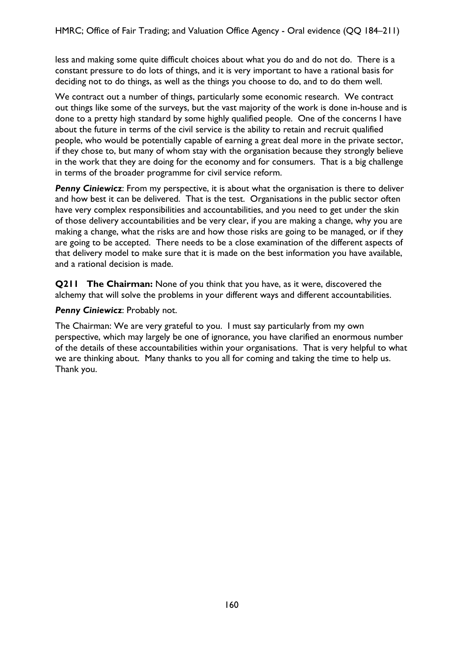less and making some quite difficult choices about what you do and do not do. There is a constant pressure to do lots of things, and it is very important to have a rational basis for deciding not to do things, as well as the things you choose to do, and to do them well.

We contract out a number of things, particularly some economic research. We contract out things like some of the surveys, but the vast majority of the work is done in-house and is done to a pretty high standard by some highly qualified people. One of the concerns I have about the future in terms of the civil service is the ability to retain and recruit qualified people, who would be potentially capable of earning a great deal more in the private sector, if they chose to, but many of whom stay with the organisation because they strongly believe in the work that they are doing for the economy and for consumers. That is a big challenge in terms of the broader programme for civil service reform.

**Penny Ciniewicz**: From my perspective, it is about what the organisation is there to deliver and how best it can be delivered. That is the test. Organisations in the public sector often have very complex responsibilities and accountabilities, and you need to get under the skin of those delivery accountabilities and be very clear, if you are making a change, why you are making a change, what the risks are and how those risks are going to be managed, or if they are going to be accepted. There needs to be a close examination of the different aspects of that delivery model to make sure that it is made on the best information you have available, and a rational decision is made.

**Q211 The Chairman:** None of you think that you have, as it were, discovered the alchemy that will solve the problems in your different ways and different accountabilities.

#### *Penny Ciniewicz*: Probably not.

The Chairman: We are very grateful to you. I must say particularly from my own perspective, which may largely be one of ignorance, you have clarified an enormous number of the details of these accountabilities within your organisations. That is very helpful to what we are thinking about. Many thanks to you all for coming and taking the time to help us. Thank you.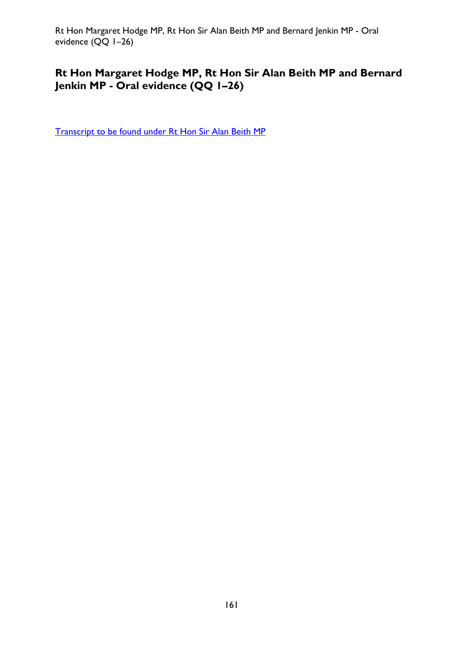Rt Hon Margaret Hodge MP, Rt Hon Sir Alan Beith MP and Bernard Jenkin MP - Oral evidence (QQ 1–26)

# **Rt Hon Margaret Hodge MP, Rt Hon Sir Alan Beith MP and Bernard Jenkin MP - Oral evidence (QQ 1–26)**

[Transcript to be found under Rt Hon Sir Alan Beith MP](#page-8-0)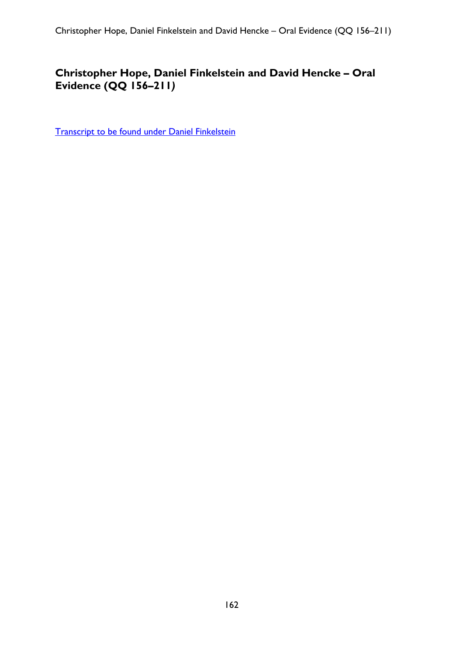# **Christopher Hope, Daniel Finkelstein and David Hencke – Oral Evidence (QQ 156–211***)*

[Transcript to be found under Daniel Finkelstein](#page-105-0)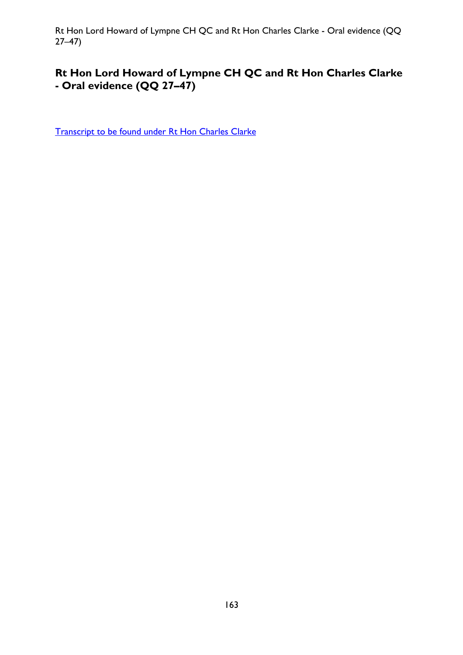Rt Hon Lord Howard of Lympne CH QC and Rt Hon Charles Clarke - Oral evidence (QQ 27–47)

# **Rt Hon Lord Howard of Lympne CH QC and Rt Hon Charles Clarke - Oral evidence (QQ 27–47)**

[Transcript to be found under Rt Hon Charles Clarke](#page-57-0)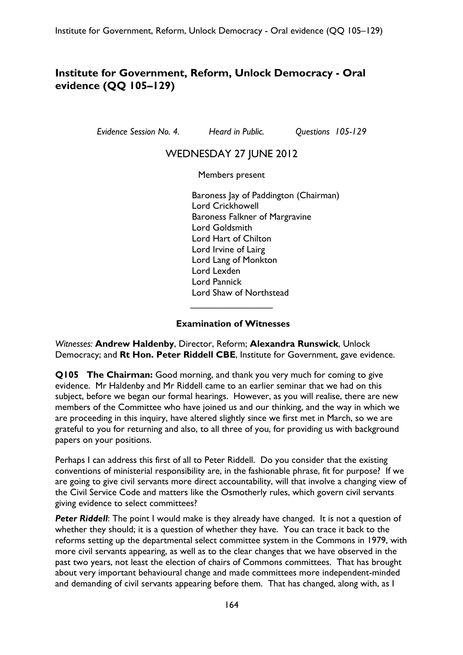# **Institute for Government, Reform, Unlock Democracy - Oral evidence (QQ 105–129)**

*Evidence Session No. 4. Heard in Public. Questions 105-129* 

## WEDNESDAY 27 JUNE 2012

Members present

Baroness Jay of Paddington (Chairman) Lord Crickhowell Baroness Falkner of Margravine Lord Goldsmith Lord Hart of Chilton Lord Irvine of Lairg Lord Lang of Monkton Lord Lexden Lord Pannick Lord Shaw of Northstead  $\overline{\phantom{a}}$  , which is a set of the set of the set of the set of the set of the set of the set of the set of the set of the set of the set of the set of the set of the set of the set of the set of the set of the set of th

#### **Examination of Witnesses**

*Witnesses:* **Andrew Haldenby**, Director, Reform; **Alexandra Runswick**, Unlock Democracy; and **Rt Hon. Peter Riddell CBE**, Institute for Government, gave evidence.

**Q105 The Chairman:** Good morning, and thank you very much for coming to give evidence. Mr Haldenby and Mr Riddell came to an earlier seminar that we had on this subject, before we began our formal hearings. However, as you will realise, there are new members of the Committee who have joined us and our thinking, and the way in which we are proceeding in this inquiry, have altered slightly since we first met in March, so we are grateful to you for returning and also, to all three of you, for providing us with background papers on your positions.

Perhaps I can address this first of all to Peter Riddell. Do you consider that the existing conventions of ministerial responsibility are, in the fashionable phrase, fit for purpose? If we are going to give civil servants more direct accountability, will that involve a changing view of the Civil Service Code and matters like the Osmotherly rules, which govern civil servants giving evidence to select committees?

**Peter Riddell:** The point I would make is they already have changed. It is not a question of whether they should; it is a question of whether they have. You can trace it back to the reforms setting up the departmental select committee system in the Commons in 1979, with more civil servants appearing, as well as to the clear changes that we have observed in the past two years, not least the election of chairs of Commons committees. That has brought about very important behavioural change and made committees more independent-minded and demanding of civil servants appearing before them. That has changed, along with, as I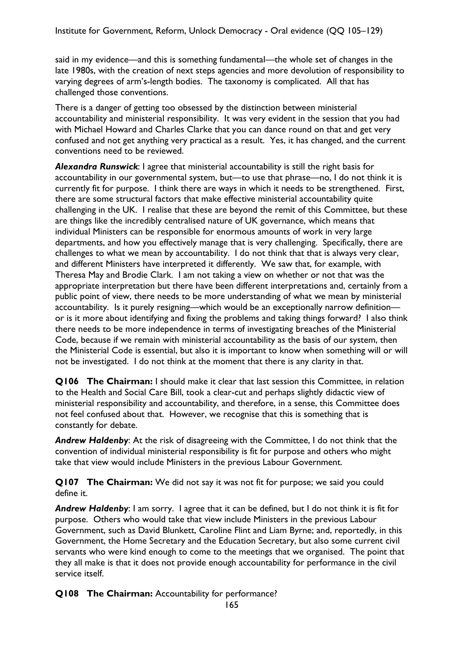said in my evidence—and this is something fundamental—the whole set of changes in the late 1980s, with the creation of next steps agencies and more devolution of responsibility to varying degrees of arm's-length bodies. The taxonomy is complicated. All that has challenged those conventions.

There is a danger of getting too obsessed by the distinction between ministerial accountability and ministerial responsibility. It was very evident in the session that you had with Michael Howard and Charles Clarke that you can dance round on that and get very confused and not get anything very practical as a result. Yes, it has changed, and the current conventions need to be reviewed.

*Alexandra Runswick*: I agree that ministerial accountability is still the right basis for accountability in our governmental system, but—to use that phrase—no, I do not think it is currently fit for purpose. I think there are ways in which it needs to be strengthened. First, there are some structural factors that make effective ministerial accountability quite challenging in the UK. I realise that these are beyond the remit of this Committee, but these are things like the incredibly centralised nature of UK governance, which means that individual Ministers can be responsible for enormous amounts of work in very large departments, and how you effectively manage that is very challenging. Specifically, there are challenges to what we mean by accountability. I do not think that that is always very clear, and different Ministers have interpreted it differently. We saw that, for example, with Theresa May and Brodie Clark. I am not taking a view on whether or not that was the appropriate interpretation but there have been different interpretations and, certainly from a public point of view, there needs to be more understanding of what we mean by ministerial accountability. Is it purely resigning—which would be an exceptionally narrow definition or is it more about identifying and fixing the problems and taking things forward? I also think there needs to be more independence in terms of investigating breaches of the Ministerial Code, because if we remain with ministerial accountability as the basis of our system, then the Ministerial Code is essential, but also it is important to know when something will or will not be investigated. I do not think at the moment that there is any clarity in that.

**Q106 The Chairman:** I should make it clear that last session this Committee, in relation to the Health and Social Care Bill, took a clear-cut and perhaps slightly didactic view of ministerial responsibility and accountability, and therefore, in a sense, this Committee does not feel confused about that. However, we recognise that this is something that is constantly for debate.

*Andrew Haldenby*: At the risk of disagreeing with the Committee, I do not think that the convention of individual ministerial responsibility is fit for purpose and others who might take that view would include Ministers in the previous Labour Government.

**Q107 The Chairman:** We did not say it was not fit for purpose; we said you could define it.

*Andrew Haldenby*: I am sorry. I agree that it can be defined, but I do not think it is fit for purpose. Others who would take that view include Ministers in the previous Labour Government, such as David Blunkett, Caroline Flint and Liam Byrne; and, reportedly, in this Government, the Home Secretary and the Education Secretary, but also some current civil servants who were kind enough to come to the meetings that we organised. The point that they all make is that it does not provide enough accountability for performance in the civil service itself.

**Q108 The Chairman:** Accountability for performance?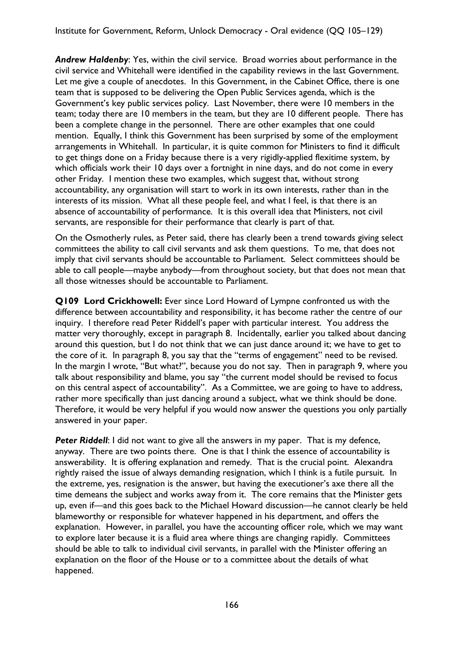*Andrew Haldenby*: Yes, within the civil service. Broad worries about performance in the civil service and Whitehall were identified in the capability reviews in the last Government. Let me give a couple of anecdotes. In this Government, in the Cabinet Office, there is one team that is supposed to be delivering the Open Public Services agenda, which is the Government's key public services policy. Last November, there were 10 members in the team; today there are 10 members in the team, but they are 10 different people. There has been a complete change in the personnel. There are other examples that one could mention. Equally, I think this Government has been surprised by some of the employment arrangements in Whitehall. In particular, it is quite common for Ministers to find it difficult to get things done on a Friday because there is a very rigidly-applied flexitime system, by which officials work their 10 days over a fortnight in nine days, and do not come in every other Friday. I mention these two examples, which suggest that, without strong accountability, any organisation will start to work in its own interests, rather than in the interests of its mission. What all these people feel, and what I feel, is that there is an absence of accountability of performance. It is this overall idea that Ministers, not civil servants, are responsible for their performance that clearly is part of that.

On the Osmotherly rules, as Peter said, there has clearly been a trend towards giving select committees the ability to call civil servants and ask them questions. To me, that does not imply that civil servants should be accountable to Parliament. Select committees should be able to call people—maybe anybody—from throughout society, but that does not mean that all those witnesses should be accountable to Parliament.

**Q109 Lord Crickhowell:** Ever since Lord Howard of Lympne confronted us with the difference between accountability and responsibility, it has become rather the centre of our inquiry. I therefore read Peter Riddell's paper with particular interest. You address the matter very thoroughly, except in paragraph 8. Incidentally, earlier you talked about dancing around this question, but I do not think that we can just dance around it; we have to get to the core of it. In paragraph 8, you say that the "terms of engagement" need to be revised. In the margin I wrote, "But what?", because you do not say. Then in paragraph 9, where you talk about responsibility and blame, you say "the current model should be revised to focus on this central aspect of accountability". As a Committee, we are going to have to address, rather more specifically than just dancing around a subject, what we think should be done. Therefore, it would be very helpful if you would now answer the questions you only partially answered in your paper.

**Peter Riddell:** I did not want to give all the answers in my paper. That is my defence, anyway. There are two points there. One is that I think the essence of accountability is answerability. It is offering explanation and remedy. That is the crucial point. Alexandra rightly raised the issue of always demanding resignation, which I think is a futile pursuit. In the extreme, yes, resignation is the answer, but having the executioner's axe there all the time demeans the subject and works away from it. The core remains that the Minister gets up, even if—and this goes back to the Michael Howard discussion—he cannot clearly be held blameworthy or responsible for whatever happened in his department, and offers the explanation. However, in parallel, you have the accounting officer role, which we may want to explore later because it is a fluid area where things are changing rapidly. Committees should be able to talk to individual civil servants, in parallel with the Minister offering an explanation on the floor of the House or to a committee about the details of what happened.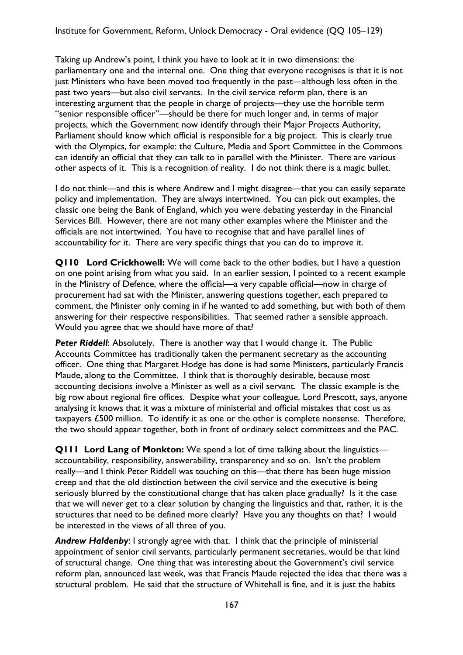Taking up Andrew's point, I think you have to look at it in two dimensions: the parliamentary one and the internal one. One thing that everyone recognises is that it is not just Ministers who have been moved too frequently in the past—although less often in the past two years—but also civil servants. In the civil service reform plan, there is an interesting argument that the people in charge of projects—they use the horrible term "senior responsible officer"—should be there for much longer and, in terms of major projects, which the Government now identify through their Major Projects Authority, Parliament should know which official is responsible for a big project. This is clearly true with the Olympics, for example: the Culture, Media and Sport Committee in the Commons can identify an official that they can talk to in parallel with the Minister. There are various other aspects of it. This is a recognition of reality. I do not think there is a magic bullet.

I do not think—and this is where Andrew and I might disagree—that you can easily separate policy and implementation. They are always intertwined. You can pick out examples, the classic one being the Bank of England, which you were debating yesterday in the Financial Services Bill. However, there are not many other examples where the Minister and the officials are not intertwined. You have to recognise that and have parallel lines of accountability for it. There are very specific things that you can do to improve it.

**Q110 Lord Crickhowell:** We will come back to the other bodies, but I have a question on one point arising from what you said. In an earlier session, I pointed to a recent example in the Ministry of Defence, where the official—a very capable official—now in charge of procurement had sat with the Minister, answering questions together, each prepared to comment, the Minister only coming in if he wanted to add something, but with both of them answering for their respective responsibilities. That seemed rather a sensible approach. Would you agree that we should have more of that?

**Peter Riddell:** Absolutely. There is another way that I would change it. The Public Accounts Committee has traditionally taken the permanent secretary as the accounting officer. One thing that Margaret Hodge has done is had some Ministers, particularly Francis Maude, along to the Committee. I think that is thoroughly desirable, because most accounting decisions involve a Minister as well as a civil servant. The classic example is the big row about regional fire offices. Despite what your colleague, Lord Prescott, says, anyone analysing it knows that it was a mixture of ministerial and official mistakes that cost us as taxpayers £500 million. To identify it as one or the other is complete nonsense. Therefore, the two should appear together, both in front of ordinary select committees and the PAC.

**Q111 Lord Lang of Monkton:** We spend a lot of time talking about the linguistics accountability, responsibility, answerability, transparency and so on. Isn't the problem really—and I think Peter Riddell was touching on this—that there has been huge mission creep and that the old distinction between the civil service and the executive is being seriously blurred by the constitutional change that has taken place gradually? Is it the case that we will never get to a clear solution by changing the linguistics and that, rather, it is the structures that need to be defined more clearly? Have you any thoughts on that? I would be interested in the views of all three of you.

**Andrew Haldenby:** I strongly agree with that. I think that the principle of ministerial appointment of senior civil servants, particularly permanent secretaries, would be that kind of structural change. One thing that was interesting about the Government's civil service reform plan, announced last week, was that Francis Maude rejected the idea that there was a structural problem. He said that the structure of Whitehall is fine, and it is just the habits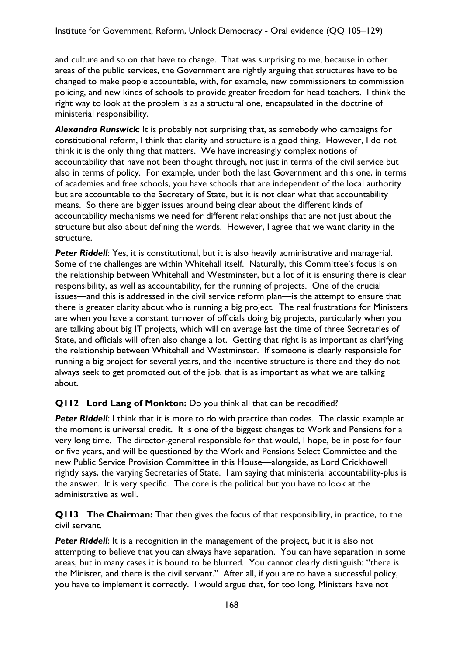and culture and so on that have to change. That was surprising to me, because in other areas of the public services, the Government are rightly arguing that structures have to be changed to make people accountable, with, for example, new commissioners to commission policing, and new kinds of schools to provide greater freedom for head teachers. I think the right way to look at the problem is as a structural one, encapsulated in the doctrine of ministerial responsibility.

*Alexandra Runswick*: It is probably not surprising that, as somebody who campaigns for constitutional reform, I think that clarity and structure is a good thing. However, I do not think it is the only thing that matters. We have increasingly complex notions of accountability that have not been thought through, not just in terms of the civil service but also in terms of policy. For example, under both the last Government and this one, in terms of academies and free schools, you have schools that are independent of the local authority but are accountable to the Secretary of State, but it is not clear what that accountability means. So there are bigger issues around being clear about the different kinds of accountability mechanisms we need for different relationships that are not just about the structure but also about defining the words. However, I agree that we want clarity in the structure.

**Peter Riddell:** Yes, it is constitutional, but it is also heavily administrative and managerial. Some of the challenges are within Whitehall itself. Naturally, this Committee's focus is on the relationship between Whitehall and Westminster, but a lot of it is ensuring there is clear responsibility, as well as accountability, for the running of projects. One of the crucial issues—and this is addressed in the civil service reform plan—is the attempt to ensure that there is greater clarity about who is running a big project. The real frustrations for Ministers are when you have a constant turnover of officials doing big projects, particularly when you are talking about big IT projects, which will on average last the time of three Secretaries of State, and officials will often also change a lot. Getting that right is as important as clarifying the relationship between Whitehall and Westminster. If someone is clearly responsible for running a big project for several years, and the incentive structure is there and they do not always seek to get promoted out of the job, that is as important as what we are talking about.

### **Q112 Lord Lang of Monkton:** Do you think all that can be recodified?

**Peter Riddell:** I think that it is more to do with practice than codes. The classic example at the moment is universal credit. It is one of the biggest changes to Work and Pensions for a very long time. The director-general responsible for that would, I hope, be in post for four or five years, and will be questioned by the Work and Pensions Select Committee and the new Public Service Provision Committee in this House—alongside, as Lord Crickhowell rightly says, the varying Secretaries of State. I am saying that ministerial accountability-plus is the answer. It is very specific. The core is the political but you have to look at the administrative as well.

**Q113 The Chairman:** That then gives the focus of that responsibility, in practice, to the civil servant.

**Peter Riddell:** It is a recognition in the management of the project, but it is also not attempting to believe that you can always have separation. You can have separation in some areas, but in many cases it is bound to be blurred. You cannot clearly distinguish: "there is the Minister, and there is the civil servant." After all, if you are to have a successful policy, you have to implement it correctly. I would argue that, for too long, Ministers have not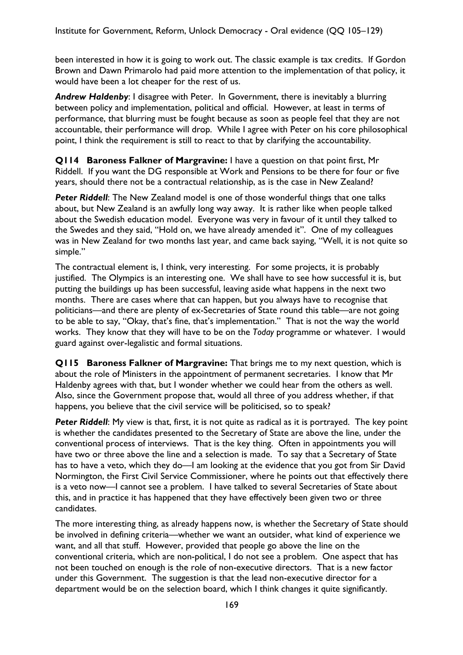been interested in how it is going to work out. The classic example is tax credits. If Gordon Brown and Dawn Primarolo had paid more attention to the implementation of that policy, it would have been a lot cheaper for the rest of us.

*Andrew Haldenby*: I disagree with Peter. In Government, there is inevitably a blurring between policy and implementation, political and official. However, at least in terms of performance, that blurring must be fought because as soon as people feel that they are not accountable, their performance will drop. While I agree with Peter on his core philosophical point, I think the requirement is still to react to that by clarifying the accountability.

**Q114 Baroness Falkner of Margravine:** I have a question on that point first, Mr Riddell. If you want the DG responsible at Work and Pensions to be there for four or five years, should there not be a contractual relationship, as is the case in New Zealand?

**Peter Riddell:** The New Zealand model is one of those wonderful things that one talks about, but New Zealand is an awfully long way away. It is rather like when people talked about the Swedish education model. Everyone was very in favour of it until they talked to the Swedes and they said, "Hold on, we have already amended it". One of my colleagues was in New Zealand for two months last year, and came back saying, "Well, it is not quite so simple."

The contractual element is, I think, very interesting. For some projects, it is probably justified. The Olympics is an interesting one. We shall have to see how successful it is, but putting the buildings up has been successful, leaving aside what happens in the next two months. There are cases where that can happen, but you always have to recognise that politicians—and there are plenty of ex-Secretaries of State round this table—are not going to be able to say, "Okay, that's fine, that's implementation." That is not the way the world works. They know that they will have to be on the *Today* programme or whatever. I would guard against over-legalistic and formal situations.

**Q115 Baroness Falkner of Margravine:** That brings me to my next question, which is about the role of Ministers in the appointment of permanent secretaries. I know that Mr Haldenby agrees with that, but I wonder whether we could hear from the others as well. Also, since the Government propose that, would all three of you address whether, if that happens, you believe that the civil service will be politicised, so to speak?

*Peter Riddell*: My view is that, first, it is not quite as radical as it is portrayed. The key point is whether the candidates presented to the Secretary of State are above the line, under the conventional process of interviews. That is the key thing. Often in appointments you will have two or three above the line and a selection is made. To say that a Secretary of State has to have a veto, which they do—I am looking at the evidence that you got from Sir David Normington, the First Civil Service Commissioner, where he points out that effectively there is a veto now—I cannot see a problem. I have talked to several Secretaries of State about this, and in practice it has happened that they have effectively been given two or three candidates.

The more interesting thing, as already happens now, is whether the Secretary of State should be involved in defining criteria—whether we want an outsider, what kind of experience we want, and all that stuff. However, provided that people go above the line on the conventional criteria, which are non-political, I do not see a problem. One aspect that has not been touched on enough is the role of non-executive directors. That is a new factor under this Government. The suggestion is that the lead non-executive director for a department would be on the selection board, which I think changes it quite significantly.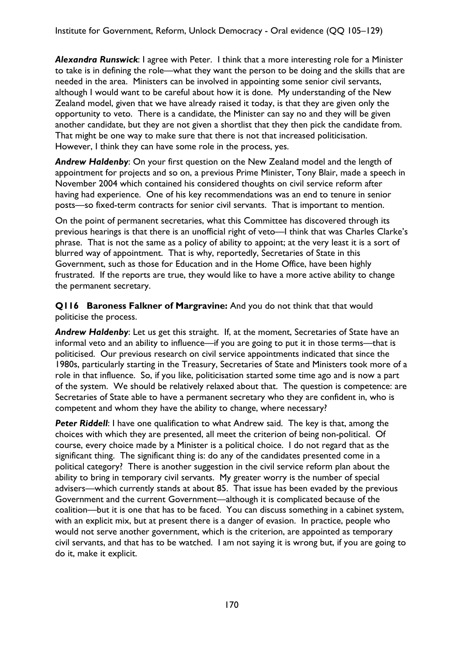*Alexandra Runswick*: I agree with Peter. I think that a more interesting role for a Minister to take is in defining the role—what they want the person to be doing and the skills that are needed in the area. Ministers can be involved in appointing some senior civil servants, although I would want to be careful about how it is done. My understanding of the New Zealand model, given that we have already raised it today, is that they are given only the opportunity to veto. There is a candidate, the Minister can say no and they will be given another candidate, but they are not given a shortlist that they then pick the candidate from. That might be one way to make sure that there is not that increased politicisation. However, I think they can have some role in the process, yes.

*Andrew Haldenby*: On your first question on the New Zealand model and the length of appointment for projects and so on, a previous Prime Minister, Tony Blair, made a speech in November 2004 which contained his considered thoughts on civil service reform after having had experience. One of his key recommendations was an end to tenure in senior posts—so fixed-term contracts for senior civil servants. That is important to mention.

On the point of permanent secretaries, what this Committee has discovered through its previous hearings is that there is an unofficial right of veto—I think that was Charles Clarke's phrase. That is not the same as a policy of ability to appoint; at the very least it is a sort of blurred way of appointment. That is why, reportedly, Secretaries of State in this Government, such as those for Education and in the Home Office, have been highly frustrated. If the reports are true, they would like to have a more active ability to change the permanent secretary.

**Q116 Baroness Falkner of Margravine:** And you do not think that that would politicise the process.

*Andrew Haldenby*: Let us get this straight. If, at the moment, Secretaries of State have an informal veto and an ability to influence—if you are going to put it in those terms—that is politicised. Our previous research on civil service appointments indicated that since the 1980s, particularly starting in the Treasury, Secretaries of State and Ministers took more of a role in that influence. So, if you like, politicisation started some time ago and is now a part of the system. We should be relatively relaxed about that. The question is competence: are Secretaries of State able to have a permanent secretary who they are confident in, who is competent and whom they have the ability to change, where necessary?

**Peter Riddell:** I have one qualification to what Andrew said. The key is that, among the choices with which they are presented, all meet the criterion of being non-political. Of course, every choice made by a Minister is a political choice. I do not regard that as the significant thing. The significant thing is: do any of the candidates presented come in a political category? There is another suggestion in the civil service reform plan about the ability to bring in temporary civil servants. My greater worry is the number of special advisers—which currently stands at about 85. That issue has been evaded by the previous Government and the current Government—although it is complicated because of the coalition—but it is one that has to be faced. You can discuss something in a cabinet system, with an explicit mix, but at present there is a danger of evasion. In practice, people who would not serve another government, which is the criterion, are appointed as temporary civil servants, and that has to be watched. I am not saying it is wrong but, if you are going to do it, make it explicit.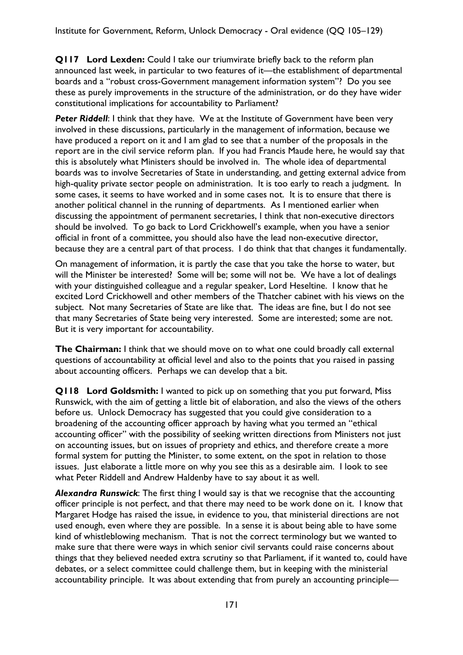**Q117 Lord Lexden:** Could I take our triumvirate briefly back to the reform plan announced last week, in particular to two features of it—the establishment of departmental boards and a "robust cross-Government management information system"? Do you see these as purely improvements in the structure of the administration, or do they have wider constitutional implications for accountability to Parliament?

**Peter Riddell:** I think that they have. We at the Institute of Government have been very involved in these discussions, particularly in the management of information, because we have produced a report on it and I am glad to see that a number of the proposals in the report are in the civil service reform plan. If you had Francis Maude here, he would say that this is absolutely what Ministers should be involved in. The whole idea of departmental boards was to involve Secretaries of State in understanding, and getting external advice from high-quality private sector people on administration. It is too early to reach a judgment. In some cases, it seems to have worked and in some cases not. It is to ensure that there is another political channel in the running of departments. As I mentioned earlier when discussing the appointment of permanent secretaries, I think that non-executive directors should be involved. To go back to Lord Crickhowell's example, when you have a senior official in front of a committee, you should also have the lead non-executive director, because they are a central part of that process. I do think that that changes it fundamentally.

On management of information, it is partly the case that you take the horse to water, but will the Minister be interested? Some will be; some will not be. We have a lot of dealings with your distinguished colleague and a regular speaker, Lord Heseltine. I know that he excited Lord Crickhowell and other members of the Thatcher cabinet with his views on the subject. Not many Secretaries of State are like that. The ideas are fine, but I do not see that many Secretaries of State being very interested. Some are interested; some are not. But it is very important for accountability.

**The Chairman:** I think that we should move on to what one could broadly call external questions of accountability at official level and also to the points that you raised in passing about accounting officers. Perhaps we can develop that a bit.

**Q118 Lord Goldsmith:** I wanted to pick up on something that you put forward, Miss Runswick, with the aim of getting a little bit of elaboration, and also the views of the others before us. Unlock Democracy has suggested that you could give consideration to a broadening of the accounting officer approach by having what you termed an "ethical accounting officer" with the possibility of seeking written directions from Ministers not just on accounting issues, but on issues of propriety and ethics, and therefore create a more formal system for putting the Minister, to some extent, on the spot in relation to those issues. Just elaborate a little more on why you see this as a desirable aim. I look to see what Peter Riddell and Andrew Haldenby have to say about it as well.

*Alexandra Runswick*: The first thing I would say is that we recognise that the accounting officer principle is not perfect, and that there may need to be work done on it. I know that Margaret Hodge has raised the issue, in evidence to you, that ministerial directions are not used enough, even where they are possible. In a sense it is about being able to have some kind of whistleblowing mechanism. That is not the correct terminology but we wanted to make sure that there were ways in which senior civil servants could raise concerns about things that they believed needed extra scrutiny so that Parliament, if it wanted to, could have debates, or a select committee could challenge them, but in keeping with the ministerial accountability principle. It was about extending that from purely an accounting principle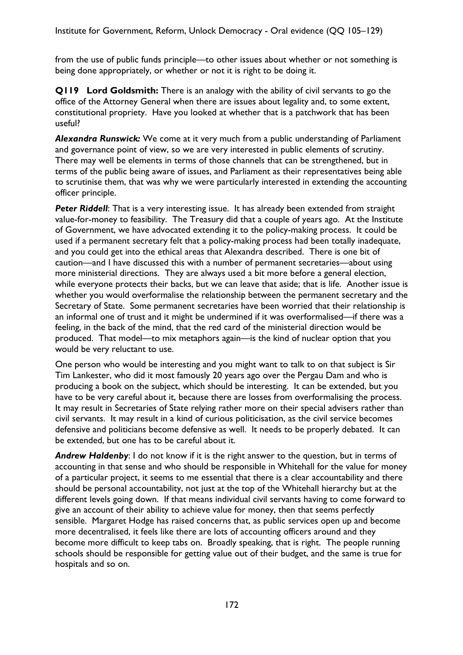from the use of public funds principle—to other issues about whether or not something is being done appropriately, or whether or not it is right to be doing it.

**Q119 Lord Goldsmith:** There is an analogy with the ability of civil servants to go the office of the Attorney General when there are issues about legality and, to some extent, constitutional propriety. Have you looked at whether that is a patchwork that has been useful?

*Alexandra Runswick:* We come at it very much from a public understanding of Parliament and governance point of view, so we are very interested in public elements of scrutiny. There may well be elements in terms of those channels that can be strengthened, but in terms of the public being aware of issues, and Parliament as their representatives being able to scrutinise them, that was why we were particularly interested in extending the accounting officer principle.

**Peter Riddell:** That is a very interesting issue. It has already been extended from straight value-for-money to feasibility. The Treasury did that a couple of years ago. At the Institute of Government, we have advocated extending it to the policy-making process. It could be used if a permanent secretary felt that a policy-making process had been totally inadequate, and you could get into the ethical areas that Alexandra described. There is one bit of caution—and I have discussed this with a number of permanent secretaries—about using more ministerial directions. They are always used a bit more before a general election, while everyone protects their backs, but we can leave that aside; that is life. Another issue is whether you would overformalise the relationship between the permanent secretary and the Secretary of State. Some permanent secretaries have been worried that their relationship is an informal one of trust and it might be undermined if it was overformalised—if there was a feeling, in the back of the mind, that the red card of the ministerial direction would be produced. That model—to mix metaphors again—is the kind of nuclear option that you would be very reluctant to use.

One person who would be interesting and you might want to talk to on that subject is Sir Tim Lankester, who did it most famously 20 years ago over the Pergau Dam and who is producing a book on the subject, which should be interesting. It can be extended, but you have to be very careful about it, because there are losses from overformalising the process. It may result in Secretaries of State relying rather more on their special advisers rather than civil servants. It may result in a kind of curious politicisation, as the civil service becomes defensive and politicians become defensive as well. It needs to be properly debated. It can be extended, but one has to be careful about it.

*Andrew Haldenby*: I do not know if it is the right answer to the question, but in terms of accounting in that sense and who should be responsible in Whitehall for the value for money of a particular project, it seems to me essential that there is a clear accountability and there should be personal accountability, not just at the top of the Whitehall hierarchy but at the different levels going down. If that means individual civil servants having to come forward to give an account of their ability to achieve value for money, then that seems perfectly sensible. Margaret Hodge has raised concerns that, as public services open up and become more decentralised, it feels like there are lots of accounting officers around and they become more difficult to keep tabs on. Broadly speaking, that is right. The people running schools should be responsible for getting value out of their budget, and the same is true for hospitals and so on.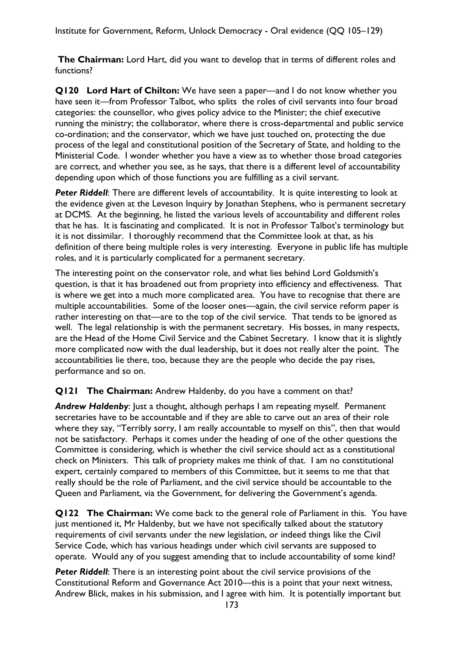**The Chairman:** Lord Hart, did you want to develop that in terms of different roles and functions?

**Q120 Lord Hart of Chilton:** We have seen a paper—and I do not know whether you have seen it—from Professor Talbot, who splits the roles of civil servants into four broad categories: the counsellor, who gives policy advice to the Minister; the chief executive running the ministry; the collaborator, where there is cross-departmental and public service co-ordination; and the conservator, which we have just touched on, protecting the due process of the legal and constitutional position of the Secretary of State, and holding to the Ministerial Code. I wonder whether you have a view as to whether those broad categories are correct, and whether you see, as he says, that there is a different level of accountability depending upon which of those functions you are fulfilling as a civil servant.

**Peter Riddell:** There are different levels of accountability. It is quite interesting to look at the evidence given at the Leveson Inquiry by Jonathan Stephens, who is permanent secretary at DCMS. At the beginning, he listed the various levels of accountability and different roles that he has. It is fascinating and complicated. It is not in Professor Talbot's terminology but it is not dissimilar. I thoroughly recommend that the Committee look at that, as his definition of there being multiple roles is very interesting. Everyone in public life has multiple roles, and it is particularly complicated for a permanent secretary.

The interesting point on the conservator role, and what lies behind Lord Goldsmith's question, is that it has broadened out from propriety into efficiency and effectiveness. That is where we get into a much more complicated area. You have to recognise that there are multiple accountabilities. Some of the looser ones—again, the civil service reform paper is rather interesting on that—are to the top of the civil service. That tends to be ignored as well. The legal relationship is with the permanent secretary. His bosses, in many respects, are the Head of the Home Civil Service and the Cabinet Secretary. I know that it is slightly more complicated now with the dual leadership, but it does not really alter the point. The accountabilities lie there, too, because they are the people who decide the pay rises, performance and so on.

### **Q121 The Chairman:** Andrew Haldenby, do you have a comment on that?

**Andrew Haldenby:** Just a thought, although perhaps I am repeating myself. Permanent secretaries have to be accountable and if they are able to carve out an area of their role where they say, "Terribly sorry, I am really accountable to myself on this", then that would not be satisfactory. Perhaps it comes under the heading of one of the other questions the Committee is considering, which is whether the civil service should act as a constitutional check on Ministers. This talk of propriety makes me think of that. I am no constitutional expert, certainly compared to members of this Committee, but it seems to me that that really should be the role of Parliament, and the civil service should be accountable to the Queen and Parliament, via the Government, for delivering the Government's agenda.

**Q122 The Chairman:** We come back to the general role of Parliament in this. You have just mentioned it, Mr Haldenby, but we have not specifically talked about the statutory requirements of civil servants under the new legislation, or indeed things like the Civil Service Code, which has various headings under which civil servants are supposed to operate. Would any of you suggest amending that to include accountability of some kind?

**Peter Riddell:** There is an interesting point about the civil service provisions of the Constitutional Reform and Governance Act 2010—this is a point that your next witness, Andrew Blick, makes in his submission, and I agree with him. It is potentially important but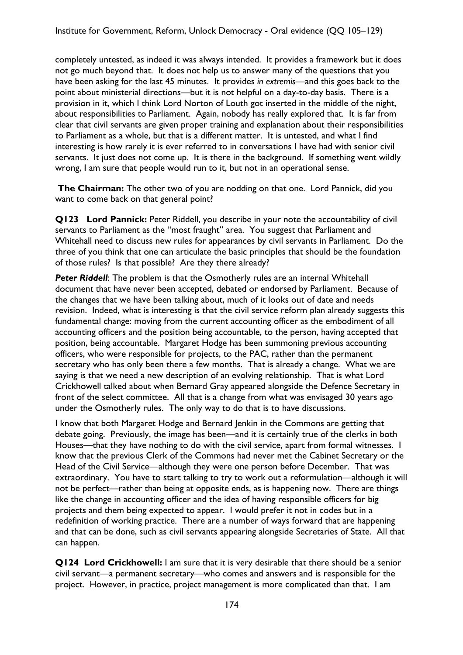completely untested, as indeed it was always intended. It provides a framework but it does not go much beyond that. It does not help us to answer many of the questions that you have been asking for the last 45 minutes. It provides *in extremis—*and this goes back to the point about ministerial directions—but it is not helpful on a day-to-day basis. There is a provision in it, which I think Lord Norton of Louth got inserted in the middle of the night, about responsibilities to Parliament. Again, nobody has really explored that. It is far from clear that civil servants are given proper training and explanation about their responsibilities to Parliament as a whole, but that is a different matter. It is untested, and what I find interesting is how rarely it is ever referred to in conversations I have had with senior civil servants. It just does not come up. It is there in the background. If something went wildly wrong, I am sure that people would run to it, but not in an operational sense.

**The Chairman:** The other two of you are nodding on that one. Lord Pannick, did you want to come back on that general point?

**Q123 Lord Pannick:** Peter Riddell, you describe in your note the accountability of civil servants to Parliament as the "most fraught" area. You suggest that Parliament and Whitehall need to discuss new rules for appearances by civil servants in Parliament. Do the three of you think that one can articulate the basic principles that should be the foundation of those rules? Is that possible? Are they there already?

**Peter Riddell:** The problem is that the Osmotherly rules are an internal Whitehall document that have never been accepted, debated or endorsed by Parliament. Because of the changes that we have been talking about, much of it looks out of date and needs revision. Indeed, what is interesting is that the civil service reform plan already suggests this fundamental change: moving from the current accounting officer as the embodiment of all accounting officers and the position being accountable, to the person, having accepted that position, being accountable. Margaret Hodge has been summoning previous accounting officers, who were responsible for projects, to the PAC, rather than the permanent secretary who has only been there a few months. That is already a change. What we are saying is that we need a new description of an evolving relationship. That is what Lord Crickhowell talked about when Bernard Gray appeared alongside the Defence Secretary in front of the select committee. All that is a change from what was envisaged 30 years ago under the Osmotherly rules. The only way to do that is to have discussions.

I know that both Margaret Hodge and Bernard Jenkin in the Commons are getting that debate going. Previously, the image has been—and it is certainly true of the clerks in both Houses—that they have nothing to do with the civil service, apart from formal witnesses. I know that the previous Clerk of the Commons had never met the Cabinet Secretary or the Head of the Civil Service—although they were one person before December. That was extraordinary. You have to start talking to try to work out a reformulation—although it will not be perfect—rather than being at opposite ends, as is happening now. There are things like the change in accounting officer and the idea of having responsible officers for big projects and them being expected to appear. I would prefer it not in codes but in a redefinition of working practice. There are a number of ways forward that are happening and that can be done, such as civil servants appearing alongside Secretaries of State. All that can happen.

**Q124 Lord Crickhowell:** I am sure that it is very desirable that there should be a senior civil servant—a permanent secretary—who comes and answers and is responsible for the project. However, in practice, project management is more complicated than that. I am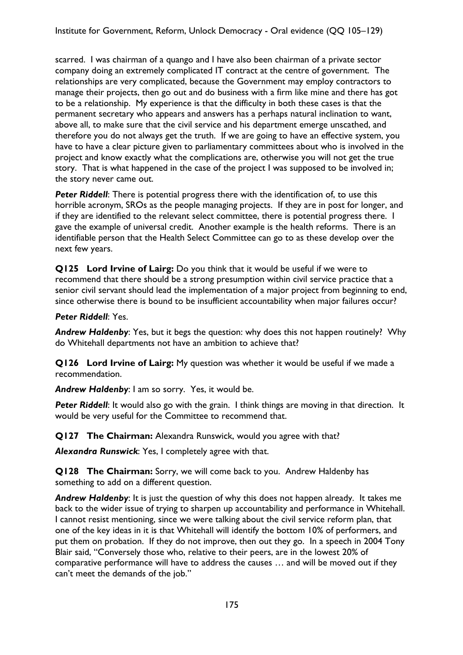scarred. I was chairman of a quango and I have also been chairman of a private sector company doing an extremely complicated IT contract at the centre of government. The relationships are very complicated, because the Government may employ contractors to manage their projects, then go out and do business with a firm like mine and there has got to be a relationship. My experience is that the difficulty in both these cases is that the permanent secretary who appears and answers has a perhaps natural inclination to want, above all, to make sure that the civil service and his department emerge unscathed, and therefore you do not always get the truth. If we are going to have an effective system, you have to have a clear picture given to parliamentary committees about who is involved in the project and know exactly what the complications are, otherwise you will not get the true story. That is what happened in the case of the project I was supposed to be involved in; the story never came out.

**Peter Riddell:** There is potential progress there with the identification of, to use this horrible acronym, SROs as the people managing projects. If they are in post for longer, and if they are identified to the relevant select committee, there is potential progress there. I gave the example of universal credit. Another example is the health reforms. There is an identifiable person that the Health Select Committee can go to as these develop over the next few years.

**Q125 Lord Irvine of Lairg:** Do you think that it would be useful if we were to recommend that there should be a strong presumption within civil service practice that a senior civil servant should lead the implementation of a major project from beginning to end, since otherwise there is bound to be insufficient accountability when major failures occur?

## *Peter Riddell*: Yes.

*Andrew Haldenby*: Yes, but it begs the question: why does this not happen routinely? Why do Whitehall departments not have an ambition to achieve that?

**Q126 Lord Irvine of Lairg:** My question was whether it would be useful if we made a recommendation.

*Andrew Haldenby*: I am so sorry. Yes, it would be.

**Peter Riddell:** It would also go with the grain. I think things are moving in that direction. It would be very useful for the Committee to recommend that.

**Q127 The Chairman:** Alexandra Runswick, would you agree with that?

*Alexandra Runswick*: Yes, I completely agree with that.

**Q128 The Chairman:** Sorry, we will come back to you. Andrew Haldenby has something to add on a different question.

*Andrew Haldenby*: It is just the question of why this does not happen already. It takes me back to the wider issue of trying to sharpen up accountability and performance in Whitehall. I cannot resist mentioning, since we were talking about the civil service reform plan, that one of the key ideas in it is that Whitehall will identify the bottom 10% of performers, and put them on probation. If they do not improve, then out they go. In a speech in 2004 Tony Blair said, "Conversely those who, relative to their peers, are in the lowest 20% of comparative performance will have to address the causes … and will be moved out if they can't meet the demands of the job."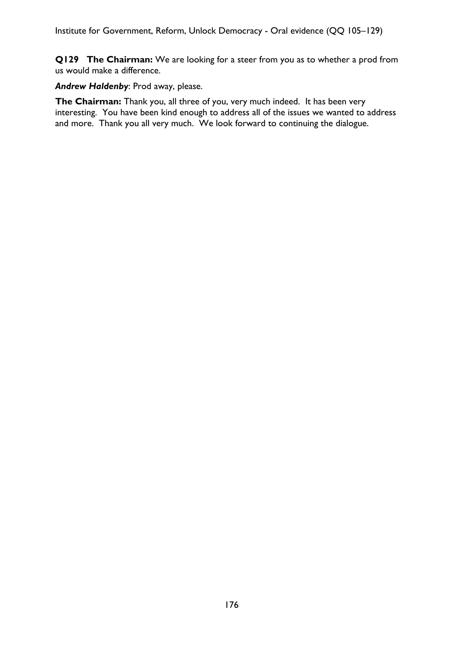**Q129 The Chairman:** We are looking for a steer from you as to whether a prod from us would make a difference.

*Andrew Haldenby*: Prod away, please.

**The Chairman:** Thank you, all three of you, very much indeed. It has been very interesting. You have been kind enough to address all of the issues we wanted to address and more. Thank you all very much. We look forward to continuing the dialogue.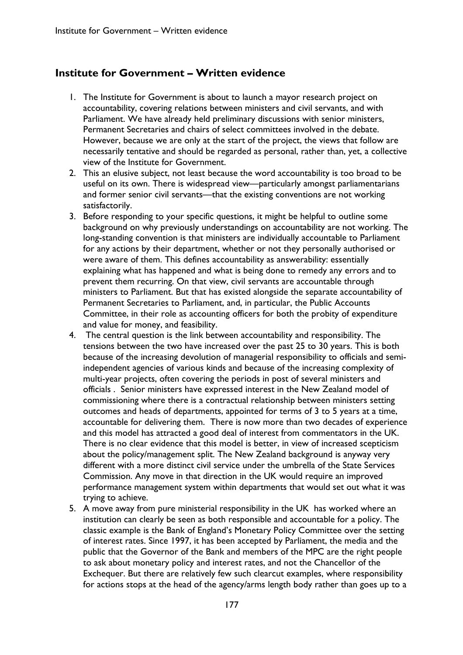## **Institute for Government – Written evidence**

- 1. The Institute for Government is about to launch a mayor research project on accountability, covering relations between ministers and civil servants, and with Parliament. We have already held preliminary discussions with senior ministers, Permanent Secretaries and chairs of select committees involved in the debate. However, because we are only at the start of the project, the views that follow are necessarily tentative and should be regarded as personal, rather than, yet, a collective view of the Institute for Government.
- 2. This an elusive subject, not least because the word accountability is too broad to be useful on its own. There is widespread view—particularly amongst parliamentarians and former senior civil servants—that the existing conventions are not working satisfactorily.
- 3. Before responding to your specific questions, it might be helpful to outline some background on why previously understandings on accountability are not working. The long-standing convention is that ministers are individually accountable to Parliament for any actions by their department, whether or not they personally authorised or were aware of them. This defines accountability as answerability: essentially explaining what has happened and what is being done to remedy any errors and to prevent them recurring. On that view, civil servants are accountable through ministers to Parliament. But that has existed alongside the separate accountability of Permanent Secretaries to Parliament, and, in particular, the Public Accounts Committee, in their role as accounting officers for both the probity of expenditure and value for money, and feasibility.
- 4. The central question is the link between accountability and responsibility. The tensions between the two have increased over the past 25 to 30 years. This is both because of the increasing devolution of managerial responsibility to officials and semiindependent agencies of various kinds and because of the increasing complexity of multi-year projects, often covering the periods in post of several ministers and officials . Senior ministers have expressed interest in the New Zealand model of commissioning where there is a contractual relationship between ministers setting outcomes and heads of departments, appointed for terms of 3 to 5 years at a time, accountable for delivering them. There is now more than two decades of experience and this model has attracted a good deal of interest from commentators in the UK. There is no clear evidence that this model is better, in view of increased scepticism about the policy/management split. The New Zealand background is anyway very different with a more distinct civil service under the umbrella of the State Services Commission. Any move in that direction in the UK would require an improved performance management system within departments that would set out what it was trying to achieve.
- 5. A move away from pure ministerial responsibility in the UK has worked where an institution can clearly be seen as both responsible and accountable for a policy. The classic example is the Bank of England's Monetary Policy Committee over the setting of interest rates. Since 1997, it has been accepted by Parliament, the media and the public that the Governor of the Bank and members of the MPC are the right people to ask about monetary policy and interest rates, and not the Chancellor of the Exchequer. But there are relatively few such clearcut examples, where responsibility for actions stops at the head of the agency/arms length body rather than goes up to a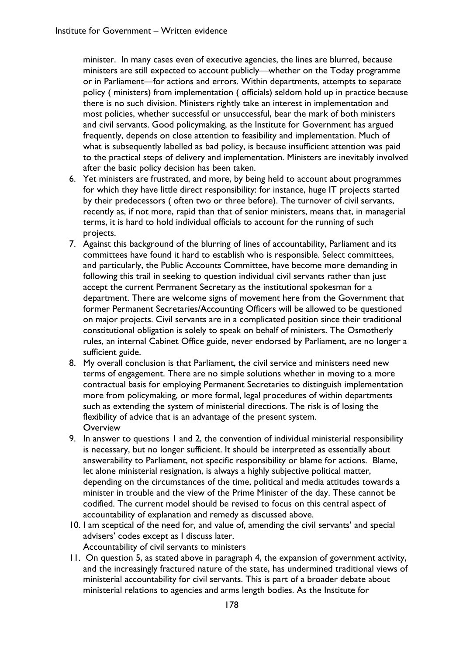minister. In many cases even of executive agencies, the lines are blurred, because ministers are still expected to account publicly—whether on the Today programme or in Parliament—for actions and errors. Within departments, attempts to separate policy ( ministers) from implementation ( officials) seldom hold up in practice because there is no such division. Ministers rightly take an interest in implementation and most policies, whether successful or unsuccessful, bear the mark of both ministers and civil servants. Good policymaking, as the Institute for Government has argued frequently, depends on close attention to feasibility and implementation. Much of what is subsequently labelled as bad policy, is because insufficient attention was paid to the practical steps of delivery and implementation. Ministers are inevitably involved after the basic policy decision has been taken.

- 6. Yet ministers are frustrated, and more, by being held to account about programmes for which they have little direct responsibility: for instance, huge IT projects started by their predecessors ( often two or three before). The turnover of civil servants, recently as, if not more, rapid than that of senior ministers, means that, in managerial terms, it is hard to hold individual officials to account for the running of such projects.
- 7. Against this background of the blurring of lines of accountability, Parliament and its committees have found it hard to establish who is responsible. Select committees, and particularly, the Public Accounts Committee, have become more demanding in following this trail in seeking to question individual civil servants rather than just accept the current Permanent Secretary as the institutional spokesman for a department. There are welcome signs of movement here from the Government that former Permanent Secretaries/Accounting Officers will be allowed to be questioned on major projects. Civil servants are in a complicated position since their traditional constitutional obligation is solely to speak on behalf of ministers. The Osmotherly rules, an internal Cabinet Office guide, never endorsed by Parliament, are no longer a sufficient guide.
- 8. My overall conclusion is that Parliament, the civil service and ministers need new terms of engagement. There are no simple solutions whether in moving to a more contractual basis for employing Permanent Secretaries to distinguish implementation more from policymaking, or more formal, legal procedures of within departments such as extending the system of ministerial directions. The risk is of losing the flexibility of advice that is an advantage of the present system. **Overview**
- 9. In answer to questions 1 and 2, the convention of individual ministerial responsibility is necessary, but no longer sufficient. It should be interpreted as essentially about answerability to Parliament, not specific responsibility or blame for actions. Blame, let alone ministerial resignation, is always a highly subjective political matter, depending on the circumstances of the time, political and media attitudes towards a minister in trouble and the view of the Prime Minister of the day. These cannot be codified. The current model should be revised to focus on this central aspect of accountability of explanation and remedy as discussed above.
- 10. I am sceptical of the need for, and value of, amending the civil servants' and special advisers' codes except as I discuss later. Accountability of civil servants to ministers
- 11. On question 5, as stated above in paragraph 4, the expansion of government activity, and the increasingly fractured nature of the state, has undermined traditional views of ministerial accountability for civil servants. This is part of a broader debate about ministerial relations to agencies and arms length bodies. As the Institute for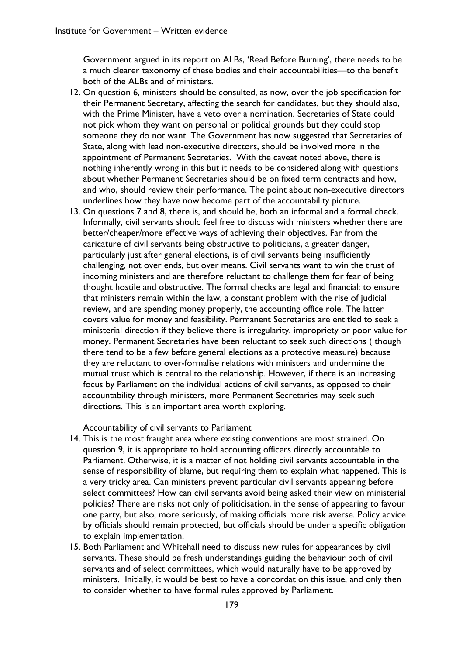Government argued in its report on ALBs, 'Read Before Burning', there needs to be a much clearer taxonomy of these bodies and their accountabilities—to the benefit both of the ALBs and of ministers.

- 12. On question 6, ministers should be consulted, as now, over the job specification for their Permanent Secretary, affecting the search for candidates, but they should also, with the Prime Minister, have a veto over a nomination. Secretaries of State could not pick whom they want on personal or political grounds but they could stop someone they do not want. The Government has now suggested that Secretaries of State, along with lead non-executive directors, should be involved more in the appointment of Permanent Secretaries. With the caveat noted above, there is nothing inherently wrong in this but it needs to be considered along with questions about whether Permanent Secretaries should be on fixed term contracts and how, and who, should review their performance. The point about non-executive directors underlines how they have now become part of the accountability picture.
- 13. On questions 7 and 8, there is, and should be, both an informal and a formal check. Informally, civil servants should feel free to discuss with ministers whether there are better/cheaper/more effective ways of achieving their objectives. Far from the caricature of civil servants being obstructive to politicians, a greater danger, particularly just after general elections, is of civil servants being insufficiently challenging, not over ends, but over means. Civil servants want to win the trust of incoming ministers and are therefore reluctant to challenge them for fear of being thought hostile and obstructive. The formal checks are legal and financial: to ensure that ministers remain within the law, a constant problem with the rise of judicial review, and are spending money properly, the accounting office role. The latter covers value for money and feasibility. Permanent Secretaries are entitled to seek a ministerial direction if they believe there is irregularity, impropriety or poor value for money. Permanent Secretaries have been reluctant to seek such directions ( though there tend to be a few before general elections as a protective measure) because they are reluctant to over-formalise relations with ministers and undermine the mutual trust which is central to the relationship. However, if there is an increasing focus by Parliament on the individual actions of civil servants, as opposed to their accountability through ministers, more Permanent Secretaries may seek such directions. This is an important area worth exploring.

Accountability of civil servants to Parliament

- 14. This is the most fraught area where existing conventions are most strained. On question 9, it is appropriate to hold accounting officers directly accountable to Parliament. Otherwise, it is a matter of not holding civil servants accountable in the sense of responsibility of blame, but requiring them to explain what happened. This is a very tricky area. Can ministers prevent particular civil servants appearing before select committees? How can civil servants avoid being asked their view on ministerial policies? There are risks not only of politicisation, in the sense of appearing to favour one party, but also, more seriously, of making officials more risk averse. Policy advice by officials should remain protected, but officials should be under a specific obligation to explain implementation.
- 15. Both Parliament and Whitehall need to discuss new rules for appearances by civil servants. These should be fresh understandings guiding the behaviour both of civil servants and of select committees, which would naturally have to be approved by ministers. Initially, it would be best to have a concordat on this issue, and only then to consider whether to have formal rules approved by Parliament.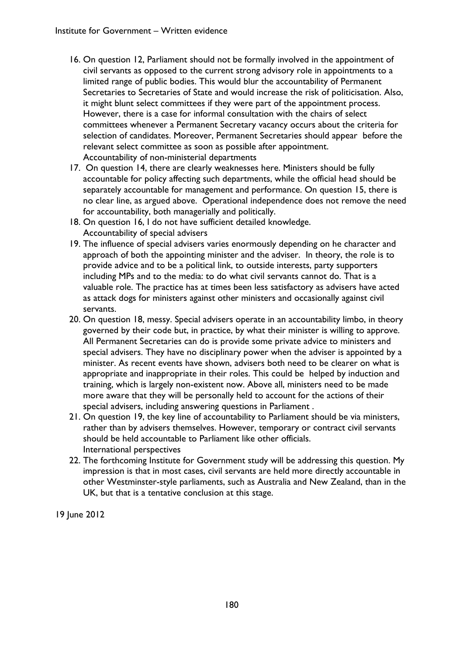- 16. On question 12, Parliament should not be formally involved in the appointment of civil servants as opposed to the current strong advisory role in appointments to a limited range of public bodies. This would blur the accountability of Permanent Secretaries to Secretaries of State and would increase the risk of politicisation. Also, it might blunt select committees if they were part of the appointment process. However, there is a case for informal consultation with the chairs of select committees whenever a Permanent Secretary vacancy occurs about the criteria for selection of candidates. Moreover, Permanent Secretaries should appear before the relevant select committee as soon as possible after appointment. Accountability of non-ministerial departments
- 17. On question 14, there are clearly weaknesses here. Ministers should be fully accountable for policy affecting such departments, while the official head should be separately accountable for management and performance. On question 15, there is no clear line, as argued above. Operational independence does not remove the need for accountability, both managerially and politically.
- 18. On question 16, I do not have sufficient detailed knowledge. Accountability of special advisers
- 19. The influence of special advisers varies enormously depending on he character and approach of both the appointing minister and the adviser. In theory, the role is to provide advice and to be a political link, to outside interests, party supporters including MPs and to the media: to do what civil servants cannot do. That is a valuable role. The practice has at times been less satisfactory as advisers have acted as attack dogs for ministers against other ministers and occasionally against civil servants.
- 20. On question 18, messy. Special advisers operate in an accountability limbo, in theory governed by their code but, in practice, by what their minister is willing to approve. All Permanent Secretaries can do is provide some private advice to ministers and special advisers. They have no disciplinary power when the adviser is appointed by a minister. As recent events have shown, advisers both need to be clearer on what is appropriate and inappropriate in their roles. This could be helped by induction and training, which is largely non-existent now. Above all, ministers need to be made more aware that they will be personally held to account for the actions of their special advisers, including answering questions in Parliament .
- 21. On question 19, the key line of accountability to Parliament should be via ministers, rather than by advisers themselves. However, temporary or contract civil servants should be held accountable to Parliament like other officials. International perspectives
- 22. The forthcoming Institute for Government study will be addressing this question. My impression is that in most cases, civil servants are held more directly accountable in other Westminster-style parliaments, such as Australia and New Zealand, than in the UK, but that is a tentative conclusion at this stage.

19 June 2012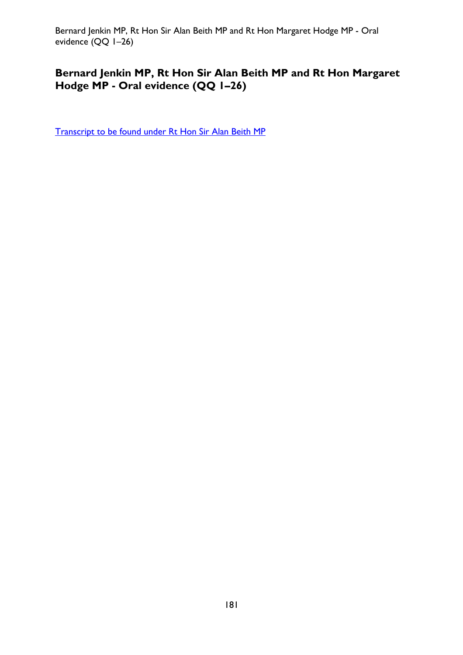Bernard Jenkin MP, Rt Hon Sir Alan Beith MP and Rt Hon Margaret Hodge MP - Oral evidence (QQ 1–26)

## **Bernard Jenkin MP, Rt Hon Sir Alan Beith MP and Rt Hon Margaret Hodge MP - Oral evidence (QQ 1–26)**

[Transcript to be found under Rt Hon Sir Alan Beith MP](#page-8-0)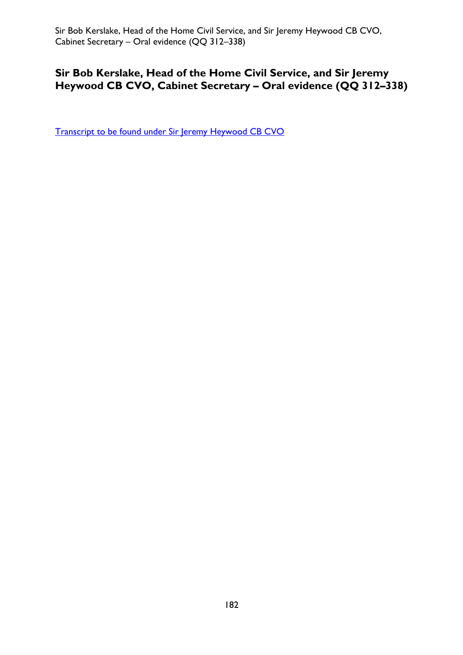Sir Bob Kerslake, Head of the Home Civil Service, and Sir Jeremy Heywood CB CVO, Cabinet Secretary – Oral evidence (QQ 312–338)

## **Sir Bob Kerslake, Head of the Home Civil Service, and Sir Jeremy Heywood CB CVO, Cabinet Secretary – Oral evidence (QQ 312–338)**

[Transcript to be found under Sir Jeremy Heywood CB CVO](#page-137-0)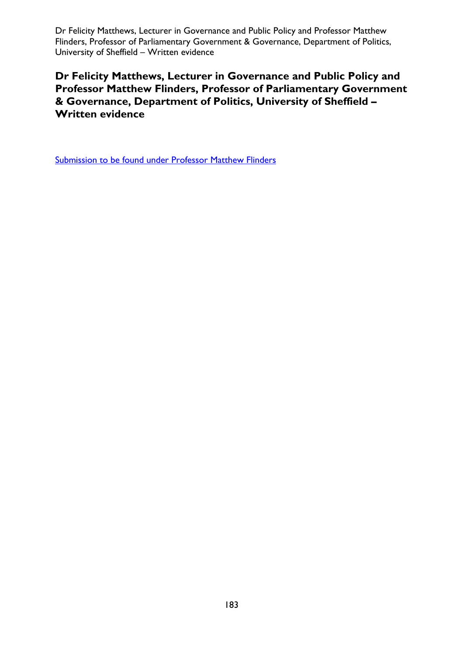Dr Felicity Matthews, Lecturer in Governance and Public Policy and Professor Matthew Flinders, Professor of Parliamentary Government & Governance, Department of Politics, University of Sheffield – Written evidence

**Dr Felicity Matthews, Lecturer in Governance and Public Policy and Professor Matthew Flinders, Professor of Parliamentary Government & Governance, Department of Politics, University of Sheffield – Written evidence** 

Submission to be found under Professor Matthew Flinders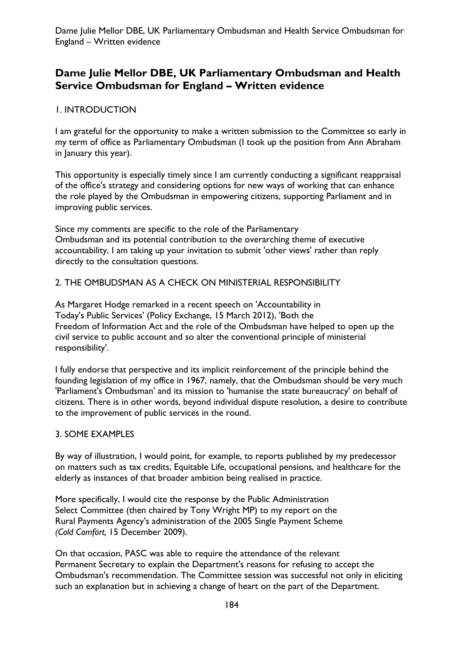## **Dame Julie Mellor DBE, UK Parliamentary Ombudsman and Health Service Ombudsman for England – Written evidence**

### 1. INTRODUCTION

I am grateful for the opportunity to make a written submission to the Committee so early in my term of office as Parliamentary Ombudsman (I took up the position from Ann Abraham in January this year).

This opportunity is especially timely since I am currently conducting a significant reappraisal of the office's strategy and considering options for new ways of working that can enhance the role played by the Ombudsman in empowering citizens, supporting Parliament and in improving public services.

Since my comments are specific to the role of the Parliamentary Ombudsman and its potential contribution to the overarching theme of executive accountability, I am taking up your invitation to submit 'other views' rather than reply directly to the consultation questions.

#### 2. THE OMBUDSMAN AS A CHECK ON MINISTERIAL RESPONSIBILITY

As Margaret Hodge remarked in a recent speech on 'Accountability in Today's Public Services' (Policy Exchange, 15 March 2012), 'Both the Freedom of Information Act and the role of the Ombudsman have helped to open up the civil service to public account and so alter the conventional principle of ministerial responsibility'.

I fully endorse that perspective and its implicit reinforcement of the principle behind the founding legislation of my office in 1967, namely, that the Ombudsman should be very much 'Parliament's Ombudsman' and its mission to 'humanise the state bureaucracy' on behalf of citizens. There is in other words, beyond individual dispute resolution, a desire to contribute to the improvement of public services in the round.

#### 3. SOME EXAMPLES

By way of illustration, I would point, for example, to reports published by my predecessor on matters such as tax credits, Equitable Life, occupational pensions, and healthcare for the elderly as instances of that broader ambition being realised in practice.

More specifically, I would cite the response by the Public Administration Select Committee (then chaired by Tony Wright MP) to my report on the Rural Payments Agency's administration of the 2005 Single Payment Scheme *(Cold Comfort,* 15 December 2009).

On that occasion, PASC was able to require the attendance of the relevant Permanent Secretary to explain the Department's reasons for refusing to accept the Ombudsman's recommendation. The Committee session was successful not only in eliciting such an explanation but in achieving a change of heart on the part of the Department.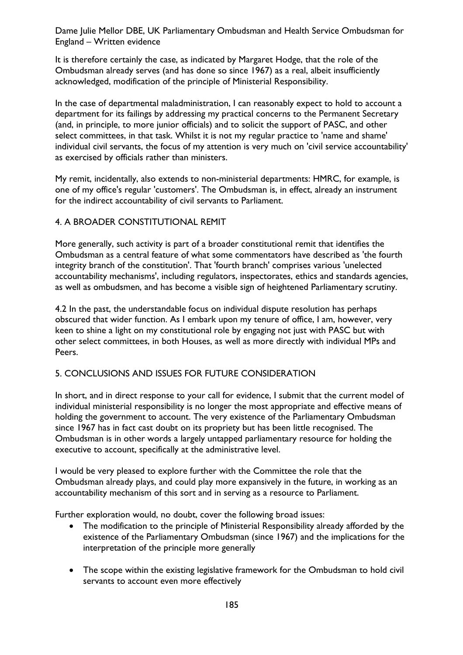Dame Julie Mellor DBE, UK Parliamentary Ombudsman and Health Service Ombudsman for England – Written evidence

It is therefore certainly the case, as indicated by Margaret Hodge, that the role of the Ombudsman already serves (and has done so since 1967) as a real, albeit insufficiently acknowledged, modification of the principle of Ministerial Responsibility.

In the case of departmental maladministration, I can reasonably expect to hold to account a department for its failings by addressing my practical concerns to the Permanent Secretary (and, in principle, to more junior officials) and to solicit the support of PASC, and other select committees, in that task. Whilst it is not my regular practice to 'name and shame' individual civil servants, the focus of my attention is very much on 'civil service accountability' as exercised by officials rather than ministers.

My remit, incidentally, also extends to non-ministerial departments: HMRC, for example, is one of my office's regular 'customers'. The Ombudsman is, in effect, already an instrument for the indirect accountability of civil servants to Parliament.

#### 4. A BROADER CONSTITUTIONAL REMIT

More generally, such activity is part of a broader constitutional remit that identifies the Ombudsman as a central feature of what some commentators have described as 'the fourth integrity branch of the constitution'. That 'fourth branch' comprises various 'unelected accountability mechanisms', including regulators, inspectorates, ethics and standards agencies, as well as ombudsmen, and has become a visible sign of heightened Parliamentary scrutiny.

4.2 In the past, the understandable focus on individual dispute resolution has perhaps obscured that wider function. As I embark upon my tenure of office, I am, however, very keen to shine a light on my constitutional role by engaging not just with PASC but with other select committees, in both Houses, as well as more directly with individual MPs and Peers.

### 5. CONCLUSIONS AND ISSUES FOR FUTURE CONSIDERATION

In short, and in direct response to your call for evidence, I submit that the current model of individual ministerial responsibility is no longer the most appropriate and effective means of holding the government to account. The very existence of the Parliamentary Ombudsman since 1967 has in fact cast doubt on its propriety but has been little recognised. The Ombudsman is in other words a largely untapped parliamentary resource for holding the executive to account, specifically at the administrative level.

I would be very pleased to explore further with the Committee the role that the Ombudsman already plays, and could play more expansively in the future, in working as an accountability mechanism of this sort and in serving as a resource to Parliament.

Further exploration would, no doubt, cover the following broad issues:

- The modification to the principle of Ministerial Responsibility already afforded by the existence of the Parliamentary Ombudsman (since 1967) and the implications for the interpretation of the principle more generally
- The scope within the existing legislative framework for the Ombudsman to hold civil servants to account even more effectively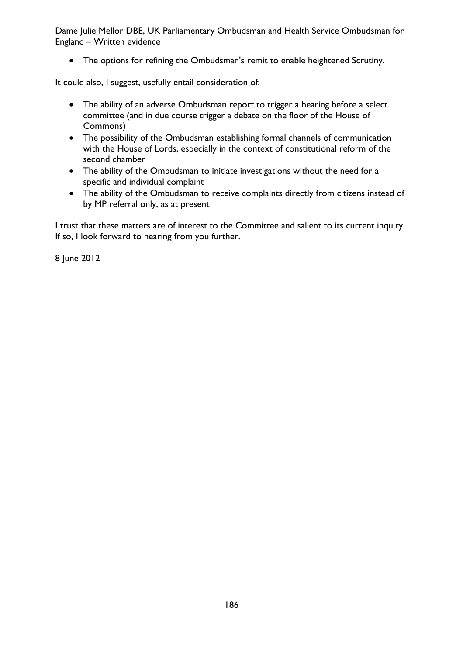Dame Julie Mellor DBE, UK Parliamentary Ombudsman and Health Service Ombudsman for England – Written evidence

• The options for refining the Ombudsman's remit to enable heightened Scrutiny.

It could also, I suggest, usefully entail consideration of:

- The ability of an adverse Ombudsman report to trigger a hearing before a select committee (and in due course trigger a debate on the floor of the House of Commons)
- The possibility of the Ombudsman establishing formal channels of communication with the House of Lords, especially in the context of constitutional reform of the second chamber
- The ability of the Ombudsman to initiate investigations without the need for a specific and individual complaint
- The ability of the Ombudsman to receive complaints directly from citizens instead of by MP referral only, as at present

I trust that these matters are of interest to the Committee and salient to its current inquiry. If so, I look forward to hearing from you further.

8 June 2012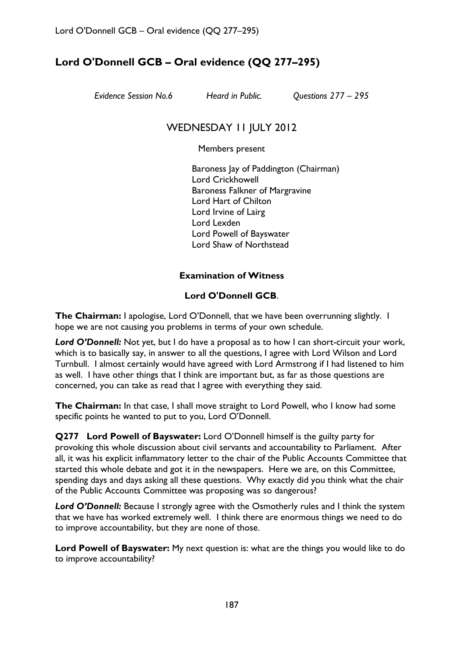## **Lord O'Donnell GCB – Oral evidence (QQ 277–295)**

*Evidence Session No.6 Heard in Public. Questions 277 – 295* 

## WEDNESDAY 11 JULY 2012

Members present

Baroness Jay of Paddington (Chairman) Lord Crickhowell Baroness Falkner of Margravine Lord Hart of Chilton Lord Irvine of Lairg Lord Lexden Lord Powell of Bayswater Lord Shaw of Northstead

### **Examination of Witness**

### **Lord O'Donnell GCB**.

**The Chairman:** I apologise, Lord O'Donnell, that we have been overrunning slightly. I hope we are not causing you problems in terms of your own schedule.

*Lord O'Donnell:* Not yet, but I do have a proposal as to how I can short-circuit your work, which is to basically say, in answer to all the questions, I agree with Lord Wilson and Lord Turnbull. I almost certainly would have agreed with Lord Armstrong if I had listened to him as well. I have other things that I think are important but, as far as those questions are concerned, you can take as read that I agree with everything they said.

**The Chairman:** In that case, I shall move straight to Lord Powell, who I know had some specific points he wanted to put to you, Lord O'Donnell.

**Q277 Lord Powell of Bayswater:** Lord O'Donnell himself is the guilty party for provoking this whole discussion about civil servants and accountability to Parliament. After all, it was his explicit inflammatory letter to the chair of the Public Accounts Committee that started this whole debate and got it in the newspapers. Here we are, on this Committee, spending days and days asking all these questions. Why exactly did you think what the chair of the Public Accounts Committee was proposing was so dangerous?

Lord O'Donnell: Because I strongly agree with the Osmotherly rules and I think the system that we have has worked extremely well. I think there are enormous things we need to do to improve accountability, but they are none of those.

**Lord Powell of Bayswater:** My next question is: what are the things you would like to do to improve accountability?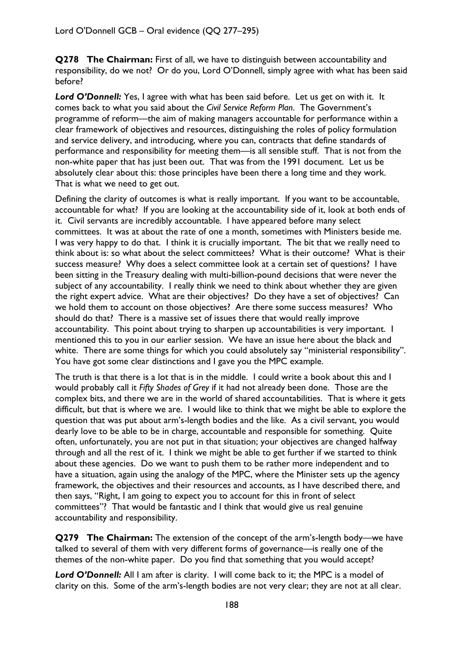**Q278 The Chairman:** First of all, we have to distinguish between accountability and responsibility, do we not? Or do you, Lord O'Donnell, simply agree with what has been said before?

Lord O'Donnell: Yes, I agree with what has been said before. Let us get on with it. It comes back to what you said about the *Civil Service Reform Plan*. The Government's programme of reform—the aim of making managers accountable for performance within a clear framework of objectives and resources, distinguishing the roles of policy formulation and service delivery, and introducing, where you can, contracts that define standards of performance and responsibility for meeting them—is all sensible stuff. That is not from the non-white paper that has just been out. That was from the 1991 document. Let us be absolutely clear about this: those principles have been there a long time and they work. That is what we need to get out.

Defining the clarity of outcomes is what is really important. If you want to be accountable, accountable for what? If you are looking at the accountability side of it, look at both ends of it. Civil servants are incredibly accountable. I have appeared before many select committees. It was at about the rate of one a month, sometimes with Ministers beside me. I was very happy to do that. I think it is crucially important. The bit that we really need to think about is: so what about the select committees? What is their outcome? What is their success measure? Why does a select committee look at a certain set of questions? I have been sitting in the Treasury dealing with multi-billion-pound decisions that were never the subject of any accountability. I really think we need to think about whether they are given the right expert advice. What are their objectives? Do they have a set of objectives? Can we hold them to account on those objectives? Are there some success measures? Who should do that? There is a massive set of issues there that would really improve accountability. This point about trying to sharpen up accountabilities is very important. I mentioned this to you in our earlier session. We have an issue here about the black and white. There are some things for which you could absolutely say "ministerial responsibility". You have got some clear distinctions and I gave you the MPC example.

The truth is that there is a lot that is in the middle. I could write a book about this and I would probably call it *Fifty Shades of Grey* if it had not already been done. Those are the complex bits, and there we are in the world of shared accountabilities. That is where it gets difficult, but that is where we are. I would like to think that we might be able to explore the question that was put about arm's-length bodies and the like. As a civil servant, you would dearly love to be able to be in charge, accountable and responsible for something. Quite often, unfortunately, you are not put in that situation; your objectives are changed halfway through and all the rest of it. I think we might be able to get further if we started to think about these agencies. Do we want to push them to be rather more independent and to have a situation, again using the analogy of the MPC, where the Minister sets up the agency framework, the objectives and their resources and accounts, as I have described there, and then says, "Right, I am going to expect you to account for this in front of select committees"? That would be fantastic and I think that would give us real genuine accountability and responsibility.

**Q279 The Chairman:** The extension of the concept of the arm's-length body—we have talked to several of them with very different forms of governance—is really one of the themes of the non-white paper. Do you find that something that you would accept?

Lord O'Donnell: All I am after is clarity. I will come back to it; the MPC is a model of clarity on this. Some of the arm's-length bodies are not very clear; they are not at all clear.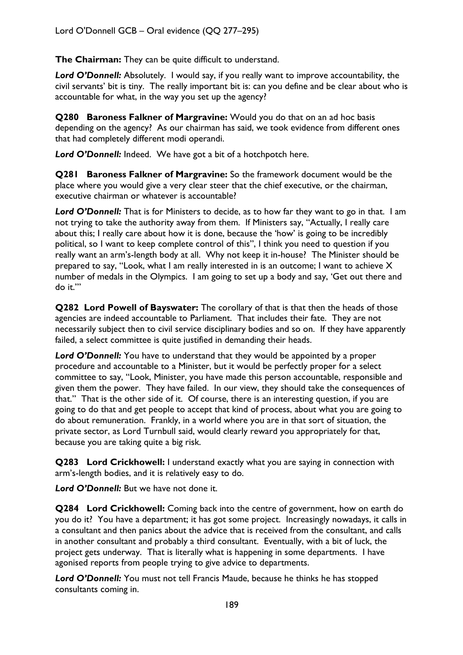**The Chairman:** They can be quite difficult to understand.

*Lord O'Donnell:* Absolutely. I would say, if you really want to improve accountability, the civil servants' bit is tiny. The really important bit is: can you define and be clear about who is accountable for what, in the way you set up the agency?

**Q280 Baroness Falkner of Margravine:** Would you do that on an ad hoc basis depending on the agency? As our chairman has said, we took evidence from different ones that had completely different modi operandi.

*Lord O'Donnell:* Indeed. We have got a bit of a hotchpotch here.

**Q281 Baroness Falkner of Margravine:** So the framework document would be the place where you would give a very clear steer that the chief executive, or the chairman, executive chairman or whatever is accountable?

Lord O'Donnell: That is for Ministers to decide, as to how far they want to go in that. I am not trying to take the authority away from them. If Ministers say, "Actually, I really care about this; I really care about how it is done, because the 'how' is going to be incredibly political, so I want to keep complete control of this", I think you need to question if you really want an arm's-length body at all. Why not keep it in-house? The Minister should be prepared to say, "Look, what I am really interested in is an outcome; I want to achieve X number of medals in the Olympics. I am going to set up a body and say, 'Get out there and do it.'"

**Q282 Lord Powell of Bayswater:** The corollary of that is that then the heads of those agencies are indeed accountable to Parliament. That includes their fate. They are not necessarily subject then to civil service disciplinary bodies and so on. If they have apparently failed, a select committee is quite justified in demanding their heads.

*Lord O'Donnell:* You have to understand that they would be appointed by a proper procedure and accountable to a Minister, but it would be perfectly proper for a select committee to say, "Look, Minister, you have made this person accountable, responsible and given them the power. They have failed. In our view, they should take the consequences of that." That is the other side of it. Of course, there is an interesting question, if you are going to do that and get people to accept that kind of process, about what you are going to do about remuneration. Frankly, in a world where you are in that sort of situation, the private sector, as Lord Turnbull said, would clearly reward you appropriately for that, because you are taking quite a big risk.

**Q283 Lord Crickhowell:** I understand exactly what you are saying in connection with arm's-length bodies, and it is relatively easy to do.

*Lord O'Donnell:* But we have not done it.

**Q284 Lord Crickhowell:** Coming back into the centre of government, how on earth do you do it? You have a department; it has got some project. Increasingly nowadays, it calls in a consultant and then panics about the advice that is received from the consultant, and calls in another consultant and probably a third consultant. Eventually, with a bit of luck, the project gets underway. That is literally what is happening in some departments. I have agonised reports from people trying to give advice to departments.

*Lord O'Donnell:* You must not tell Francis Maude, because he thinks he has stopped consultants coming in.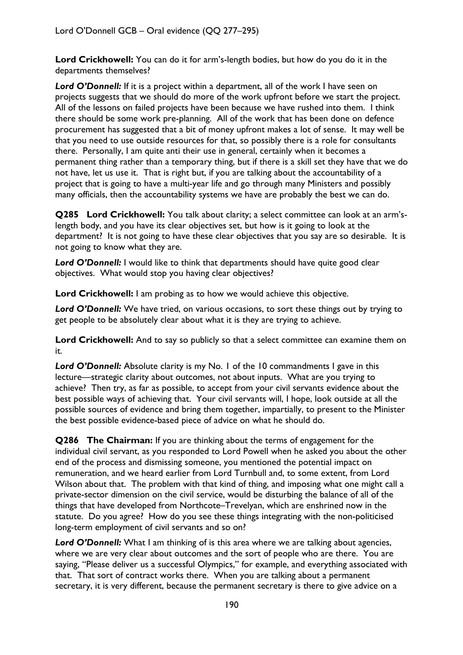**Lord Crickhowell:** You can do it for arm's-length bodies, but how do you do it in the departments themselves?

Lord O'Donnell: If it is a project within a department, all of the work I have seen on projects suggests that we should do more of the work upfront before we start the project. All of the lessons on failed projects have been because we have rushed into them. I think there should be some work pre-planning. All of the work that has been done on defence procurement has suggested that a bit of money upfront makes a lot of sense. It may well be that you need to use outside resources for that, so possibly there is a role for consultants there. Personally, I am quite anti their use in general, certainly when it becomes a permanent thing rather than a temporary thing, but if there is a skill set they have that we do not have, let us use it. That is right but, if you are talking about the accountability of a project that is going to have a multi-year life and go through many Ministers and possibly many officials, then the accountability systems we have are probably the best we can do.

**Q285 Lord Crickhowell:** You talk about clarity; a select committee can look at an arm'slength body, and you have its clear objectives set, but how is it going to look at the department? It is not going to have these clear objectives that you say are so desirable. It is not going to know what they are.

**Lord O'Donnell:** I would like to think that departments should have quite good clear objectives. What would stop you having clear objectives?

**Lord Crickhowell:** I am probing as to how we would achieve this objective.

*Lord O'Donnell:* We have tried, on various occasions, to sort these things out by trying to get people to be absolutely clear about what it is they are trying to achieve.

Lord Crickhowell: And to say so publicly so that a select committee can examine them on it.

**Lord O'Donnell:** Absolute clarity is my No. 1 of the 10 commandments I gave in this lecture—strategic clarity about outcomes, not about inputs. What are you trying to achieve? Then try, as far as possible, to accept from your civil servants evidence about the best possible ways of achieving that. Your civil servants will, I hope, look outside at all the possible sources of evidence and bring them together, impartially, to present to the Minister the best possible evidence-based piece of advice on what he should do.

**Q286 The Chairman:** If you are thinking about the terms of engagement for the individual civil servant, as you responded to Lord Powell when he asked you about the other end of the process and dismissing someone, you mentioned the potential impact on remuneration, and we heard earlier from Lord Turnbull and, to some extent, from Lord Wilson about that. The problem with that kind of thing, and imposing what one might call a private-sector dimension on the civil service, would be disturbing the balance of all of the things that have developed from Northcote–Trevelyan, which are enshrined now in the statute. Do you agree? How do you see these things integrating with the non-politicised long-term employment of civil servants and so on?

**Lord O'Donnell:** What I am thinking of is this area where we are talking about agencies, where we are very clear about outcomes and the sort of people who are there. You are saying, "Please deliver us a successful Olympics," for example, and everything associated with that. That sort of contract works there. When you are talking about a permanent secretary, it is very different, because the permanent secretary is there to give advice on a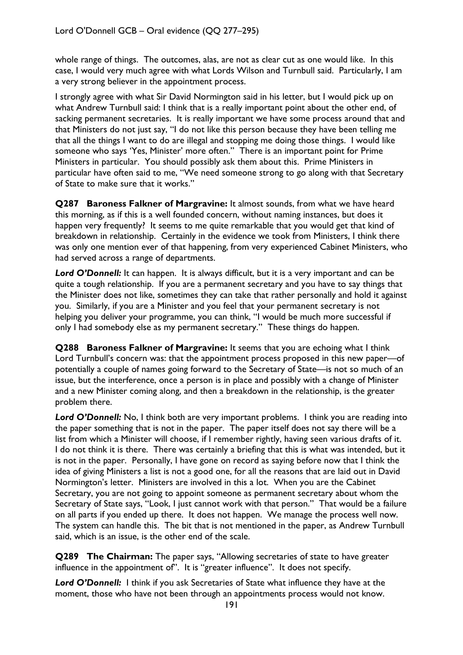whole range of things. The outcomes, alas, are not as clear cut as one would like. In this case, I would very much agree with what Lords Wilson and Turnbull said. Particularly, I am a very strong believer in the appointment process.

I strongly agree with what Sir David Normington said in his letter, but I would pick up on what Andrew Turnbull said: I think that is a really important point about the other end, of sacking permanent secretaries. It is really important we have some process around that and that Ministers do not just say, "I do not like this person because they have been telling me that all the things I want to do are illegal and stopping me doing those things. I would like someone who says 'Yes, Minister' more often." There is an important point for Prime Ministers in particular. You should possibly ask them about this. Prime Ministers in particular have often said to me, "We need someone strong to go along with that Secretary of State to make sure that it works."

**Q287 Baroness Falkner of Margravine:** It almost sounds, from what we have heard this morning, as if this is a well founded concern, without naming instances, but does it happen very frequently? It seems to me quite remarkable that you would get that kind of breakdown in relationship. Certainly in the evidence we took from Ministers, I think there was only one mention ever of that happening, from very experienced Cabinet Ministers, who had served across a range of departments.

Lord O'Donnell: It can happen. It is always difficult, but it is a very important and can be quite a tough relationship. If you are a permanent secretary and you have to say things that the Minister does not like, sometimes they can take that rather personally and hold it against you. Similarly, if you are a Minister and you feel that your permanent secretary is not helping you deliver your programme, you can think, "I would be much more successful if only I had somebody else as my permanent secretary." These things do happen.

**Q288 Baroness Falkner of Margravine:** It seems that you are echoing what I think Lord Turnbull's concern was: that the appointment process proposed in this new paper—of potentially a couple of names going forward to the Secretary of State—is not so much of an issue, but the interference, once a person is in place and possibly with a change of Minister and a new Minister coming along, and then a breakdown in the relationship, is the greater problem there.

Lord O'Donnell: No, I think both are very important problems. I think you are reading into the paper something that is not in the paper. The paper itself does not say there will be a list from which a Minister will choose, if I remember rightly, having seen various drafts of it. I do not think it is there. There was certainly a briefing that this is what was intended, but it is not in the paper. Personally, I have gone on record as saying before now that I think the idea of giving Ministers a list is not a good one, for all the reasons that are laid out in David Normington's letter. Ministers are involved in this a lot. When you are the Cabinet Secretary, you are not going to appoint someone as permanent secretary about whom the Secretary of State says, "Look, I just cannot work with that person." That would be a failure on all parts if you ended up there. It does not happen. We manage the process well now. The system can handle this. The bit that is not mentioned in the paper, as Andrew Turnbull said, which is an issue, is the other end of the scale.

**Q289 The Chairman:** The paper says, "Allowing secretaries of state to have greater influence in the appointment of". It is "greater influence". It does not specify.

*Lord O'Donnell:* I think if you ask Secretaries of State what influence they have at the moment, those who have not been through an appointments process would not know.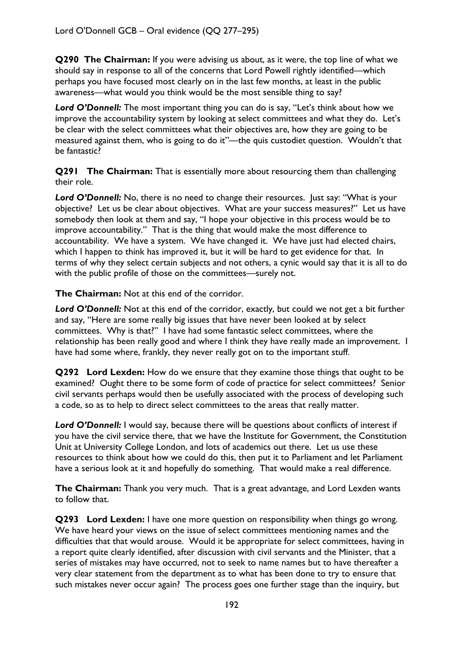**Q290 The Chairman:** If you were advising us about, as it were, the top line of what we should say in response to all of the concerns that Lord Powell rightly identified—which perhaps you have focused most clearly on in the last few months, at least in the public awareness—what would you think would be the most sensible thing to say?

Lord O'Donnell: The most important thing you can do is say, "Let's think about how we improve the accountability system by looking at select committees and what they do. Let's be clear with the select committees what their objectives are, how they are going to be measured against them, who is going to do it"—the quis custodiet question. Wouldn't that be fantastic?

**Q291 The Chairman:** That is essentially more about resourcing them than challenging their role.

Lord O'Donnell: No, there is no need to change their resources. Just say: "What is your objective? Let us be clear about objectives. What are your success measures?" Let us have somebody then look at them and say, "I hope your objective in this process would be to improve accountability." That is the thing that would make the most difference to accountability. We have a system. We have changed it. We have just had elected chairs, which I happen to think has improved it, but it will be hard to get evidence for that. In terms of why they select certain subjects and not others, a cynic would say that it is all to do with the public profile of those on the committees—surely not.

**The Chairman:** Not at this end of the corridor.

Lord O'Donnell: Not at this end of the corridor, exactly, but could we not get a bit further and say, "Here are some really big issues that have never been looked at by select committees. Why is that?" I have had some fantastic select committees, where the relationship has been really good and where I think they have really made an improvement. I have had some where, frankly, they never really got on to the important stuff.

**Q292 Lord Lexden:** How do we ensure that they examine those things that ought to be examined? Ought there to be some form of code of practice for select committees? Senior civil servants perhaps would then be usefully associated with the process of developing such a code, so as to help to direct select committees to the areas that really matter.

**Lord O'Donnell:** I would say, because there will be questions about conflicts of interest if you have the civil service there, that we have the Institute for Government, the Constitution Unit at University College London, and lots of academics out there. Let us use these resources to think about how we could do this, then put it to Parliament and let Parliament have a serious look at it and hopefully do something. That would make a real difference.

**The Chairman:** Thank you very much. That is a great advantage, and Lord Lexden wants to follow that.

**Q293 Lord Lexden:** I have one more question on responsibility when things go wrong. We have heard your views on the issue of select committees mentioning names and the difficulties that that would arouse. Would it be appropriate for select committees, having in a report quite clearly identified, after discussion with civil servants and the Minister, that a series of mistakes may have occurred, not to seek to name names but to have thereafter a very clear statement from the department as to what has been done to try to ensure that such mistakes never occur again? The process goes one further stage than the inquiry, but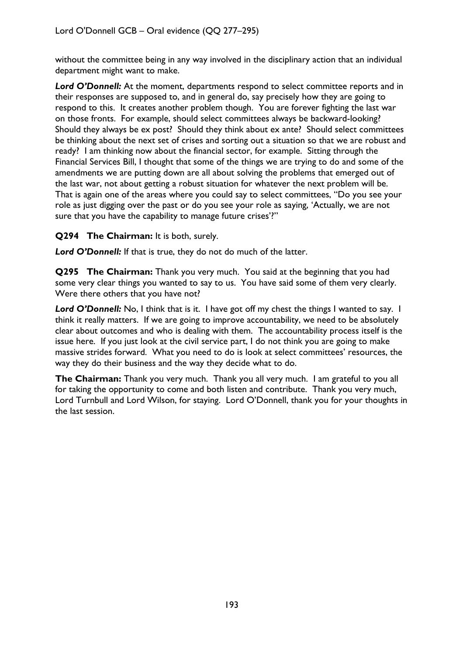without the committee being in any way involved in the disciplinary action that an individual department might want to make.

Lord O'Donnell: At the moment, departments respond to select committee reports and in their responses are supposed to, and in general do, say precisely how they are going to respond to this. It creates another problem though. You are forever fighting the last war on those fronts. For example, should select committees always be backward-looking? Should they always be ex post? Should they think about ex ante? Should select committees be thinking about the next set of crises and sorting out a situation so that we are robust and ready? I am thinking now about the financial sector, for example. Sitting through the Financial Services Bill, I thought that some of the things we are trying to do and some of the amendments we are putting down are all about solving the problems that emerged out of the last war, not about getting a robust situation for whatever the next problem will be. That is again one of the areas where you could say to select committees, "Do you see your role as just digging over the past or do you see your role as saying, 'Actually, we are not sure that you have the capability to manage future crises'?"

**Q294 The Chairman:** It is both, surely.

Lord O'Donnell: If that is true, they do not do much of the latter.

**Q295 The Chairman:** Thank you very much. You said at the beginning that you had some very clear things you wanted to say to us. You have said some of them very clearly. Were there others that you have not?

Lord O'Donnell: No, I think that is it. I have got off my chest the things I wanted to say. I think it really matters. If we are going to improve accountability, we need to be absolutely clear about outcomes and who is dealing with them. The accountability process itself is the issue here. If you just look at the civil service part, I do not think you are going to make massive strides forward. What you need to do is look at select committees' resources, the way they do their business and the way they decide what to do.

**The Chairman:** Thank you very much. Thank you all very much. I am grateful to you all for taking the opportunity to come and both listen and contribute. Thank you very much, Lord Turnbull and Lord Wilson, for staying. Lord O'Donnell, thank you for your thoughts in the last session.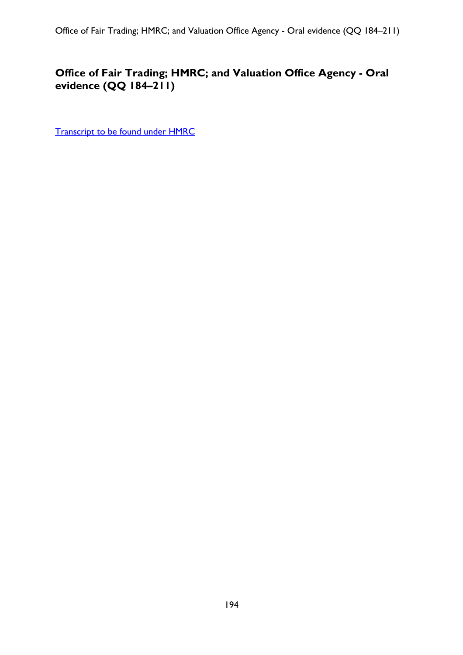# **Office of Fair Trading; HMRC; and Valuation Office Agency - Oral evidence (QQ 184–211)**

[Transcript to be found under HMRC](#page-149-0)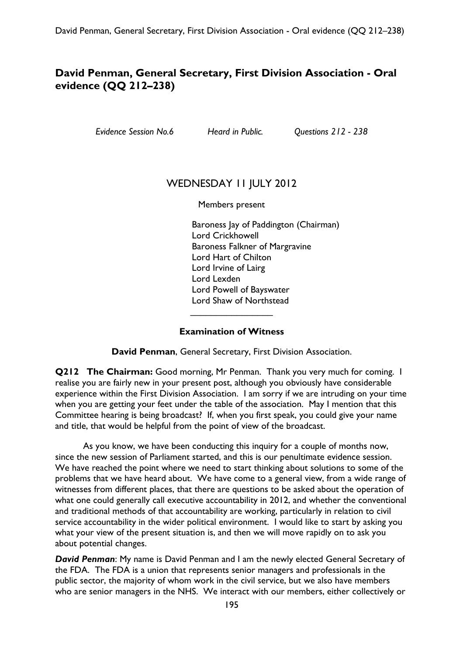## **David Penman, General Secretary, First Division Association - Oral evidence (QQ 212–238)**

*Evidence Session No.6 Heard in Public. Questions 212 - 238* 

### WEDNESDAY II JULY 2012

Members present

Baroness Jay of Paddington (Chairman) Lord Crickhowell Baroness Falkner of Margravine Lord Hart of Chilton Lord Irvine of Lairg Lord Lexden Lord Powell of Bayswater Lord Shaw of Northstead

#### **Examination of Witness**

 $\overline{\phantom{a}}$  , which is a set of the set of the set of the set of the set of the set of the set of the set of the set of the set of the set of the set of the set of the set of the set of the set of the set of the set of th

**David Penman**, General Secretary, First Division Association.

**Q212 The Chairman:** Good morning, Mr Penman. Thank you very much for coming. I realise you are fairly new in your present post, although you obviously have considerable experience within the First Division Association. I am sorry if we are intruding on your time when you are getting your feet under the table of the association. May I mention that this Committee hearing is being broadcast? If, when you first speak, you could give your name and title, that would be helpful from the point of view of the broadcast.

As you know, we have been conducting this inquiry for a couple of months now, since the new session of Parliament started, and this is our penultimate evidence session. We have reached the point where we need to start thinking about solutions to some of the problems that we have heard about. We have come to a general view, from a wide range of witnesses from different places, that there are questions to be asked about the operation of what one could generally call executive accountability in 2012, and whether the conventional and traditional methods of that accountability are working, particularly in relation to civil service accountability in the wider political environment. I would like to start by asking you what your view of the present situation is, and then we will move rapidly on to ask you about potential changes.

*David Penman*: My name is David Penman and I am the newly elected General Secretary of the FDA. The FDA is a union that represents senior managers and professionals in the public sector, the majority of whom work in the civil service, but we also have members who are senior managers in the NHS. We interact with our members, either collectively or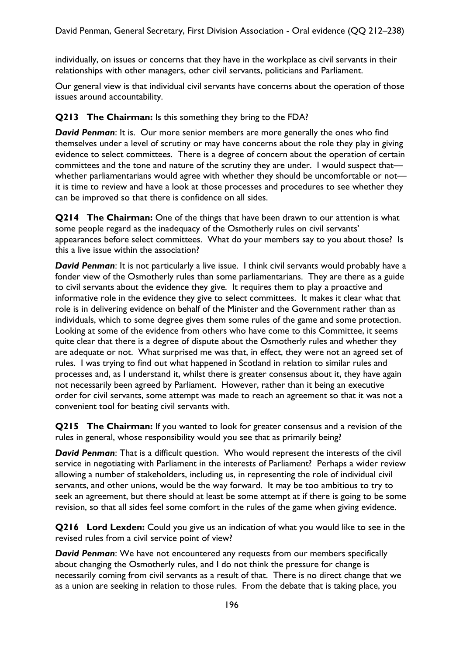individually, on issues or concerns that they have in the workplace as civil servants in their relationships with other managers, other civil servants, politicians and Parliament.

Our general view is that individual civil servants have concerns about the operation of those issues around accountability.

### **Q213** The Chairman: Is this something they bring to the FDA?

*David Penman*: It is. Our more senior members are more generally the ones who find themselves under a level of scrutiny or may have concerns about the role they play in giving evidence to select committees. There is a degree of concern about the operation of certain committees and the tone and nature of the scrutiny they are under. I would suspect that whether parliamentarians would agree with whether they should be uncomfortable or not it is time to review and have a look at those processes and procedures to see whether they can be improved so that there is confidence on all sides.

**Q214 The Chairman:** One of the things that have been drawn to our attention is what some people regard as the inadequacy of the Osmotherly rules on civil servants' appearances before select committees. What do your members say to you about those? Is this a live issue within the association?

*David Penman*: It is not particularly a live issue. I think civil servants would probably have a fonder view of the Osmotherly rules than some parliamentarians. They are there as a guide to civil servants about the evidence they give. It requires them to play a proactive and informative role in the evidence they give to select committees. It makes it clear what that role is in delivering evidence on behalf of the Minister and the Government rather than as individuals, which to some degree gives them some rules of the game and some protection. Looking at some of the evidence from others who have come to this Committee, it seems quite clear that there is a degree of dispute about the Osmotherly rules and whether they are adequate or not. What surprised me was that, in effect, they were not an agreed set of rules. I was trying to find out what happened in Scotland in relation to similar rules and processes and, as I understand it, whilst there is greater consensus about it, they have again not necessarily been agreed by Parliament. However, rather than it being an executive order for civil servants, some attempt was made to reach an agreement so that it was not a convenient tool for beating civil servants with.

**Q215 The Chairman:** If you wanted to look for greater consensus and a revision of the rules in general, whose responsibility would you see that as primarily being?

*David Penman*: That is a difficult question. Who would represent the interests of the civil service in negotiating with Parliament in the interests of Parliament? Perhaps a wider review allowing a number of stakeholders, including us, in representing the role of individual civil servants, and other unions, would be the way forward. It may be too ambitious to try to seek an agreement, but there should at least be some attempt at if there is going to be some revision, so that all sides feel some comfort in the rules of the game when giving evidence.

**Q216 Lord Lexden:** Could you give us an indication of what you would like to see in the revised rules from a civil service point of view?

*David Penman*: We have not encountered any requests from our members specifically about changing the Osmotherly rules, and I do not think the pressure for change is necessarily coming from civil servants as a result of that. There is no direct change that we as a union are seeking in relation to those rules. From the debate that is taking place, you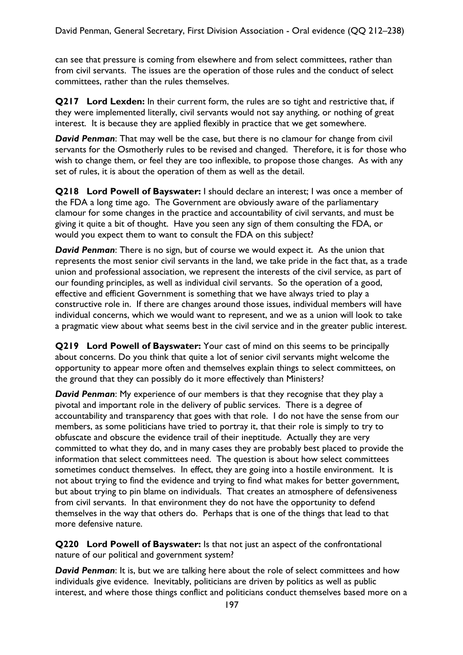can see that pressure is coming from elsewhere and from select committees, rather than from civil servants. The issues are the operation of those rules and the conduct of select committees, rather than the rules themselves.

**Q217 Lord Lexden:** In their current form, the rules are so tight and restrictive that, if they were implemented literally, civil servants would not say anything, or nothing of great interest. It is because they are applied flexibly in practice that we get somewhere.

*David Penman*: That may well be the case, but there is no clamour for change from civil servants for the Osmotherly rules to be revised and changed. Therefore, it is for those who wish to change them, or feel they are too inflexible, to propose those changes. As with any set of rules, it is about the operation of them as well as the detail.

**Q218 Lord Powell of Bayswater:** I should declare an interest; I was once a member of the FDA a long time ago. The Government are obviously aware of the parliamentary clamour for some changes in the practice and accountability of civil servants, and must be giving it quite a bit of thought. Have you seen any sign of them consulting the FDA, or would you expect them to want to consult the FDA on this subject?

*David Penman*: There is no sign, but of course we would expect it. As the union that represents the most senior civil servants in the land, we take pride in the fact that, as a trade union and professional association, we represent the interests of the civil service, as part of our founding principles, as well as individual civil servants. So the operation of a good, effective and efficient Government is something that we have always tried to play a constructive role in. If there are changes around those issues, individual members will have individual concerns, which we would want to represent, and we as a union will look to take a pragmatic view about what seems best in the civil service and in the greater public interest.

**Q219 Lord Powell of Bayswater:** Your cast of mind on this seems to be principally about concerns. Do you think that quite a lot of senior civil servants might welcome the opportunity to appear more often and themselves explain things to select committees, on the ground that they can possibly do it more effectively than Ministers?

*David Penman*: My experience of our members is that they recognise that they play a pivotal and important role in the delivery of public services. There is a degree of accountability and transparency that goes with that role. I do not have the sense from our members, as some politicians have tried to portray it, that their role is simply to try to obfuscate and obscure the evidence trail of their ineptitude. Actually they are very committed to what they do, and in many cases they are probably best placed to provide the information that select committees need. The question is about how select committees sometimes conduct themselves. In effect, they are going into a hostile environment. It is not about trying to find the evidence and trying to find what makes for better government, but about trying to pin blame on individuals. That creates an atmosphere of defensiveness from civil servants. In that environment they do not have the opportunity to defend themselves in the way that others do. Perhaps that is one of the things that lead to that more defensive nature.

**Q220 Lord Powell of Bayswater:** Is that not just an aspect of the confrontational nature of our political and government system?

*David Penman*: It is, but we are talking here about the role of select committees and how individuals give evidence. Inevitably, politicians are driven by politics as well as public interest, and where those things conflict and politicians conduct themselves based more on a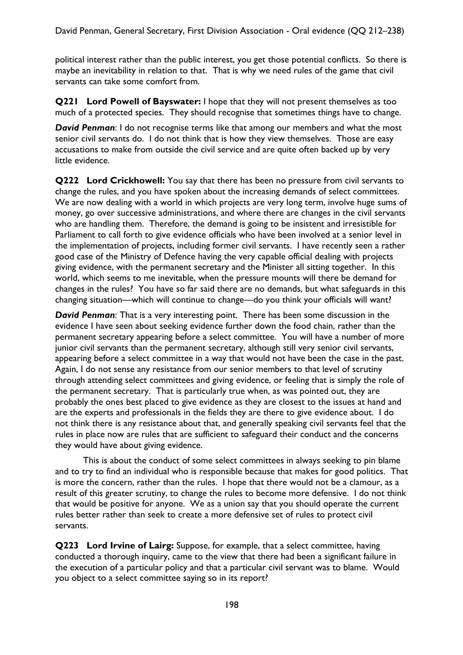political interest rather than the public interest, you get those potential conflicts. So there is maybe an inevitability in relation to that. That is why we need rules of the game that civil servants can take some comfort from.

**Q221 Lord Powell of Bayswater:** I hope that they will not present themselves as too much of a protected species. They should recognise that sometimes things have to change.

*David Penman*: I do not recognise terms like that among our members and what the most senior civil servants do. I do not think that is how they view themselves. Those are easy accusations to make from outside the civil service and are quite often backed up by very little evidence.

**Q222 Lord Crickhowell:** You say that there has been no pressure from civil servants to change the rules, and you have spoken about the increasing demands of select committees. We are now dealing with a world in which projects are very long term, involve huge sums of money, go over successive administrations, and where there are changes in the civil servants who are handling them. Therefore, the demand is going to be insistent and irresistible for Parliament to call forth to give evidence officials who have been involved at a senior level in the implementation of projects, including former civil servants. I have recently seen a rather good case of the Ministry of Defence having the very capable official dealing with projects giving evidence, with the permanent secretary and the Minister all sitting together. In this world, which seems to me inevitable, when the pressure mounts will there be demand for changes in the rules? You have so far said there are no demands, but what safeguards in this changing situation—which will continue to change—do you think your officials will want?

*David Penman*: That is a very interesting point. There has been some discussion in the evidence I have seen about seeking evidence further down the food chain, rather than the permanent secretary appearing before a select committee. You will have a number of more junior civil servants than the permanent secretary, although still very senior civil servants, appearing before a select committee in a way that would not have been the case in the past. Again, I do not sense any resistance from our senior members to that level of scrutiny through attending select committees and giving evidence, or feeling that is simply the role of the permanent secretary. That is particularly true when, as was pointed out, they are probably the ones best placed to give evidence as they are closest to the issues at hand and are the experts and professionals in the fields they are there to give evidence about. I do not think there is any resistance about that, and generally speaking civil servants feel that the rules in place now are rules that are sufficient to safeguard their conduct and the concerns they would have about giving evidence.

This is about the conduct of some select committees in always seeking to pin blame and to try to find an individual who is responsible because that makes for good politics. That is more the concern, rather than the rules. I hope that there would not be a clamour, as a result of this greater scrutiny, to change the rules to become more defensive. I do not think that would be positive for anyone. We as a union say that you should operate the current rules better rather than seek to create a more defensive set of rules to protect civil servants.

**Q223 Lord Irvine of Lairg:** Suppose, for example, that a select committee, having conducted a thorough inquiry, came to the view that there had been a significant failure in the execution of a particular policy and that a particular civil servant was to blame. Would you object to a select committee saying so in its report?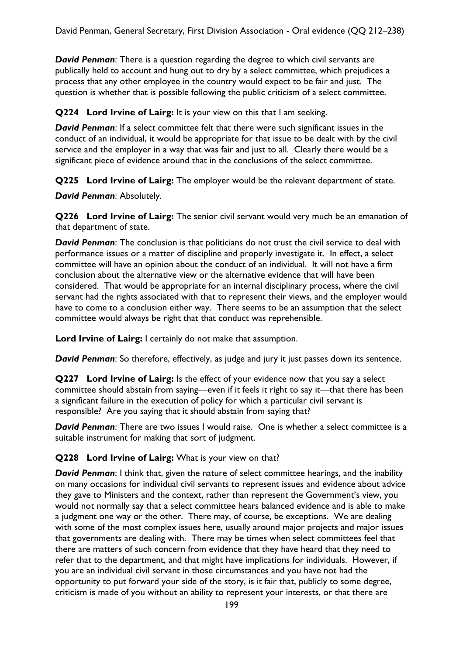*David Penman*: There is a question regarding the degree to which civil servants are publically held to account and hung out to dry by a select committee, which prejudices a process that any other employee in the country would expect to be fair and just. The question is whether that is possible following the public criticism of a select committee.

**Q224 Lord Irvine of Lairg:** It is your view on this that I am seeking.

*David Penman*: If a select committee felt that there were such significant issues in the conduct of an individual, it would be appropriate for that issue to be dealt with by the civil service and the employer in a way that was fair and just to all. Clearly there would be a significant piece of evidence around that in the conclusions of the select committee.

**Q225 Lord Irvine of Lairg:** The employer would be the relevant department of state.

*David Penman*: Absolutely.

**Q226 Lord Irvine of Lairg:** The senior civil servant would very much be an emanation of that department of state.

*David Penman*: The conclusion is that politicians do not trust the civil service to deal with performance issues or a matter of discipline and properly investigate it. In effect, a select committee will have an opinion about the conduct of an individual. It will not have a firm conclusion about the alternative view or the alternative evidence that will have been considered. That would be appropriate for an internal disciplinary process, where the civil servant had the rights associated with that to represent their views, and the employer would have to come to a conclusion either way. There seems to be an assumption that the select committee would always be right that that conduct was reprehensible.

**Lord Irvine of Lairg:** I certainly do not make that assumption.

*David Penman*: So therefore, effectively, as judge and jury it just passes down its sentence.

**Q227 Lord Irvine of Lairg:** Is the effect of your evidence now that you say a select committee should abstain from saying—even if it feels it right to say it—that there has been a significant failure in the execution of policy for which a particular civil servant is responsible? Are you saying that it should abstain from saying that?

*David Penman*: There are two issues I would raise. One is whether a select committee is a suitable instrument for making that sort of judgment.

#### **Q228 Lord Irvine of Lairg:** What is your view on that?

*David Penman*: I think that, given the nature of select committee hearings, and the inability on many occasions for individual civil servants to represent issues and evidence about advice they gave to Ministers and the context, rather than represent the Government's view, you would not normally say that a select committee hears balanced evidence and is able to make a judgment one way or the other. There may, of course, be exceptions. We are dealing with some of the most complex issues here, usually around major projects and major issues that governments are dealing with. There may be times when select committees feel that there are matters of such concern from evidence that they have heard that they need to refer that to the department, and that might have implications for individuals. However, if you are an individual civil servant in those circumstances and you have not had the opportunity to put forward your side of the story, is it fair that, publicly to some degree, criticism is made of you without an ability to represent your interests, or that there are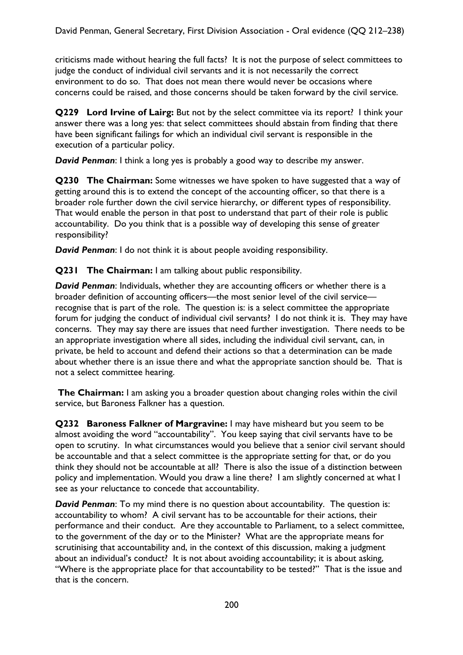criticisms made without hearing the full facts? It is not the purpose of select committees to judge the conduct of individual civil servants and it is not necessarily the correct environment to do so. That does not mean there would never be occasions where concerns could be raised, and those concerns should be taken forward by the civil service.

**Q229 Lord Irvine of Lairg:** But not by the select committee via its report? I think your answer there was a long yes: that select committees should abstain from finding that there have been significant failings for which an individual civil servant is responsible in the execution of a particular policy.

*David Penman*: I think a long yes is probably a good way to describe my answer.

**Q230 The Chairman:** Some witnesses we have spoken to have suggested that a way of getting around this is to extend the concept of the accounting officer, so that there is a broader role further down the civil service hierarchy, or different types of responsibility. That would enable the person in that post to understand that part of their role is public accountability. Do you think that is a possible way of developing this sense of greater responsibility?

*David Penman*: I do not think it is about people avoiding responsibility.

**Q231 The Chairman:** I am talking about public responsibility.

*David Penman*: Individuals, whether they are accounting officers or whether there is a broader definition of accounting officers—the most senior level of the civil service recognise that is part of the role. The question is: is a select committee the appropriate forum for judging the conduct of individual civil servants? I do not think it is. They may have concerns. They may say there are issues that need further investigation. There needs to be an appropriate investigation where all sides, including the individual civil servant, can, in private, be held to account and defend their actions so that a determination can be made about whether there is an issue there and what the appropriate sanction should be. That is not a select committee hearing.

**The Chairman:** I am asking you a broader question about changing roles within the civil service, but Baroness Falkner has a question.

**Q232 Baroness Falkner of Margravine:** I may have misheard but you seem to be almost avoiding the word "accountability". You keep saying that civil servants have to be open to scrutiny. In what circumstances would you believe that a senior civil servant should be accountable and that a select committee is the appropriate setting for that, or do you think they should not be accountable at all? There is also the issue of a distinction between policy and implementation. Would you draw a line there? I am slightly concerned at what I see as your reluctance to concede that accountability.

*David Penman*: To my mind there is no question about accountability. The question is: accountability to whom? A civil servant has to be accountable for their actions, their performance and their conduct. Are they accountable to Parliament, to a select committee, to the government of the day or to the Minister? What are the appropriate means for scrutinising that accountability and, in the context of this discussion, making a judgment about an individual's conduct? It is not about avoiding accountability; it is about asking, "Where is the appropriate place for that accountability to be tested?" That is the issue and that is the concern.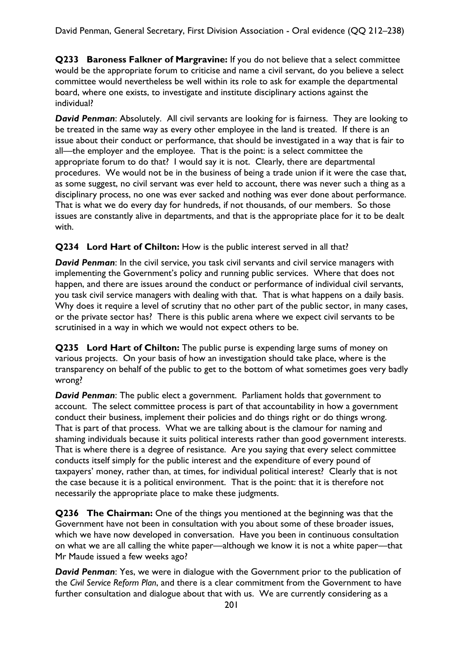**Q233 Baroness Falkner of Margravine:** If you do not believe that a select committee would be the appropriate forum to criticise and name a civil servant, do you believe a select committee would nevertheless be well within its role to ask for example the departmental board, where one exists, to investigate and institute disciplinary actions against the individual?

*David Penman*: Absolutely. All civil servants are looking for is fairness. They are looking to be treated in the same way as every other employee in the land is treated. If there is an issue about their conduct or performance, that should be investigated in a way that is fair to all—the employer and the employee. That is the point: is a select committee the appropriate forum to do that? I would say it is not. Clearly, there are departmental procedures. We would not be in the business of being a trade union if it were the case that, as some suggest, no civil servant was ever held to account, there was never such a thing as a disciplinary process, no one was ever sacked and nothing was ever done about performance. That is what we do every day for hundreds, if not thousands, of our members. So those issues are constantly alive in departments, and that is the appropriate place for it to be dealt with.

### **Q234 Lord Hart of Chilton:** How is the public interest served in all that?

**David Penman:** In the civil service, you task civil servants and civil service managers with implementing the Government's policy and running public services. Where that does not happen, and there are issues around the conduct or performance of individual civil servants, you task civil service managers with dealing with that. That is what happens on a daily basis. Why does it require a level of scrutiny that no other part of the public sector, in many cases, or the private sector has? There is this public arena where we expect civil servants to be scrutinised in a way in which we would not expect others to be.

**Q235 Lord Hart of Chilton:** The public purse is expending large sums of money on various projects. On your basis of how an investigation should take place, where is the transparency on behalf of the public to get to the bottom of what sometimes goes very badly wrong?

*David Penman*: The public elect a government. Parliament holds that government to account. The select committee process is part of that accountability in how a government conduct their business, implement their policies and do things right or do things wrong. That is part of that process. What we are talking about is the clamour for naming and shaming individuals because it suits political interests rather than good government interests. That is where there is a degree of resistance. Are you saying that every select committee conducts itself simply for the public interest and the expenditure of every pound of taxpayers' money, rather than, at times, for individual political interest? Clearly that is not the case because it is a political environment. That is the point: that it is therefore not necessarily the appropriate place to make these judgments.

**Q236 The Chairman:** One of the things you mentioned at the beginning was that the Government have not been in consultation with you about some of these broader issues, which we have now developed in conversation. Have you been in continuous consultation on what we are all calling the white paper—although we know it is not a white paper—that Mr Maude issued a few weeks ago?

*David Penman*: Yes, we were in dialogue with the Government prior to the publication of the *Civil Service Reform Plan*, and there is a clear commitment from the Government to have further consultation and dialogue about that with us. We are currently considering as a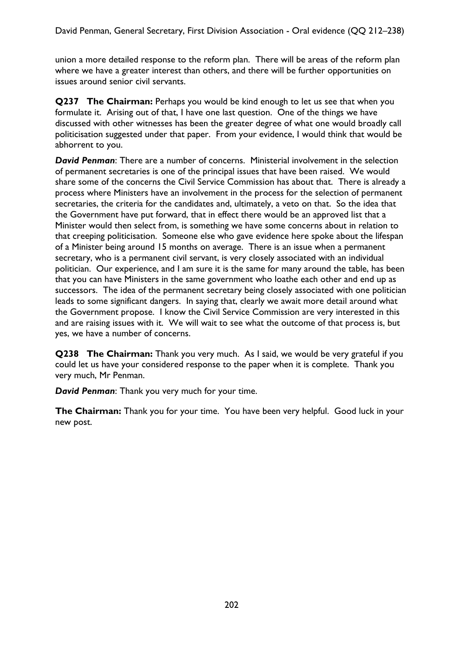union a more detailed response to the reform plan. There will be areas of the reform plan where we have a greater interest than others, and there will be further opportunities on issues around senior civil servants.

**Q237 The Chairman:** Perhaps you would be kind enough to let us see that when you formulate it. Arising out of that, I have one last question. One of the things we have discussed with other witnesses has been the greater degree of what one would broadly call politicisation suggested under that paper. From your evidence, I would think that would be abhorrent to you.

*David Penman*: There are a number of concerns. Ministerial involvement in the selection of permanent secretaries is one of the principal issues that have been raised. We would share some of the concerns the Civil Service Commission has about that. There is already a process where Ministers have an involvement in the process for the selection of permanent secretaries, the criteria for the candidates and, ultimately, a veto on that. So the idea that the Government have put forward, that in effect there would be an approved list that a Minister would then select from, is something we have some concerns about in relation to that creeping politicisation. Someone else who gave evidence here spoke about the lifespan of a Minister being around 15 months on average. There is an issue when a permanent secretary, who is a permanent civil servant, is very closely associated with an individual politician. Our experience, and I am sure it is the same for many around the table, has been that you can have Ministers in the same government who loathe each other and end up as successors. The idea of the permanent secretary being closely associated with one politician leads to some significant dangers. In saying that, clearly we await more detail around what the Government propose. I know the Civil Service Commission are very interested in this and are raising issues with it. We will wait to see what the outcome of that process is, but yes, we have a number of concerns.

**Q238 The Chairman:** Thank you very much. As I said, we would be very grateful if you could let us have your considered response to the paper when it is complete. Thank you very much, Mr Penman.

*David Penman*: Thank you very much for your time.

**The Chairman:** Thank you for your time. You have been very helpful. Good luck in your new post.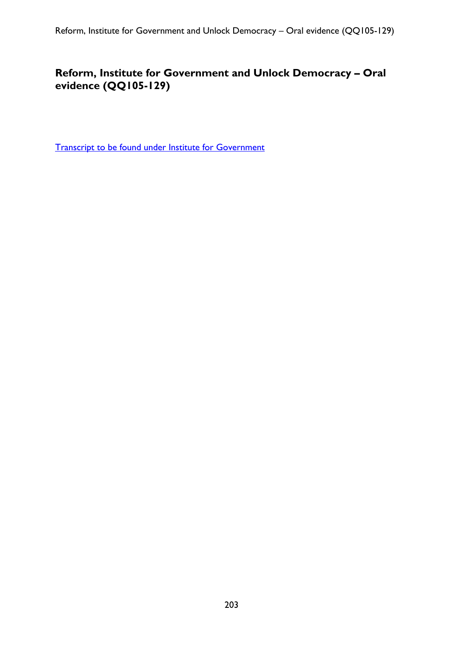## **Reform, Institute for Government and Unlock Democracy – Oral evidence (QQ105-129)**

[Transcript to be found under Institute for Government](#page-163-0)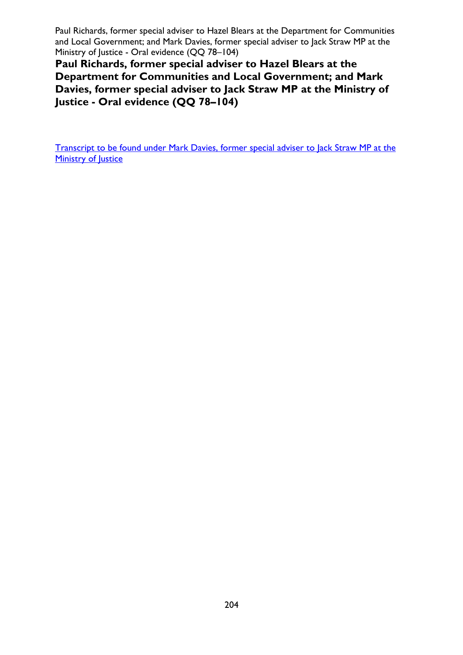Paul Richards, former special adviser to Hazel Blears at the Department for Communities and Local Government; and Mark Davies, former special adviser to Jack Straw MP at the Ministry of Justice - Oral evidence (QQ 78–104)

**Paul Richards, former special adviser to Hazel Blears at the Department for Communities and Local Government; and Mark Davies, former special adviser to Jack Straw MP at the Ministry of Justice - Oral evidence (QQ 78–104)** 

[Transcript to be found under Mark Davies, former special adviser to Jack Straw MP at the](#page-94-0)  [Ministry of Justice](#page-94-0)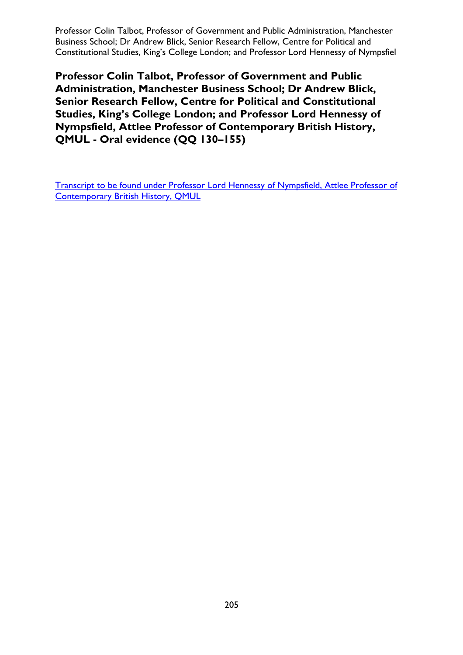Professor Colin Talbot, Professor of Government and Public Administration, Manchester Business School; Dr Andrew Blick, Senior Research Fellow, Centre for Political and Constitutional Studies, King's College London; and Professor Lord Hennessy of Nympsfiel

**Professor Colin Talbot, Professor of Government and Public Administration, Manchester Business School; Dr Andrew Blick, Senior Research Fellow, Centre for Political and Constitutional Studies, King's College London; and Professor Lord Hennessy of Nympsfield, Attlee Professor of Contemporary British History, QMUL - Oral evidence (QQ 130–155)** 

[Transcript to be found under Professor Lord Hennessy of Nympsfield, Attlee Professor of](#page-122-0)  [Contemporary British History, QMUL](#page-122-0)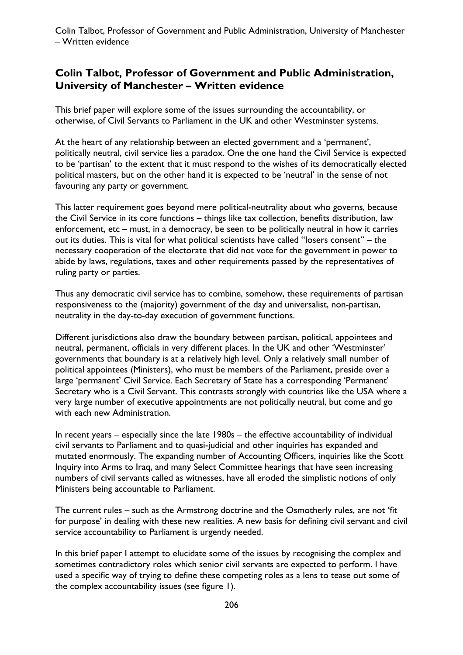### **Colin Talbot, Professor of Government and Public Administration, University of Manchester – Written evidence**

This brief paper will explore some of the issues surrounding the accountability, or otherwise, of Civil Servants to Parliament in the UK and other Westminster systems.

At the heart of any relationship between an elected government and a 'permanent', politically neutral, civil service lies a paradox. One the one hand the Civil Service is expected to be 'partisan' to the extent that it must respond to the wishes of its democratically elected political masters, but on the other hand it is expected to be 'neutral' in the sense of not favouring any party or government.

This latter requirement goes beyond mere political-neutrality about who governs, because the Civil Service in its core functions – things like tax collection, benefits distribution, law enforcement, etc – must, in a democracy, be seen to be politically neutral in how it carries out its duties. This is vital for what political scientists have called "losers consent" – the necessary cooperation of the electorate that did not vote for the government in power to abide by laws, regulations, taxes and other requirements passed by the representatives of ruling party or parties.

Thus any democratic civil service has to combine, somehow, these requirements of partisan responsiveness to the (majority) government of the day and universalist, non-partisan, neutrality in the day-to-day execution of government functions.

Different jurisdictions also draw the boundary between partisan, political, appointees and neutral, permanent, officials in very different places. In the UK and other 'Westminster' governments that boundary is at a relatively high level. Only a relatively small number of political appointees (Ministers), who must be members of the Parliament, preside over a large 'permanent' Civil Service. Each Secretary of State has a corresponding 'Permanent' Secretary who is a Civil Servant. This contrasts strongly with countries like the USA where a very large number of executive appointments are not politically neutral, but come and go with each new Administration.

In recent years – especially since the late 1980s – the effective accountability of individual civil servants to Parliament and to quasi-judicial and other inquiries has expanded and mutated enormously. The expanding number of Accounting Officers, inquiries like the Scott Inquiry into Arms to Iraq, and many Select Committee hearings that have seen increasing numbers of civil servants called as witnesses, have all eroded the simplistic notions of only Ministers being accountable to Parliament.

The current rules – such as the Armstrong doctrine and the Osmotherly rules, are not 'fit for purpose' in dealing with these new realities. A new basis for defining civil servant and civil service accountability to Parliament is urgently needed.

In this brief paper I attempt to elucidate some of the issues by recognising the complex and sometimes contradictory roles which senior civil servants are expected to perform. I have used a specific way of trying to define these competing roles as a lens to tease out some of the complex accountability issues (see figure 1).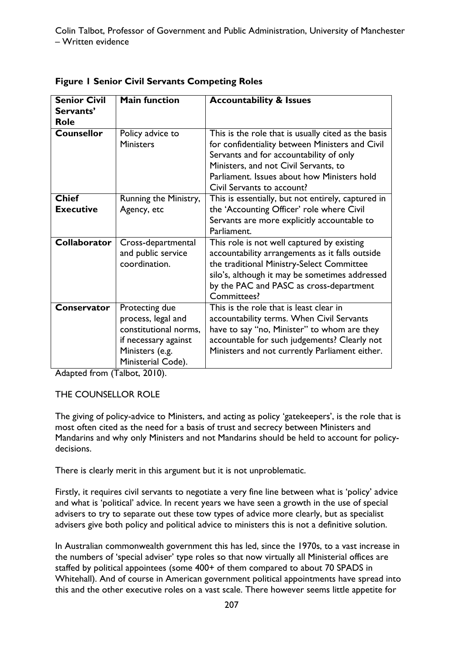| <b>Senior Civil</b> | <b>Main function</b>  | <b>Accountability &amp; Issues</b>                  |
|---------------------|-----------------------|-----------------------------------------------------|
| Servants'           |                       |                                                     |
| <b>Role</b>         |                       |                                                     |
|                     |                       |                                                     |
| <b>Counsellor</b>   | Policy advice to      | This is the role that is usually cited as the basis |
|                     | <b>Ministers</b>      | for confidentiality between Ministers and Civil     |
|                     |                       | Servants and for accountability of only             |
|                     |                       | Ministers, and not Civil Servants, to               |
|                     |                       | Parliament. Issues about how Ministers hold         |
|                     |                       | Civil Servants to account?                          |
| <b>Chief</b>        | Running the Ministry, | This is essentially, but not entirely, captured in  |
| <b>Executive</b>    | Agency, etc           | the 'Accounting Officer' role where Civil           |
|                     |                       | Servants are more explicitly accountable to         |
|                     |                       | Parliament.                                         |
| <b>Collaborator</b> | Cross-departmental    | This role is not well captured by existing          |
|                     | and public service    | accountability arrangements as it falls outside     |
|                     | coordination.         | the traditional Ministry-Select Committee           |
|                     |                       | silo's, although it may be sometimes addressed      |
|                     |                       | by the PAC and PASC as cross-department             |
|                     |                       | Committees?                                         |
| Conservator         | Protecting due        | This is the role that is least clear in             |
|                     | process, legal and    | accountability terms. When Civil Servants           |
|                     | constitutional norms, | have to say "no, Minister" to whom are they         |
|                     | if necessary against  | accountable for such judgements? Clearly not        |
|                     | Ministers (e.g.       | Ministers and not currently Parliament either.      |
|                     | Ministerial Code).    |                                                     |
|                     |                       |                                                     |

**Figure 1 Senior Civil Servants Competing Roles** 

Adapted from [\(Talbot, 2010\)](#page-209-0).

#### THE COUNSELLOR ROLE

The giving of policy-advice to Ministers, and acting as policy 'gatekeepers', is the role that is most often cited as the need for a basis of trust and secrecy between Ministers and Mandarins and why only Ministers and not Mandarins should be held to account for policydecisions.

There is clearly merit in this argument but it is not unproblematic.

Firstly, it requires civil servants to negotiate a very fine line between what is 'policy' advice and what is 'political' advice. In recent years we have seen a growth in the use of special advisers to try to separate out these tow types of advice more clearly, but as specialist advisers give both policy and political advice to ministers this is not a definitive solution.

In Australian commonwealth government this has led, since the 1970s, to a vast increase in the numbers of 'special adviser' type roles so that now virtually all Ministerial offices are staffed by political appointees (some 400+ of them compared to about 70 SPADS in Whitehall). And of course in American government political appointments have spread into this and the other executive roles on a vast scale. There however seems little appetite for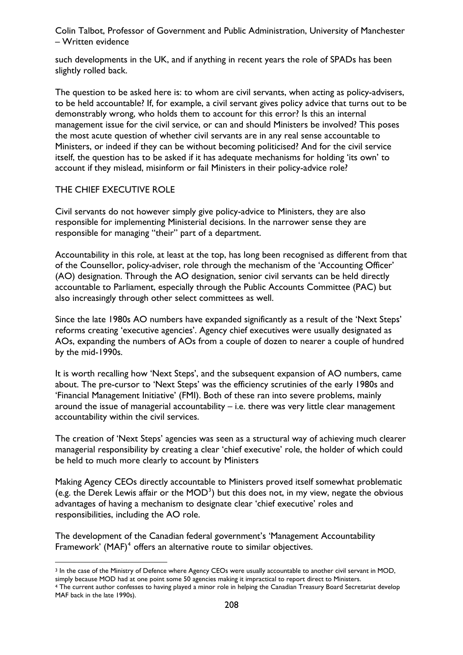such developments in the UK, and if anything in recent years the role of SPADs has been slightly rolled back.

The question to be asked here is: to whom are civil servants, when acting as policy-advisers, to be held accountable? If, for example, a civil servant gives policy advice that turns out to be demonstrably wrong, who holds them to account for this error? Is this an internal management issue for the civil service, or can and should Ministers be involved? This poses the most acute question of whether civil servants are in any real sense accountable to Ministers, or indeed if they can be without becoming politicised? And for the civil service itself, the question has to be asked if it has adequate mechanisms for holding 'its own' to account if they mislead, misinform or fail Ministers in their policy-advice role?

#### THE CHIEF EXECUTIVE ROLE

 $\overline{a}$ 

Civil servants do not however simply give policy-advice to Ministers, they are also responsible for implementing Ministerial decisions. In the narrower sense they are responsible for managing "their" part of a department.

Accountability in this role, at least at the top, has long been recognised as different from that of the Counsellor, policy-adviser, role through the mechanism of the 'Accounting Officer' (AO) designation. Through the AO designation, senior civil servants can be held directly accountable to Parliament, especially through the Public Accounts Committee (PAC) but also increasingly through other select committees as well.

Since the late 1980s AO numbers have expanded significantly as a result of the 'Next Steps' reforms creating 'executive agencies'. Agency chief executives were usually designated as AOs, expanding the numbers of AOs from a couple of dozen to nearer a couple of hundred by the mid-1990s.

It is worth recalling how 'Next Steps', and the subsequent expansion of AO numbers, came about. The pre-cursor to 'Next Steps' was the efficiency scrutinies of the early 1980s and 'Financial Management Initiative' (FMI). Both of these ran into severe problems, mainly around the issue of managerial accountability – i.e. there was very little clear management accountability within the civil services.

The creation of 'Next Steps' agencies was seen as a structural way of achieving much clearer managerial responsibility by creating a clear 'chief executive' role, the holder of which could be held to much more clearly to account by Ministers

Making Agency CEOs directly accountable to Ministers proved itself somewhat problematic (e.g. the Derek Lewis affair or the  $MOD^3$  $MOD^3$ ) but this does not, in my view, negate the obvious advantages of having a mechanism to designate clear 'chief executive' roles and responsibilities, including the AO role.

The development of the Canadian federal government's 'Management Accountability Framework' (MAF) $<sup>4</sup>$  $<sup>4</sup>$  $<sup>4</sup>$  offers an alternative route to similar objectives.</sup>

<span id="page-207-0"></span><sup>&</sup>lt;sup>3</sup> In the case of the Ministry of Defence where Agency CEOs were usually accountable to another civil servant in MOD, simply because MOD had at one point some 50 agencies making it impractical to report direct to Ministers.

<span id="page-207-1"></span><sup>4</sup> The current author confesses to having played a minor role in helping the Canadian Treasury Board Secretariat develop MAF back in the late 1990s).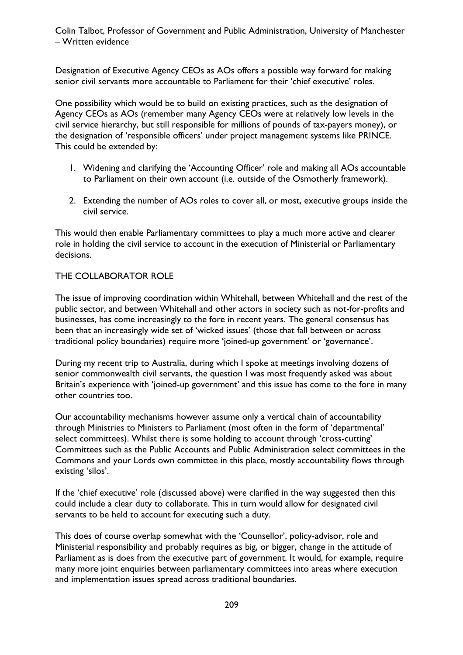Designation of Executive Agency CEOs as AOs offers a possible way forward for making senior civil servants more accountable to Parliament for their 'chief executive' roles.

One possibility which would be to build on existing practices, such as the designation of Agency CEOs as AOs (remember many Agency CEOs were at relatively low levels in the civil service hierarchy, but still responsible for millions of pounds of tax-payers money), or the designation of 'responsible officers' under project management systems like PRINCE. This could be extended by:

- 1. Widening and clarifying the 'Accounting Officer' role and making all AOs accountable to Parliament on their own account (i.e. outside of the Osmotherly framework).
- 2. Extending the number of AOs roles to cover all, or most, executive groups inside the civil service.

This would then enable Parliamentary committees to play a much more active and clearer role in holding the civil service to account in the execution of Ministerial or Parliamentary decisions.

### THE COLLABORATOR ROLE

The issue of improving coordination within Whitehall, between Whitehall and the rest of the public sector, and between Whitehall and other actors in society such as not-for-profits and businesses, has come increasingly to the fore in recent years. The general consensus has been that an increasingly wide set of 'wicked issues' (those that fall between or across traditional policy boundaries) require more 'joined-up government' or 'governance'.

During my recent trip to Australia, during which I spoke at meetings involving dozens of senior commonwealth civil servants, the question I was most frequently asked was about Britain's experience with 'joined-up government' and this issue has come to the fore in many other countries too.

Our accountability mechanisms however assume only a vertical chain of accountability through Ministries to Ministers to Parliament (most often in the form of 'departmental' select committees). Whilst there is some holding to account through 'cross-cutting' Committees such as the Public Accounts and Public Administration select committees in the Commons and your Lords own committee in this place, mostly accountability flows through existing 'silos'.

If the 'chief executive' role (discussed above) were clarified in the way suggested then this could include a clear duty to collaborate. This in turn would allow for designated civil servants to be held to account for executing such a duty.

This does of course overlap somewhat with the 'Counsellor', policy-advisor, role and Ministerial responsibility and probably requires as big, or bigger, change in the attitude of Parliament as is does from the executive part of government. It would, for example, require many more joint enquiries between parliamentary committees into areas where execution and implementation issues spread across traditional boundaries.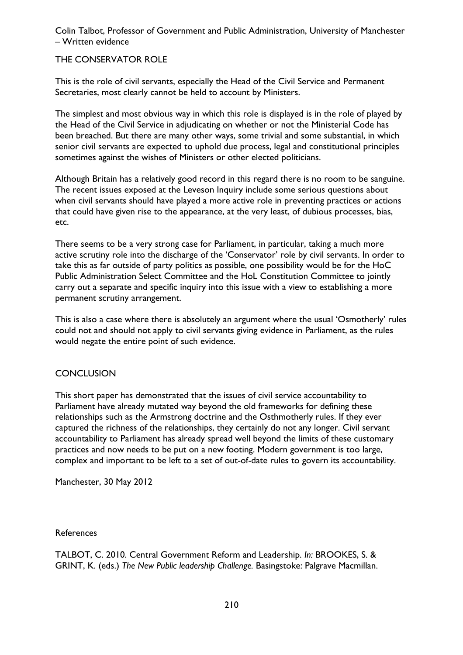### <span id="page-209-0"></span>THE CONSERVATOR ROLE

This is the role of civil servants, especially the Head of the Civil Service and Permanent Secretaries, most clearly cannot be held to account by Ministers.

The simplest and most obvious way in which this role is displayed is in the role of played by the Head of the Civil Service in adjudicating on whether or not the Ministerial Code has been breached. But there are many other ways, some trivial and some substantial, in which senior civil servants are expected to uphold due process, legal and constitutional principles sometimes against the wishes of Ministers or other elected politicians.

Although Britain has a relatively good record in this regard there is no room to be sanguine. The recent issues exposed at the Leveson Inquiry include some serious questions about when civil servants should have played a more active role in preventing practices or actions that could have given rise to the appearance, at the very least, of dubious processes, bias, etc.

There seems to be a very strong case for Parliament, in particular, taking a much more active scrutiny role into the discharge of the 'Conservator' role by civil servants. In order to take this as far outside of party politics as possible, one possibility would be for the HoC Public Administration Select Committee and the HoL Constitution Committee to jointly carry out a separate and specific inquiry into this issue with a view to establishing a more permanent scrutiny arrangement.

This is also a case where there is absolutely an argument where the usual 'Osmotherly' rules could not and should not apply to civil servants giving evidence in Parliament, as the rules would negate the entire point of such evidence.

#### **CONCLUSION**

This short paper has demonstrated that the issues of civil service accountability to Parliament have already mutated way beyond the old frameworks for defining these relationships such as the Armstrong doctrine and the Osthmotherly rules. If they ever captured the richness of the relationships, they certainly do not any longer. Civil servant accountability to Parliament has already spread well beyond the limits of these customary practices and now needs to be put on a new footing. Modern government is too large, complex and important to be left to a set of out-of-date rules to govern its accountability.

Manchester, 30 May 2012

#### References

TALBOT, C. 2010. Central Government Reform and Leadership. *In:* BROOKES, S. & GRINT, K. (eds.) *The New Public leadership Challenge.* Basingstoke: Palgrave Macmillan.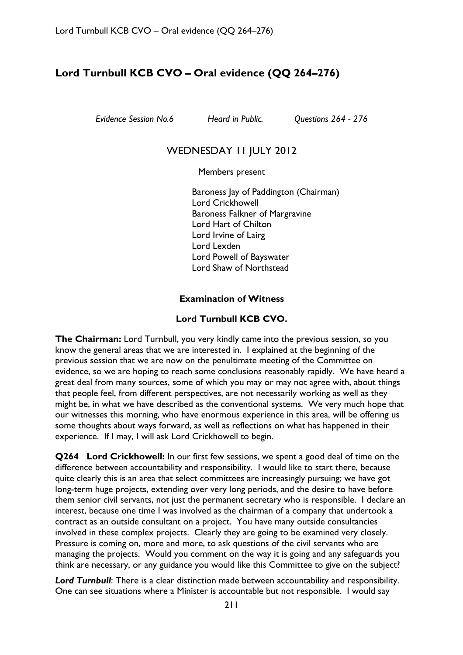### **Lord Turnbull KCB CVO – Oral evidence (QQ 264–276)**

*Evidence Session No.6 Heard in Public. Questions 264 - 276* 

### WEDNESDAY II JULY 2012

Members present

Baroness Jay of Paddington (Chairman) Lord Crickhowell Baroness Falkner of Margravine Lord Hart of Chilton Lord Irvine of Lairg Lord Lexden Lord Powell of Bayswater Lord Shaw of Northstead

### **Examination of Witness**

#### **Lord Turnbull KCB CVO.**

**The Chairman:** Lord Turnbull, you very kindly came into the previous session, so you know the general areas that we are interested in. I explained at the beginning of the previous session that we are now on the penultimate meeting of the Committee on evidence, so we are hoping to reach some conclusions reasonably rapidly. We have heard a great deal from many sources, some of which you may or may not agree with, about things that people feel, from different perspectives, are not necessarily working as well as they might be, in what we have described as the conventional systems. We very much hope that our witnesses this morning, who have enormous experience in this area, will be offering us some thoughts about ways forward, as well as reflections on what has happened in their experience. If I may, I will ask Lord Crickhowell to begin.

**Q264 Lord Crickhowell:** In our first few sessions, we spent a good deal of time on the difference between accountability and responsibility. I would like to start there, because quite clearly this is an area that select committees are increasingly pursuing; we have got long-term huge projects, extending over very long periods, and the desire to have before them senior civil servants, not just the permanent secretary who is responsible. I declare an interest, because one time I was involved as the chairman of a company that undertook a contract as an outside consultant on a project. You have many outside consultancies involved in these complex projects. Clearly they are going to be examined very closely. Pressure is coming on, more and more, to ask questions of the civil servants who are managing the projects. Would you comment on the way it is going and any safeguards you think are necessary, or any guidance you would like this Committee to give on the subject?

*Lord Turnbull*: There is a clear distinction made between accountability and responsibility. One can see situations where a Minister is accountable but not responsible. I would say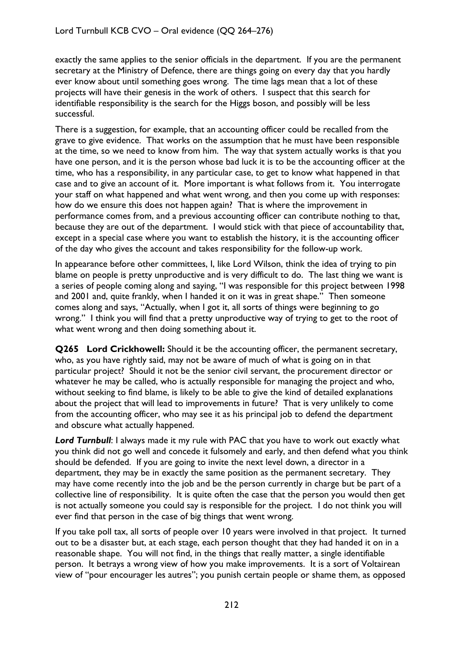exactly the same applies to the senior officials in the department. If you are the permanent secretary at the Ministry of Defence, there are things going on every day that you hardly ever know about until something goes wrong. The time lags mean that a lot of these projects will have their genesis in the work of others. I suspect that this search for identifiable responsibility is the search for the Higgs boson, and possibly will be less successful.

There is a suggestion, for example, that an accounting officer could be recalled from the grave to give evidence. That works on the assumption that he must have been responsible at the time, so we need to know from him. The way that system actually works is that you have one person, and it is the person whose bad luck it is to be the accounting officer at the time, who has a responsibility, in any particular case, to get to know what happened in that case and to give an account of it. More important is what follows from it. You interrogate your staff on what happened and what went wrong, and then you come up with responses: how do we ensure this does not happen again? That is where the improvement in performance comes from, and a previous accounting officer can contribute nothing to that, because they are out of the department. I would stick with that piece of accountability that, except in a special case where you want to establish the history, it is the accounting officer of the day who gives the account and takes responsibility for the follow-up work.

In appearance before other committees, I, like Lord Wilson, think the idea of trying to pin blame on people is pretty unproductive and is very difficult to do. The last thing we want is a series of people coming along and saying, "I was responsible for this project between 1998 and 2001 and, quite frankly, when I handed it on it was in great shape." Then someone comes along and says, "Actually, when I got it, all sorts of things were beginning to go wrong." I think you will find that a pretty unproductive way of trying to get to the root of what went wrong and then doing something about it.

**Q265 Lord Crickhowell:** Should it be the accounting officer, the permanent secretary, who, as you have rightly said, may not be aware of much of what is going on in that particular project? Should it not be the senior civil servant, the procurement director or whatever he may be called, who is actually responsible for managing the project and who, without seeking to find blame, is likely to be able to give the kind of detailed explanations about the project that will lead to improvements in future? That is very unlikely to come from the accounting officer, who may see it as his principal job to defend the department and obscure what actually happened.

**Lord Turnbull:** I always made it my rule with PAC that you have to work out exactly what you think did not go well and concede it fulsomely and early, and then defend what you think should be defended. If you are going to invite the next level down, a director in a department, they may be in exactly the same position as the permanent secretary. They may have come recently into the job and be the person currently in charge but be part of a collective line of responsibility. It is quite often the case that the person you would then get is not actually someone you could say is responsible for the project. I do not think you will ever find that person in the case of big things that went wrong.

If you take poll tax, all sorts of people over 10 years were involved in that project. It turned out to be a disaster but, at each stage, each person thought that they had handed it on in a reasonable shape. You will not find, in the things that really matter, a single identifiable person. It betrays a wrong view of how you make improvements. It is a sort of Voltairean view of "pour encourager les autres"; you punish certain people or shame them, as opposed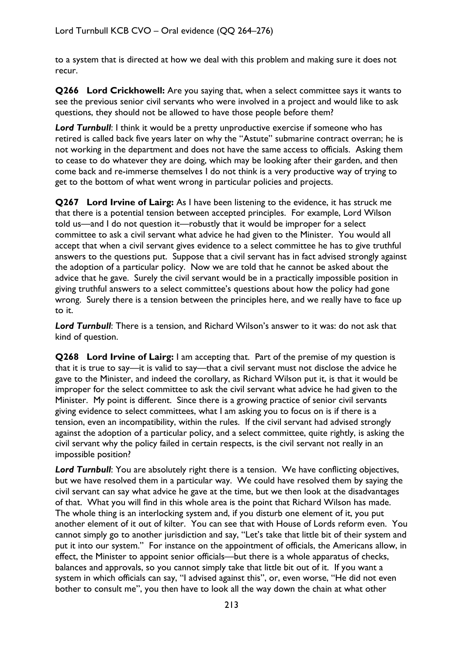to a system that is directed at how we deal with this problem and making sure it does not recur.

**Q266 Lord Crickhowell:** Are you saying that, when a select committee says it wants to see the previous senior civil servants who were involved in a project and would like to ask questions, they should not be allowed to have those people before them?

**Lord Turnbull:** I think it would be a pretty unproductive exercise if someone who has retired is called back five years later on why the "Astute" submarine contract overran; he is not working in the department and does not have the same access to officials. Asking them to cease to do whatever they are doing, which may be looking after their garden, and then come back and re-immerse themselves I do not think is a very productive way of trying to get to the bottom of what went wrong in particular policies and projects.

**Q267 Lord Irvine of Lairg:** As I have been listening to the evidence, it has struck me that there is a potential tension between accepted principles. For example, Lord Wilson told us—and I do not question it—robustly that it would be improper for a select committee to ask a civil servant what advice he had given to the Minister. You would all accept that when a civil servant gives evidence to a select committee he has to give truthful answers to the questions put. Suppose that a civil servant has in fact advised strongly against the adoption of a particular policy. Now we are told that he cannot be asked about the advice that he gave. Surely the civil servant would be in a practically impossible position in giving truthful answers to a select committee's questions about how the policy had gone wrong. Surely there is a tension between the principles here, and we really have to face up to it.

*Lord Turnbull*: There is a tension, and Richard Wilson's answer to it was: do not ask that kind of question.

**Q268 Lord Irvine of Lairg:** I am accepting that. Part of the premise of my question is that it is true to say—it is valid to say—that a civil servant must not disclose the advice he gave to the Minister, and indeed the corollary, as Richard Wilson put it, is that it would be improper for the select committee to ask the civil servant what advice he had given to the Minister. My point is different. Since there is a growing practice of senior civil servants giving evidence to select committees, what I am asking you to focus on is if there is a tension, even an incompatibility, within the rules. If the civil servant had advised strongly against the adoption of a particular policy, and a select committee, quite rightly, is asking the civil servant why the policy failed in certain respects, is the civil servant not really in an impossible position?

*Lord Turnbull*: You are absolutely right there is a tension. We have conflicting objectives, but we have resolved them in a particular way. We could have resolved them by saying the civil servant can say what advice he gave at the time, but we then look at the disadvantages of that. What you will find in this whole area is the point that Richard Wilson has made. The whole thing is an interlocking system and, if you disturb one element of it, you put another element of it out of kilter. You can see that with House of Lords reform even. You cannot simply go to another jurisdiction and say, "Let's take that little bit of their system and put it into our system." For instance on the appointment of officials, the Americans allow, in effect, the Minister to appoint senior officials—but there is a whole apparatus of checks, balances and approvals, so you cannot simply take that little bit out of it. If you want a system in which officials can say, "I advised against this", or, even worse, "He did not even bother to consult me", you then have to look all the way down the chain at what other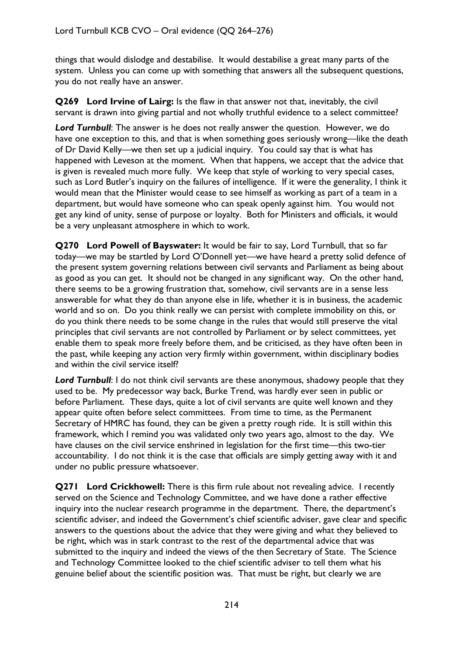things that would dislodge and destabilise. It would destabilise a great many parts of the system. Unless you can come up with something that answers all the subsequent questions, you do not really have an answer.

**Q269 Lord Irvine of Lairg:** Is the flaw in that answer not that, inevitably, the civil servant is drawn into giving partial and not wholly truthful evidence to a select committee?

*Lord Turnbull*: The answer is he does not really answer the question. However, we do have one exception to this, and that is when something goes seriously wrong—like the death of Dr David Kelly—we then set up a judicial inquiry. You could say that is what has happened with Leveson at the moment. When that happens, we accept that the advice that is given is revealed much more fully. We keep that style of working to very special cases, such as Lord Butler's inquiry on the failures of intelligence. If it were the generality, I think it would mean that the Minister would cease to see himself as working as part of a team in a department, but would have someone who can speak openly against him. You would not get any kind of unity, sense of purpose or loyalty. Both for Ministers and officials, it would be a very unpleasant atmosphere in which to work.

**Q270 Lord Powell of Bayswater:** It would be fair to say, Lord Turnbull, that so far today—we may be startled by Lord O'Donnell yet—we have heard a pretty solid defence of the present system governing relations between civil servants and Parliament as being about as good as you can get. It should not be changed in any significant way. On the other hand, there seems to be a growing frustration that, somehow, civil servants are in a sense less answerable for what they do than anyone else in life, whether it is in business, the academic world and so on. Do you think really we can persist with complete immobility on this, or do you think there needs to be some change in the rules that would still preserve the vital principles that civil servants are not controlled by Parliament or by select committees, yet enable them to speak more freely before them, and be criticised, as they have often been in the past, while keeping any action very firmly within government, within disciplinary bodies and within the civil service itself?

**Lord Turnbull:** I do not think civil servants are these anonymous, shadowy people that they used to be. My predecessor way back, Burke Trend, was hardly ever seen in public or before Parliament. These days, quite a lot of civil servants are quite well known and they appear quite often before select committees. From time to time, as the Permanent Secretary of HMRC has found, they can be given a pretty rough ride. It is still within this framework, which I remind you was validated only two years ago, almost to the day. We have clauses on the civil service enshrined in legislation for the first time—this two-tier accountability. I do not think it is the case that officials are simply getting away with it and under no public pressure whatsoever.

**Q271 Lord Crickhowell:** There is this firm rule about not revealing advice. I recently served on the Science and Technology Committee, and we have done a rather effective inquiry into the nuclear research programme in the department. There, the department's scientific adviser, and indeed the Government's chief scientific adviser, gave clear and specific answers to the questions about the advice that they were giving and what they believed to be right, which was in stark contrast to the rest of the departmental advice that was submitted to the inquiry and indeed the views of the then Secretary of State. The Science and Technology Committee looked to the chief scientific adviser to tell them what his genuine belief about the scientific position was. That must be right, but clearly we are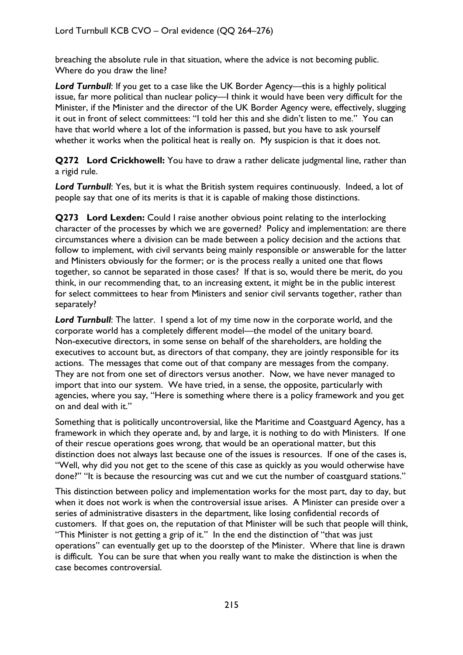breaching the absolute rule in that situation, where the advice is not becoming public. Where do you draw the line?

*Lord Turnbull*: If you get to a case like the UK Border Agency—this is a highly political issue, far more political than nuclear policy—I think it would have been very difficult for the Minister, if the Minister and the director of the UK Border Agency were, effectively, slugging it out in front of select committees: "I told her this and she didn't listen to me." You can have that world where a lot of the information is passed, but you have to ask yourself whether it works when the political heat is really on. My suspicion is that it does not.

**Q272 Lord Crickhowell:** You have to draw a rather delicate judgmental line, rather than a rigid rule.

*Lord Turnbull*: Yes, but it is what the British system requires continuously. Indeed, a lot of people say that one of its merits is that it is capable of making those distinctions.

**Q273 Lord Lexden:** Could I raise another obvious point relating to the interlocking character of the processes by which we are governed? Policy and implementation: are there circumstances where a division can be made between a policy decision and the actions that follow to implement, with civil servants being mainly responsible or answerable for the latter and Ministers obviously for the former; or is the process really a united one that flows together, so cannot be separated in those cases? If that is so, would there be merit, do you think, in our recommending that, to an increasing extent, it might be in the public interest for select committees to hear from Ministers and senior civil servants together, rather than separately?

*Lord Turnbull*: The latter. I spend a lot of my time now in the corporate world, and the corporate world has a completely different model—the model of the unitary board. Non-executive directors, in some sense on behalf of the shareholders, are holding the executives to account but, as directors of that company, they are jointly responsible for its actions. The messages that come out of that company are messages from the company. They are not from one set of directors versus another. Now, we have never managed to import that into our system. We have tried, in a sense, the opposite, particularly with agencies, where you say, "Here is something where there is a policy framework and you get on and deal with it."

Something that is politically uncontroversial, like the Maritime and Coastguard Agency, has a framework in which they operate and, by and large, it is nothing to do with Ministers. If one of their rescue operations goes wrong, that would be an operational matter, but this distinction does not always last because one of the issues is resources. If one of the cases is, "Well, why did you not get to the scene of this case as quickly as you would otherwise have done?" "It is because the resourcing was cut and we cut the number of coastguard stations."

This distinction between policy and implementation works for the most part, day to day, but when it does not work is when the controversial issue arises. A Minister can preside over a series of administrative disasters in the department, like losing confidential records of customers. If that goes on, the reputation of that Minister will be such that people will think, "This Minister is not getting a grip of it." In the end the distinction of "that was just operations" can eventually get up to the doorstep of the Minister. Where that line is drawn is difficult. You can be sure that when you really want to make the distinction is when the case becomes controversial.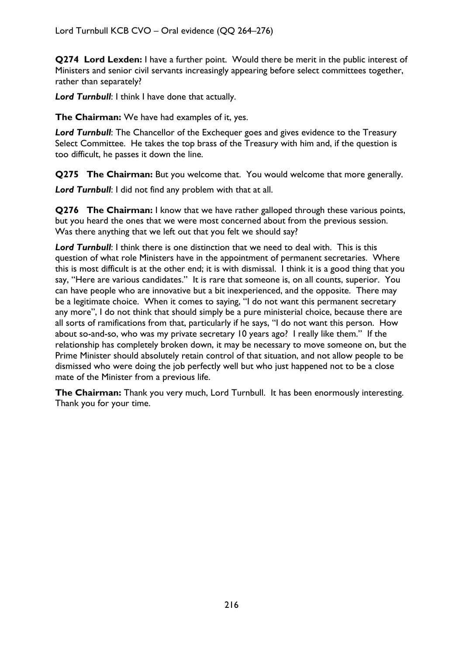**Q274 Lord Lexden:** I have a further point. Would there be merit in the public interest of Ministers and senior civil servants increasingly appearing before select committees together, rather than separately?

*Lord Turnbull*: I think I have done that actually.

**The Chairman:** We have had examples of it, yes.

*Lord Turnbull*: The Chancellor of the Exchequer goes and gives evidence to the Treasury Select Committee. He takes the top brass of the Treasury with him and, if the question is too difficult, he passes it down the line.

**Q275 The Chairman:** But you welcome that. You would welcome that more generally.

*Lord Turnbull*: I did not find any problem with that at all.

**Q276 The Chairman:** I know that we have rather galloped through these various points, but you heard the ones that we were most concerned about from the previous session. Was there anything that we left out that you felt we should say?

*Lord Turnbull*: I think there is one distinction that we need to deal with. This is this question of what role Ministers have in the appointment of permanent secretaries. Where this is most difficult is at the other end; it is with dismissal. I think it is a good thing that you say, "Here are various candidates." It is rare that someone is, on all counts, superior. You can have people who are innovative but a bit inexperienced, and the opposite. There may be a legitimate choice. When it comes to saying, "I do not want this permanent secretary any more", I do not think that should simply be a pure ministerial choice, because there are all sorts of ramifications from that, particularly if he says, "I do not want this person. How about so-and-so, who was my private secretary 10 years ago? I really like them." If the relationship has completely broken down, it may be necessary to move someone on, but the Prime Minister should absolutely retain control of that situation, and not allow people to be dismissed who were doing the job perfectly well but who just happened not to be a close mate of the Minister from a previous life.

**The Chairman:** Thank you very much, Lord Turnbull. It has been enormously interesting. Thank you for your time.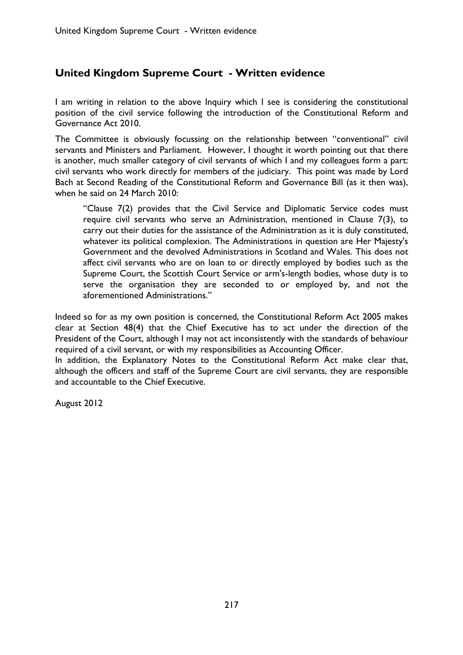# **United Kingdom Supreme Court - Written evidence**

I am writing in relation to the above Inquiry which I see is considering the constitutional position of the civil service following the introduction of the Constitutional Reform and Governance Act 2010.

The Committee is obviously focussing on the relationship between "conventional" civil servants and Ministers and Parliament. However, I thought it worth pointing out that there is another, much smaller category of civil servants of which I and my colleagues form a part: civil servants who work directly for members of the judiciary. This point was made by Lord Bach at Second Reading of the Constitutional Reform and Governance Bill (as it then was), when he said on 24 March 2010:

"Clause 7(2) provides that the Civil Service and Diplomatic Service codes must require civil servants who serve an Administration, mentioned in Clause 7(3), to carry out their duties for the assistance of the Administration as it is duly constituted, whatever its political complexion. The Administrations in question are Her Majesty's Government and the devolved Administrations in Scotland and Wales. This does not affect civil servants who are on loan to or directly employed by bodies such as the Supreme Court, the Scottish Court Service or arm's-length bodies, whose duty is to serve the organisation they are seconded to or employed by, and not the aforementioned Administrations."

Indeed so for as my own position is concerned, the Constitutional Reform Act 2005 makes clear at Section 48(4) that the Chief Executive has to act under the direction of the President of the Court, although I may not act inconsistently with the standards of behaviour required of a civil servant, or with my responsibilities as Accounting Officer.

In addition, the Explanatory Notes to the Constitutional Reform Act make clear that, although the officers and staff of the Supreme Court are civil servants, they are responsible and accountable to the Chief Executive.

August 2012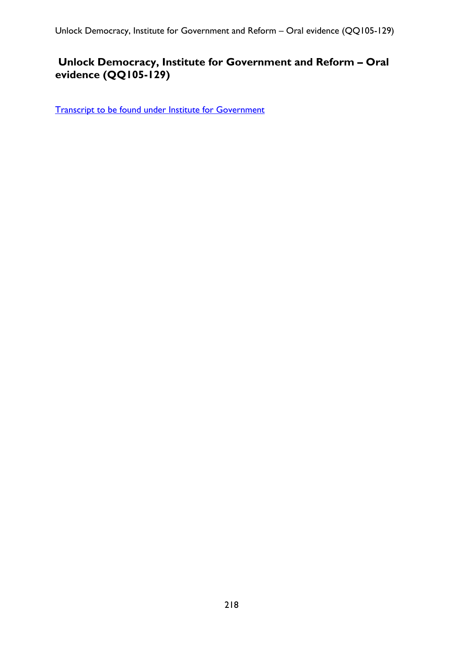# **Unlock Democracy, Institute for Government and Reform – Oral evidence (QQ105-129)**

[Transcript to be found under Institute for Government](#page-163-0)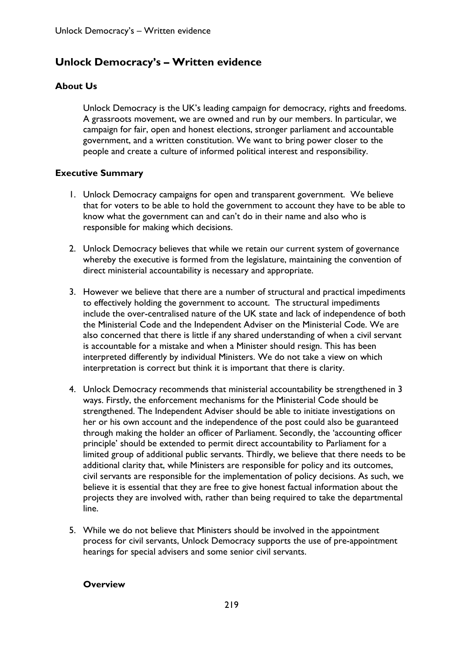# **Unlock Democracy's – Written evidence**

## **About Us**

Unlock Democracy is the UK's leading campaign for democracy, rights and freedoms. A grassroots movement, we are owned and run by our members. In particular, we campaign for fair, open and honest elections, stronger parliament and accountable government, and a written constitution. We want to bring power closer to the people and create a culture of informed political interest and responsibility.

### **Executive Summary**

- 1. Unlock Democracy campaigns for open and transparent government. We believe that for voters to be able to hold the government to account they have to be able to know what the government can and can't do in their name and also who is responsible for making which decisions.
- 2. Unlock Democracy believes that while we retain our current system of governance whereby the executive is formed from the legislature, maintaining the convention of direct ministerial accountability is necessary and appropriate.
- 3. However we believe that there are a number of structural and practical impediments to effectively holding the government to account. The structural impediments include the over-centralised nature of the UK state and lack of independence of both the Ministerial Code and the Independent Adviser on the Ministerial Code. We are also concerned that there is little if any shared understanding of when a civil servant is accountable for a mistake and when a Minister should resign. This has been interpreted differently by individual Ministers. We do not take a view on which interpretation is correct but think it is important that there is clarity.
- 4. Unlock Democracy recommends that ministerial accountability be strengthened in 3 ways. Firstly, the enforcement mechanisms for the Ministerial Code should be strengthened. The Independent Adviser should be able to initiate investigations on her or his own account and the independence of the post could also be guaranteed through making the holder an officer of Parliament. Secondly, the 'accounting officer principle' should be extended to permit direct accountability to Parliament for a limited group of additional public servants. Thirdly, we believe that there needs to be additional clarity that, while Ministers are responsible for policy and its outcomes, civil servants are responsible for the implementation of policy decisions. As such, we believe it is essential that they are free to give honest factual information about the projects they are involved with, rather than being required to take the departmental line.
- 5. While we do not believe that Ministers should be involved in the appointment process for civil servants, Unlock Democracy supports the use of pre-appointment hearings for special advisers and some senior civil servants.

### **Overview**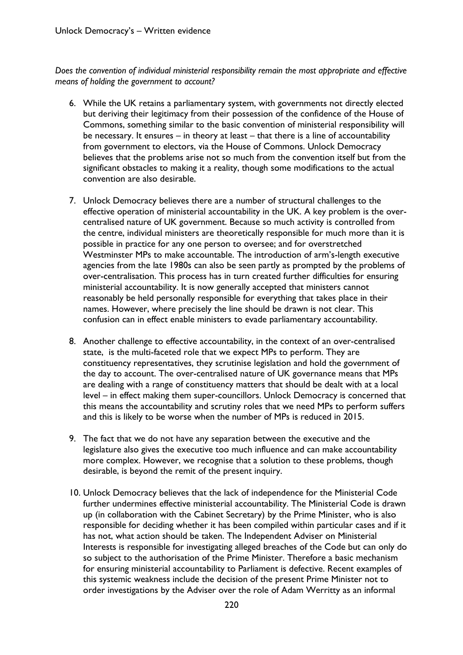*Does the convention of individual ministerial responsibility remain the most appropriate and effective means of holding the government to account?* 

- 6. While the UK retains a parliamentary system, with governments not directly elected but deriving their legitimacy from their possession of the confidence of the House of Commons, something similar to the basic convention of ministerial responsibility will be necessary. It ensures – in theory at least – that there is a line of accountability from government to electors, via the House of Commons. Unlock Democracy believes that the problems arise not so much from the convention itself but from the significant obstacles to making it a reality, though some modifications to the actual convention are also desirable.
- 7. Unlock Democracy believes there are a number of structural challenges to the effective operation of ministerial accountability in the UK. A key problem is the overcentralised nature of UK government. Because so much activity is controlled from the centre, individual ministers are theoretically responsible for much more than it is possible in practice for any one person to oversee; and for overstretched Westminster MPs to make accountable. The introduction of arm's-length executive agencies from the late 1980s can also be seen partly as prompted by the problems of over-centralisation. This process has in turn created further difficulties for ensuring ministerial accountability. It is now generally accepted that ministers cannot reasonably be held personally responsible for everything that takes place in their names. However, where precisely the line should be drawn is not clear. This confusion can in effect enable ministers to evade parliamentary accountability.
- 8. Another challenge to effective accountability, in the context of an over-centralised state, is the multi-faceted role that we expect MPs to perform. They are constituency representatives, they scrutinise legislation and hold the government of the day to account. The over-centralised nature of UK governance means that MPs are dealing with a range of constituency matters that should be dealt with at a local level – in effect making them super-councillors. Unlock Democracy is concerned that this means the accountability and scrutiny roles that we need MPs to perform suffers and this is likely to be worse when the number of MPs is reduced in 2015.
- 9. The fact that we do not have any separation between the executive and the legislature also gives the executive too much influence and can make accountability more complex. However, we recognise that a solution to these problems, though desirable, is beyond the remit of the present inquiry.
- 10. Unlock Democracy believes that the lack of independence for the Ministerial Code further undermines effective ministerial accountability. The Ministerial Code is drawn up (in collaboration with the Cabinet Secretary) by the Prime Minister, who is also responsible for deciding whether it has been compiled within particular cases and if it has not, what action should be taken. The Independent Adviser on Ministerial Interests is responsible for investigating alleged breaches of the Code but can only do so subject to the authorisation of the Prime Minister. Therefore a basic mechanism for ensuring ministerial accountability to Parliament is defective. Recent examples of this systemic weakness include the decision of the present Prime Minister not to order investigations by the Adviser over the role of Adam Werritty as an informal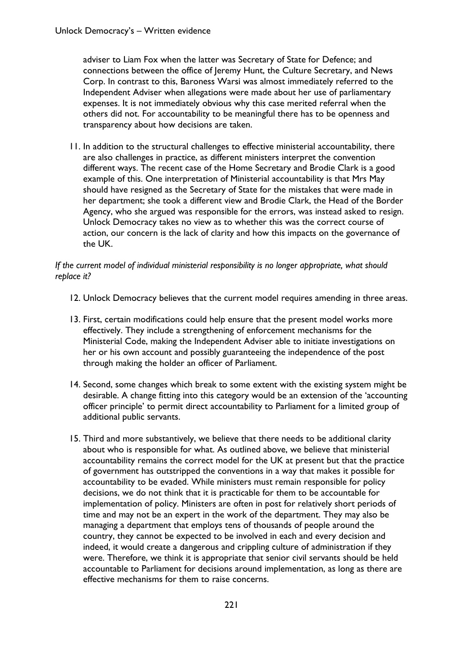adviser to Liam Fox when the latter was Secretary of State for Defence; and connections between the office of Jeremy Hunt, the Culture Secretary, and News Corp. In contrast to this, Baroness Warsi was almost immediately referred to the Independent Adviser when allegations were made about her use of parliamentary expenses. It is not immediately obvious why this case merited referral when the others did not. For accountability to be meaningful there has to be openness and transparency about how decisions are taken.

11. In addition to the structural challenges to effective ministerial accountability, there are also challenges in practice, as different ministers interpret the convention different ways. The recent case of the Home Secretary and Brodie Clark is a good example of this. One interpretation of Ministerial accountability is that Mrs May should have resigned as the Secretary of State for the mistakes that were made in her department; she took a different view and Brodie Clark, the Head of the Border Agency, who she argued was responsible for the errors, was instead asked to resign. Unlock Democracy takes no view as to whether this was the correct course of action, our concern is the lack of clarity and how this impacts on the governance of the UK.

### *If the current model of individual ministerial responsibility is no longer appropriate, what should replace it?*

- 12. Unlock Democracy believes that the current model requires amending in three areas.
- 13. First, certain modifications could help ensure that the present model works more effectively. They include a strengthening of enforcement mechanisms for the Ministerial Code, making the Independent Adviser able to initiate investigations on her or his own account and possibly guaranteeing the independence of the post through making the holder an officer of Parliament.
- 14. Second, some changes which break to some extent with the existing system might be desirable. A change fitting into this category would be an extension of the 'accounting officer principle' to permit direct accountability to Parliament for a limited group of additional public servants.
- 15. Third and more substantively, we believe that there needs to be additional clarity about who is responsible for what. As outlined above, we believe that ministerial accountability remains the correct model for the UK at present but that the practice of government has outstripped the conventions in a way that makes it possible for accountability to be evaded. While ministers must remain responsible for policy decisions, we do not think that it is practicable for them to be accountable for implementation of policy. Ministers are often in post for relatively short periods of time and may not be an expert in the work of the department. They may also be managing a department that employs tens of thousands of people around the country, they cannot be expected to be involved in each and every decision and indeed, it would create a dangerous and crippling culture of administration if they were. Therefore, we think it is appropriate that senior civil servants should be held accountable to Parliament for decisions around implementation, as long as there are effective mechanisms for them to raise concerns.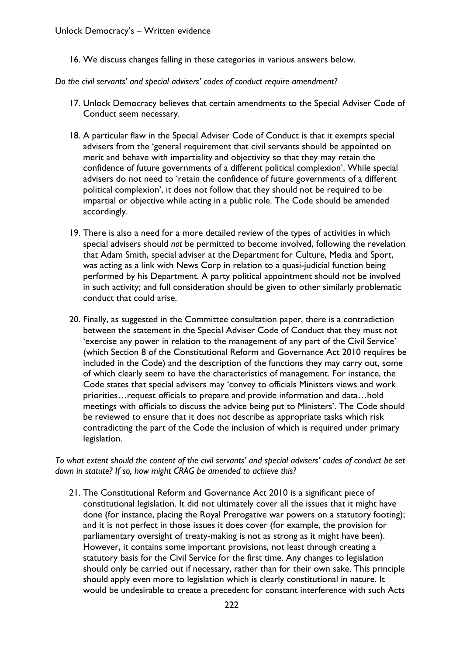16. We discuss changes falling in these categories in various answers below.

*Do the civil servants' and special advisers' codes of conduct require amendment?* 

- 17. Unlock Democracy believes that certain amendments to the Special Adviser Code of Conduct seem necessary.
- 18. A particular flaw in the Special Adviser Code of Conduct is that it exempts special advisers from the 'general requirement that civil servants should be appointed on merit and behave with impartiality and objectivity so that they may retain the confidence of future governments of a different political complexion'. While special advisers do not need to 'retain the confidence of future governments of a different political complexion', it does not follow that they should not be required to be impartial or objective while acting in a public role. The Code should be amended accordingly.
- 19. There is also a need for a more detailed review of the types of activities in which special advisers should *not* be permitted to become involved, following the revelation that Adam Smith, special adviser at the Department for Culture, Media and Sport, was acting as a link with News Corp in relation to a quasi-judicial function being performed by his Department. A party political appointment should not be involved in such activity; and full consideration should be given to other similarly problematic conduct that could arise.
- 20. Finally, as suggested in the Committee consultation paper, there is a contradiction between the statement in the Special Adviser Code of Conduct that they must not 'exercise any power in relation to the management of any part of the Civil Service' (which Section 8 of the Constitutional Reform and Governance Act 2010 requires be included in the Code) and the description of the functions they may carry out, some of which clearly seem to have the characteristics of management. For instance, the Code states that special advisers may 'convey to officials Ministers views and work priorities…request officials to prepare and provide information and data…hold meetings with officials to discuss the advice being put to Ministers'. The Code should be reviewed to ensure that it does not describe as appropriate tasks which risk contradicting the part of the Code the inclusion of which is required under primary legislation.

*To what extent should the content of the civil servants' and special advisers' codes of conduct be set down in statute? If so, how might CRAG be amended to achieve this?* 

21. The Constitutional Reform and Governance Act 2010 is a significant piece of constitutional legislation. It did not ultimately cover all the issues that it might have done (for instance, placing the Royal Prerogative war powers on a statutory footing); and it is not perfect in those issues it does cover (for example, the provision for parliamentary oversight of treaty-making is not as strong as it might have been). However, it contains some important provisions, not least through creating a statutory basis for the Civil Service for the first time. Any changes to legislation should only be carried out if necessary, rather than for their own sake. This principle should apply even more to legislation which is clearly constitutional in nature. It would be undesirable to create a precedent for constant interference with such Acts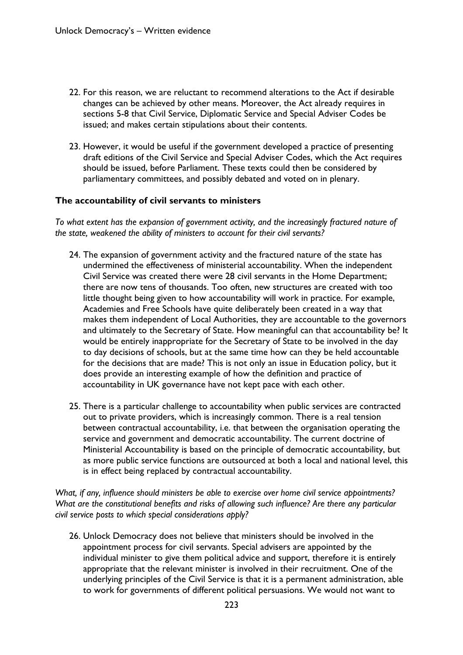- 22. For this reason, we are reluctant to recommend alterations to the Act if desirable changes can be achieved by other means. Moreover, the Act already requires in sections 5-8 that Civil Service, Diplomatic Service and Special Adviser Codes be issued; and makes certain stipulations about their contents.
- 23. However, it would be useful if the government developed a practice of presenting draft editions of the Civil Service and Special Adviser Codes, which the Act requires should be issued, before Parliament. These texts could then be considered by parliamentary committees, and possibly debated and voted on in plenary.

#### **The accountability of civil servants to ministers**

*To what extent has the expansion of government activity, and the increasingly fractured nature of the state, weakened the ability of ministers to account for their civil servants?* 

- 24. The expansion of government activity and the fractured nature of the state has undermined the effectiveness of ministerial accountability. When the independent Civil Service was created there were 28 civil servants in the Home Department; there are now tens of thousands. Too often, new structures are created with too little thought being given to how accountability will work in practice. For example, Academies and Free Schools have quite deliberately been created in a way that makes them independent of Local Authorities, they are accountable to the governors and ultimately to the Secretary of State. How meaningful can that accountability be? It would be entirely inappropriate for the Secretary of State to be involved in the day to day decisions of schools, but at the same time how can they be held accountable for the decisions that are made? This is not only an issue in Education policy, but it does provide an interesting example of how the definition and practice of accountability in UK governance have not kept pace with each other.
- 25. There is a particular challenge to accountability when public services are contracted out to private providers, which is increasingly common. There is a real tension between contractual accountability, i.e. that between the organisation operating the service and government and democratic accountability. The current doctrine of Ministerial Accountability is based on the principle of democratic accountability, but as more public service functions are outsourced at both a local and national level, this is in effect being replaced by contractual accountability.

*What, if any, influence should ministers be able to exercise over home civil service appointments? What are the constitutional benefits and risks of allowing such influence? Are there any particular civil service posts to which special considerations apply?* 

26. Unlock Democracy does not believe that ministers should be involved in the appointment process for civil servants. Special advisers are appointed by the individual minister to give them political advice and support, therefore it is entirely appropriate that the relevant minister is involved in their recruitment. One of the underlying principles of the Civil Service is that it is a permanent administration, able to work for governments of different political persuasions. We would not want to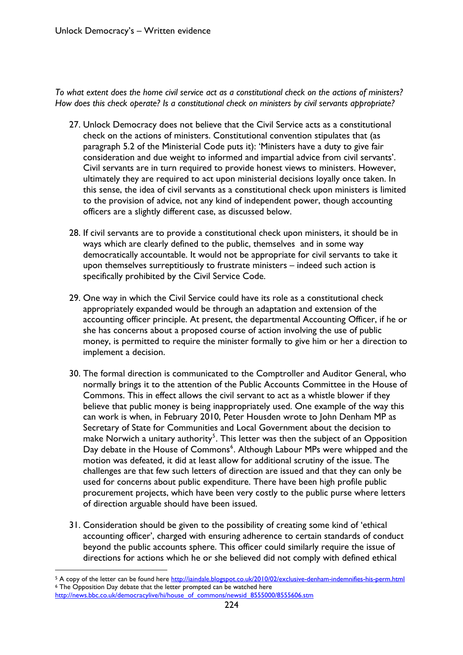*To what extent does the home civil service act as a constitutional check on the actions of ministers? How does this check operate? Is a constitutional check on ministers by civil servants appropriate?* 

- 27. Unlock Democracy does not believe that the Civil Service acts as a constitutional check on the actions of ministers. Constitutional convention stipulates that (as paragraph 5.2 of the Ministerial Code puts it): 'Ministers have a duty to give fair consideration and due weight to informed and impartial advice from civil servants'. Civil servants are in turn required to provide honest views to ministers. However, ultimately they are required to act upon ministerial decisions loyally once taken. In this sense, the idea of civil servants as a constitutional check upon ministers is limited to the provision of advice, not any kind of independent power, though accounting officers are a slightly different case, as discussed below.
- 28. If civil servants are to provide a constitutional check upon ministers, it should be in ways which are clearly defined to the public, themselves and in some way democratically accountable. It would not be appropriate for civil servants to take it upon themselves surreptitiously to frustrate ministers – indeed such action is specifically prohibited by the Civil Service Code.
- 29. One way in which the Civil Service could have its role as a constitutional check appropriately expanded would be through an adaptation and extension of the accounting officer principle. At present, the departmental Accounting Officer, if he or she has concerns about a proposed course of action involving the use of public money, is permitted to require the minister formally to give him or her a direction to implement a decision.
- 30. The formal direction is communicated to the Comptroller and Auditor General, who normally brings it to the attention of the Public Accounts Committee in the House of Commons. This in effect allows the civil servant to act as a whistle blower if they believe that public money is being inappropriately used. One example of the way this can work is when, in February 2010, Peter Housden wrote to John Denham MP as Secretary of State for Communities and Local Government about the decision to make Norwich a unitary authority $5$ . This letter was then the subject of an Opposition Day debate in the House of Commons<sup>[6](#page-223-1)</sup>. Although Labour MPs were whipped and the motion was defeated, it did at least allow for additional scrutiny of the issue. The challenges are that few such letters of direction are issued and that they can only be used for concerns about public expenditure. There have been high profile public procurement projects, which have been very costly to the public purse where letters of direction arguable should have been issued.
- 31. Consideration should be given to the possibility of creating some kind of 'ethical accounting officer', charged with ensuring adherence to certain standards of conduct beyond the public accounts sphere. This officer could similarly require the issue of directions for actions which he or she believed did not comply with defined ethical

 $\overline{a}$ 

<span id="page-223-0"></span><sup>&</sup>lt;sup>5</sup> A copy of the letter can be found here <u><http://iaindale.blogspot.co.uk/2010/02/exclusive-denham-indemnifies-his-perm.html> 6 The Opposition Day debate that the letter prompted can be watched here</u>

<span id="page-223-1"></span>[http://news.bbc.co.uk/democracylive/hi/house\\_of\\_commons/newsid\\_8555000/8555606.stm](http://news.bbc.co.uk/democracylive/hi/house_of_commons/newsid_8555000/8555606.stm)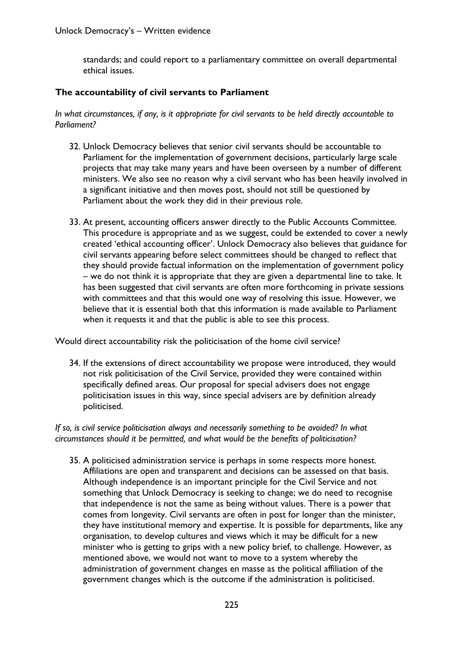standards; and could report to a parliamentary committee on overall departmental ethical issues.

#### **The accountability of civil servants to Parliament**

*In what circumstances, if any, is it appropriate for civil servants to be held directly accountable to Parliament?* 

- 32. Unlock Democracy believes that senior civil servants should be accountable to Parliament for the implementation of government decisions, particularly large scale projects that may take many years and have been overseen by a number of different ministers. We also see no reason why a civil servant who has been heavily involved in a significant initiative and then moves post, should not still be questioned by Parliament about the work they did in their previous role.
- 33. At present, accounting officers answer directly to the Public Accounts Committee. This procedure is appropriate and as we suggest, could be extended to cover a newly created 'ethical accounting officer'. Unlock Democracy also believes that guidance for civil servants appearing before select committees should be changed to reflect that they should provide factual information on the implementation of government policy – we do not think it is appropriate that they are given a departmental line to take. It has been suggested that civil servants are often more forthcoming in private sessions with committees and that this would one way of resolving this issue. However, we believe that it is essential both that this information is made available to Parliament when it requests it and that the public is able to see this process.

Would direct accountability risk the politicisation of the home civil service?

34. If the extensions of direct accountability we propose were introduced, they would not risk politicisation of the Civil Service, provided they were contained within specifically defined areas. Our proposal for special advisers does not engage politicisation issues in this way, since special advisers are by definition already politicised.

*If so, is civil service politicisation always and necessarily something to be avoided? In what circumstances should it be permitted, and what would be the benefits of politicisation?* 

35. A politicised administration service is perhaps in some respects more honest. Affiliations are open and transparent and decisions can be assessed on that basis. Although independence is an important principle for the Civil Service and not something that Unlock Democracy is seeking to change; we do need to recognise that independence is not the same as being without values. There is a power that comes from longevity. Civil servants are often in post for longer than the minister, they have institutional memory and expertise. It is possible for departments, like any organisation, to develop cultures and views which it may be difficult for a new minister who is getting to grips with a new policy brief, to challenge. However, as mentioned above, we would not want to move to a system whereby the administration of government changes en masse as the political affiliation of the government changes which is the outcome if the administration is politicised.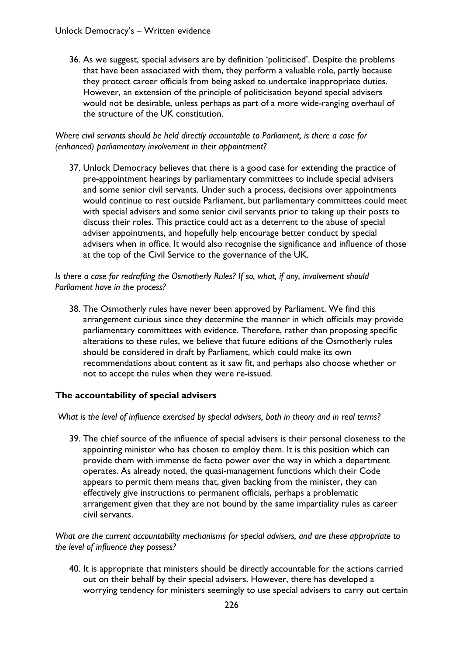36. As we suggest, special advisers are by definition 'politicised'. Despite the problems that have been associated with them, they perform a valuable role, partly because they protect career officials from being asked to undertake inappropriate duties. However, an extension of the principle of politicisation beyond special advisers would not be desirable, unless perhaps as part of a more wide-ranging overhaul of the structure of the UK constitution.

#### *Where civil servants should be held directly accountable to Parliament, is there a case for (enhanced) parliamentary involvement in their appointment?*

37. Unlock Democracy believes that there is a good case for extending the practice of pre-appointment hearings by parliamentary committees to include special advisers and some senior civil servants. Under such a process, decisions over appointments would continue to rest outside Parliament, but parliamentary committees could meet with special advisers and some senior civil servants prior to taking up their posts to discuss their roles. This practice could act as a deterrent to the abuse of special adviser appointments, and hopefully help encourage better conduct by special advisers when in office. It would also recognise the significance and influence of those at the top of the Civil Service to the governance of the UK.

*Is there a case for redrafting the Osmotherly Rules? If so, what, if any, involvement should Parliament have in the process?* 

38. The Osmotherly rules have never been approved by Parliament. We find this arrangement curious since they determine the manner in which officials may provide parliamentary committees with evidence. Therefore, rather than proposing specific alterations to these rules, we believe that future editions of the Osmotherly rules should be considered in draft by Parliament, which could make its own recommendations about content as it saw fit, and perhaps also choose whether or not to accept the rules when they were re-issued.

### **The accountability of special advisers**

 *What is the level of influence exercised by special advisers, both in theory and in real terms?* 

39. The chief source of the influence of special advisers is their personal closeness to the appointing minister who has chosen to employ them. It is this position which can provide them with immense de facto power over the way in which a department operates. As already noted, the quasi-management functions which their Code appears to permit them means that, given backing from the minister, they can effectively give instructions to permanent officials, perhaps a problematic arrangement given that they are not bound by the same impartiality rules as career civil servants.

*What are the current accountability mechanisms for special advisers, and are these appropriate to the level of influence they possess?* 

40. It is appropriate that ministers should be directly accountable for the actions carried out on their behalf by their special advisers. However, there has developed a worrying tendency for ministers seemingly to use special advisers to carry out certain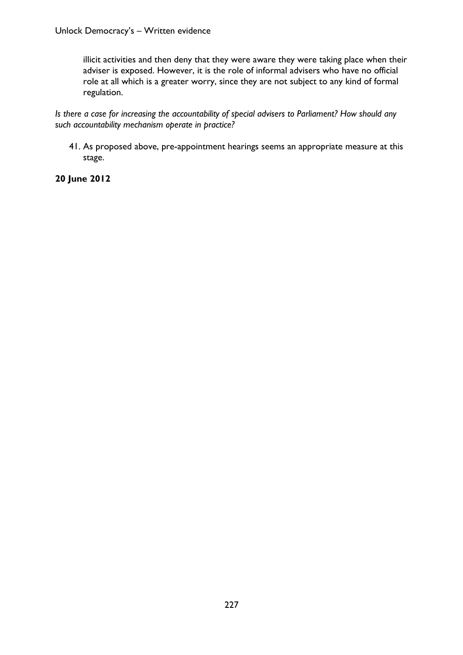illicit activities and then deny that they were aware they were taking place when their adviser is exposed. However, it is the role of informal advisers who have no official role at all which is a greater worry, since they are not subject to any kind of formal regulation.

*Is there a case for increasing the accountability of special advisers to Parliament? How should any such accountability mechanism operate in practice?* 

41. As proposed above, pre-appointment hearings seems an appropriate measure at this stage.

## **20 June 2012**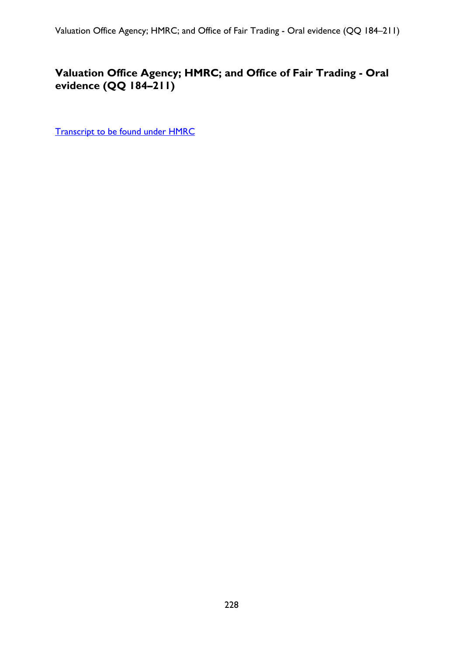# **Valuation Office Agency; HMRC; and Office of Fair Trading - Oral evidence (QQ 184–211)**

[Transcript to be found under HMRC](#page-149-0)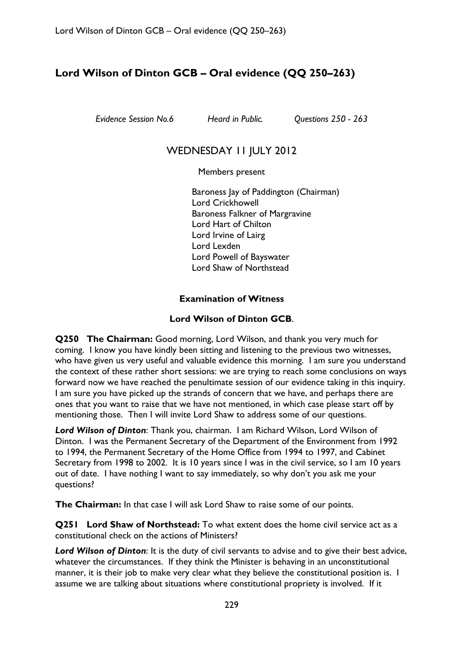# **Lord Wilson of Dinton GCB – Oral evidence (QQ 250–263)**

*Evidence Session No.6 Heard in Public. Questions 250 - 263* 

# WEDNESDAY II JULY 2012

Members present

Baroness Jay of Paddington (Chairman) Lord Crickhowell Baroness Falkner of Margravine Lord Hart of Chilton Lord Irvine of Lairg Lord Lexden Lord Powell of Bayswater Lord Shaw of Northstead

## **Examination of Witness**

## **Lord Wilson of Dinton GCB**.

**Q250 The Chairman:** Good morning, Lord Wilson, and thank you very much for coming. I know you have kindly been sitting and listening to the previous two witnesses, who have given us very useful and valuable evidence this morning. I am sure you understand the context of these rather short sessions: we are trying to reach some conclusions on ways forward now we have reached the penultimate session of our evidence taking in this inquiry. I am sure you have picked up the strands of concern that we have, and perhaps there are ones that you want to raise that we have not mentioned, in which case please start off by mentioning those. Then I will invite Lord Shaw to address some of our questions.

*Lord Wilson of Dinton*: Thank you, chairman. I am Richard Wilson, Lord Wilson of Dinton. I was the Permanent Secretary of the Department of the Environment from 1992 to 1994, the Permanent Secretary of the Home Office from 1994 to 1997, and Cabinet Secretary from 1998 to 2002. It is 10 years since I was in the civil service, so I am 10 years out of date. I have nothing I want to say immediately, so why don't you ask me your questions?

**The Chairman:** In that case I will ask Lord Shaw to raise some of our points.

**Q251 Lord Shaw of Northstead:** To what extent does the home civil service act as a constitutional check on the actions of Ministers?

*Lord Wilson of Dinton*: It is the duty of civil servants to advise and to give their best advice, whatever the circumstances. If they think the Minister is behaving in an unconstitutional manner, it is their job to make very clear what they believe the constitutional position is. I assume we are talking about situations where constitutional propriety is involved. If it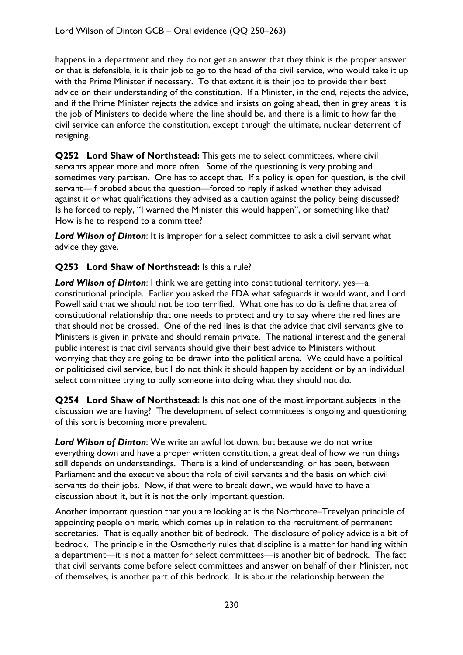happens in a department and they do not get an answer that they think is the proper answer or that is defensible, it is their job to go to the head of the civil service, who would take it up with the Prime Minister if necessary. To that extent it is their job to provide their best advice on their understanding of the constitution. If a Minister, in the end, rejects the advice, and if the Prime Minister rejects the advice and insists on going ahead, then in grey areas it is the job of Ministers to decide where the line should be, and there is a limit to how far the civil service can enforce the constitution, except through the ultimate, nuclear deterrent of resigning.

**Q252 Lord Shaw of Northstead:** This gets me to select committees, where civil servants appear more and more often. Some of the questioning is very probing and sometimes very partisan. One has to accept that. If a policy is open for question, is the civil servant—if probed about the question—forced to reply if asked whether they advised against it or what qualifications they advised as a caution against the policy being discussed? Is he forced to reply, "I warned the Minister this would happen", or something like that? How is he to respond to a committee?

*Lord Wilson of Dinton*: It is improper for a select committee to ask a civil servant what advice they gave.

## **Q253 Lord Shaw of Northstead:** Is this a rule?

*Lord Wilson of Dinton*: I think we are getting into constitutional territory, yes—a constitutional principle. Earlier you asked the FDA what safeguards it would want, and Lord Powell said that we should not be too terrified. What one has to do is define that area of constitutional relationship that one needs to protect and try to say where the red lines are that should not be crossed. One of the red lines is that the advice that civil servants give to Ministers is given in private and should remain private. The national interest and the general public interest is that civil servants should give their best advice to Ministers without worrying that they are going to be drawn into the political arena. We could have a political or politicised civil service, but I do not think it should happen by accident or by an individual select committee trying to bully someone into doing what they should not do.

**Q254 Lord Shaw of Northstead:** Is this not one of the most important subjects in the discussion we are having? The development of select committees is ongoing and questioning of this sort is becoming more prevalent.

*Lord Wilson of Dinton*: We write an awful lot down, but because we do not write everything down and have a proper written constitution, a great deal of how we run things still depends on understandings. There is a kind of understanding, or has been, between Parliament and the executive about the role of civil servants and the basis on which civil servants do their jobs. Now, if that were to break down, we would have to have a discussion about it, but it is not the only important question.

Another important question that you are looking at is the Northcote–Trevelyan principle of appointing people on merit, which comes up in relation to the recruitment of permanent secretaries. That is equally another bit of bedrock. The disclosure of policy advice is a bit of bedrock. The principle in the Osmotherly rules that discipline is a matter for handling within a department—it is not a matter for select committees—is another bit of bedrock. The fact that civil servants come before select committees and answer on behalf of their Minister, not of themselves, is another part of this bedrock. It is about the relationship between the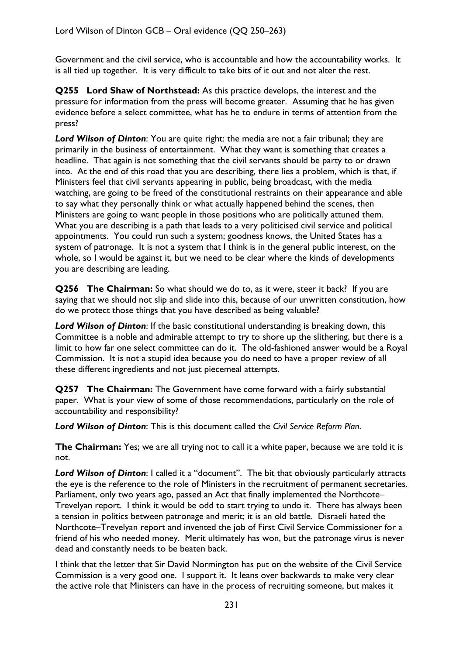Government and the civil service, who is accountable and how the accountability works. It is all tied up together. It is very difficult to take bits of it out and not alter the rest.

**Q255 Lord Shaw of Northstead:** As this practice develops, the interest and the pressure for information from the press will become greater. Assuming that he has given evidence before a select committee, what has he to endure in terms of attention from the press?

*Lord Wilson of Dinton*: You are quite right: the media are not a fair tribunal; they are primarily in the business of entertainment. What they want is something that creates a headline. That again is not something that the civil servants should be party to or drawn into. At the end of this road that you are describing, there lies a problem, which is that, if Ministers feel that civil servants appearing in public, being broadcast, with the media watching, are going to be freed of the constitutional restraints on their appearance and able to say what they personally think or what actually happened behind the scenes, then Ministers are going to want people in those positions who are politically attuned them. What you are describing is a path that leads to a very politicised civil service and political appointments. You could run such a system; goodness knows, the United States has a system of patronage. It is not a system that I think is in the general public interest, on the whole, so I would be against it, but we need to be clear where the kinds of developments you are describing are leading.

**Q256 The Chairman:** So what should we do to, as it were, steer it back? If you are saying that we should not slip and slide into this, because of our unwritten constitution, how do we protect those things that you have described as being valuable?

*Lord Wilson of Dinton*: If the basic constitutional understanding is breaking down, this Committee is a noble and admirable attempt to try to shore up the slithering, but there is a limit to how far one select committee can do it. The old-fashioned answer would be a Royal Commission. It is not a stupid idea because you do need to have a proper review of all these different ingredients and not just piecemeal attempts.

**Q257 The Chairman:** The Government have come forward with a fairly substantial paper. What is your view of some of those recommendations, particularly on the role of accountability and responsibility?

*Lord Wilson of Dinton*: This is this document called the *Civil Service Reform Plan*.

**The Chairman:** Yes; we are all trying not to call it a white paper, because we are told it is not.

*Lord Wilson of Dinton*: I called it a "document". The bit that obviously particularly attracts the eye is the reference to the role of Ministers in the recruitment of permanent secretaries. Parliament, only two years ago, passed an Act that finally implemented the Northcote– Trevelyan report. I think it would be odd to start trying to undo it. There has always been a tension in politics between patronage and merit; it is an old battle. Disraeli hated the Northcote–Trevelyan report and invented the job of First Civil Service Commissioner for a friend of his who needed money. Merit ultimately has won, but the patronage virus is never dead and constantly needs to be beaten back.

I think that the letter that Sir David Normington has put on the website of the Civil Service Commission is a very good one. I support it. It leans over backwards to make very clear the active role that Ministers can have in the process of recruiting someone, but makes it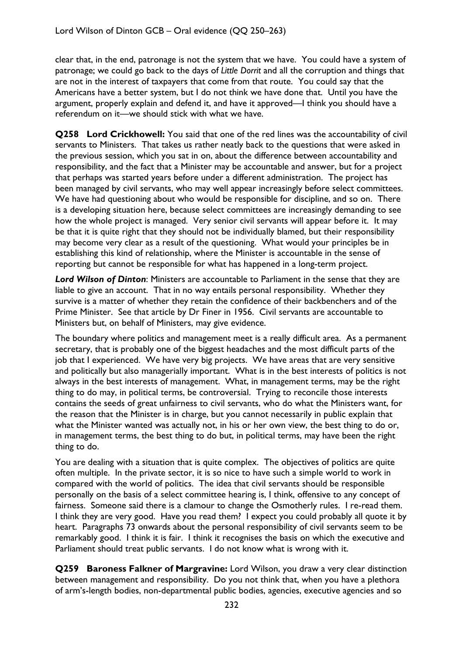clear that, in the end, patronage is not the system that we have. You could have a system of patronage; we could go back to the days of *Little Dorrit* and all the corruption and things that are not in the interest of taxpayers that come from that route. You could say that the Americans have a better system, but I do not think we have done that. Until you have the argument, properly explain and defend it, and have it approved—I think you should have a referendum on it—we should stick with what we have.

**Q258 Lord Crickhowell:** You said that one of the red lines was the accountability of civil servants to Ministers. That takes us rather neatly back to the questions that were asked in the previous session, which you sat in on, about the difference between accountability and responsibility, and the fact that a Minister may be accountable and answer, but for a project that perhaps was started years before under a different administration. The project has been managed by civil servants, who may well appear increasingly before select committees. We have had questioning about who would be responsible for discipline, and so on. There is a developing situation here, because select committees are increasingly demanding to see how the whole project is managed. Very senior civil servants will appear before it. It may be that it is quite right that they should not be individually blamed, but their responsibility may become very clear as a result of the questioning. What would your principles be in establishing this kind of relationship, where the Minister is accountable in the sense of reporting but cannot be responsible for what has happened in a long-term project.

*Lord Wilson of Dinton*: Ministers are accountable to Parliament in the sense that they are liable to give an account. That in no way entails personal responsibility. Whether they survive is a matter of whether they retain the confidence of their backbenchers and of the Prime Minister. See that article by Dr Finer in 1956. Civil servants are accountable to Ministers but, on behalf of Ministers, may give evidence.

The boundary where politics and management meet is a really difficult area. As a permanent secretary, that is probably one of the biggest headaches and the most difficult parts of the job that I experienced. We have very big projects. We have areas that are very sensitive and politically but also managerially important. What is in the best interests of politics is not always in the best interests of management. What, in management terms, may be the right thing to do may, in political terms, be controversial. Trying to reconcile those interests contains the seeds of great unfairness to civil servants, who do what the Ministers want, for the reason that the Minister is in charge, but you cannot necessarily in public explain that what the Minister wanted was actually not, in his or her own view, the best thing to do or, in management terms, the best thing to do but, in political terms, may have been the right thing to do.

You are dealing with a situation that is quite complex. The objectives of politics are quite often multiple. In the private sector, it is so nice to have such a simple world to work in compared with the world of politics. The idea that civil servants should be responsible personally on the basis of a select committee hearing is, I think, offensive to any concept of fairness. Someone said there is a clamour to change the Osmotherly rules. I re-read them. I think they are very good. Have you read them? I expect you could probably all quote it by heart. Paragraphs 73 onwards about the personal responsibility of civil servants seem to be remarkably good. I think it is fair. I think it recognises the basis on which the executive and Parliament should treat public servants. I do not know what is wrong with it.

**Q259 Baroness Falkner of Margravine:** Lord Wilson, you draw a very clear distinction between management and responsibility. Do you not think that, when you have a plethora of arm's-length bodies, non-departmental public bodies, agencies, executive agencies and so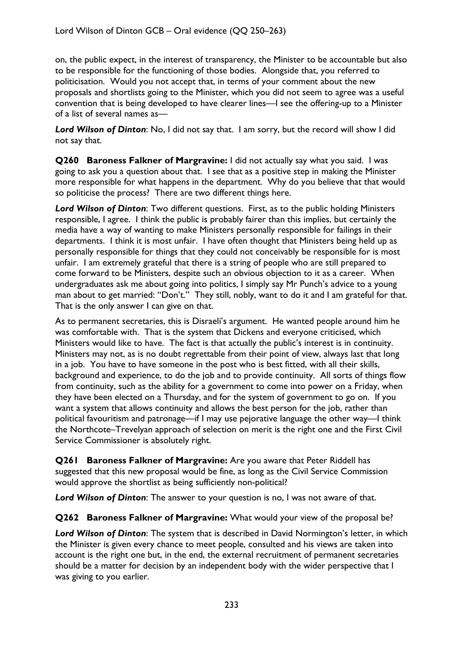on, the public expect, in the interest of transparency, the Minister to be accountable but also to be responsible for the functioning of those bodies. Alongside that, you referred to politicisation. Would you not accept that, in terms of your comment about the new proposals and shortlists going to the Minister, which you did not seem to agree was a useful convention that is being developed to have clearer lines—I see the offering-up to a Minister of a list of several names as—

*Lord Wilson of Dinton*: No, I did not say that. I am sorry, but the record will show I did not say that.

**Q260 Baroness Falkner of Margravine:** I did not actually say what you said. I was going to ask you a question about that. I see that as a positive step in making the Minister more responsible for what happens in the department. Why do you believe that that would so politicise the process? There are two different things here.

*Lord Wilson of Dinton*: Two different questions. First, as to the public holding Ministers responsible, I agree. I think the public is probably fairer than this implies, but certainly the media have a way of wanting to make Ministers personally responsible for failings in their departments. I think it is most unfair. I have often thought that Ministers being held up as personally responsible for things that they could not conceivably be responsible for is most unfair. I am extremely grateful that there is a string of people who are still prepared to come forward to be Ministers, despite such an obvious objection to it as a career. When undergraduates ask me about going into politics, I simply say Mr Punch's advice to a young man about to get married: "Don't." They still, nobly, want to do it and I am grateful for that. That is the only answer I can give on that.

As to permanent secretaries, this is Disraeli's argument. He wanted people around him he was comfortable with. That is the system that Dickens and everyone criticised, which Ministers would like to have. The fact is that actually the public's interest is in continuity. Ministers may not, as is no doubt regrettable from their point of view, always last that long in a job. You have to have someone in the post who is best fitted, with all their skills, background and experience, to do the job and to provide continuity. All sorts of things flow from continuity, such as the ability for a government to come into power on a Friday, when they have been elected on a Thursday, and for the system of government to go on. If you want a system that allows continuity and allows the best person for the job, rather than political favouritism and patronage—if I may use pejorative language the other way—I think the Northcote–Trevelyan approach of selection on merit is the right one and the First Civil Service Commissioner is absolutely right.

**Q261 Baroness Falkner of Margravine:** Are you aware that Peter Riddell has suggested that this new proposal would be fine, as long as the Civil Service Commission would approve the shortlist as being sufficiently non-political?

*Lord Wilson of Dinton*: The answer to your question is no, I was not aware of that.

**Q262 Baroness Falkner of Margravine:** What would your view of the proposal be?

*Lord Wilson of Dinton*: The system that is described in David Normington's letter, in which the Minister is given every chance to meet people, consulted and his views are taken into account is the right one but, in the end, the external recruitment of permanent secretaries should be a matter for decision by an independent body with the wider perspective that I was giving to you earlier.